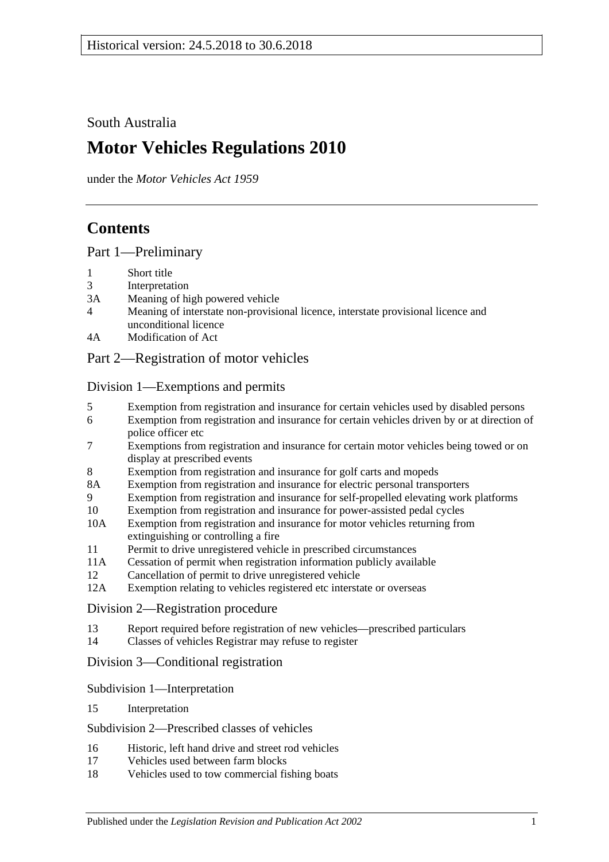South Australia

# **Motor Vehicles Regulations 2010**

under the *Motor Vehicles Act 1959*

# **Contents**

[Part 1—Preliminary](#page-6-0)

- 1 [Short title](#page-6-1)
- 3 [Interpretation](#page-6-2)
- 3A [Meaning of high powered vehicle](#page-9-0)
- 4 [Meaning of interstate non-provisional licence, interstate provisional licence and](#page-10-0)  [unconditional licence](#page-10-0)
- 4A [Modification of Act](#page-11-0)

# [Part 2—Registration of motor vehicles](#page-12-0)

[Division 1—Exemptions and permits](#page-12-1)

- 5 [Exemption from registration and insurance for certain vehicles used by disabled persons](#page-12-2)
- 6 [Exemption from registration and insurance for certain vehicles driven by or at direction of](#page-12-3)  [police officer etc](#page-12-3)
- 7 [Exemptions from registration and insurance for certain motor vehicles being towed or on](#page-12-4)  [display at prescribed events](#page-12-4)
- 8 [Exemption from registration and insurance for golf carts and mopeds](#page-13-0)
- 8A [Exemption from registration and insurance for electric personal transporters](#page-13-1)
- 9 [Exemption from registration and insurance for self-propelled elevating work platforms](#page-13-2)
- 10 [Exemption from registration and insurance for power-assisted pedal cycles](#page-14-0)
- 10A [Exemption from registration and insurance for motor vehicles returning from](#page-14-1)  [extinguishing or controlling a fire](#page-14-1)
- 11 [Permit to drive unregistered vehicle in prescribed circumstances](#page-15-0)
- 11A [Cessation of permit when registration information publicly available](#page-15-1)
- 12 [Cancellation of permit to drive unregistered vehicle](#page-15-2)
- 12A [Exemption relating to vehicles registered etc interstate or overseas](#page-15-3)

# [Division 2—Registration procedure](#page-15-4)

- 13 [Report required before registration of new vehicles—prescribed particulars](#page-15-5)
- 14 Classes of vehicles [Registrar may refuse to register](#page-16-0)

# [Division 3—Conditional registration](#page-16-1)

#### [Subdivision 1—Interpretation](#page-16-2)

15 [Interpretation](#page-16-3)

#### [Subdivision 2—Prescribed classes of vehicles](#page-17-0)

- 16 [Historic, left hand drive and street rod vehicles](#page-17-1)
- 17 [Vehicles used between farm blocks](#page-18-0)
- 18 [Vehicles used to tow commercial fishing boats](#page-18-1)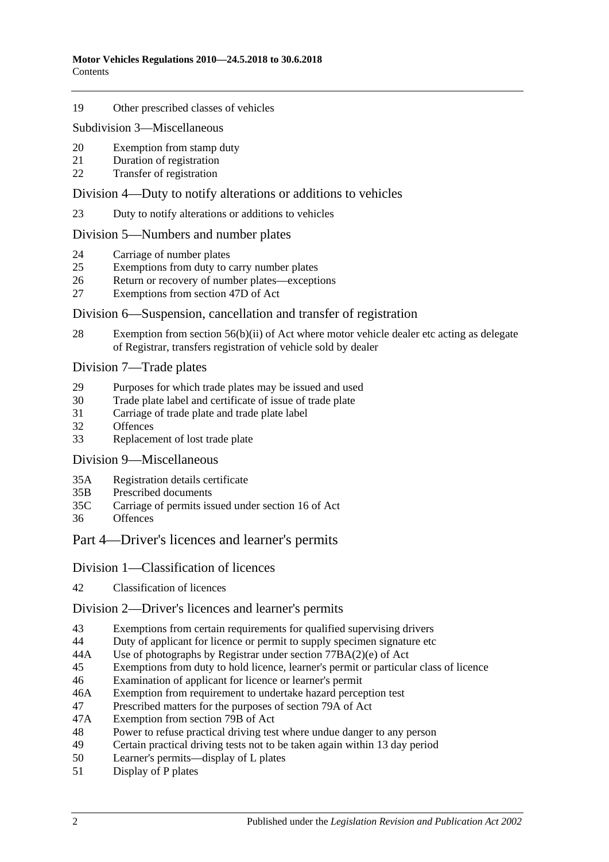#### 19 [Other prescribed classes of vehicles](#page-19-0)

#### [Subdivision 3—Miscellaneous](#page-19-1)

- 20 [Exemption from stamp duty](#page-19-2)
- 21 [Duration of registration](#page-19-3)
- 22 [Transfer of registration](#page-19-4)

#### [Division 4—Duty to notify alterations or additions to vehicles](#page-20-0)

23 [Duty to notify alterations or additions to vehicles](#page-20-1)

#### [Division 5—Numbers and number plates](#page-21-0)

- 24 [Carriage of number plates](#page-21-1)
- 25 [Exemptions from duty to carry number plates](#page-22-0)
- 26 [Return or recovery of number plates—exceptions](#page-23-0)
- 27 [Exemptions from section 47D of Act](#page-24-0)

#### [Division 6—Suspension, cancellation and transfer of registration](#page-24-1)

28 [Exemption from section 56\(b\)\(ii\) of Act where motor vehicle dealer etc acting as delegate](#page-24-2)  [of Registrar, transfers registration of vehicle sold by dealer](#page-24-2)

#### [Division 7—Trade plates](#page-24-3)

- 29 [Purposes for which trade plates may be issued and used](#page-24-4)<br>30 Trade plate label and certificate of issue of trade plate
- [Trade plate label and certificate of issue of trade plate](#page-27-0)
- 31 [Carriage of trade plate and trade plate label](#page-28-0)
- 32 [Offences](#page-28-1)
- 33 [Replacement of lost trade plate](#page-28-2)

[Division 9—Miscellaneous](#page-29-0)

- 35A [Registration details certificate](#page-29-1)
- 35B [Prescribed documents](#page-29-2)
- 35C [Carriage of permits issued under section 16 of Act](#page-29-3)
- 36 [Offences](#page-30-0)

#### [Part 4—Driver's licences and learner's permits](#page-32-0)

#### [Division 1—Classification of licences](#page-32-1)

42 [Classification of licences](#page-32-2)

#### [Division 2—Driver's licences and learner's permits](#page-32-3)

- 43 [Exemptions from certain requirements for qualified supervising drivers](#page-32-4)
- 44 [Duty of applicant for licence or permit to supply specimen signature etc](#page-32-5)
- 44A [Use of photographs by Registrar under section](#page-33-0) 77BA(2)(e) of Act
- 45 [Exemptions from duty to hold licence, learner's permit or particular class of licence](#page-33-1)
- 46 [Examination of applicant for licence or learner's permit](#page-35-0)
- 46A [Exemption from requirement to undertake hazard perception test](#page-36-0)
- 47 [Prescribed matters for the purposes of section 79A of Act](#page-36-1)
- 47A [Exemption from section 79B of Act](#page-37-0)
- 48 [Power to refuse practical driving test where undue danger to any person](#page-37-1)
- 49 [Certain practical driving tests not to be taken again within 13](#page-37-2) day period<br>50 Learner's permits—display of L plates
- [Learner's permits—display of L plates](#page-37-3)
- 51 [Display of P plates](#page-38-0)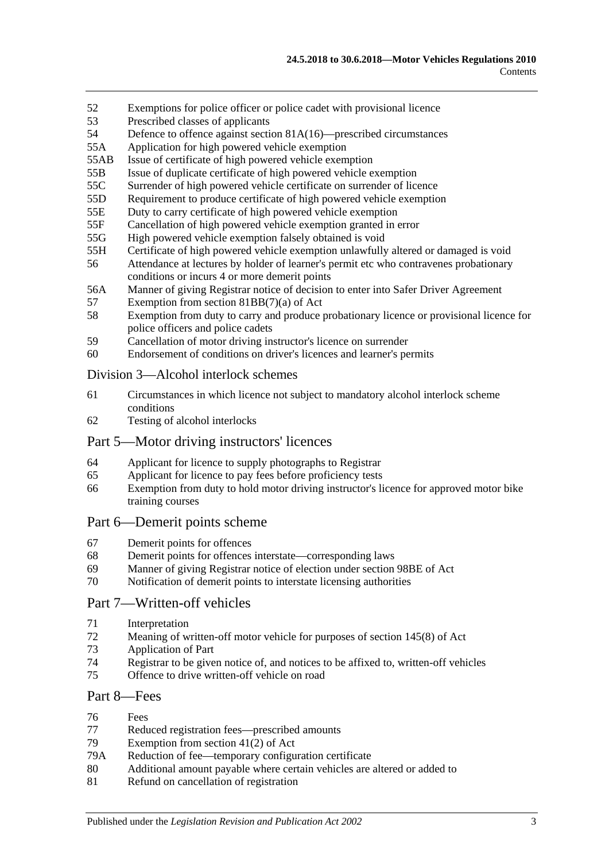- 52 [Exemptions for police officer or police cadet with provisional licence](#page-38-1)
- 53 [Prescribed classes of applicants](#page-38-2)
- 54 Defence to offence against section [81A\(16\)—prescribed circumstances](#page-39-0)
- 55A [Application for high powered vehicle exemption](#page-39-1)
- 55AB [Issue of certificate of high powered vehicle exemption](#page-39-2)
- 55B [Issue of duplicate certificate of high powered vehicle exemption](#page-39-3)
- 55C [Surrender of high powered vehicle certificate on surrender of licence](#page-39-4)
- 55D [Requirement to produce certificate of high powered vehicle exemption](#page-39-5)
- 55E [Duty to carry certificate of high powered vehicle exemption](#page-40-0)
- 55F [Cancellation of high powered vehicle exemption granted in error](#page-40-1)
- 55G [High powered vehicle exemption falsely obtained is void](#page-40-2)
- 55H [Certificate of high powered vehicle exemption unlawfully altered or damaged is void](#page-40-3)
- 56 [Attendance at lectures by holder of learner's permit etc who contravenes probationary](#page-41-0)  [conditions or incurs 4 or more demerit points](#page-41-0)
- 56A [Manner of giving Registrar notice of decision to enter into Safer Driver Agreement](#page-41-1)
- 57 [Exemption from section 81BB\(7\)\(a\) of Act](#page-41-2)
- 58 [Exemption from duty to carry and produce probationary licence or provisional licence for](#page-42-0)  [police officers and police cadets](#page-42-0)
- 59 [Cancellation of motor driving instructor's licence on surrender](#page-42-1)
- 60 [Endorsement of conditions on driver's licences and learner's permits](#page-42-2)

#### [Division 3—Alcohol interlock schemes](#page-42-3)

- 61 [Circumstances in which licence not subject to mandatory alcohol interlock scheme](#page-42-4)  [conditions](#page-42-4)
- 62 [Testing of alcohol interlocks](#page-42-5)

# [Part 5—Motor driving instructors' licences](#page-44-0)

- 64 [Applicant for licence to supply photographs to Registrar](#page-44-1)
- 65 [Applicant for licence to pay fees before proficiency tests](#page-44-2)
- 66 [Exemption from duty to hold motor driving instructor's licence for approved motor bike](#page-44-3)  [training courses](#page-44-3)

#### [Part 6—Demerit points scheme](#page-46-0)

- 67 [Demerit points for offences](#page-46-1)
- 68 [Demerit points for offences interstate—corresponding laws](#page-46-2)
- 69 [Manner of giving Registrar notice of election under section](#page-46-3) 98BE of Act
- 70 [Notification of demerit points to interstate licensing authorities](#page-47-0)

# [Part 7—Written-off vehicles](#page-48-0)

- 71 [Interpretation](#page-48-1)
- 72 [Meaning of written-off motor vehicle for purposes of section](#page-49-0) 145(8) of Act
- 73 [Application of Part](#page-49-1)
- 74 [Registrar to be given notice of, and notices to be affixed to, written-off vehicles](#page-50-0)
- 75 [Offence to drive written-off vehicle on road](#page-52-0)

# [Part 8—Fees](#page-54-0)

- 76 [Fees](#page-54-1)
- 77 [Reduced registration fees—prescribed amounts](#page-54-2)
- 79 [Exemption from section 41\(2\) of Act](#page-55-0)
- 79A [Reduction of fee—temporary configuration certificate](#page-55-1)<br>80 Additional amount payable where certain vehicles are
- [Additional amount payable where certain vehicles are altered or added to](#page-56-0)
- 81 [Refund on cancellation of registration](#page-56-1)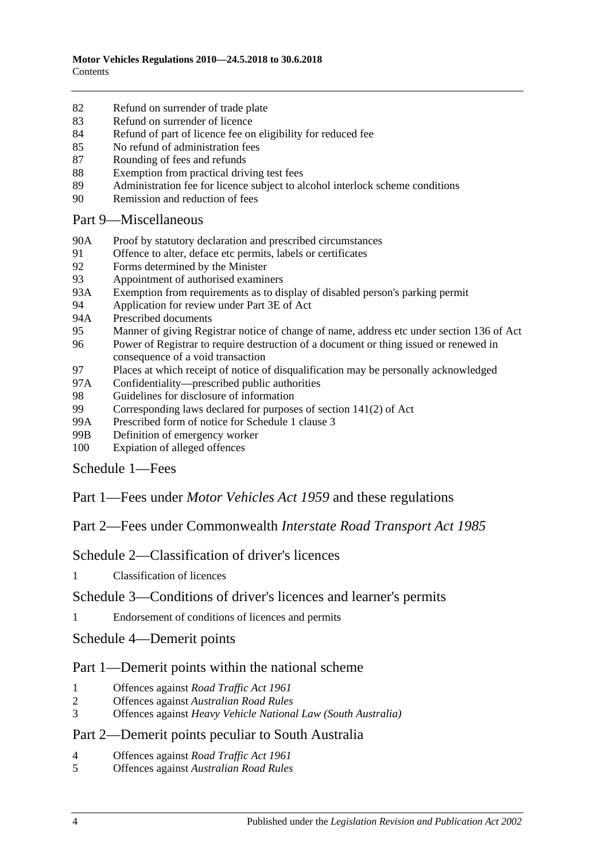- 82 [Refund on surrender of trade plate](#page-56-2)
- 83 [Refund on surrender of licence](#page-57-0)
- 84 [Refund of part of licence fee on eligibility for reduced fee](#page-57-1)
- 85 [No refund of administration fees](#page-57-2)
- 87 [Rounding of fees and refunds](#page-57-3)
- 88 [Exemption from practical driving test fees](#page-58-0)
- 89 [Administration fee for licence subject to alcohol interlock scheme conditions](#page-58-1)
- 90 [Remission and reduction of fees](#page-58-2)

[Part 9—Miscellaneous](#page-60-0)

- 90A [Proof by statutory declaration and prescribed circumstances](#page-60-1)
- 91 [Offence to alter, deface etc permits, labels or certificates](#page-60-2)
- 92 [Forms determined by the Minister](#page-61-0)
- 93 [Appointment of authorised examiners](#page-61-1)
- 93A [Exemption from requirements as to display of disabled person's parking permit](#page-61-2)
- 94 [Application for review under Part 3E of Act](#page-62-0)
- 94A [Prescribed documents](#page-62-1)
- 95 [Manner of giving Registrar notice of change of name, address etc under section](#page-62-2) 136 of Act
- 96 [Power of Registrar to require destruction of a document or thing issued or renewed in](#page-62-3)  [consequence of a void transaction](#page-62-3)
- 97 [Places at which receipt of notice of disqualification may be personally acknowledged](#page-62-4)
- 97A [Confidentiality—prescribed public authorities](#page-63-0)<br>98 Guidelines for disclosure of information
- [Guidelines for disclosure of information](#page-63-1)
- 99 [Corresponding laws declared for purposes of section](#page-67-0) 141(2) of Act
- 99A [Prescribed form of notice for Schedule 1 clause 3](#page-67-1)
- 99B [Definition of emergency worker](#page-67-2)
- 100 [Expiation of alleged offences](#page-68-0)

[Schedule 1—Fees](#page-70-0)

Part 1—Fees under *Motor Vehicles Act 1959* and these regulations

Part 2—Fees under Commonwealth *Interstate Road Transport Act 1985*

[Schedule 2—Classification of driver's licences](#page-80-0)

1 [Classification of licences](#page-80-1)

[Schedule 3—Conditions of driver's licences and learner's permits](#page-84-0)

1 [Endorsement of conditions of licences and permits](#page-84-1)

[Schedule 4—Demerit points](#page-86-0)

# Part 1—Demerit points within the national scheme

- 1 [Offences against](#page-86-1) *Road Traffic Act 1961*
- 2 Offences against *[Australian Road Rules](#page-86-2)*
- 3 Offences against *[Heavy Vehicle National Law \(South Australia\)](#page-90-0)*

#### Part 2—Demerit points peculiar to South Australia

- 4 [Offences against](#page-91-0) *Road Traffic Act 1961*
- 5 Offences against *[Australian Road Rules](#page-94-0)*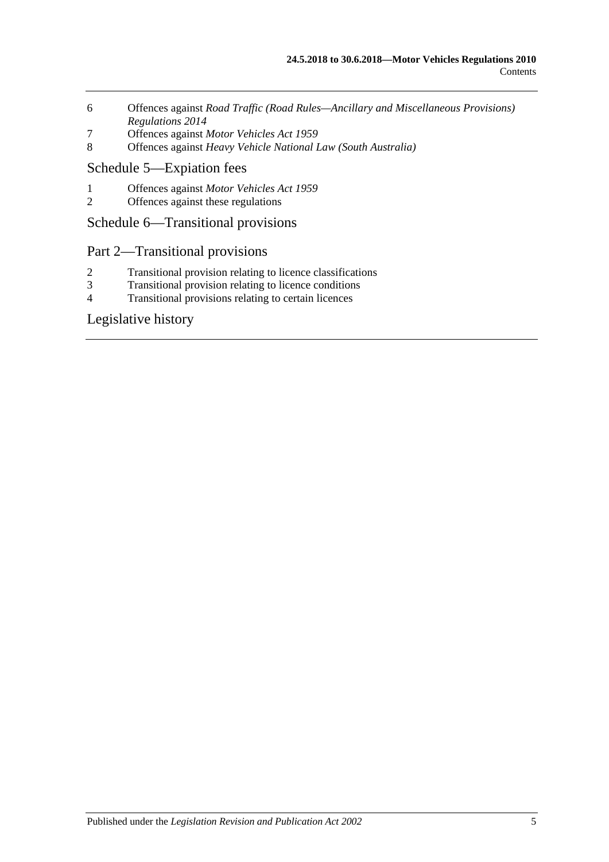- 6 Offences against *[Road Traffic \(Road Rules—Ancillary and Miscellaneous Provisions\)](#page-97-0)  [Regulations](#page-97-0) 2014*
- 7 Offences against *[Motor Vehicles Act](#page-97-1) 1959*
- 8 Offences against *[Heavy Vehicle National Law \(South Australia\)](#page-98-0)*

# [Schedule 5—Expiation fees](#page-100-0)

- 1 Offences against *[Motor Vehicles Act](#page-100-1) 1959*
- 2 [Offences against these regulations](#page-102-0)

# [Schedule 6—Transitional provisions](#page-104-0)

# Part 2—Transitional provisions

- 2 [Transitional provision relating to licence classifications](#page-104-1)
- 3 [Transitional provision relating to licence conditions](#page-104-2)<br>4 Transitional provisions relating to certain licences
- [Transitional provisions relating to certain licences](#page-105-0)

# [Legislative history](#page-106-0)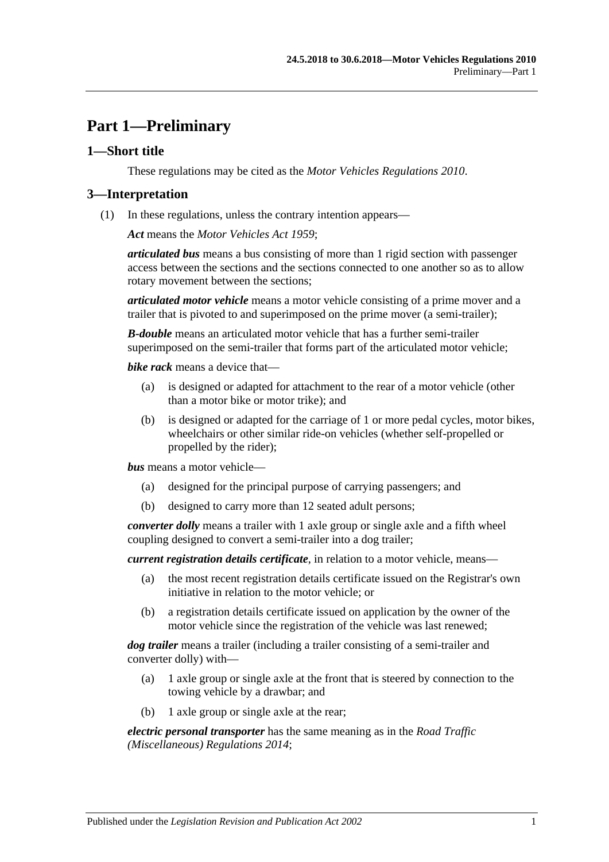# <span id="page-6-0"></span>**Part 1—Preliminary**

# <span id="page-6-1"></span>**1—Short title**

These regulations may be cited as the *Motor Vehicles Regulations 2010*.

### <span id="page-6-2"></span>**3—Interpretation**

(1) In these regulations, unless the contrary intention appears—

*Act* means the *[Motor Vehicles Act](http://www.legislation.sa.gov.au/index.aspx?action=legref&type=act&legtitle=Motor%20Vehicles%20Act%201959) 1959*;

*articulated bus* means a bus consisting of more than 1 rigid section with passenger access between the sections and the sections connected to one another so as to allow rotary movement between the sections;

*articulated motor vehicle* means a motor vehicle consisting of a prime mover and a trailer that is pivoted to and superimposed on the prime mover (a semi-trailer);

*B-double* means an articulated motor vehicle that has a further semi-trailer superimposed on the semi-trailer that forms part of the articulated motor vehicle;

*bike rack* means a device that—

- (a) is designed or adapted for attachment to the rear of a motor vehicle (other than a motor bike or motor trike); and
- (b) is designed or adapted for the carriage of 1 or more pedal cycles, motor bikes, wheelchairs or other similar ride-on vehicles (whether self-propelled or propelled by the rider);

*bus* means a motor vehicle—

- (a) designed for the principal purpose of carrying passengers; and
- (b) designed to carry more than 12 seated adult persons;

*converter dolly* means a trailer with 1 axle group or single axle and a fifth wheel coupling designed to convert a semi-trailer into a dog trailer;

*current registration details certificate*, in relation to a motor vehicle, means—

- (a) the most recent registration details certificate issued on the Registrar's own initiative in relation to the motor vehicle; or
- (b) a registration details certificate issued on application by the owner of the motor vehicle since the registration of the vehicle was last renewed;

*dog trailer* means a trailer (including a trailer consisting of a semi-trailer and converter dolly) with—

- (a) 1 axle group or single axle at the front that is steered by connection to the towing vehicle by a drawbar; and
- (b) 1 axle group or single axle at the rear;

*electric personal transporter* has the same meaning as in the *[Road Traffic](http://www.legislation.sa.gov.au/index.aspx?action=legref&type=subordleg&legtitle=Road%20Traffic%20(Miscellaneous)%20Regulations%202014)  [\(Miscellaneous\) Regulations](http://www.legislation.sa.gov.au/index.aspx?action=legref&type=subordleg&legtitle=Road%20Traffic%20(Miscellaneous)%20Regulations%202014) 2014*;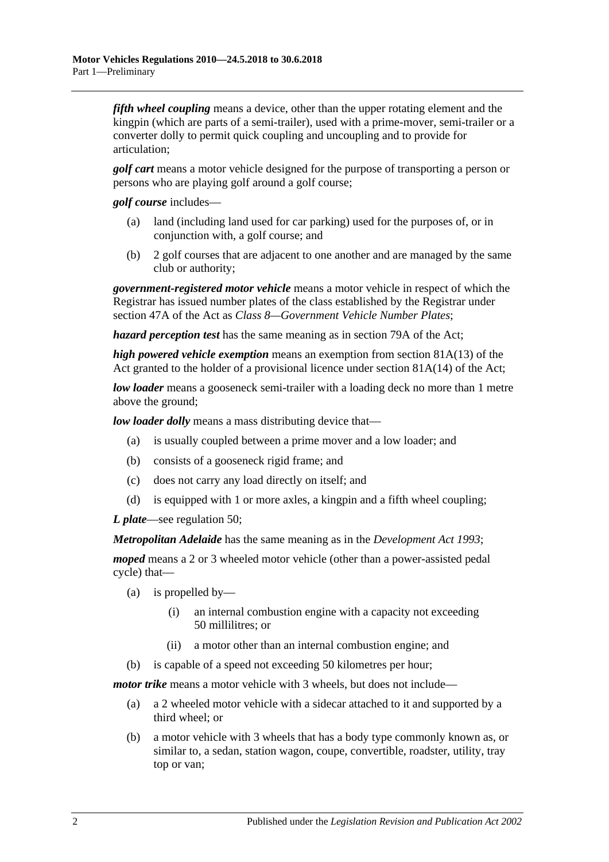*fifth wheel coupling* means a device, other than the upper rotating element and the kingpin (which are parts of a semi-trailer), used with a prime-mover, semi-trailer or a converter dolly to permit quick coupling and uncoupling and to provide for articulation;

*golf cart* means a motor vehicle designed for the purpose of transporting a person or persons who are playing golf around a golf course;

*golf course* includes—

- (a) land (including land used for car parking) used for the purposes of, or in conjunction with, a golf course; and
- (b) 2 golf courses that are adjacent to one another and are managed by the same club or authority;

*government-registered motor vehicle* means a motor vehicle in respect of which the Registrar has issued number plates of the class established by the Registrar under section 47A of the Act as *Class 8—Government Vehicle Number Plates*;

*hazard perception test* has the same meaning as in section 79A of the Act;

*high powered vehicle exemption* means an exemption from section 81A(13) of the Act granted to the holder of a provisional licence under section 81A(14) of the Act;

*low loader* means a gooseneck semi-trailer with a loading deck no more than 1 metre above the ground;

*low loader dolly* means a mass distributing device that—

- (a) is usually coupled between a prime mover and a low loader; and
- (b) consists of a gooseneck rigid frame; and
- (c) does not carry any load directly on itself; and
- (d) is equipped with 1 or more axles, a kingpin and a fifth wheel coupling;

*L plate*—see [regulation](#page-37-3) 50;

*Metropolitan Adelaide* has the same meaning as in the *[Development Act](http://www.legislation.sa.gov.au/index.aspx?action=legref&type=act&legtitle=Development%20Act%201993) 1993*;

*moped* means a 2 or 3 wheeled motor vehicle (other than a power-assisted pedal cycle) that—

- (a) is propelled by—
	- (i) an internal combustion engine with a capacity not exceeding 50 millilitres; or
	- (ii) a motor other than an internal combustion engine; and
- (b) is capable of a speed not exceeding 50 kilometres per hour;

*motor trike* means a motor vehicle with 3 wheels, but does not include—

- (a) a 2 wheeled motor vehicle with a sidecar attached to it and supported by a third wheel; or
- (b) a motor vehicle with 3 wheels that has a body type commonly known as, or similar to, a sedan, station wagon, coupe, convertible, roadster, utility, tray top or van;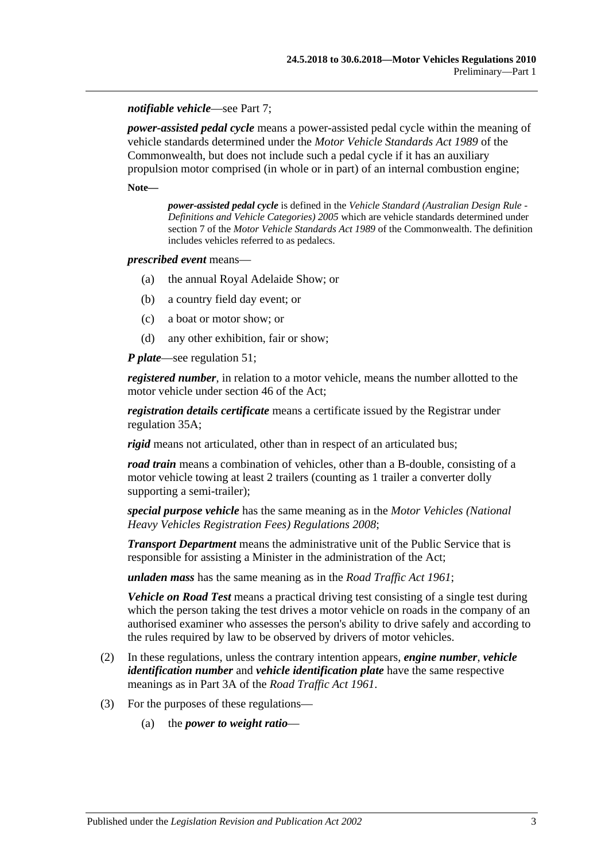#### *notifiable vehicle*—see [Part 7;](#page-48-0)

*power-assisted pedal cycle* means a power-assisted pedal cycle within the meaning of vehicle standards determined under the *Motor Vehicle Standards Act 1989* of the Commonwealth, but does not include such a pedal cycle if it has an auxiliary propulsion motor comprised (in whole or in part) of an internal combustion engine;

**Note—**

*power-assisted pedal cycle* is defined in the *Vehicle Standard (Australian Design Rule - Definitions and Vehicle Categories) 2005* which are vehicle standards determined under section 7 of the *Motor Vehicle Standards Act 1989* of the Commonwealth. The definition includes vehicles referred to as pedalecs.

#### *prescribed event* means—

- (a) the annual Royal Adelaide Show; or
- (b) a country field day event; or
- (c) a boat or motor show; or
- (d) any other exhibition, fair or show;

*P plate*—see [regulation](#page-38-0) 51;

*registered number*, in relation to a motor vehicle, means the number allotted to the motor vehicle under section 46 of the Act;

*registration details certificate* means a certificate issued by the Registrar under [regulation](#page-29-1) 35A;

*rigid* means not articulated, other than in respect of an articulated bus;

*road train* means a combination of vehicles, other than a B-double, consisting of a motor vehicle towing at least 2 trailers (counting as 1 trailer a converter dolly supporting a semi-trailer);

*special purpose vehicle* has the same meaning as in the *[Motor Vehicles \(National](http://www.legislation.sa.gov.au/index.aspx?action=legref&type=subordleg&legtitle=Motor%20Vehicles%20(National%20Heavy%20Vehicles%20Registration%20Fees)%20Regulations%202008)  [Heavy Vehicles Registration Fees\) Regulations](http://www.legislation.sa.gov.au/index.aspx?action=legref&type=subordleg&legtitle=Motor%20Vehicles%20(National%20Heavy%20Vehicles%20Registration%20Fees)%20Regulations%202008) 2008*;

*Transport Department* means the administrative unit of the Public Service that is responsible for assisting a Minister in the administration of the Act;

*unladen mass* has the same meaning as in the *[Road Traffic Act](http://www.legislation.sa.gov.au/index.aspx?action=legref&type=act&legtitle=Road%20Traffic%20Act%201961) 1961*;

*Vehicle on Road Test* means a practical driving test consisting of a single test during which the person taking the test drives a motor vehicle on roads in the company of an authorised examiner who assesses the person's ability to drive safely and according to the rules required by law to be observed by drivers of motor vehicles.

- (2) In these regulations, unless the contrary intention appears, *engine number*, *vehicle identification number* and *vehicle identification plate* have the same respective meanings as in Part 3A of the *[Road Traffic Act](http://www.legislation.sa.gov.au/index.aspx?action=legref&type=act&legtitle=Road%20Traffic%20Act%201961) 1961*.
- (3) For the purposes of these regulations—
	- (a) the *power to weight ratio*—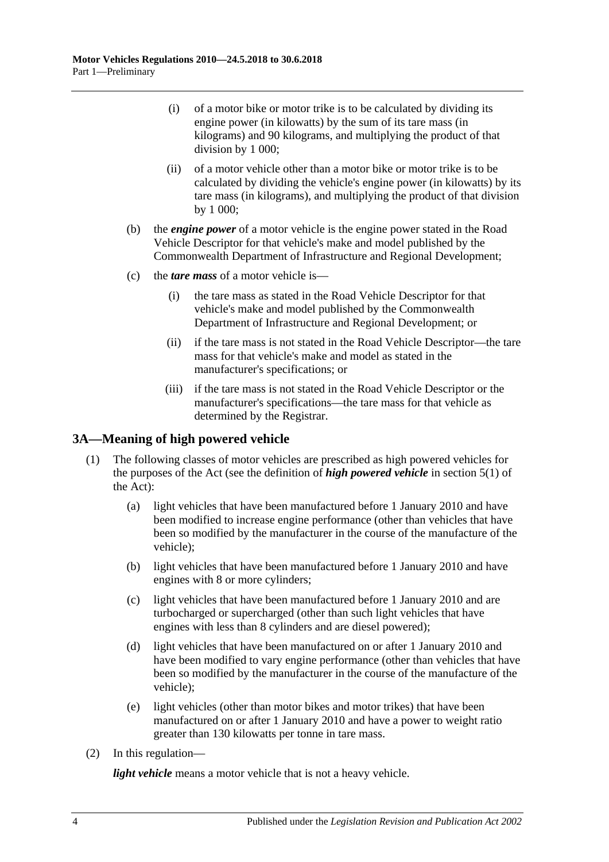- (i) of a motor bike or motor trike is to be calculated by dividing its engine power (in kilowatts) by the sum of its tare mass (in kilograms) and 90 kilograms, and multiplying the product of that division by 1 000;
- (ii) of a motor vehicle other than a motor bike or motor trike is to be calculated by dividing the vehicle's engine power (in kilowatts) by its tare mass (in kilograms), and multiplying the product of that division by 1 000;
- (b) the *engine power* of a motor vehicle is the engine power stated in the Road Vehicle Descriptor for that vehicle's make and model published by the Commonwealth Department of Infrastructure and Regional Development;
- (c) the *tare mass* of a motor vehicle is—
	- (i) the tare mass as stated in the Road Vehicle Descriptor for that vehicle's make and model published by the Commonwealth Department of Infrastructure and Regional Development; or
	- (ii) if the tare mass is not stated in the Road Vehicle Descriptor—the tare mass for that vehicle's make and model as stated in the manufacturer's specifications; or
	- (iii) if the tare mass is not stated in the Road Vehicle Descriptor or the manufacturer's specifications—the tare mass for that vehicle as determined by the Registrar.

# <span id="page-9-0"></span>**3A—Meaning of high powered vehicle**

- (1) The following classes of motor vehicles are prescribed as high powered vehicles for the purposes of the Act (see the definition of *high powered vehicle* in section 5(1) of the Act):
	- (a) light vehicles that have been manufactured before 1 January 2010 and have been modified to increase engine performance (other than vehicles that have been so modified by the manufacturer in the course of the manufacture of the vehicle);
	- (b) light vehicles that have been manufactured before 1 January 2010 and have engines with 8 or more cylinders;
	- (c) light vehicles that have been manufactured before 1 January 2010 and are turbocharged or supercharged (other than such light vehicles that have engines with less than 8 cylinders and are diesel powered);
	- (d) light vehicles that have been manufactured on or after 1 January 2010 and have been modified to vary engine performance (other than vehicles that have been so modified by the manufacturer in the course of the manufacture of the vehicle);
	- (e) light vehicles (other than motor bikes and motor trikes) that have been manufactured on or after 1 January 2010 and have a power to weight ratio greater than 130 kilowatts per tonne in tare mass.
- (2) In this regulation—

*light vehicle* means a motor vehicle that is not a heavy vehicle.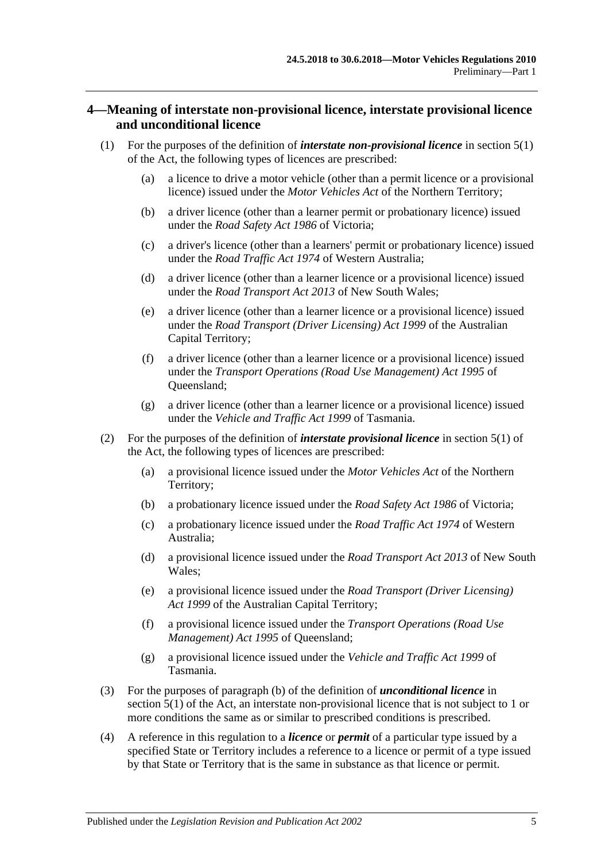## <span id="page-10-0"></span>**4—Meaning of interstate non-provisional licence, interstate provisional licence and unconditional licence**

- (1) For the purposes of the definition of *interstate non-provisional licence* in section 5(1) of the Act, the following types of licences are prescribed:
	- (a) a licence to drive a motor vehicle (other than a permit licence or a provisional licence) issued under the *Motor Vehicles Act* of the Northern Territory;
	- (b) a driver licence (other than a learner permit or probationary licence) issued under the *Road Safety Act 1986* of Victoria;
	- (c) a driver's licence (other than a learners' permit or probationary licence) issued under the *Road Traffic Act 1974* of Western Australia;
	- (d) a driver licence (other than a learner licence or a provisional licence) issued under the *Road Transport Act 2013* of New South Wales;
	- (e) a driver licence (other than a learner licence or a provisional licence) issued under the *Road Transport (Driver Licensing) Act 1999* of the Australian Capital Territory;
	- (f) a driver licence (other than a learner licence or a provisional licence) issued under the *Transport Operations (Road Use Management) Act 1995* of Queensland;
	- (g) a driver licence (other than a learner licence or a provisional licence) issued under the *Vehicle and Traffic Act 1999* of Tasmania.
- (2) For the purposes of the definition of *interstate provisional licence* in section 5(1) of the Act, the following types of licences are prescribed:
	- (a) a provisional licence issued under the *Motor Vehicles Act* of the Northern Territory;
	- (b) a probationary licence issued under the *Road Safety Act 1986* of Victoria;
	- (c) a probationary licence issued under the *Road Traffic Act 1974* of Western Australia;
	- (d) a provisional licence issued under the *Road Transport Act 2013* of New South Wales;
	- (e) a provisional licence issued under the *Road Transport (Driver Licensing) Act 1999* of the Australian Capital Territory;
	- (f) a provisional licence issued under the *Transport Operations (Road Use Management) Act 1995* of Queensland;
	- (g) a provisional licence issued under the *Vehicle and Traffic Act 1999* of Tasmania.
- (3) For the purposes of paragraph (b) of the definition of *unconditional licence* in section 5(1) of the Act, an interstate non-provisional licence that is not subject to 1 or more conditions the same as or similar to prescribed conditions is prescribed.
- (4) A reference in this regulation to a *licence* or *permit* of a particular type issued by a specified State or Territory includes a reference to a licence or permit of a type issued by that State or Territory that is the same in substance as that licence or permit.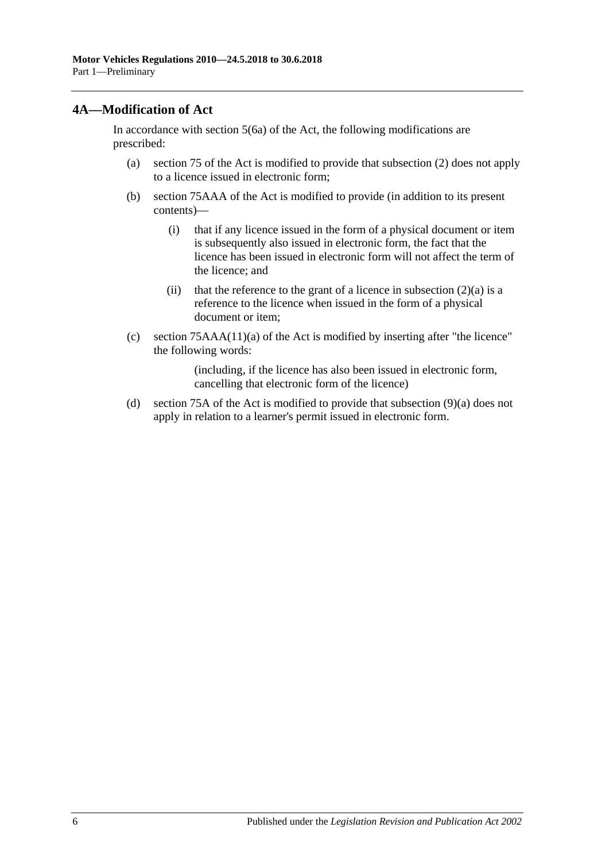# <span id="page-11-0"></span>**4A—Modification of Act**

In accordance with section 5(6a) of the Act, the following modifications are prescribed:

- (a) section 75 of the Act is modified to provide that subsection (2) does not apply to a licence issued in electronic form;
- (b) section 75AAA of the Act is modified to provide (in addition to its present contents)—
	- (i) that if any licence issued in the form of a physical document or item is subsequently also issued in electronic form, the fact that the licence has been issued in electronic form will not affect the term of the licence; and
	- (ii) that the reference to the grant of a licence in subsection  $(2)(a)$  is a reference to the licence when issued in the form of a physical document or item;
- (c) section 75AAA(11)(a) of the Act is modified by inserting after "the licence" the following words:

(including, if the licence has also been issued in electronic form, cancelling that electronic form of the licence)

(d) section 75A of the Act is modified to provide that subsection (9)(a) does not apply in relation to a learner's permit issued in electronic form.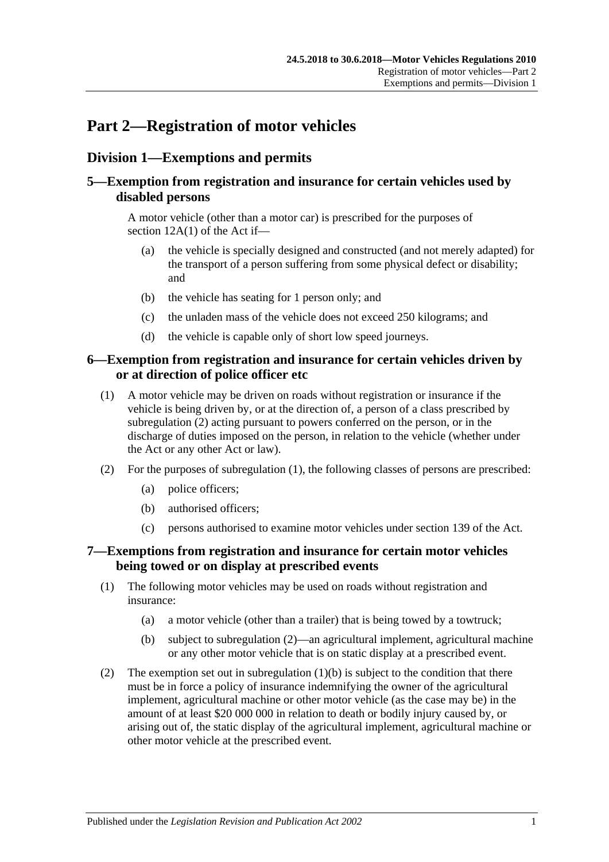# <span id="page-12-0"></span>**Part 2—Registration of motor vehicles**

# <span id="page-12-1"></span>**Division 1—Exemptions and permits**

# <span id="page-12-2"></span>**5—Exemption from registration and insurance for certain vehicles used by disabled persons**

A motor vehicle (other than a motor car) is prescribed for the purposes of section 12A(1) of the Act if—

- (a) the vehicle is specially designed and constructed (and not merely adapted) for the transport of a person suffering from some physical defect or disability; and
- (b) the vehicle has seating for 1 person only; and
- (c) the unladen mass of the vehicle does not exceed 250 kilograms; and
- (d) the vehicle is capable only of short low speed journeys.

# <span id="page-12-3"></span>**6—Exemption from registration and insurance for certain vehicles driven by or at direction of police officer etc**

- <span id="page-12-6"></span>(1) A motor vehicle may be driven on roads without registration or insurance if the vehicle is being driven by, or at the direction of, a person of a class prescribed by [subregulation](#page-12-5) (2) acting pursuant to powers conferred on the person, or in the discharge of duties imposed on the person, in relation to the vehicle (whether under the Act or any other Act or law).
- <span id="page-12-5"></span>(2) For the purposes of [subregulation](#page-12-6) (1), the following classes of persons are prescribed:
	- (a) police officers;
	- (b) authorised officers;
	- (c) persons authorised to examine motor vehicles under section 139 of the Act.

# <span id="page-12-4"></span>**7—Exemptions from registration and insurance for certain motor vehicles being towed or on display at prescribed events**

- (1) The following motor vehicles may be used on roads without registration and insurance:
	- (a) a motor vehicle (other than a trailer) that is being towed by a towtruck;
	- (b) subject to [subregulation](#page-12-7) (2)—an agricultural implement, agricultural machine or any other motor vehicle that is on static display at a prescribed event.
- <span id="page-12-8"></span><span id="page-12-7"></span>(2) The exemption set out in [subregulation](#page-12-8)  $(1)(b)$  is subject to the condition that there must be in force a policy of insurance indemnifying the owner of the agricultural implement, agricultural machine or other motor vehicle (as the case may be) in the amount of at least \$20 000 000 in relation to death or bodily injury caused by, or arising out of, the static display of the agricultural implement, agricultural machine or other motor vehicle at the prescribed event.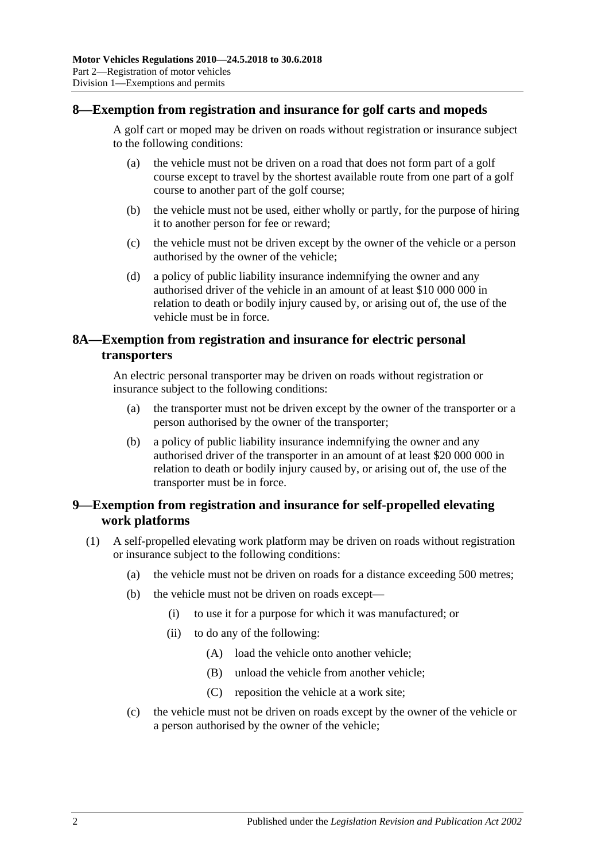## <span id="page-13-0"></span>**8—Exemption from registration and insurance for golf carts and mopeds**

A golf cart or moped may be driven on roads without registration or insurance subject to the following conditions:

- (a) the vehicle must not be driven on a road that does not form part of a golf course except to travel by the shortest available route from one part of a golf course to another part of the golf course;
- (b) the vehicle must not be used, either wholly or partly, for the purpose of hiring it to another person for fee or reward;
- (c) the vehicle must not be driven except by the owner of the vehicle or a person authorised by the owner of the vehicle;
- (d) a policy of public liability insurance indemnifying the owner and any authorised driver of the vehicle in an amount of at least \$10 000 000 in relation to death or bodily injury caused by, or arising out of, the use of the vehicle must be in force.

# <span id="page-13-1"></span>**8A—Exemption from registration and insurance for electric personal transporters**

An electric personal transporter may be driven on roads without registration or insurance subject to the following conditions:

- (a) the transporter must not be driven except by the owner of the transporter or a person authorised by the owner of the transporter;
- (b) a policy of public liability insurance indemnifying the owner and any authorised driver of the transporter in an amount of at least \$20 000 000 in relation to death or bodily injury caused by, or arising out of, the use of the transporter must be in force.

# <span id="page-13-2"></span>**9—Exemption from registration and insurance for self-propelled elevating work platforms**

- (1) A self-propelled elevating work platform may be driven on roads without registration or insurance subject to the following conditions:
	- (a) the vehicle must not be driven on roads for a distance exceeding 500 metres;
	- (b) the vehicle must not be driven on roads except—
		- (i) to use it for a purpose for which it was manufactured; or
		- (ii) to do any of the following:
			- (A) load the vehicle onto another vehicle;
			- (B) unload the vehicle from another vehicle;
			- (C) reposition the vehicle at a work site;
	- (c) the vehicle must not be driven on roads except by the owner of the vehicle or a person authorised by the owner of the vehicle;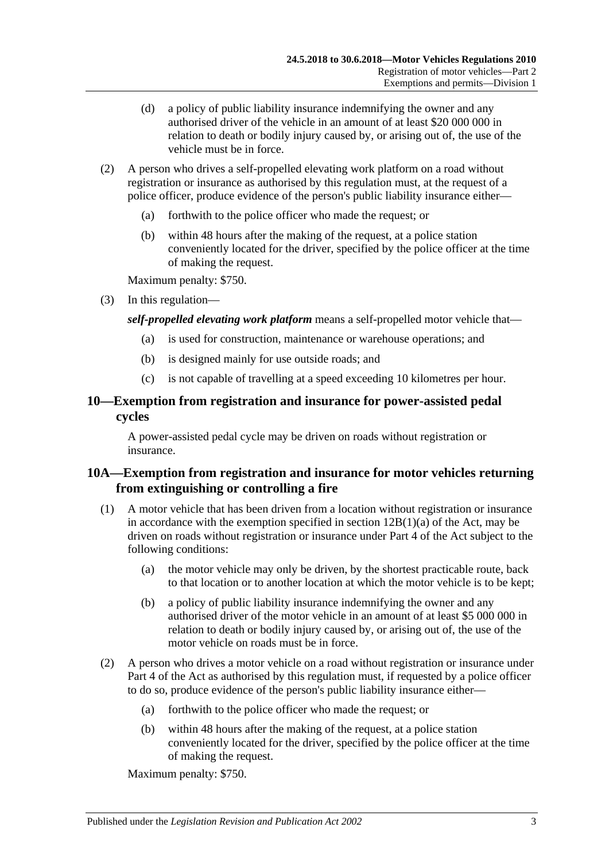- (d) a policy of public liability insurance indemnifying the owner and any authorised driver of the vehicle in an amount of at least \$20 000 000 in relation to death or bodily injury caused by, or arising out of, the use of the vehicle must be in force.
- (2) A person who drives a self-propelled elevating work platform on a road without registration or insurance as authorised by this regulation must, at the request of a police officer, produce evidence of the person's public liability insurance either—
	- (a) forthwith to the police officer who made the request; or
	- (b) within 48 hours after the making of the request, at a police station conveniently located for the driver, specified by the police officer at the time of making the request.

Maximum penalty: \$750.

(3) In this regulation—

*self-propelled elevating work platform* means a self-propelled motor vehicle that—

- (a) is used for construction, maintenance or warehouse operations; and
- (b) is designed mainly for use outside roads; and
- (c) is not capable of travelling at a speed exceeding 10 kilometres per hour.

# <span id="page-14-0"></span>**10—Exemption from registration and insurance for power-assisted pedal cycles**

A power-assisted pedal cycle may be driven on roads without registration or insurance.

# <span id="page-14-1"></span>**10A—Exemption from registration and insurance for motor vehicles returning from extinguishing or controlling a fire**

- (1) A motor vehicle that has been driven from a location without registration or insurance in accordance with the exemption specified in section  $12B(1)(a)$  of the Act, may be driven on roads without registration or insurance under Part 4 of the Act subject to the following conditions:
	- (a) the motor vehicle may only be driven, by the shortest practicable route, back to that location or to another location at which the motor vehicle is to be kept;
	- (b) a policy of public liability insurance indemnifying the owner and any authorised driver of the motor vehicle in an amount of at least \$5 000 000 in relation to death or bodily injury caused by, or arising out of, the use of the motor vehicle on roads must be in force.
- (2) A person who drives a motor vehicle on a road without registration or insurance under Part 4 of the Act as authorised by this regulation must, if requested by a police officer to do so, produce evidence of the person's public liability insurance either—
	- (a) forthwith to the police officer who made the request; or
	- (b) within 48 hours after the making of the request, at a police station conveniently located for the driver, specified by the police officer at the time of making the request.

Maximum penalty: \$750.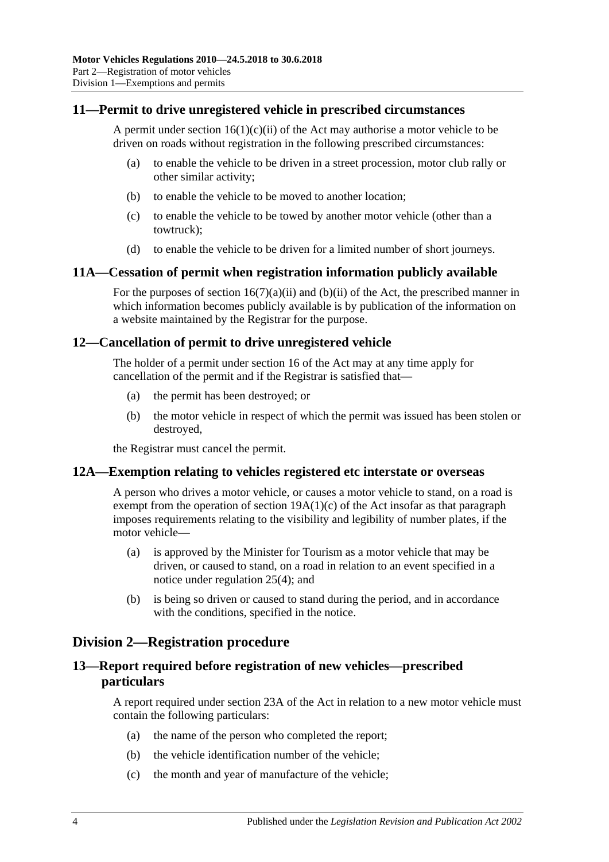## <span id="page-15-0"></span>**11—Permit to drive unregistered vehicle in prescribed circumstances**

A permit under section  $16(1)(c)(ii)$  of the Act may authorise a motor vehicle to be driven on roads without registration in the following prescribed circumstances:

- (a) to enable the vehicle to be driven in a street procession, motor club rally or other similar activity;
- (b) to enable the vehicle to be moved to another location;
- (c) to enable the vehicle to be towed by another motor vehicle (other than a towtruck);
- (d) to enable the vehicle to be driven for a limited number of short journeys.

#### <span id="page-15-1"></span>**11A—Cessation of permit when registration information publicly available**

For the purposes of section  $16(7)(a)(ii)$  and  $(b)(ii)$  of the Act, the prescribed manner in which information becomes publicly available is by publication of the information on a website maintained by the Registrar for the purpose.

#### <span id="page-15-2"></span>**12—Cancellation of permit to drive unregistered vehicle**

The holder of a permit under section 16 of the Act may at any time apply for cancellation of the permit and if the Registrar is satisfied that—

- (a) the permit has been destroyed; or
- (b) the motor vehicle in respect of which the permit was issued has been stolen or destroyed,

the Registrar must cancel the permit.

#### <span id="page-15-3"></span>**12A—Exemption relating to vehicles registered etc interstate or overseas**

A person who drives a motor vehicle, or causes a motor vehicle to stand, on a road is exempt from the operation of section  $19A(1)(c)$  of the Act insofar as that paragraph imposes requirements relating to the visibility and legibility of number plates, if the motor vehicle—

- (a) is approved by the Minister for Tourism as a motor vehicle that may be driven, or caused to stand, on a road in relation to an event specified in a notice under [regulation](#page-23-1) 25(4); and
- (b) is being so driven or caused to stand during the period, and in accordance with the conditions, specified in the notice.

# <span id="page-15-4"></span>**Division 2—Registration procedure**

# <span id="page-15-5"></span>**13—Report required before registration of new vehicles—prescribed particulars**

A report required under section 23A of the Act in relation to a new motor vehicle must contain the following particulars:

- (a) the name of the person who completed the report;
- (b) the vehicle identification number of the vehicle;
- (c) the month and year of manufacture of the vehicle;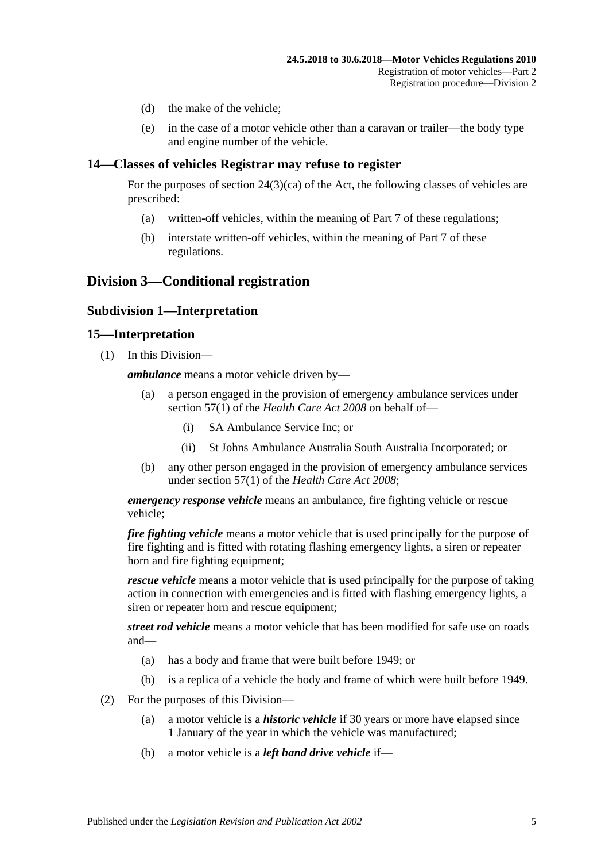- (d) the make of the vehicle;
- (e) in the case of a motor vehicle other than a caravan or trailer—the body type and engine number of the vehicle.

### <span id="page-16-0"></span>**14—Classes of vehicles Registrar may refuse to register**

For the purposes of section  $24(3)(ca)$  of the Act, the following classes of vehicles are prescribed:

- (a) written-off vehicles, within the meaning of [Part 7](#page-48-0) of these regulations;
- (b) interstate written-off vehicles, within the meaning of [Part 7](#page-48-0) of these regulations.

# <span id="page-16-2"></span><span id="page-16-1"></span>**Division 3—Conditional registration**

### **Subdivision 1—Interpretation**

#### <span id="page-16-3"></span>**15—Interpretation**

(1) In this Division—

*ambulance* means a motor vehicle driven by—

- (a) a person engaged in the provision of emergency ambulance services under section 57(1) of the *[Health Care Act](http://www.legislation.sa.gov.au/index.aspx?action=legref&type=act&legtitle=Health%20Care%20Act%202008) 2008* on behalf of—
	- (i) SA Ambulance Service Inc; or
	- (ii) St Johns Ambulance Australia South Australia Incorporated; or
- (b) any other person engaged in the provision of emergency ambulance services under section 57(1) of the *[Health Care Act](http://www.legislation.sa.gov.au/index.aspx?action=legref&type=act&legtitle=Health%20Care%20Act%202008) 2008*;

*emergency response vehicle* means an ambulance, fire fighting vehicle or rescue vehicle;

*fire fighting vehicle* means a motor vehicle that is used principally for the purpose of fire fighting and is fitted with rotating flashing emergency lights, a siren or repeater horn and fire fighting equipment;

*rescue vehicle* means a motor vehicle that is used principally for the purpose of taking action in connection with emergencies and is fitted with flashing emergency lights, a siren or repeater horn and rescue equipment;

*street rod vehicle* means a motor vehicle that has been modified for safe use on roads and—

- (a) has a body and frame that were built before 1949; or
- (b) is a replica of a vehicle the body and frame of which were built before 1949.
- (2) For the purposes of this Division—
	- (a) a motor vehicle is a *historic vehicle* if 30 years or more have elapsed since 1 January of the year in which the vehicle was manufactured;
	- (b) a motor vehicle is a *left hand drive vehicle* if—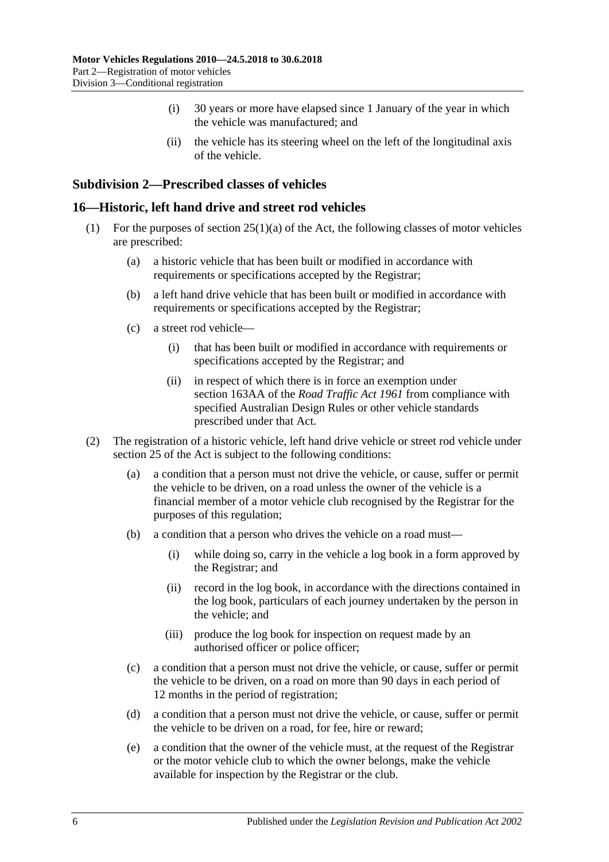- (i) 30 years or more have elapsed since 1 January of the year in which the vehicle was manufactured; and
- (ii) the vehicle has its steering wheel on the left of the longitudinal axis of the vehicle.

## <span id="page-17-0"></span>**Subdivision 2—Prescribed classes of vehicles**

#### <span id="page-17-1"></span>**16—Historic, left hand drive and street rod vehicles**

- (1) For the purposes of section  $25(1)(a)$  of the Act, the following classes of motor vehicles are prescribed:
	- (a) a historic vehicle that has been built or modified in accordance with requirements or specifications accepted by the Registrar;
	- (b) a left hand drive vehicle that has been built or modified in accordance with requirements or specifications accepted by the Registrar;
	- (c) a street rod vehicle—
		- (i) that has been built or modified in accordance with requirements or specifications accepted by the Registrar; and
		- (ii) in respect of which there is in force an exemption under section 163AA of the *[Road Traffic Act](http://www.legislation.sa.gov.au/index.aspx?action=legref&type=act&legtitle=Road%20Traffic%20Act%201961) 1961* from compliance with specified Australian Design Rules or other vehicle standards prescribed under that Act.
- (2) The registration of a historic vehicle, left hand drive vehicle or street rod vehicle under section 25 of the Act is subject to the following conditions:
	- (a) a condition that a person must not drive the vehicle, or cause, suffer or permit the vehicle to be driven, on a road unless the owner of the vehicle is a financial member of a motor vehicle club recognised by the Registrar for the purposes of this regulation;
	- (b) a condition that a person who drives the vehicle on a road must—
		- (i) while doing so, carry in the vehicle a log book in a form approved by the Registrar; and
		- (ii) record in the log book, in accordance with the directions contained in the log book, particulars of each journey undertaken by the person in the vehicle; and
		- (iii) produce the log book for inspection on request made by an authorised officer or police officer;
	- (c) a condition that a person must not drive the vehicle, or cause, suffer or permit the vehicle to be driven, on a road on more than 90 days in each period of 12 months in the period of registration;
	- (d) a condition that a person must not drive the vehicle, or cause, suffer or permit the vehicle to be driven on a road, for fee, hire or reward;
	- (e) a condition that the owner of the vehicle must, at the request of the Registrar or the motor vehicle club to which the owner belongs, make the vehicle available for inspection by the Registrar or the club.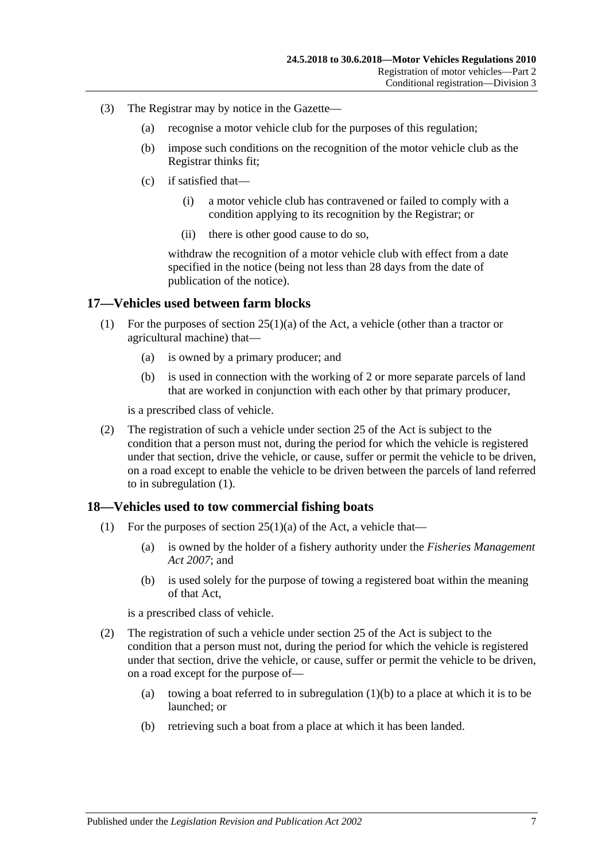- (3) The Registrar may by notice in the Gazette—
	- (a) recognise a motor vehicle club for the purposes of this regulation;
	- (b) impose such conditions on the recognition of the motor vehicle club as the Registrar thinks fit;
	- (c) if satisfied that—
		- (i) a motor vehicle club has contravened or failed to comply with a condition applying to its recognition by the Registrar; or
		- (ii) there is other good cause to do so,

withdraw the recognition of a motor vehicle club with effect from a date specified in the notice (being not less than 28 days from the date of publication of the notice).

#### <span id="page-18-2"></span><span id="page-18-0"></span>**17—Vehicles used between farm blocks**

- (1) For the purposes of section 25(1)(a) of the Act, a vehicle (other than a tractor or agricultural machine) that—
	- (a) is owned by a primary producer; and
	- (b) is used in connection with the working of 2 or more separate parcels of land that are worked in conjunction with each other by that primary producer,

is a prescribed class of vehicle.

(2) The registration of such a vehicle under section 25 of the Act is subject to the condition that a person must not, during the period for which the vehicle is registered under that section, drive the vehicle, or cause, suffer or permit the vehicle to be driven, on a road except to enable the vehicle to be driven between the parcels of land referred to in [subregulation](#page-18-2) (1).

#### <span id="page-18-1"></span>**18—Vehicles used to tow commercial fishing boats**

- <span id="page-18-3"></span>(1) For the purposes of section  $25(1)(a)$  of the Act, a vehicle that—
	- (a) is owned by the holder of a fishery authority under the *[Fisheries Management](http://www.legislation.sa.gov.au/index.aspx?action=legref&type=act&legtitle=Fisheries%20Management%20Act%202007)  Act [2007](http://www.legislation.sa.gov.au/index.aspx?action=legref&type=act&legtitle=Fisheries%20Management%20Act%202007)*; and
	- (b) is used solely for the purpose of towing a registered boat within the meaning of that Act,

is a prescribed class of vehicle.

- (2) The registration of such a vehicle under section 25 of the Act is subject to the condition that a person must not, during the period for which the vehicle is registered under that section, drive the vehicle, or cause, suffer or permit the vehicle to be driven, on a road except for the purpose of
	- (a) towing a boat referred to in [subregulation](#page-18-3)  $(1)(b)$  to a place at which it is to be launched; or
	- (b) retrieving such a boat from a place at which it has been landed.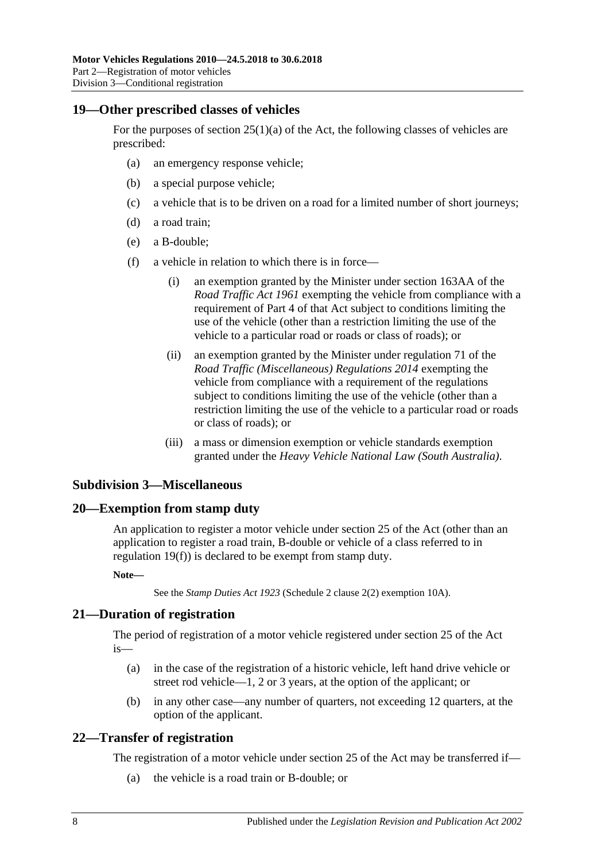## <span id="page-19-0"></span>**19—Other prescribed classes of vehicles**

For the purposes of section  $25(1)(a)$  of the Act, the following classes of vehicles are prescribed:

- (a) an emergency response vehicle;
- (b) a special purpose vehicle;
- (c) a vehicle that is to be driven on a road for a limited number of short journeys;
- (d) a road train;
- <span id="page-19-5"></span>(e) a B-double;
- (f) a vehicle in relation to which there is in force—
	- (i) an exemption granted by the Minister under section 163AA of the *[Road Traffic Act](http://www.legislation.sa.gov.au/index.aspx?action=legref&type=act&legtitle=Road%20Traffic%20Act%201961) 1961* exempting the vehicle from compliance with a requirement of Part 4 of that Act subject to conditions limiting the use of the vehicle (other than a restriction limiting the use of the vehicle to a particular road or roads or class of roads); or
	- (ii) an exemption granted by the Minister under regulation 71 of the *[Road Traffic \(Miscellaneous\) Regulations](http://www.legislation.sa.gov.au/index.aspx?action=legref&type=subordleg&legtitle=Road%20Traffic%20(Miscellaneous)%20Regulations%202014) 2014* exempting the vehicle from compliance with a requirement of the regulations subject to conditions limiting the use of the vehicle (other than a restriction limiting the use of the vehicle to a particular road or roads or class of roads); or
	- (iii) a mass or dimension exemption or vehicle standards exemption granted under the *[Heavy Vehicle National Law \(South Australia\)](http://www.legislation.sa.gov.au/index.aspx?action=legref&type=act&legtitle=Heavy%20Vehicle%20National%20Law%20(South%20Australia))*.

# <span id="page-19-1"></span>**Subdivision 3—Miscellaneous**

#### <span id="page-19-2"></span>**20—Exemption from stamp duty**

An application to register a motor vehicle under section 25 of the Act (other than an application to register a road train, B-double or vehicle of a class referred to in [regulation](#page-19-5) 19(f)) is declared to be exempt from stamp duty.

**Note—**

See the *[Stamp Duties Act](http://www.legislation.sa.gov.au/index.aspx?action=legref&type=act&legtitle=Stamp%20Duties%20Act%201923) 1923* (Schedule 2 clause 2(2) exemption 10A).

# <span id="page-19-3"></span>**21—Duration of registration**

The period of registration of a motor vehicle registered under section 25 of the Act is—

- (a) in the case of the registration of a historic vehicle, left hand drive vehicle or street rod vehicle—1, 2 or 3 years, at the option of the applicant; or
- (b) in any other case—any number of quarters, not exceeding 12 quarters, at the option of the applicant.

# <span id="page-19-4"></span>**22—Transfer of registration**

The registration of a motor vehicle under section 25 of the Act may be transferred if—

(a) the vehicle is a road train or B-double; or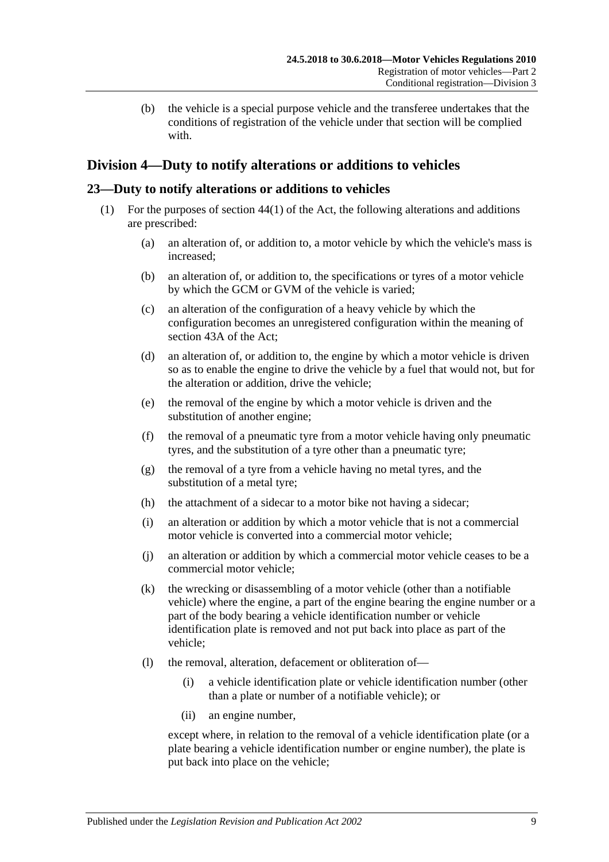(b) the vehicle is a special purpose vehicle and the transferee undertakes that the conditions of registration of the vehicle under that section will be complied with.

# <span id="page-20-0"></span>**Division 4—Duty to notify alterations or additions to vehicles**

# <span id="page-20-1"></span>**23—Duty to notify alterations or additions to vehicles**

- (1) For the purposes of section 44(1) of the Act, the following alterations and additions are prescribed:
	- (a) an alteration of, or addition to, a motor vehicle by which the vehicle's mass is increased;
	- (b) an alteration of, or addition to, the specifications or tyres of a motor vehicle by which the GCM or GVM of the vehicle is varied;
	- (c) an alteration of the configuration of a heavy vehicle by which the configuration becomes an unregistered configuration within the meaning of section 43A of the Act;
	- (d) an alteration of, or addition to, the engine by which a motor vehicle is driven so as to enable the engine to drive the vehicle by a fuel that would not, but for the alteration or addition, drive the vehicle;
	- (e) the removal of the engine by which a motor vehicle is driven and the substitution of another engine;
	- (f) the removal of a pneumatic tyre from a motor vehicle having only pneumatic tyres, and the substitution of a tyre other than a pneumatic tyre;
	- (g) the removal of a tyre from a vehicle having no metal tyres, and the substitution of a metal tyre;
	- (h) the attachment of a sidecar to a motor bike not having a sidecar;
	- (i) an alteration or addition by which a motor vehicle that is not a commercial motor vehicle is converted into a commercial motor vehicle;
	- (j) an alteration or addition by which a commercial motor vehicle ceases to be a commercial motor vehicle;
	- (k) the wrecking or disassembling of a motor vehicle (other than a notifiable vehicle) where the engine, a part of the engine bearing the engine number or a part of the body bearing a vehicle identification number or vehicle identification plate is removed and not put back into place as part of the vehicle;
	- (l) the removal, alteration, defacement or obliteration of—
		- (i) a vehicle identification plate or vehicle identification number (other than a plate or number of a notifiable vehicle); or
		- (ii) an engine number,

except where, in relation to the removal of a vehicle identification plate (or a plate bearing a vehicle identification number or engine number), the plate is put back into place on the vehicle;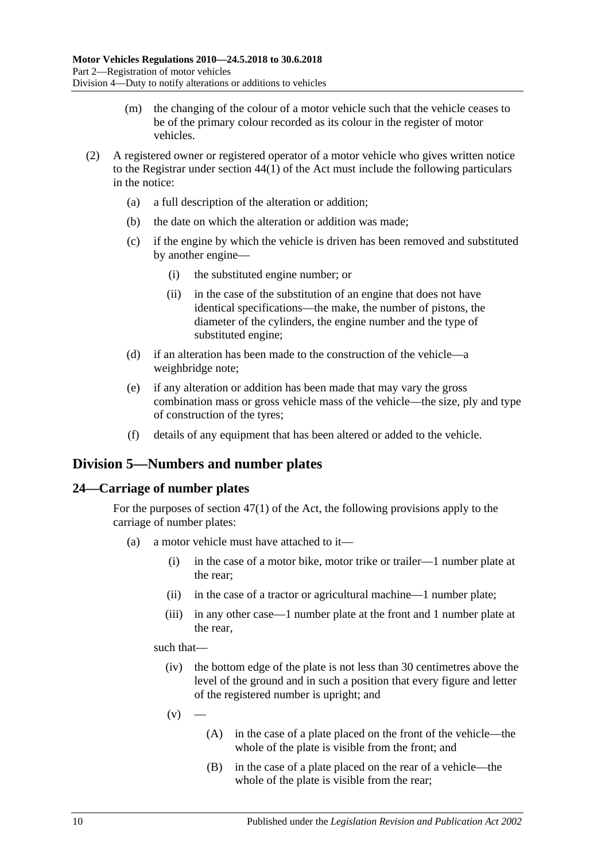- (m) the changing of the colour of a motor vehicle such that the vehicle ceases to be of the primary colour recorded as its colour in the register of motor vehicles.
- (2) A registered owner or registered operator of a motor vehicle who gives written notice to the Registrar under section 44(1) of the Act must include the following particulars in the notice:
	- (a) a full description of the alteration or addition;
	- (b) the date on which the alteration or addition was made;
	- (c) if the engine by which the vehicle is driven has been removed and substituted by another engine—
		- (i) the substituted engine number; or
		- (ii) in the case of the substitution of an engine that does not have identical specifications—the make, the number of pistons, the diameter of the cylinders, the engine number and the type of substituted engine;
	- (d) if an alteration has been made to the construction of the vehicle—a weighbridge note;
	- (e) if any alteration or addition has been made that may vary the gross combination mass or gross vehicle mass of the vehicle—the size, ply and type of construction of the tyres;
	- (f) details of any equipment that has been altered or added to the vehicle.

# <span id="page-21-0"></span>**Division 5—Numbers and number plates**

#### <span id="page-21-1"></span>**24—Carriage of number plates**

For the purposes of section 47(1) of the Act, the following provisions apply to the carriage of number plates:

- (a) a motor vehicle must have attached to it—
	- (i) in the case of a motor bike, motor trike or trailer—1 number plate at the rear;
	- (ii) in the case of a tractor or agricultural machine—1 number plate;
	- (iii) in any other case—1 number plate at the front and 1 number plate at the rear,

such that—

- (iv) the bottom edge of the plate is not less than 30 centimetres above the level of the ground and in such a position that every figure and letter of the registered number is upright; and
- $(v)$ 
	- (A) in the case of a plate placed on the front of the vehicle—the whole of the plate is visible from the front; and
	- (B) in the case of a plate placed on the rear of a vehicle—the whole of the plate is visible from the rear;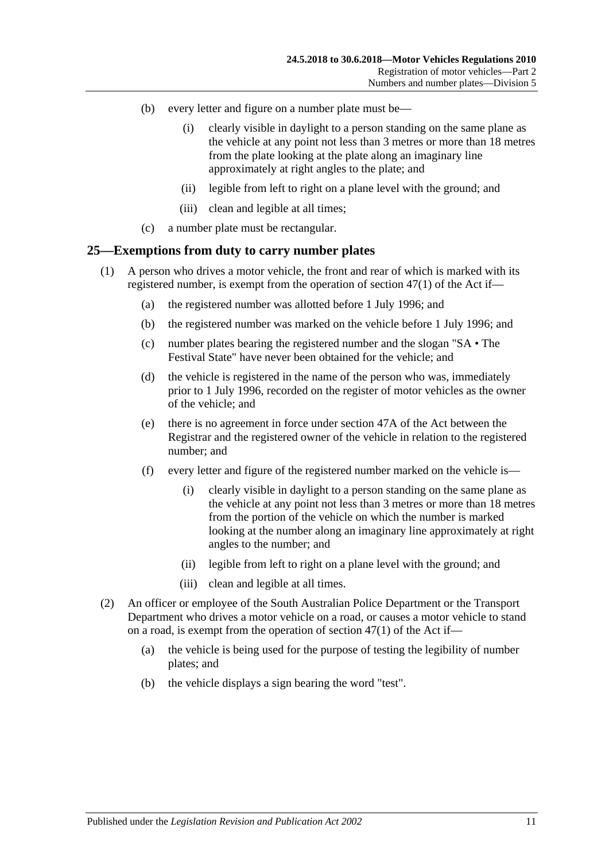- (b) every letter and figure on a number plate must be—
	- (i) clearly visible in daylight to a person standing on the same plane as the vehicle at any point not less than 3 metres or more than 18 metres from the plate looking at the plate along an imaginary line approximately at right angles to the plate; and
	- (ii) legible from left to right on a plane level with the ground; and
	- (iii) clean and legible at all times;
- (c) a number plate must be rectangular.

#### <span id="page-22-0"></span>**25—Exemptions from duty to carry number plates**

- (1) A person who drives a motor vehicle, the front and rear of which is marked with its registered number, is exempt from the operation of section 47(1) of the Act if—
	- (a) the registered number was allotted before 1 July 1996; and
	- (b) the registered number was marked on the vehicle before 1 July 1996; and
	- (c) number plates bearing the registered number and the slogan "SA The Festival State" have never been obtained for the vehicle; and
	- (d) the vehicle is registered in the name of the person who was, immediately prior to 1 July 1996, recorded on the register of motor vehicles as the owner of the vehicle; and
	- (e) there is no agreement in force under section 47A of the Act between the Registrar and the registered owner of the vehicle in relation to the registered number; and
	- (f) every letter and figure of the registered number marked on the vehicle is—
		- (i) clearly visible in daylight to a person standing on the same plane as the vehicle at any point not less than 3 metres or more than 18 metres from the portion of the vehicle on which the number is marked looking at the number along an imaginary line approximately at right angles to the number; and
		- (ii) legible from left to right on a plane level with the ground; and
		- (iii) clean and legible at all times.
- (2) An officer or employee of the South Australian Police Department or the Transport Department who drives a motor vehicle on a road, or causes a motor vehicle to stand on a road, is exempt from the operation of section 47(1) of the Act if—
	- (a) the vehicle is being used for the purpose of testing the legibility of number plates; and
	- (b) the vehicle displays a sign bearing the word "test".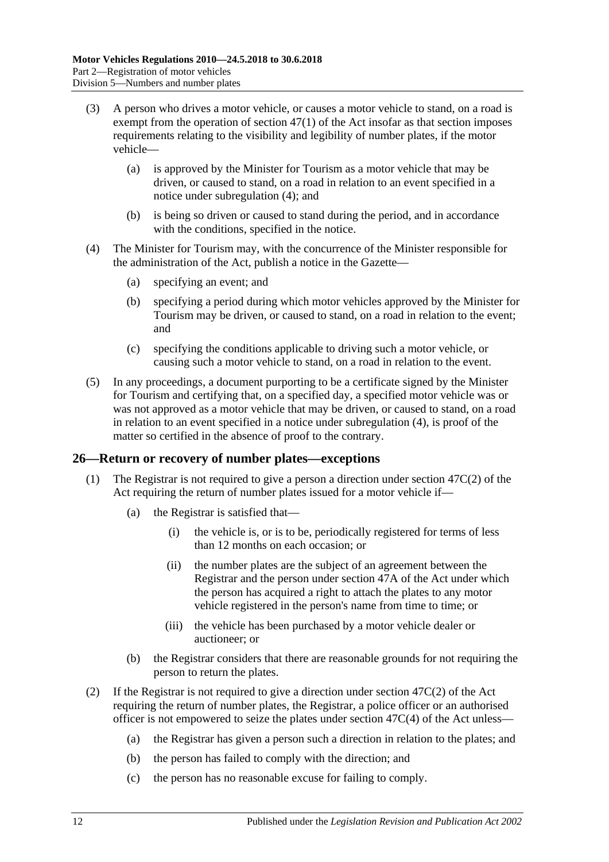- <span id="page-23-2"></span>(3) A person who drives a motor vehicle, or causes a motor vehicle to stand, on a road is exempt from the operation of section 47(1) of the Act insofar as that section imposes requirements relating to the visibility and legibility of number plates, if the motor vehicle—
	- (a) is approved by the Minister for Tourism as a motor vehicle that may be driven, or caused to stand, on a road in relation to an event specified in a notice under [subregulation](#page-23-1) (4); and
	- (b) is being so driven or caused to stand during the period, and in accordance with the conditions, specified in the notice.
- <span id="page-23-1"></span>(4) The Minister for Tourism may, with the concurrence of the Minister responsible for the administration of the Act, publish a notice in the Gazette—
	- (a) specifying an event; and
	- (b) specifying a period during which motor vehicles approved by the Minister for Tourism may be driven, or caused to stand, on a road in relation to the event; and
	- (c) specifying the conditions applicable to driving such a motor vehicle, or causing such a motor vehicle to stand, on a road in relation to the event.
- (5) In any proceedings, a document purporting to be a certificate signed by the Minister for Tourism and certifying that, on a specified day, a specified motor vehicle was or was not approved as a motor vehicle that may be driven, or caused to stand, on a road in relation to an event specified in a notice under [subregulation](#page-23-1) (4), is proof of the matter so certified in the absence of proof to the contrary.

# <span id="page-23-0"></span>**26—Return or recovery of number plates—exceptions**

- (1) The Registrar is not required to give a person a direction under section 47C(2) of the Act requiring the return of number plates issued for a motor vehicle if—
	- (a) the Registrar is satisfied that—
		- (i) the vehicle is, or is to be, periodically registered for terms of less than 12 months on each occasion; or
		- (ii) the number plates are the subject of an agreement between the Registrar and the person under section 47A of the Act under which the person has acquired a right to attach the plates to any motor vehicle registered in the person's name from time to time; or
		- (iii) the vehicle has been purchased by a motor vehicle dealer or auctioneer; or
	- (b) the Registrar considers that there are reasonable grounds for not requiring the person to return the plates.
- (2) If the Registrar is not required to give a direction under section  $47C(2)$  of the Act requiring the return of number plates, the Registrar, a police officer or an authorised officer is not empowered to seize the plates under section 47C(4) of the Act unless—
	- (a) the Registrar has given a person such a direction in relation to the plates; and
	- (b) the person has failed to comply with the direction; and
	- (c) the person has no reasonable excuse for failing to comply.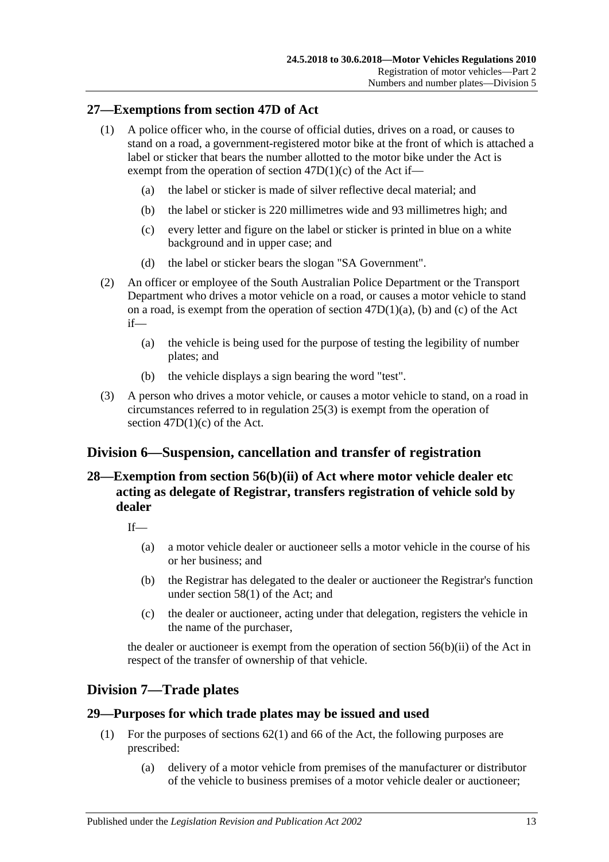## <span id="page-24-0"></span>**27—Exemptions from section 47D of Act**

- (1) A police officer who, in the course of official duties, drives on a road, or causes to stand on a road, a government-registered motor bike at the front of which is attached a label or sticker that bears the number allotted to the motor bike under the Act is exempt from the operation of section  $47D(1)(c)$  of the Act if-
	- (a) the label or sticker is made of silver reflective decal material; and
	- (b) the label or sticker is 220 millimetres wide and 93 millimetres high; and
	- (c) every letter and figure on the label or sticker is printed in blue on a white background and in upper case; and
	- (d) the label or sticker bears the slogan "SA Government".
- (2) An officer or employee of the South Australian Police Department or the Transport Department who drives a motor vehicle on a road, or causes a motor vehicle to stand on a road, is exempt from the operation of section 47D(1)(a), (b) and (c) of the Act if—
	- (a) the vehicle is being used for the purpose of testing the legibility of number plates; and
	- (b) the vehicle displays a sign bearing the word "test".
- (3) A person who drives a motor vehicle, or causes a motor vehicle to stand, on a road in circumstances referred to in [regulation](#page-23-2) 25(3) is exempt from the operation of section  $47D(1)(c)$  of the Act.

# <span id="page-24-1"></span>**Division 6—Suspension, cancellation and transfer of registration**

# <span id="page-24-2"></span>**28—Exemption from section 56(b)(ii) of Act where motor vehicle dealer etc acting as delegate of Registrar, transfers registration of vehicle sold by dealer**

 $If$ <sub> $\overline{\phantom{a}}$ </sub>

- (a) a motor vehicle dealer or auctioneer sells a motor vehicle in the course of his or her business; and
- (b) the Registrar has delegated to the dealer or auctioneer the Registrar's function under section 58(1) of the Act; and
- (c) the dealer or auctioneer, acting under that delegation, registers the vehicle in the name of the purchaser,

the dealer or auctioneer is exempt from the operation of section 56(b)(ii) of the Act in respect of the transfer of ownership of that vehicle.

# <span id="page-24-3"></span>**Division 7—Trade plates**

#### <span id="page-24-4"></span>**29—Purposes for which trade plates may be issued and used**

- (1) For the purposes of sections 62(1) and 66 of the Act, the following purposes are prescribed:
	- (a) delivery of a motor vehicle from premises of the manufacturer or distributor of the vehicle to business premises of a motor vehicle dealer or auctioneer;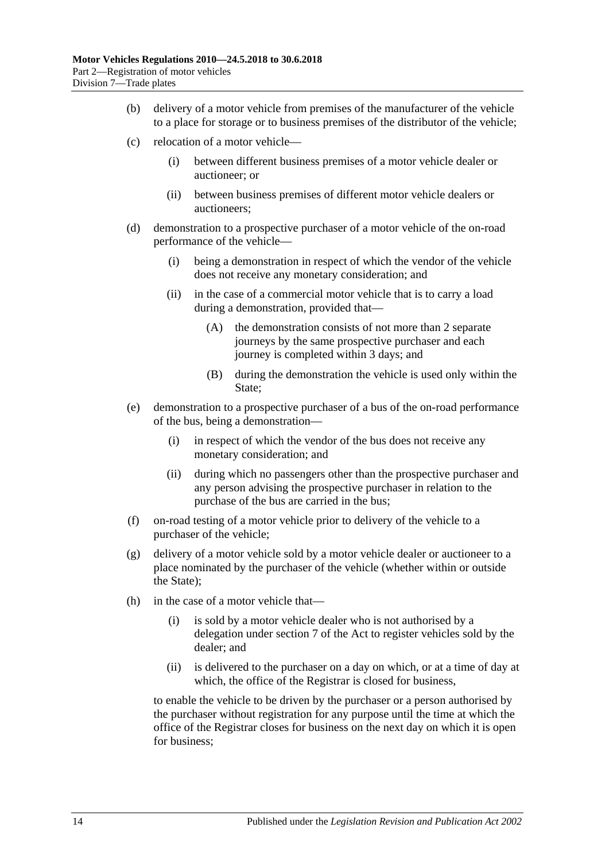- (b) delivery of a motor vehicle from premises of the manufacturer of the vehicle to a place for storage or to business premises of the distributor of the vehicle;
- (c) relocation of a motor vehicle—
	- (i) between different business premises of a motor vehicle dealer or auctioneer; or
	- (ii) between business premises of different motor vehicle dealers or auctioneers;
- (d) demonstration to a prospective purchaser of a motor vehicle of the on-road performance of the vehicle—
	- (i) being a demonstration in respect of which the vendor of the vehicle does not receive any monetary consideration; and
	- (ii) in the case of a commercial motor vehicle that is to carry a load during a demonstration, provided that—
		- (A) the demonstration consists of not more than 2 separate journeys by the same prospective purchaser and each journey is completed within 3 days; and
		- (B) during the demonstration the vehicle is used only within the State:
- (e) demonstration to a prospective purchaser of a bus of the on-road performance of the bus, being a demonstration—
	- (i) in respect of which the vendor of the bus does not receive any monetary consideration; and
	- (ii) during which no passengers other than the prospective purchaser and any person advising the prospective purchaser in relation to the purchase of the bus are carried in the bus;
- (f) on-road testing of a motor vehicle prior to delivery of the vehicle to a purchaser of the vehicle;
- (g) delivery of a motor vehicle sold by a motor vehicle dealer or auctioneer to a place nominated by the purchaser of the vehicle (whether within or outside the State);
- (h) in the case of a motor vehicle that—
	- (i) is sold by a motor vehicle dealer who is not authorised by a delegation under section 7 of the Act to register vehicles sold by the dealer; and
	- (ii) is delivered to the purchaser on a day on which, or at a time of day at which, the office of the Registrar is closed for business,

to enable the vehicle to be driven by the purchaser or a person authorised by the purchaser without registration for any purpose until the time at which the office of the Registrar closes for business on the next day on which it is open for business;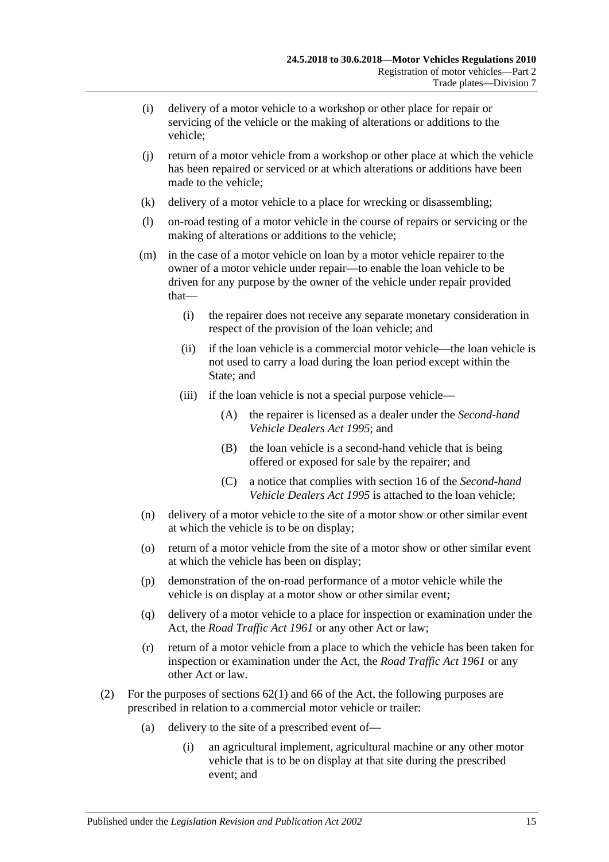- (i) delivery of a motor vehicle to a workshop or other place for repair or servicing of the vehicle or the making of alterations or additions to the vehicle;
- (j) return of a motor vehicle from a workshop or other place at which the vehicle has been repaired or serviced or at which alterations or additions have been made to the vehicle;
- (k) delivery of a motor vehicle to a place for wrecking or disassembling;
- (l) on-road testing of a motor vehicle in the course of repairs or servicing or the making of alterations or additions to the vehicle;
- (m) in the case of a motor vehicle on loan by a motor vehicle repairer to the owner of a motor vehicle under repair—to enable the loan vehicle to be driven for any purpose by the owner of the vehicle under repair provided that—
	- (i) the repairer does not receive any separate monetary consideration in respect of the provision of the loan vehicle; and
	- (ii) if the loan vehicle is a commercial motor vehicle—the loan vehicle is not used to carry a load during the loan period except within the State; and
	- (iii) if the loan vehicle is not a special purpose vehicle—
		- (A) the repairer is licensed as a dealer under the *[Second-hand](http://www.legislation.sa.gov.au/index.aspx?action=legref&type=act&legtitle=Second-hand%20Vehicle%20Dealers%20Act%201995)  [Vehicle Dealers Act](http://www.legislation.sa.gov.au/index.aspx?action=legref&type=act&legtitle=Second-hand%20Vehicle%20Dealers%20Act%201995) 1995*; and
		- (B) the loan vehicle is a second-hand vehicle that is being offered or exposed for sale by the repairer; and
		- (C) a notice that complies with section 16 of the *[Second-hand](http://www.legislation.sa.gov.au/index.aspx?action=legref&type=act&legtitle=Second-hand%20Vehicle%20Dealers%20Act%201995)  [Vehicle Dealers Act](http://www.legislation.sa.gov.au/index.aspx?action=legref&type=act&legtitle=Second-hand%20Vehicle%20Dealers%20Act%201995) 1995* is attached to the loan vehicle;
- (n) delivery of a motor vehicle to the site of a motor show or other similar event at which the vehicle is to be on display;
- (o) return of a motor vehicle from the site of a motor show or other similar event at which the vehicle has been on display;
- (p) demonstration of the on-road performance of a motor vehicle while the vehicle is on display at a motor show or other similar event;
- (q) delivery of a motor vehicle to a place for inspection or examination under the Act, the *[Road Traffic Act](http://www.legislation.sa.gov.au/index.aspx?action=legref&type=act&legtitle=Road%20Traffic%20Act%201961) 1961* or any other Act or law;
- (r) return of a motor vehicle from a place to which the vehicle has been taken for inspection or examination under the Act, the *[Road Traffic Act](http://www.legislation.sa.gov.au/index.aspx?action=legref&type=act&legtitle=Road%20Traffic%20Act%201961) 1961* or any other Act or law.
- (2) For the purposes of sections 62(1) and 66 of the Act, the following purposes are prescribed in relation to a commercial motor vehicle or trailer:
	- (a) delivery to the site of a prescribed event of—
		- (i) an agricultural implement, agricultural machine or any other motor vehicle that is to be on display at that site during the prescribed event; and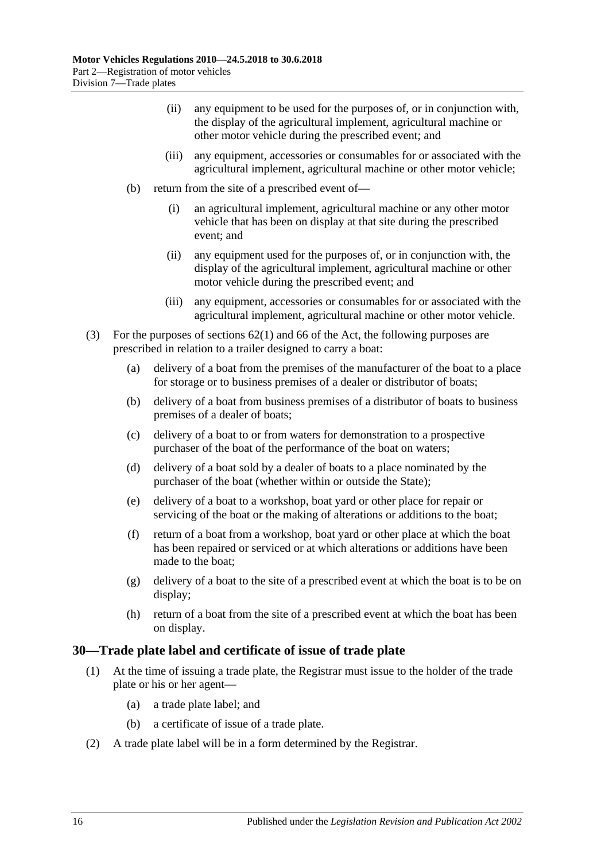- (ii) any equipment to be used for the purposes of, or in conjunction with, the display of the agricultural implement, agricultural machine or other motor vehicle during the prescribed event; and
- (iii) any equipment, accessories or consumables for or associated with the agricultural implement, agricultural machine or other motor vehicle;
- (b) return from the site of a prescribed event of—
	- (i) an agricultural implement, agricultural machine or any other motor vehicle that has been on display at that site during the prescribed event; and
	- (ii) any equipment used for the purposes of, or in conjunction with, the display of the agricultural implement, agricultural machine or other motor vehicle during the prescribed event; and
	- (iii) any equipment, accessories or consumables for or associated with the agricultural implement, agricultural machine or other motor vehicle.
- (3) For the purposes of sections 62(1) and 66 of the Act, the following purposes are prescribed in relation to a trailer designed to carry a boat:
	- (a) delivery of a boat from the premises of the manufacturer of the boat to a place for storage or to business premises of a dealer or distributor of boats;
	- (b) delivery of a boat from business premises of a distributor of boats to business premises of a dealer of boats;
	- (c) delivery of a boat to or from waters for demonstration to a prospective purchaser of the boat of the performance of the boat on waters;
	- (d) delivery of a boat sold by a dealer of boats to a place nominated by the purchaser of the boat (whether within or outside the State);
	- (e) delivery of a boat to a workshop, boat yard or other place for repair or servicing of the boat or the making of alterations or additions to the boat;
	- (f) return of a boat from a workshop, boat yard or other place at which the boat has been repaired or serviced or at which alterations or additions have been made to the boat;
	- (g) delivery of a boat to the site of a prescribed event at which the boat is to be on display;
	- (h) return of a boat from the site of a prescribed event at which the boat has been on display.

# <span id="page-27-0"></span>**30—Trade plate label and certificate of issue of trade plate**

- (1) At the time of issuing a trade plate, the Registrar must issue to the holder of the trade plate or his or her agent—
	- (a) a trade plate label; and
	- (b) a certificate of issue of a trade plate.
- (2) A trade plate label will be in a form determined by the Registrar.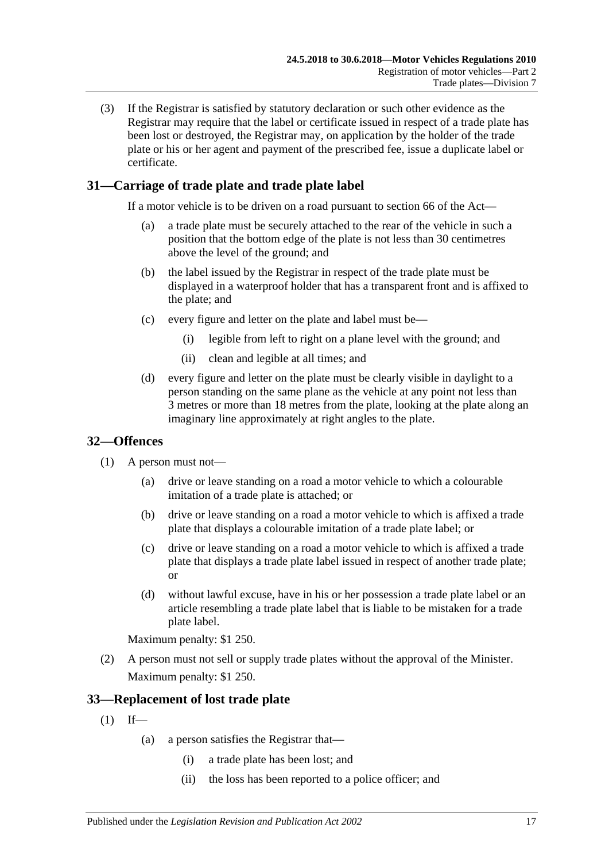(3) If the Registrar is satisfied by statutory declaration or such other evidence as the Registrar may require that the label or certificate issued in respect of a trade plate has been lost or destroyed, the Registrar may, on application by the holder of the trade plate or his or her agent and payment of the prescribed fee, issue a duplicate label or certificate.

# <span id="page-28-0"></span>**31—Carriage of trade plate and trade plate label**

If a motor vehicle is to be driven on a road pursuant to section 66 of the Act—

- (a) a trade plate must be securely attached to the rear of the vehicle in such a position that the bottom edge of the plate is not less than 30 centimetres above the level of the ground; and
- (b) the label issued by the Registrar in respect of the trade plate must be displayed in a waterproof holder that has a transparent front and is affixed to the plate; and
- (c) every figure and letter on the plate and label must be—
	- (i) legible from left to right on a plane level with the ground; and
	- (ii) clean and legible at all times; and
- (d) every figure and letter on the plate must be clearly visible in daylight to a person standing on the same plane as the vehicle at any point not less than 3 metres or more than 18 metres from the plate, looking at the plate along an imaginary line approximately at right angles to the plate.

# <span id="page-28-1"></span>**32—Offences**

- (1) A person must not—
	- (a) drive or leave standing on a road a motor vehicle to which a colourable imitation of a trade plate is attached; or
	- (b) drive or leave standing on a road a motor vehicle to which is affixed a trade plate that displays a colourable imitation of a trade plate label; or
	- (c) drive or leave standing on a road a motor vehicle to which is affixed a trade plate that displays a trade plate label issued in respect of another trade plate; or
	- (d) without lawful excuse, have in his or her possession a trade plate label or an article resembling a trade plate label that is liable to be mistaken for a trade plate label.

Maximum penalty: \$1 250.

(2) A person must not sell or supply trade plates without the approval of the Minister. Maximum penalty: \$1 250.

# <span id="page-28-2"></span>**33—Replacement of lost trade plate**

- <span id="page-28-3"></span> $(1)$  If—
	- (a) a person satisfies the Registrar that—
		- (i) a trade plate has been lost; and
		- (ii) the loss has been reported to a police officer; and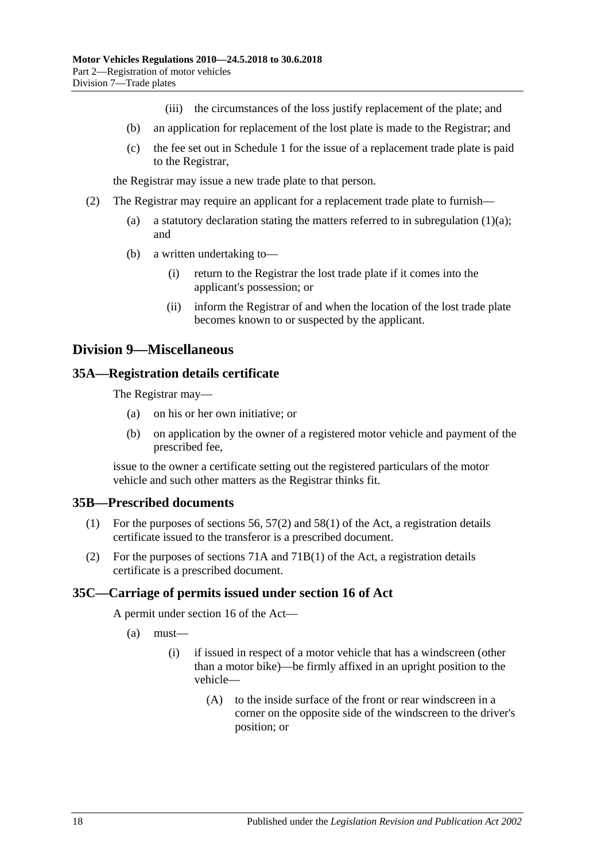- (iii) the circumstances of the loss justify replacement of the plate; and
- (b) an application for replacement of the lost plate is made to the Registrar; and
- (c) the fee set out in [Schedule 1](#page-70-0) for the issue of a replacement trade plate is paid to the Registrar,

the Registrar may issue a new trade plate to that person.

- (2) The Registrar may require an applicant for a replacement trade plate to furnish
	- (a) a statutory declaration stating the matters referred to in [subregulation](#page-28-3)  $(1)(a)$ ; and
	- (b) a written undertaking to—
		- (i) return to the Registrar the lost trade plate if it comes into the applicant's possession; or
		- (ii) inform the Registrar of and when the location of the lost trade plate becomes known to or suspected by the applicant.

# <span id="page-29-0"></span>**Division 9—Miscellaneous**

#### <span id="page-29-1"></span>**35A—Registration details certificate**

The Registrar may—

- (a) on his or her own initiative; or
- (b) on application by the owner of a registered motor vehicle and payment of the prescribed fee,

issue to the owner a certificate setting out the registered particulars of the motor vehicle and such other matters as the Registrar thinks fit.

#### <span id="page-29-2"></span>**35B—Prescribed documents**

- (1) For the purposes of sections 56, 57(2) and 58(1) of the Act, a registration details certificate issued to the transferor is a prescribed document.
- (2) For the purposes of sections 71A and 71B(1) of the Act, a registration details certificate is a prescribed document.

#### <span id="page-29-4"></span><span id="page-29-3"></span>**35C—Carriage of permits issued under section 16 of Act**

A permit under section 16 of the Act—

- (a) must—
	- (i) if issued in respect of a motor vehicle that has a windscreen (other than a motor bike)—be firmly affixed in an upright position to the vehicle—
		- (A) to the inside surface of the front or rear windscreen in a corner on the opposite side of the windscreen to the driver's position; or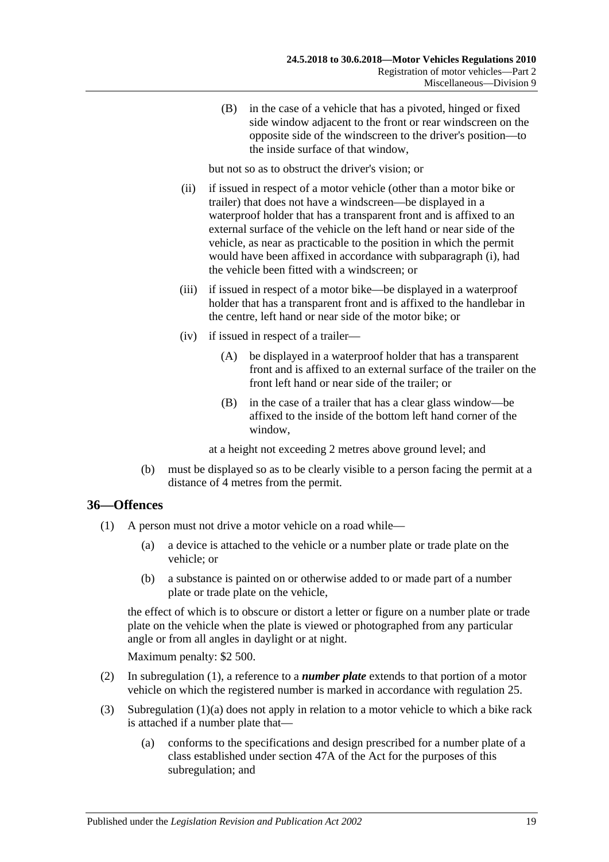(B) in the case of a vehicle that has a pivoted, hinged or fixed side window adjacent to the front or rear windscreen on the opposite side of the windscreen to the driver's position—to the inside surface of that window,

but not so as to obstruct the driver's vision; or

- (ii) if issued in respect of a motor vehicle (other than a motor bike or trailer) that does not have a windscreen—be displayed in a waterproof holder that has a transparent front and is affixed to an external surface of the vehicle on the left hand or near side of the vehicle, as near as practicable to the position in which the permit would have been affixed in accordance with [subparagraph](#page-29-4) (i), had the vehicle been fitted with a windscreen; or
- (iii) if issued in respect of a motor bike—be displayed in a waterproof holder that has a transparent front and is affixed to the handlebar in the centre, left hand or near side of the motor bike; or
- (iv) if issued in respect of a trailer—
	- (A) be displayed in a waterproof holder that has a transparent front and is affixed to an external surface of the trailer on the front left hand or near side of the trailer; or
	- (B) in the case of a trailer that has a clear glass window—be affixed to the inside of the bottom left hand corner of the window,

at a height not exceeding 2 metres above ground level; and

(b) must be displayed so as to be clearly visible to a person facing the permit at a distance of 4 metres from the permit.

# <span id="page-30-1"></span><span id="page-30-0"></span>**36—Offences**

- <span id="page-30-2"></span>(1) A person must not drive a motor vehicle on a road while—
	- (a) a device is attached to the vehicle or a number plate or trade plate on the vehicle; or
	- (b) a substance is painted on or otherwise added to or made part of a number plate or trade plate on the vehicle,

the effect of which is to obscure or distort a letter or figure on a number plate or trade plate on the vehicle when the plate is viewed or photographed from any particular angle or from all angles in daylight or at night.

Maximum penalty: \$2 500.

- (2) In [subregulation](#page-30-1) (1), a reference to a *number plate* extends to that portion of a motor vehicle on which the registered number is marked in accordance with [regulation](#page-22-0) 25.
- (3) [Subregulation](#page-30-2) (1)(a) does not apply in relation to a motor vehicle to which a bike rack is attached if a number plate that—
	- (a) conforms to the specifications and design prescribed for a number plate of a class established under section 47A of the Act for the purposes of this subregulation; and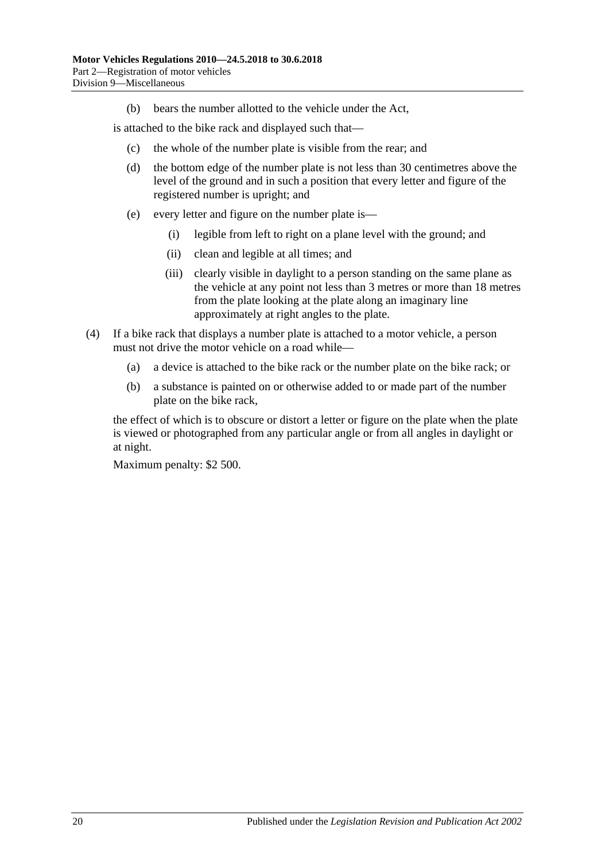(b) bears the number allotted to the vehicle under the Act,

is attached to the bike rack and displayed such that—

- (c) the whole of the number plate is visible from the rear; and
- (d) the bottom edge of the number plate is not less than 30 centimetres above the level of the ground and in such a position that every letter and figure of the registered number is upright; and
- (e) every letter and figure on the number plate is—
	- (i) legible from left to right on a plane level with the ground; and
	- (ii) clean and legible at all times; and
	- (iii) clearly visible in daylight to a person standing on the same plane as the vehicle at any point not less than 3 metres or more than 18 metres from the plate looking at the plate along an imaginary line approximately at right angles to the plate.
- (4) If a bike rack that displays a number plate is attached to a motor vehicle, a person must not drive the motor vehicle on a road while—
	- (a) a device is attached to the bike rack or the number plate on the bike rack; or
	- (b) a substance is painted on or otherwise added to or made part of the number plate on the bike rack,

the effect of which is to obscure or distort a letter or figure on the plate when the plate is viewed or photographed from any particular angle or from all angles in daylight or at night.

Maximum penalty: \$2 500.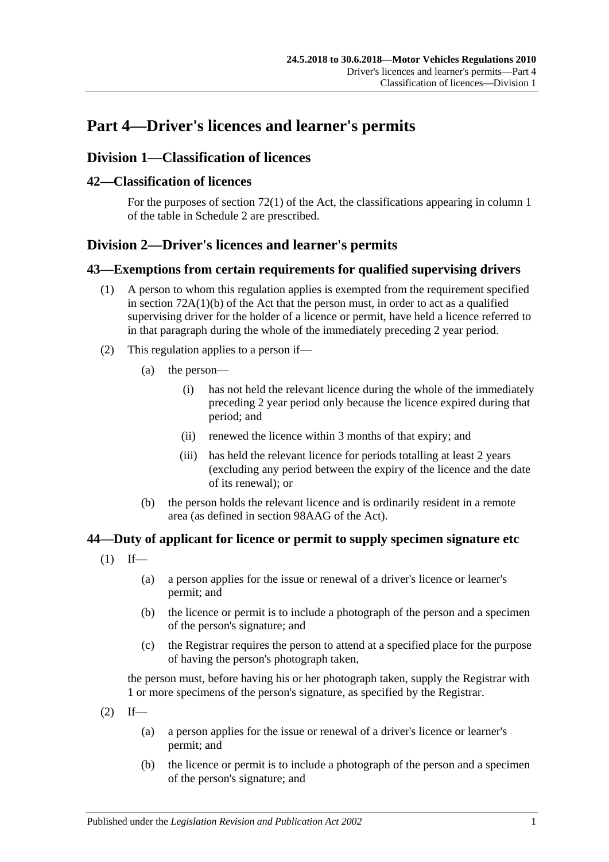# <span id="page-32-0"></span>**Part 4—Driver's licences and learner's permits**

# <span id="page-32-1"></span>**Division 1—Classification of licences**

### <span id="page-32-2"></span>**42—Classification of licences**

For the purposes of section 72(1) of the Act, the classifications appearing in column 1 of the table in [Schedule 2](#page-80-0) are prescribed.

# <span id="page-32-3"></span>**Division 2—Driver's licences and learner's permits**

#### <span id="page-32-4"></span>**43—Exemptions from certain requirements for qualified supervising drivers**

- (1) A person to whom this regulation applies is exempted from the requirement specified in section  $72A(1)(b)$  of the Act that the person must, in order to act as a qualified supervising driver for the holder of a licence or permit, have held a licence referred to in that paragraph during the whole of the immediately preceding 2 year period.
- (2) This regulation applies to a person if—
	- (a) the person—
		- (i) has not held the relevant licence during the whole of the immediately preceding 2 year period only because the licence expired during that period; and
		- (ii) renewed the licence within 3 months of that expiry; and
		- (iii) has held the relevant licence for periods totalling at least 2 years (excluding any period between the expiry of the licence and the date of its renewal); or
	- (b) the person holds the relevant licence and is ordinarily resident in a remote area (as defined in section 98AAG of the Act).

# <span id="page-32-5"></span>**44—Duty of applicant for licence or permit to supply specimen signature etc**

- $(1)$  If—
	- (a) a person applies for the issue or renewal of a driver's licence or learner's permit; and
	- (b) the licence or permit is to include a photograph of the person and a specimen of the person's signature; and
	- (c) the Registrar requires the person to attend at a specified place for the purpose of having the person's photograph taken,

the person must, before having his or her photograph taken, supply the Registrar with 1 or more specimens of the person's signature, as specified by the Registrar.

- $(2)$  If—
	- (a) a person applies for the issue or renewal of a driver's licence or learner's permit; and
	- (b) the licence or permit is to include a photograph of the person and a specimen of the person's signature; and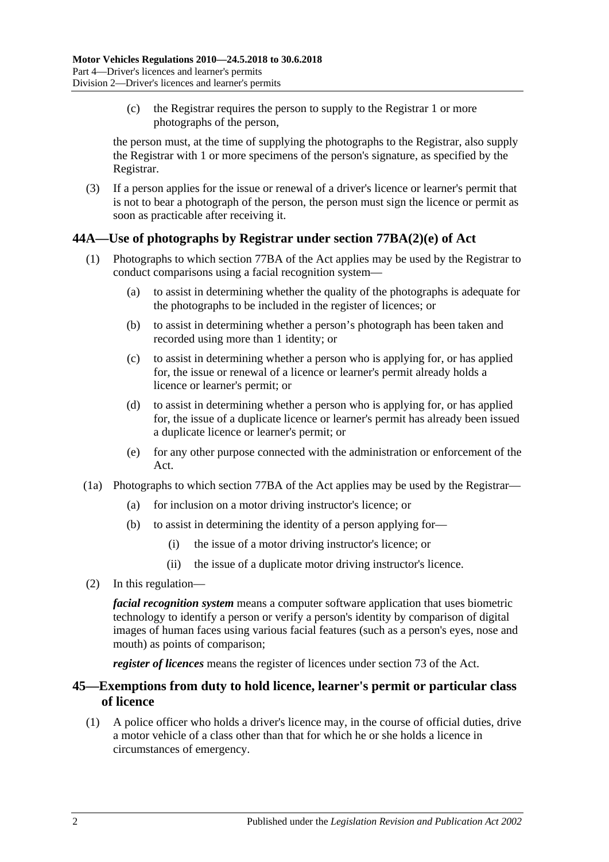(c) the Registrar requires the person to supply to the Registrar 1 or more photographs of the person,

the person must, at the time of supplying the photographs to the Registrar, also supply the Registrar with 1 or more specimens of the person's signature, as specified by the Registrar.

(3) If a person applies for the issue or renewal of a driver's licence or learner's permit that is not to bear a photograph of the person, the person must sign the licence or permit as soon as practicable after receiving it.

# <span id="page-33-0"></span>**44A—Use of photographs by Registrar under section 77BA(2)(e) of Act**

- (1) Photographs to which section 77BA of the Act applies may be used by the Registrar to conduct comparisons using a facial recognition system—
	- (a) to assist in determining whether the quality of the photographs is adequate for the photographs to be included in the register of licences; or
	- (b) to assist in determining whether a person's photograph has been taken and recorded using more than 1 identity; or
	- (c) to assist in determining whether a person who is applying for, or has applied for, the issue or renewal of a licence or learner's permit already holds a licence or learner's permit; or
	- (d) to assist in determining whether a person who is applying for, or has applied for, the issue of a duplicate licence or learner's permit has already been issued a duplicate licence or learner's permit; or
	- (e) for any other purpose connected with the administration or enforcement of the Act.
- (1a) Photographs to which section 77BA of the Act applies may be used by the Registrar—
	- (a) for inclusion on a motor driving instructor's licence; or
	- (b) to assist in determining the identity of a person applying for—
		- (i) the issue of a motor driving instructor's licence; or
		- (ii) the issue of a duplicate motor driving instructor's licence.
- (2) In this regulation—

*facial recognition system* means a computer software application that uses biometric technology to identify a person or verify a person's identity by comparison of digital images of human faces using various facial features (such as a person's eyes, nose and mouth) as points of comparison;

*register of licences* means the register of licences under section 73 of the Act.

# <span id="page-33-1"></span>**45—Exemptions from duty to hold licence, learner's permit or particular class of licence**

(1) A police officer who holds a driver's licence may, in the course of official duties, drive a motor vehicle of a class other than that for which he or she holds a licence in circumstances of emergency.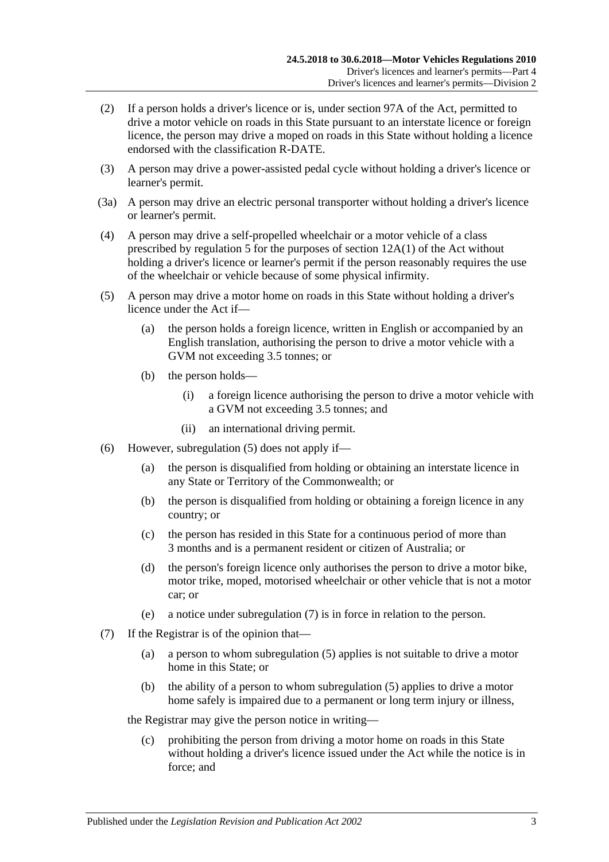- (2) If a person holds a driver's licence or is, under section 97A of the Act, permitted to drive a motor vehicle on roads in this State pursuant to an interstate licence or foreign licence, the person may drive a moped on roads in this State without holding a licence endorsed with the classification R-DATE.
- (3) A person may drive a power-assisted pedal cycle without holding a driver's licence or learner's permit.
- (3a) A person may drive an electric personal transporter without holding a driver's licence or learner's permit.
- (4) A person may drive a self-propelled wheelchair or a motor vehicle of a class prescribed by [regulation](#page-12-2) 5 for the purposes of section 12A(1) of the Act without holding a driver's licence or learner's permit if the person reasonably requires the use of the wheelchair or vehicle because of some physical infirmity.
- <span id="page-34-0"></span>(5) A person may drive a motor home on roads in this State without holding a driver's licence under the Act if—
	- (a) the person holds a foreign licence, written in English or accompanied by an English translation, authorising the person to drive a motor vehicle with a GVM not exceeding 3.5 tonnes; or
	- (b) the person holds—
		- (i) a foreign licence authorising the person to drive a motor vehicle with a GVM not exceeding 3.5 tonnes; and
		- (ii) an international driving permit.
- (6) However, [subregulation](#page-34-0) (5) does not apply if—
	- (a) the person is disqualified from holding or obtaining an interstate licence in any State or Territory of the Commonwealth; or
	- (b) the person is disqualified from holding or obtaining a foreign licence in any country; or
	- (c) the person has resided in this State for a continuous period of more than 3 months and is a permanent resident or citizen of Australia; or
	- (d) the person's foreign licence only authorises the person to drive a motor bike, motor trike, moped, motorised wheelchair or other vehicle that is not a motor car; or
	- (e) a notice under [subregulation](#page-34-1) (7) is in force in relation to the person.
- <span id="page-34-1"></span>(7) If the Registrar is of the opinion that—
	- (a) a person to whom [subregulation](#page-34-0) (5) applies is not suitable to drive a motor home in this State; or
	- (b) the ability of a person to whom [subregulation](#page-34-0) (5) applies to drive a motor home safely is impaired due to a permanent or long term injury or illness,

the Registrar may give the person notice in writing—

(c) prohibiting the person from driving a motor home on roads in this State without holding a driver's licence issued under the Act while the notice is in force; and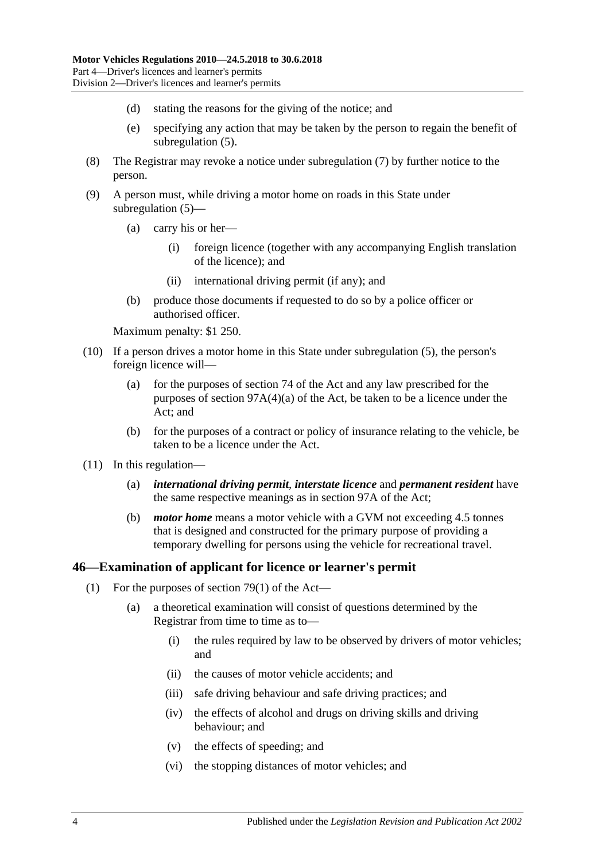- (d) stating the reasons for the giving of the notice; and
- (e) specifying any action that may be taken by the person to regain the benefit of [subregulation](#page-34-0) (5).
- (8) The Registrar may revoke a notice under [subregulation](#page-34-1) (7) by further notice to the person.
- (9) A person must, while driving a motor home on roads in this State under [subregulation](#page-34-0) (5)—
	- (a) carry his or her—
		- (i) foreign licence (together with any accompanying English translation of the licence); and
		- (ii) international driving permit (if any); and
	- (b) produce those documents if requested to do so by a police officer or authorised officer.

Maximum penalty: \$1 250.

- (10) If a person drives a motor home in this State under [subregulation](#page-34-0) (5), the person's foreign licence will—
	- (a) for the purposes of section 74 of the Act and any law prescribed for the purposes of section 97A(4)(a) of the Act, be taken to be a licence under the  $Act'$  and
	- (b) for the purposes of a contract or policy of insurance relating to the vehicle, be taken to be a licence under the Act.
- (11) In this regulation—
	- (a) *international driving permit*, *interstate licence* and *permanent resident* have the same respective meanings as in section 97A of the Act;
	- (b) *motor home* means a motor vehicle with a GVM not exceeding 4.5 tonnes that is designed and constructed for the primary purpose of providing a temporary dwelling for persons using the vehicle for recreational travel.

#### <span id="page-35-0"></span>**46—Examination of applicant for licence or learner's permit**

- (1) For the purposes of section 79(1) of the Act—
	- (a) a theoretical examination will consist of questions determined by the Registrar from time to time as to—
		- (i) the rules required by law to be observed by drivers of motor vehicles; and
		- (ii) the causes of motor vehicle accidents; and
		- (iii) safe driving behaviour and safe driving practices; and
		- (iv) the effects of alcohol and drugs on driving skills and driving behaviour; and
		- (v) the effects of speeding; and
		- (vi) the stopping distances of motor vehicles; and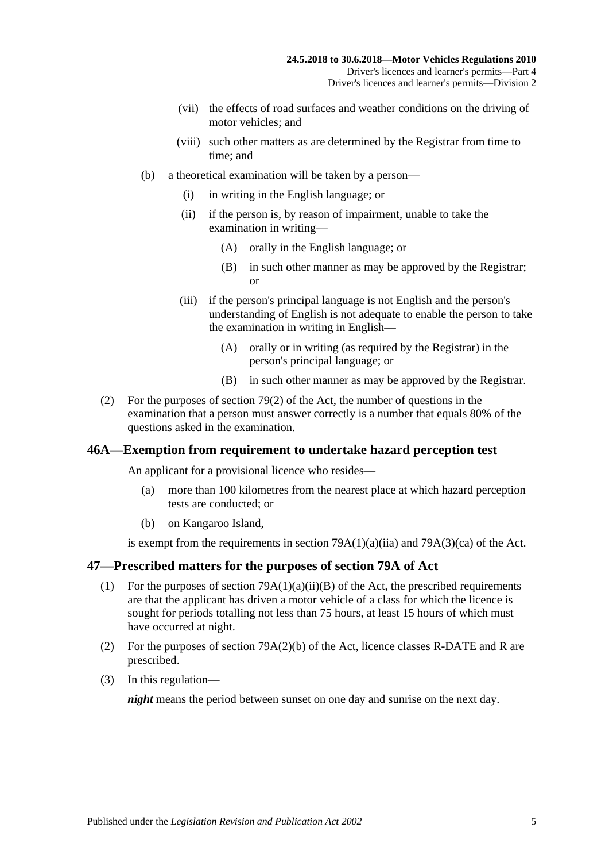- (vii) the effects of road surfaces and weather conditions on the driving of motor vehicles; and
- (viii) such other matters as are determined by the Registrar from time to time; and
- (b) a theoretical examination will be taken by a person—
	- (i) in writing in the English language; or
	- (ii) if the person is, by reason of impairment, unable to take the examination in writing—
		- (A) orally in the English language; or
		- (B) in such other manner as may be approved by the Registrar; or
	- (iii) if the person's principal language is not English and the person's understanding of English is not adequate to enable the person to take the examination in writing in English—
		- (A) orally or in writing (as required by the Registrar) in the person's principal language; or
		- (B) in such other manner as may be approved by the Registrar.
- (2) For the purposes of section 79(2) of the Act, the number of questions in the examination that a person must answer correctly is a number that equals 80% of the questions asked in the examination.

## **46A—Exemption from requirement to undertake hazard perception test**

An applicant for a provisional licence who resides—

- (a) more than 100 kilometres from the nearest place at which hazard perception tests are conducted; or
- (b) on Kangaroo Island,

is exempt from the requirements in section  $79A(1)(a)(ii)$  and  $79A(3)(ca)$  of the Act.

#### **47—Prescribed matters for the purposes of section 79A of Act**

- (1) For the purposes of section  $79A(1)(a)(ii)(B)$  of the Act, the prescribed requirements are that the applicant has driven a motor vehicle of a class for which the licence is sought for periods totalling not less than 75 hours, at least 15 hours of which must have occurred at night.
- (2) For the purposes of section 79A(2)(b) of the Act, licence classes R-DATE and R are prescribed.
- (3) In this regulation—

*night* means the period between sunset on one day and sunrise on the next day.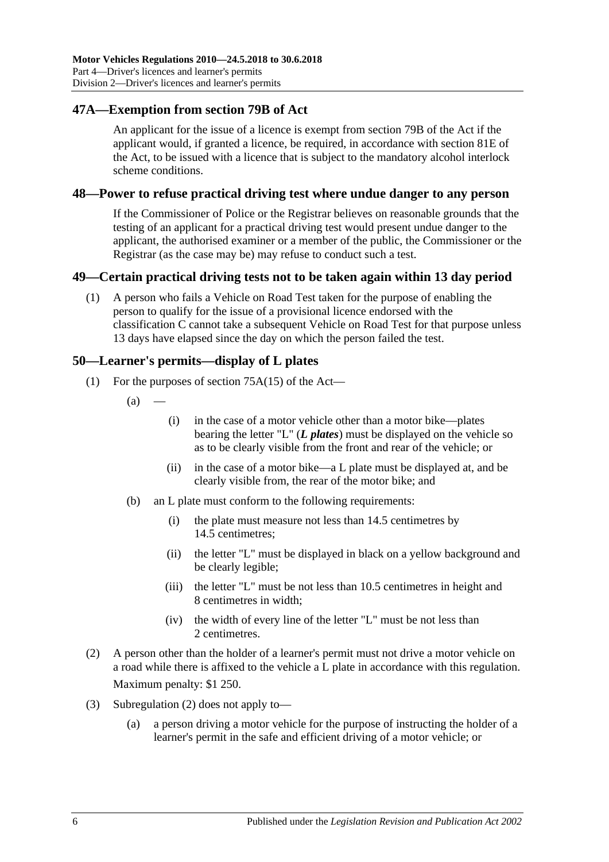## **47A—Exemption from section 79B of Act**

An applicant for the issue of a licence is exempt from section 79B of the Act if the applicant would, if granted a licence, be required, in accordance with section 81E of the Act, to be issued with a licence that is subject to the mandatory alcohol interlock scheme conditions.

#### **48—Power to refuse practical driving test where undue danger to any person**

If the Commissioner of Police or the Registrar believes on reasonable grounds that the testing of an applicant for a practical driving test would present undue danger to the applicant, the authorised examiner or a member of the public, the Commissioner or the Registrar (as the case may be) may refuse to conduct such a test.

## **49—Certain practical driving tests not to be taken again within 13 day period**

(1) A person who fails a Vehicle on Road Test taken for the purpose of enabling the person to qualify for the issue of a provisional licence endorsed with the classification C cannot take a subsequent Vehicle on Road Test for that purpose unless 13 days have elapsed since the day on which the person failed the test.

#### **50—Learner's permits—display of L plates**

- (1) For the purposes of section 75A(15) of the Act—
	- $(a)$
- (i) in the case of a motor vehicle other than a motor bike—plates bearing the letter "L" (*L plates*) must be displayed on the vehicle so as to be clearly visible from the front and rear of the vehicle; or
- (ii) in the case of a motor bike—a L plate must be displayed at, and be clearly visible from, the rear of the motor bike; and
- (b) an L plate must conform to the following requirements:
	- (i) the plate must measure not less than 14.5 centimetres by 14.5 centimetres;
	- (ii) the letter "L" must be displayed in black on a yellow background and be clearly legible;
	- (iii) the letter "L" must be not less than 10.5 centimetres in height and 8 centimetres in width;
	- (iv) the width of every line of the letter "L" must be not less than 2 centimetres.
- <span id="page-37-0"></span>(2) A person other than the holder of a learner's permit must not drive a motor vehicle on a road while there is affixed to the vehicle a L plate in accordance with this regulation. Maximum penalty: \$1 250.
- (3) [Subregulation](#page-37-0) (2) does not apply to—
	- (a) a person driving a motor vehicle for the purpose of instructing the holder of a learner's permit in the safe and efficient driving of a motor vehicle; or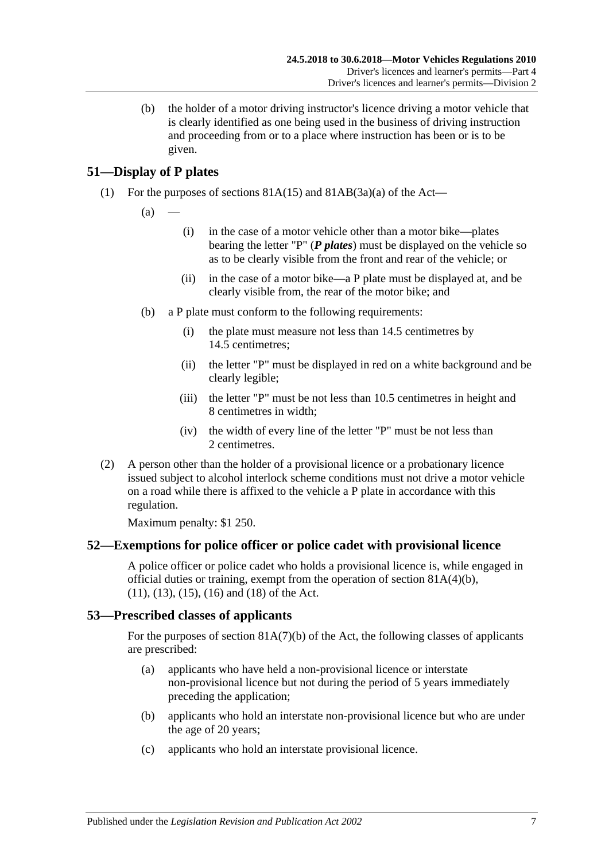(b) the holder of a motor driving instructor's licence driving a motor vehicle that is clearly identified as one being used in the business of driving instruction and proceeding from or to a place where instruction has been or is to be given.

# **51—Display of P plates**

(1) For the purposes of sections  $81A(15)$  and  $81AB(3a)(a)$  of the Act—

 $(a)$ 

- (i) in the case of a motor vehicle other than a motor bike—plates bearing the letter "P" (*P plates*) must be displayed on the vehicle so as to be clearly visible from the front and rear of the vehicle; or
- (ii) in the case of a motor bike—a P plate must be displayed at, and be clearly visible from, the rear of the motor bike; and
- (b) a P plate must conform to the following requirements:
	- (i) the plate must measure not less than 14.5 centimetres by 14.5 centimetres;
	- (ii) the letter "P" must be displayed in red on a white background and be clearly legible;
	- (iii) the letter "P" must be not less than 10.5 centimetres in height and 8 centimetres in width;
	- (iv) the width of every line of the letter "P" must be not less than 2 centimetres.
- (2) A person other than the holder of a provisional licence or a probationary licence issued subject to alcohol interlock scheme conditions must not drive a motor vehicle on a road while there is affixed to the vehicle a P plate in accordance with this regulation.

Maximum penalty: \$1 250.

## **52—Exemptions for police officer or police cadet with provisional licence**

A police officer or police cadet who holds a provisional licence is, while engaged in official duties or training, exempt from the operation of section 81A(4)(b), (11), (13), (15), (16) and (18) of the Act.

## **53—Prescribed classes of applicants**

For the purposes of section 81A(7)(b) of the Act, the following classes of applicants are prescribed:

- (a) applicants who have held a non-provisional licence or interstate non-provisional licence but not during the period of 5 years immediately preceding the application;
- (b) applicants who hold an interstate non-provisional licence but who are under the age of 20 years;
- (c) applicants who hold an interstate provisional licence.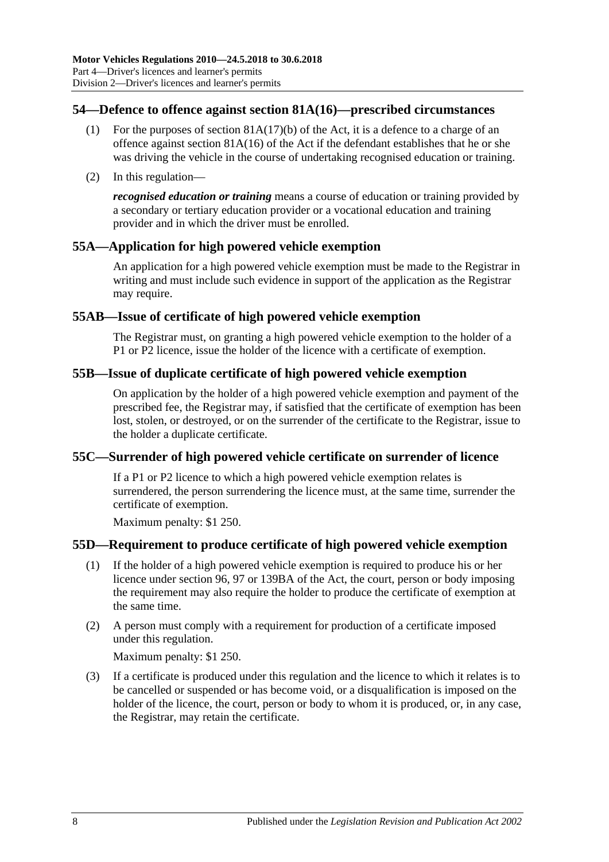# **54—Defence to offence against section 81A(16)—prescribed circumstances**

- (1) For the purposes of section  $81A(17)(b)$  of the Act, it is a defence to a charge of an offence against section 81A(16) of the Act if the defendant establishes that he or she was driving the vehicle in the course of undertaking recognised education or training.
- (2) In this regulation—

*recognised education or training* means a course of education or training provided by a secondary or tertiary education provider or a vocational education and training provider and in which the driver must be enrolled.

# **55A—Application for high powered vehicle exemption**

An application for a high powered vehicle exemption must be made to the Registrar in writing and must include such evidence in support of the application as the Registrar may require.

# **55AB—Issue of certificate of high powered vehicle exemption**

The Registrar must, on granting a high powered vehicle exemption to the holder of a P1 or P2 licence, issue the holder of the licence with a certificate of exemption.

## **55B—Issue of duplicate certificate of high powered vehicle exemption**

On application by the holder of a high powered vehicle exemption and payment of the prescribed fee, the Registrar may, if satisfied that the certificate of exemption has been lost, stolen, or destroyed, or on the surrender of the certificate to the Registrar, issue to the holder a duplicate certificate.

## **55C—Surrender of high powered vehicle certificate on surrender of licence**

If a P1 or P2 licence to which a high powered vehicle exemption relates is surrendered, the person surrendering the licence must, at the same time, surrender the certificate of exemption.

Maximum penalty: \$1 250.

## **55D—Requirement to produce certificate of high powered vehicle exemption**

- (1) If the holder of a high powered vehicle exemption is required to produce his or her licence under section 96, 97 or 139BA of the Act, the court, person or body imposing the requirement may also require the holder to produce the certificate of exemption at the same time.
- (2) A person must comply with a requirement for production of a certificate imposed under this regulation.

Maximum penalty: \$1 250.

(3) If a certificate is produced under this regulation and the licence to which it relates is to be cancelled or suspended or has become void, or a disqualification is imposed on the holder of the licence, the court, person or body to whom it is produced, or, in any case, the Registrar, may retain the certificate.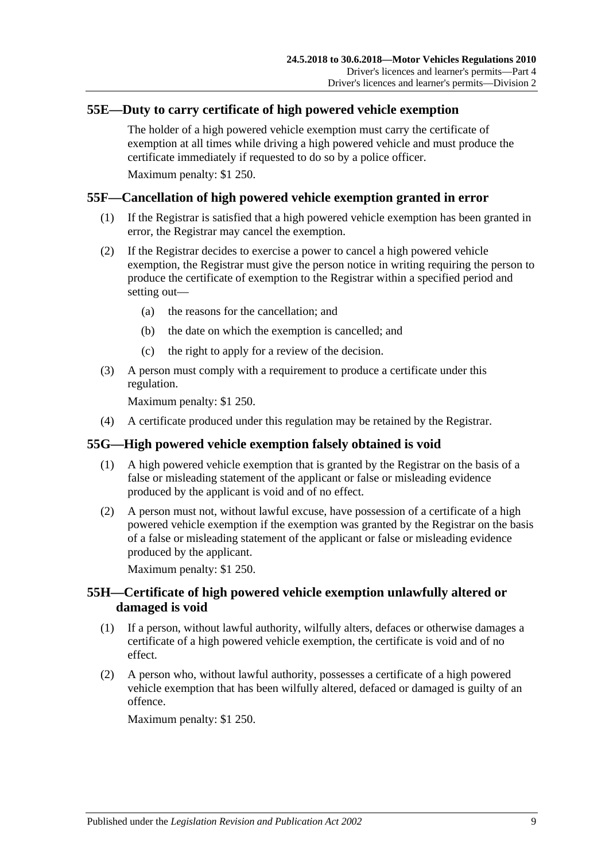## **55E—Duty to carry certificate of high powered vehicle exemption**

The holder of a high powered vehicle exemption must carry the certificate of exemption at all times while driving a high powered vehicle and must produce the certificate immediately if requested to do so by a police officer.

Maximum penalty: \$1 250.

## **55F—Cancellation of high powered vehicle exemption granted in error**

- (1) If the Registrar is satisfied that a high powered vehicle exemption has been granted in error, the Registrar may cancel the exemption.
- (2) If the Registrar decides to exercise a power to cancel a high powered vehicle exemption, the Registrar must give the person notice in writing requiring the person to produce the certificate of exemption to the Registrar within a specified period and setting out—
	- (a) the reasons for the cancellation; and
	- (b) the date on which the exemption is cancelled; and
	- (c) the right to apply for a review of the decision.
- (3) A person must comply with a requirement to produce a certificate under this regulation.

Maximum penalty: \$1 250.

(4) A certificate produced under this regulation may be retained by the Registrar.

## **55G—High powered vehicle exemption falsely obtained is void**

- (1) A high powered vehicle exemption that is granted by the Registrar on the basis of a false or misleading statement of the applicant or false or misleading evidence produced by the applicant is void and of no effect.
- (2) A person must not, without lawful excuse, have possession of a certificate of a high powered vehicle exemption if the exemption was granted by the Registrar on the basis of a false or misleading statement of the applicant or false or misleading evidence produced by the applicant.

Maximum penalty: \$1 250.

#### **55H—Certificate of high powered vehicle exemption unlawfully altered or damaged is void**

- (1) If a person, without lawful authority, wilfully alters, defaces or otherwise damages a certificate of a high powered vehicle exemption, the certificate is void and of no effect.
- (2) A person who, without lawful authority, possesses a certificate of a high powered vehicle exemption that has been wilfully altered, defaced or damaged is guilty of an offence.

Maximum penalty: \$1 250.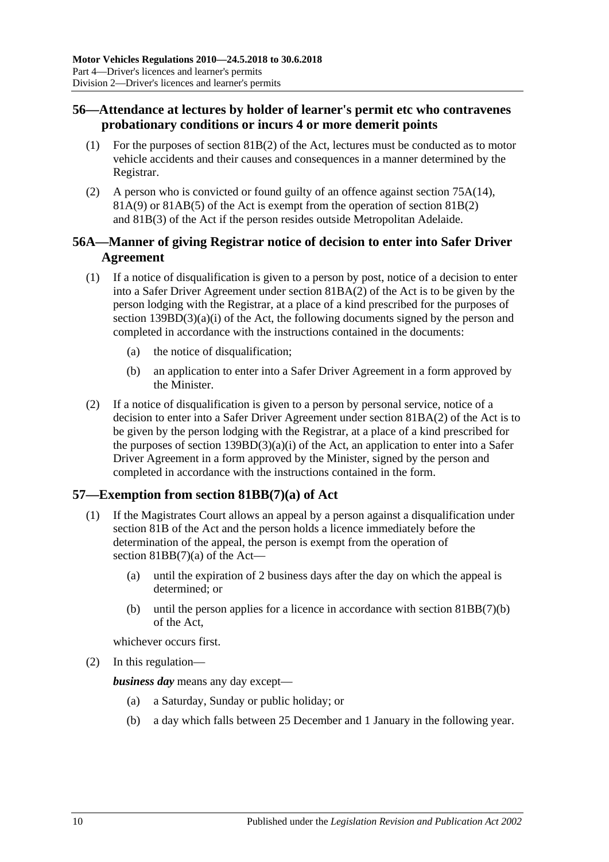# **56—Attendance at lectures by holder of learner's permit etc who contravenes probationary conditions or incurs 4 or more demerit points**

- (1) For the purposes of section 81B(2) of the Act, lectures must be conducted as to motor vehicle accidents and their causes and consequences in a manner determined by the Registrar.
- (2) A person who is convicted or found guilty of an offence against section 75A(14), 81A(9) or 81AB(5) of the Act is exempt from the operation of section 81B(2) and 81B(3) of the Act if the person resides outside Metropolitan Adelaide.

# **56A—Manner of giving Registrar notice of decision to enter into Safer Driver Agreement**

- (1) If a notice of disqualification is given to a person by post, notice of a decision to enter into a Safer Driver Agreement under section 81BA(2) of the Act is to be given by the person lodging with the Registrar, at a place of a kind prescribed for the purposes of section 139BD(3)(a)(i) of the Act, the following documents signed by the person and completed in accordance with the instructions contained in the documents:
	- (a) the notice of disqualification;
	- (b) an application to enter into a Safer Driver Agreement in a form approved by the Minister.
- (2) If a notice of disqualification is given to a person by personal service, notice of a decision to enter into a Safer Driver Agreement under section 81BA(2) of the Act is to be given by the person lodging with the Registrar, at a place of a kind prescribed for the purposes of section  $139BD(3)(a)(i)$  of the Act, an application to enter into a Safer Driver Agreement in a form approved by the Minister, signed by the person and completed in accordance with the instructions contained in the form.

# **57—Exemption from section 81BB(7)(a) of Act**

- (1) If the Magistrates Court allows an appeal by a person against a disqualification under section 81B of the Act and the person holds a licence immediately before the determination of the appeal, the person is exempt from the operation of section 81BB(7)(a) of the Act—
	- (a) until the expiration of 2 business days after the day on which the appeal is determined; or
	- (b) until the person applies for a licence in accordance with section 81BB(7)(b) of the Act,

whichever occurs first.

(2) In this regulation—

*business day* means any day except—

- (a) a Saturday, Sunday or public holiday; or
- (b) a day which falls between 25 December and 1 January in the following year.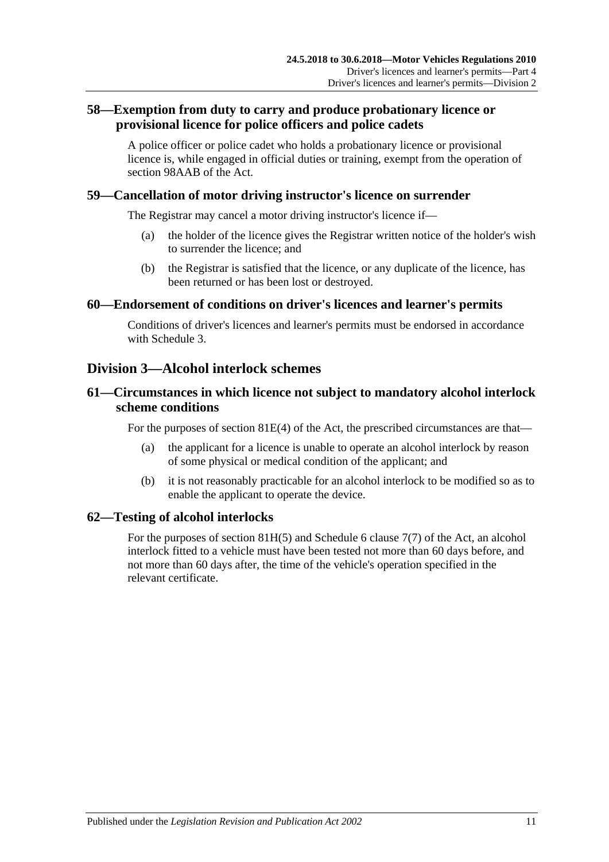# **58—Exemption from duty to carry and produce probationary licence or provisional licence for police officers and police cadets**

A police officer or police cadet who holds a probationary licence or provisional licence is, while engaged in official duties or training, exempt from the operation of section 98AAB of the Act.

## **59—Cancellation of motor driving instructor's licence on surrender**

The Registrar may cancel a motor driving instructor's licence if—

- (a) the holder of the licence gives the Registrar written notice of the holder's wish to surrender the licence; and
- (b) the Registrar is satisfied that the licence, or any duplicate of the licence, has been returned or has been lost or destroyed.

#### **60—Endorsement of conditions on driver's licences and learner's permits**

Conditions of driver's licences and learner's permits must be endorsed in accordance with [Schedule 3.](#page-84-0)

# **Division 3—Alcohol interlock schemes**

#### **61—Circumstances in which licence not subject to mandatory alcohol interlock scheme conditions**

For the purposes of section 81E(4) of the Act, the prescribed circumstances are that—

- (a) the applicant for a licence is unable to operate an alcohol interlock by reason of some physical or medical condition of the applicant; and
- (b) it is not reasonably practicable for an alcohol interlock to be modified so as to enable the applicant to operate the device.

## **62—Testing of alcohol interlocks**

For the purposes of section 81H(5) and Schedule 6 clause 7(7) of the Act, an alcohol interlock fitted to a vehicle must have been tested not more than 60 days before, and not more than 60 days after, the time of the vehicle's operation specified in the relevant certificate.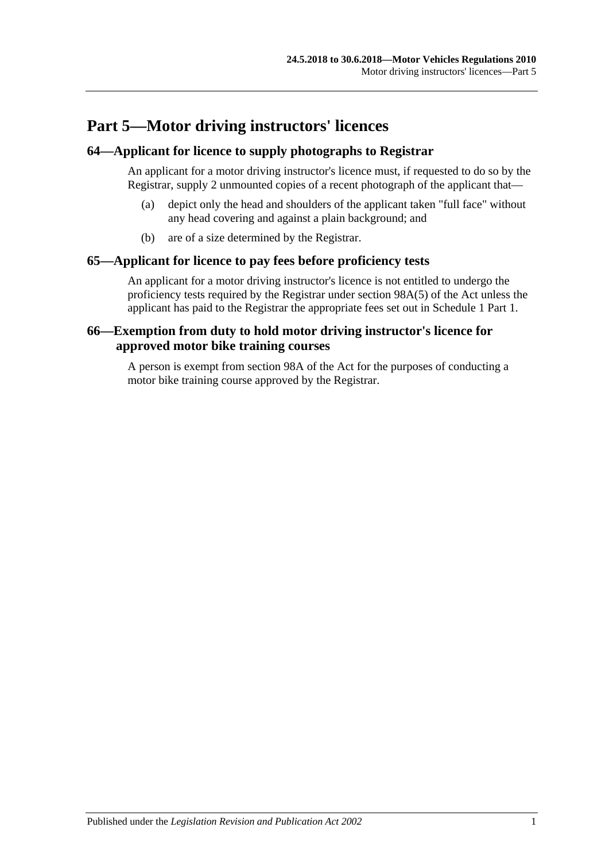# **Part 5—Motor driving instructors' licences**

#### **64—Applicant for licence to supply photographs to Registrar**

An applicant for a motor driving instructor's licence must, if requested to do so by the Registrar, supply 2 unmounted copies of a recent photograph of the applicant that—

- (a) depict only the head and shoulders of the applicant taken "full face" without any head covering and against a plain background; and
- (b) are of a size determined by the Registrar.

#### **65—Applicant for licence to pay fees before proficiency tests**

An applicant for a motor driving instructor's licence is not entitled to undergo the proficiency tests required by the Registrar under section 98A(5) of the Act unless the applicant has paid to the Registrar the appropriate fees set out in Schedule 1 Part 1.

## **66—Exemption from duty to hold motor driving instructor's licence for approved motor bike training courses**

A person is exempt from section 98A of the Act for the purposes of conducting a motor bike training course approved by the Registrar.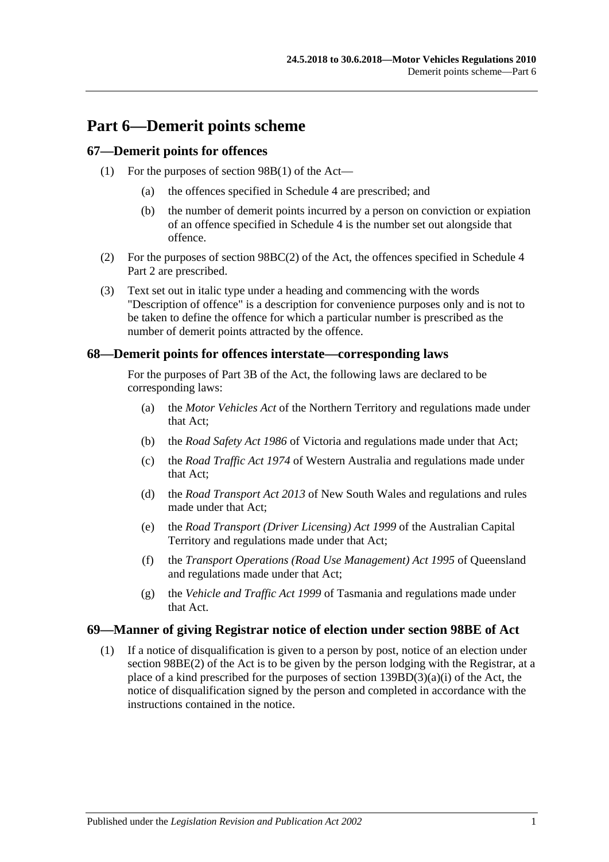# **Part 6—Demerit points scheme**

#### **67—Demerit points for offences**

- (1) For the purposes of section 98B(1) of the Act—
	- (a) the offences specified in [Schedule 4](#page-86-0) are prescribed; and
	- (b) the number of demerit points incurred by a person on conviction or expiation of an offence specified in [Schedule 4](#page-86-0) is the number set out alongside that offence.
- (2) For the purposes of section 98BC(2) of the Act, the offences specified in Schedule 4 Part 2 are prescribed.
- (3) Text set out in italic type under a heading and commencing with the words "Description of offence" is a description for convenience purposes only and is not to be taken to define the offence for which a particular number is prescribed as the number of demerit points attracted by the offence.

#### **68—Demerit points for offences interstate—corresponding laws**

For the purposes of Part 3B of the Act, the following laws are declared to be corresponding laws:

- (a) the *Motor Vehicles Act* of the Northern Territory and regulations made under that Act;
- (b) the *Road Safety Act 1986* of Victoria and regulations made under that Act;
- (c) the *Road Traffic Act 1974* of Western Australia and regulations made under that Act;
- (d) the *Road Transport Act 2013* of New South Wales and regulations and rules made under that Act;
- (e) the *Road Transport (Driver Licensing) Act 1999* of the Australian Capital Territory and regulations made under that Act;
- (f) the *Transport Operations (Road Use Management) Act 1995* of Queensland and regulations made under that Act;
- (g) the *Vehicle and Traffic Act 1999* of Tasmania and regulations made under that Act.

#### **69—Manner of giving Registrar notice of election under section 98BE of Act**

(1) If a notice of disqualification is given to a person by post, notice of an election under section 98BE(2) of the Act is to be given by the person lodging with the Registrar, at a place of a kind prescribed for the purposes of section  $139BD(3)(a)(i)$  of the Act, the notice of disqualification signed by the person and completed in accordance with the instructions contained in the notice.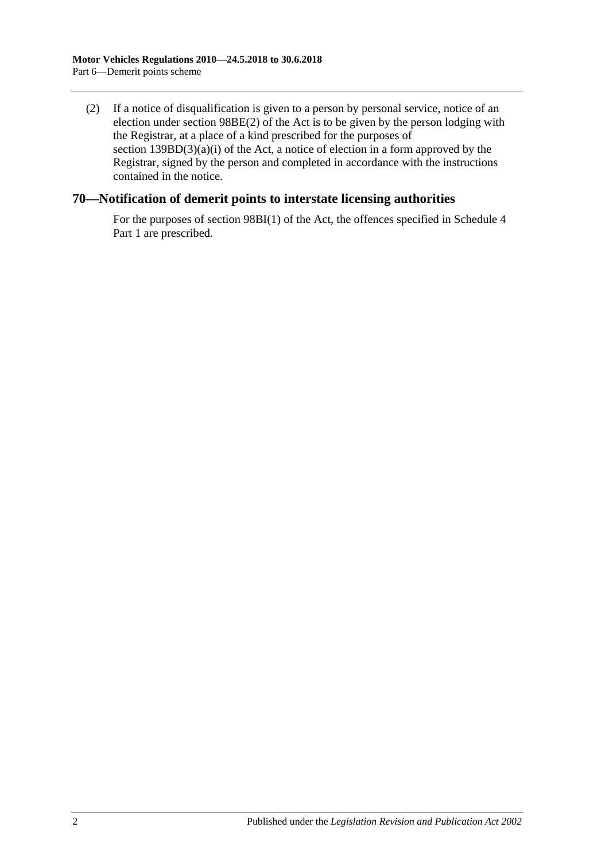(2) If a notice of disqualification is given to a person by personal service, notice of an election under section 98BE(2) of the Act is to be given by the person lodging with the Registrar, at a place of a kind prescribed for the purposes of section  $139BD(3)(a)(i)$  of the Act, a notice of election in a form approved by the Registrar, signed by the person and completed in accordance with the instructions contained in the notice.

## **70—Notification of demerit points to interstate licensing authorities**

For the purposes of section 98BI(1) of the Act, the offences specified in Schedule 4 Part 1 are prescribed.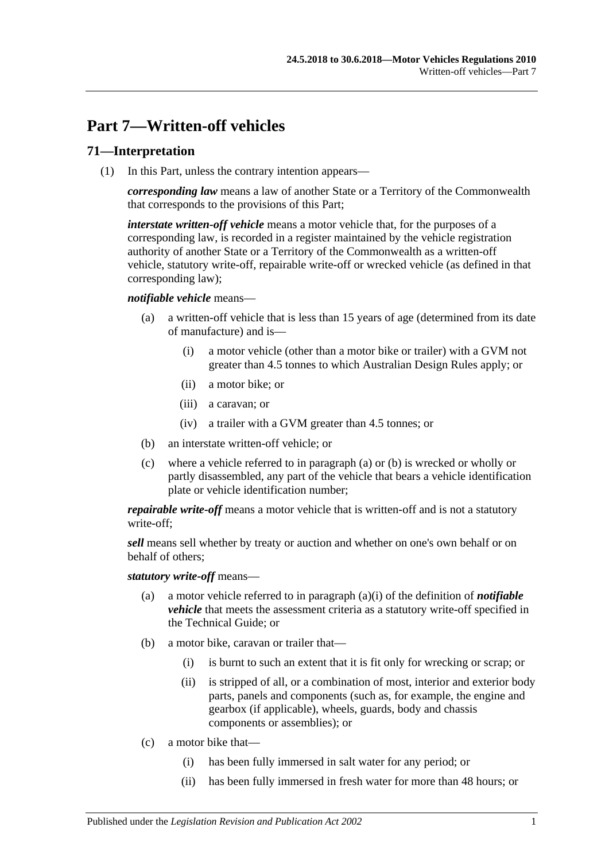# **Part 7—Written-off vehicles**

# **71—Interpretation**

(1) In this Part, unless the contrary intention appears—

*corresponding law* means a law of another State or a Territory of the Commonwealth that corresponds to the provisions of this Part;

*interstate written-off vehicle* means a motor vehicle that, for the purposes of a corresponding law, is recorded in a register maintained by the vehicle registration authority of another State or a Territory of the Commonwealth as a written-off vehicle, statutory write-off, repairable write-off or wrecked vehicle (as defined in that corresponding law);

#### <span id="page-48-0"></span>*notifiable vehicle* means—

- <span id="page-48-2"></span>(a) a written-off vehicle that is less than 15 years of age (determined from its date of manufacture) and is—
	- (i) a motor vehicle (other than a motor bike or trailer) with a GVM not greater than 4.5 tonnes to which Australian Design Rules apply; or
	- (ii) a motor bike; or
	- (iii) a caravan; or
	- (iv) a trailer with a GVM greater than 4.5 tonnes; or
- <span id="page-48-1"></span>(b) an interstate written-off vehicle; or
- (c) where a vehicle referred to in [paragraph](#page-48-0) (a) or [\(b\)](#page-48-1) is wrecked or wholly or partly disassembled, any part of the vehicle that bears a vehicle identification plate or vehicle identification number;

*repairable write-off* means a motor vehicle that is written-off and is not a statutory write-off;

*sell* means sell whether by treaty or auction and whether on one's own behalf or on behalf of others;

*statutory write-off* means—

- (a) a motor vehicle referred to in [paragraph](#page-48-2) (a)(i) of the definition of *notifiable vehicle* that meets the assessment criteria as a statutory write-off specified in the Technical Guide; or
- (b) a motor bike, caravan or trailer that—
	- (i) is burnt to such an extent that it is fit only for wrecking or scrap; or
	- (ii) is stripped of all, or a combination of most, interior and exterior body parts, panels and components (such as, for example, the engine and gearbox (if applicable), wheels, guards, body and chassis components or assemblies); or
- (c) a motor bike that—
	- (i) has been fully immersed in salt water for any period; or
	- (ii) has been fully immersed in fresh water for more than 48 hours; or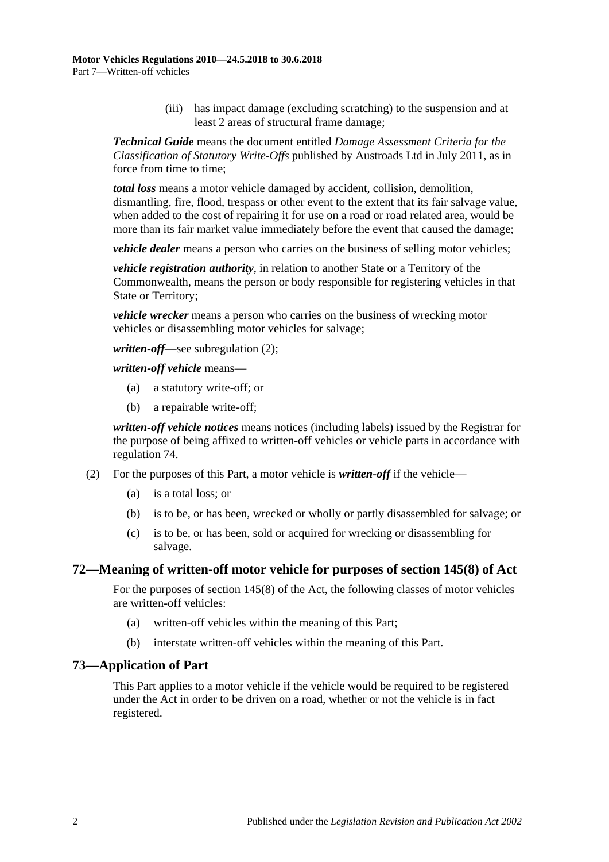(iii) has impact damage (excluding scratching) to the suspension and at least 2 areas of structural frame damage;

*Technical Guide* means the document entitled *Damage Assessment Criteria for the Classification of Statutory Write-Offs* published by Austroads Ltd in July 2011, as in force from time to time;

*total loss* means a motor vehicle damaged by accident, collision, demolition, dismantling, fire, flood, trespass or other event to the extent that its fair salvage value, when added to the cost of repairing it for use on a road or road related area, would be more than its fair market value immediately before the event that caused the damage;

*vehicle dealer* means a person who carries on the business of selling motor vehicles;

*vehicle registration authority*, in relation to another State or a Territory of the Commonwealth, means the person or body responsible for registering vehicles in that State or Territory;

*vehicle wrecker* means a person who carries on the business of wrecking motor vehicles or disassembling motor vehicles for salvage;

*written-off*—see [subregulation](#page-49-0) (2);

*written-off vehicle* means—

- (a) a statutory write-off; or
- (b) a repairable write-off;

*written-off vehicle notices* means notices (including labels) issued by the Registrar for the purpose of being affixed to written-off vehicles or vehicle parts in accordance with [regulation](#page-50-0) 74.

- <span id="page-49-0"></span>(2) For the purposes of this Part, a motor vehicle is *written-off* if the vehicle—
	- (a) is a total loss; or
	- (b) is to be, or has been, wrecked or wholly or partly disassembled for salvage; or
	- (c) is to be, or has been, sold or acquired for wrecking or disassembling for salvage.

#### **72—Meaning of written-off motor vehicle for purposes of section 145(8) of Act**

For the purposes of section 145(8) of the Act, the following classes of motor vehicles are written-off vehicles:

- (a) written-off vehicles within the meaning of this Part;
- (b) interstate written-off vehicles within the meaning of this Part.

#### **73—Application of Part**

This Part applies to a motor vehicle if the vehicle would be required to be registered under the Act in order to be driven on a road, whether or not the vehicle is in fact registered.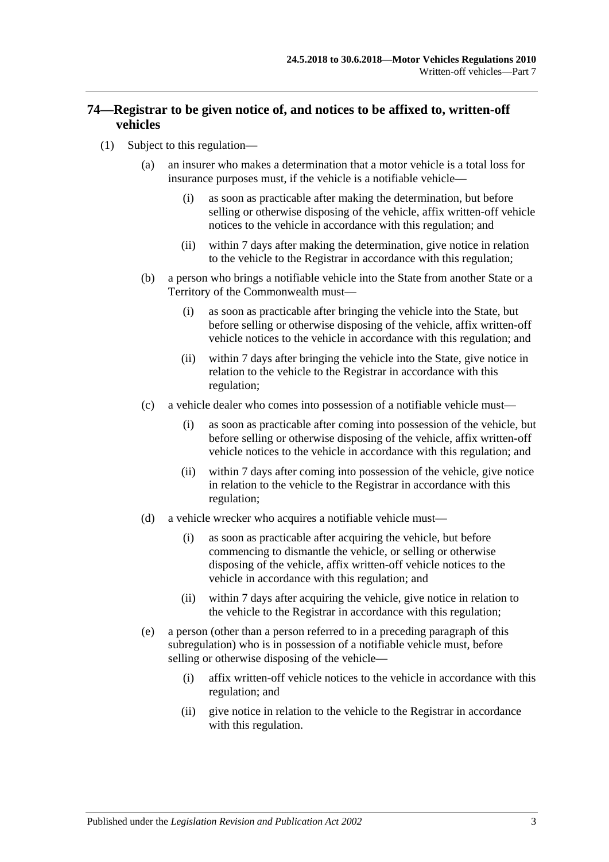# <span id="page-50-0"></span>**74—Registrar to be given notice of, and notices to be affixed to, written-off vehicles**

- <span id="page-50-4"></span><span id="page-50-3"></span><span id="page-50-2"></span><span id="page-50-1"></span>(1) Subject to this regulation—
	- (a) an insurer who makes a determination that a motor vehicle is a total loss for insurance purposes must, if the vehicle is a notifiable vehicle—
		- (i) as soon as practicable after making the determination, but before selling or otherwise disposing of the vehicle, affix written-off vehicle notices to the vehicle in accordance with this regulation; and
		- (ii) within 7 days after making the determination, give notice in relation to the vehicle to the Registrar in accordance with this regulation;
	- (b) a person who brings a notifiable vehicle into the State from another State or a Territory of the Commonwealth must—
		- (i) as soon as practicable after bringing the vehicle into the State, but before selling or otherwise disposing of the vehicle, affix written-off vehicle notices to the vehicle in accordance with this regulation; and
		- (ii) within 7 days after bringing the vehicle into the State, give notice in relation to the vehicle to the Registrar in accordance with this regulation;
	- (c) a vehicle dealer who comes into possession of a notifiable vehicle must—
		- (i) as soon as practicable after coming into possession of the vehicle, but before selling or otherwise disposing of the vehicle, affix written-off vehicle notices to the vehicle in accordance with this regulation; and
		- (ii) within 7 days after coming into possession of the vehicle, give notice in relation to the vehicle to the Registrar in accordance with this regulation;
	- (d) a vehicle wrecker who acquires a notifiable vehicle must—
		- (i) as soon as practicable after acquiring the vehicle, but before commencing to dismantle the vehicle, or selling or otherwise disposing of the vehicle, affix written-off vehicle notices to the vehicle in accordance with this regulation; and
		- (ii) within 7 days after acquiring the vehicle, give notice in relation to the vehicle to the Registrar in accordance with this regulation;
	- (e) a person (other than a person referred to in a preceding paragraph of this subregulation) who is in possession of a notifiable vehicle must, before selling or otherwise disposing of the vehicle—
		- (i) affix written-off vehicle notices to the vehicle in accordance with this regulation; and
		- (ii) give notice in relation to the vehicle to the Registrar in accordance with this regulation.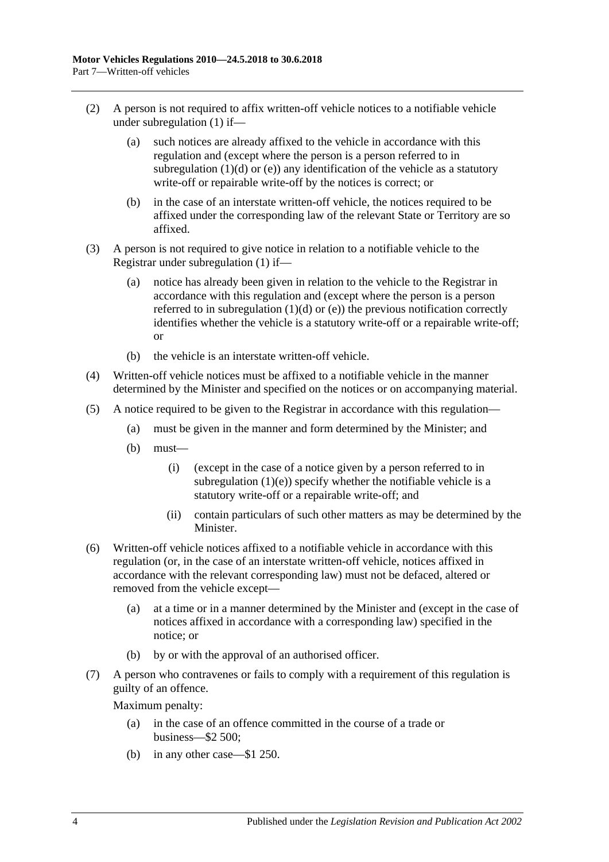- (2) A person is not required to affix written-off vehicle notices to a notifiable vehicle under [subregulation](#page-50-1) (1) if—
	- (a) such notices are already affixed to the vehicle in accordance with this regulation and (except where the person is a person referred to in [subregulation](#page-50-2)  $(1)(d)$  or  $(e)$ ) any identification of the vehicle as a statutory write-off or repairable write-off by the notices is correct; or
	- (b) in the case of an interstate written-off vehicle, the notices required to be affixed under the corresponding law of the relevant State or Territory are so affixed.
- (3) A person is not required to give notice in relation to a notifiable vehicle to the Registrar under [subregulation](#page-50-1) (1) if—
	- (a) notice has already been given in relation to the vehicle to the Registrar in accordance with this regulation and (except where the person is a person referred to in [subregulation](#page-50-2)  $(1)(d)$  or  $(e)$ ) the previous notification correctly identifies whether the vehicle is a statutory write-off or a repairable write-off; or
	- (b) the vehicle is an interstate written-off vehicle.
- (4) Written-off vehicle notices must be affixed to a notifiable vehicle in the manner determined by the Minister and specified on the notices or on accompanying material.
- (5) A notice required to be given to the Registrar in accordance with this regulation—
	- (a) must be given in the manner and form determined by the Minister; and
	- (b) must—
		- (i) (except in the case of a notice given by a person referred to in [subregulation](#page-50-3)  $(1)(e)$ ) specify whether the notifiable vehicle is a statutory write-off or a repairable write-off; and
		- (ii) contain particulars of such other matters as may be determined by the Minister.
- (6) Written-off vehicle notices affixed to a notifiable vehicle in accordance with this regulation (or, in the case of an interstate written-off vehicle, notices affixed in accordance with the relevant corresponding law) must not be defaced, altered or removed from the vehicle except—
	- (a) at a time or in a manner determined by the Minister and (except in the case of notices affixed in accordance with a corresponding law) specified in the notice; or
	- (b) by or with the approval of an authorised officer.
- (7) A person who contravenes or fails to comply with a requirement of this regulation is guilty of an offence.

Maximum penalty:

- (a) in the case of an offence committed in the course of a trade or business—\$2 500;
- (b) in any other case—\$1 250.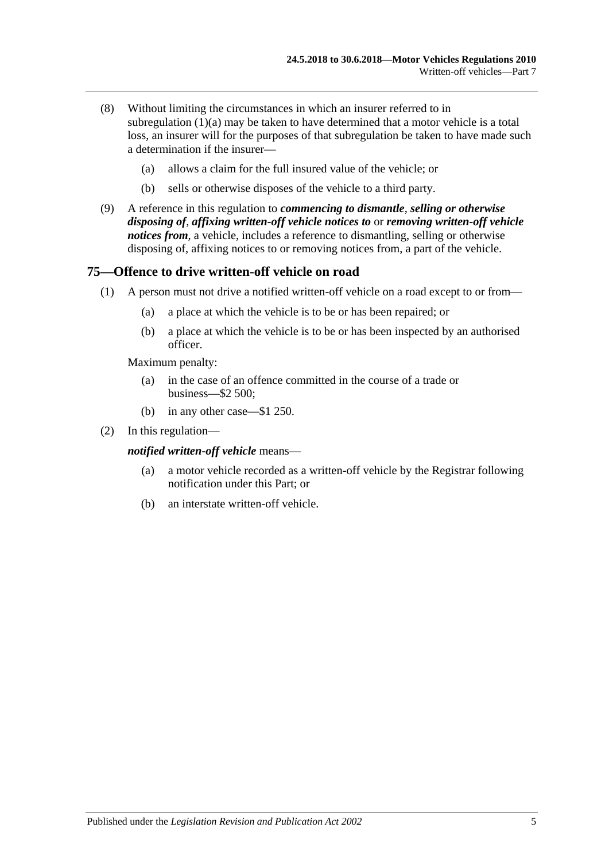- (8) Without limiting the circumstances in which an insurer referred to in [subregulation](#page-50-4)  $(1)(a)$  may be taken to have determined that a motor vehicle is a total loss, an insurer will for the purposes of that subregulation be taken to have made such a determination if the insurer—
	- (a) allows a claim for the full insured value of the vehicle; or
	- (b) sells or otherwise disposes of the vehicle to a third party.
- (9) A reference in this regulation to *commencing to dismantle*, *selling or otherwise disposing of*, *affixing written-off vehicle notices to* or *removing written-off vehicle notices from*, a vehicle, includes a reference to dismantling, selling or otherwise disposing of, affixing notices to or removing notices from, a part of the vehicle.

#### **75—Offence to drive written-off vehicle on road**

- (1) A person must not drive a notified written-off vehicle on a road except to or from—
	- (a) a place at which the vehicle is to be or has been repaired; or
	- (b) a place at which the vehicle is to be or has been inspected by an authorised officer.

Maximum penalty:

- (a) in the case of an offence committed in the course of a trade or business—\$2 500;
- (b) in any other case—\$1 250.
- (2) In this regulation—

*notified written-off vehicle* means—

- (a) a motor vehicle recorded as a written-off vehicle by the Registrar following notification under this Part; or
- (b) an interstate written-off vehicle.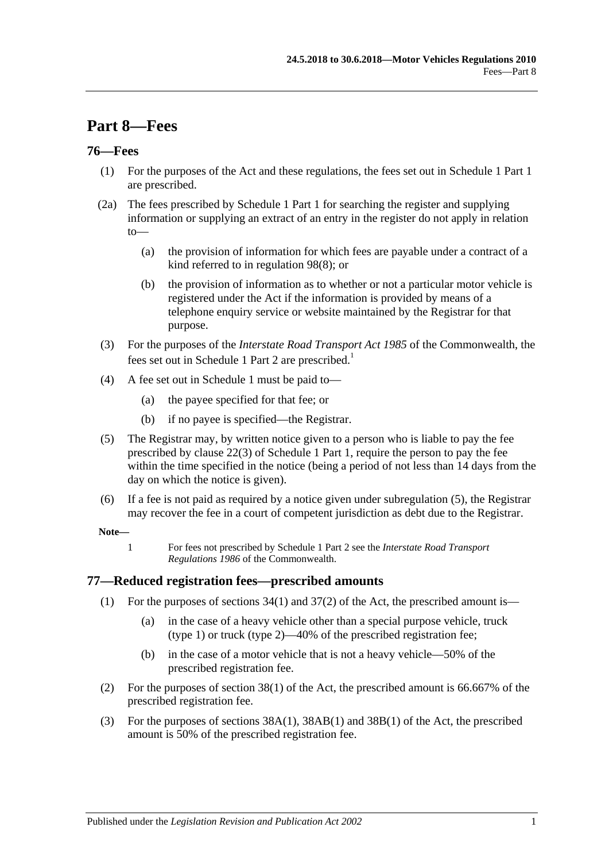# **Part 8—Fees**

#### **76—Fees**

- (1) For the purposes of the Act and these regulations, the fees set out in Schedule 1 Part 1 are prescribed.
- (2a) The fees prescribed by Schedule 1 Part 1 for searching the register and supplying information or supplying an extract of an entry in the register do not apply in relation to—
	- (a) the provision of information for which fees are payable under a contract of a kind referred to in [regulation](#page-66-0) 98(8); or
	- (b) the provision of information as to whether or not a particular motor vehicle is registered under the Act if the information is provided by means of a telephone enquiry service or website maintained by the Registrar for that purpose.
- (3) For the purposes of the *Interstate Road Transport Act 1985* of the Commonwealth, the fees set out in Schedule 1 Part 2 are prescribed.<sup>1</sup>
- (4) A fee set out in [Schedule 1](#page-70-0) must be paid to—
	- (a) the payee specified for that fee; or
	- (b) if no payee is specified—the Registrar.
- <span id="page-54-0"></span>(5) The Registrar may, by written notice given to a person who is liable to pay the fee prescribed by clause 22(3) of Schedule 1 Part 1, require the person to pay the fee within the time specified in the notice (being a period of not less than 14 days from the day on which the notice is given).
- (6) If a fee is not paid as required by a notice given under [subregulation](#page-54-0) (5), the Registrar may recover the fee in a court of competent jurisdiction as debt due to the Registrar.

#### **Note—**

1 For fees not prescribed by Schedule 1 Part 2 see the *Interstate Road Transport Regulations 1986* of the Commonwealth.

#### **77—Reduced registration fees—prescribed amounts**

- (1) For the purposes of sections  $34(1)$  and  $37(2)$  of the Act, the prescribed amount is—
	- (a) in the case of a heavy vehicle other than a special purpose vehicle, truck (type 1) or truck (type 2)—40% of the prescribed registration fee;
	- (b) in the case of a motor vehicle that is not a heavy vehicle—50% of the prescribed registration fee.
- (2) For the purposes of section 38(1) of the Act, the prescribed amount is 66.667% of the prescribed registration fee.
- (3) For the purposes of sections 38A(1), 38AB(1) and 38B(1) of the Act, the prescribed amount is 50% of the prescribed registration fee.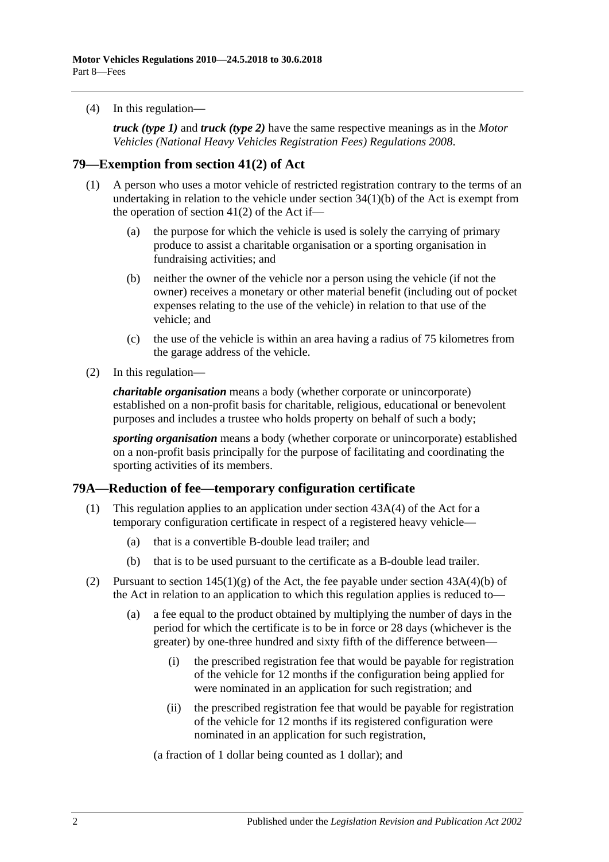(4) In this regulation—

*truck (type 1)* and *truck (type 2)* have the same respective meanings as in the *[Motor](http://www.legislation.sa.gov.au/index.aspx?action=legref&type=subordleg&legtitle=Motor%20Vehicles%20(National%20Heavy%20Vehicles%20Registration%20Fees)%20Regulations%202008)  [Vehicles \(National Heavy Vehicles Registration Fees\) Regulations](http://www.legislation.sa.gov.au/index.aspx?action=legref&type=subordleg&legtitle=Motor%20Vehicles%20(National%20Heavy%20Vehicles%20Registration%20Fees)%20Regulations%202008) 2008*.

#### **79—Exemption from section 41(2) of Act**

- (1) A person who uses a motor vehicle of restricted registration contrary to the terms of an undertaking in relation to the vehicle under section 34(1)(b) of the Act is exempt from the operation of section 41(2) of the Act if—
	- (a) the purpose for which the vehicle is used is solely the carrying of primary produce to assist a charitable organisation or a sporting organisation in fundraising activities; and
	- (b) neither the owner of the vehicle nor a person using the vehicle (if not the owner) receives a monetary or other material benefit (including out of pocket expenses relating to the use of the vehicle) in relation to that use of the vehicle; and
	- (c) the use of the vehicle is within an area having a radius of 75 kilometres from the garage address of the vehicle.
- (2) In this regulation—

*charitable organisation* means a body (whether corporate or unincorporate) established on a non-profit basis for charitable, religious, educational or benevolent purposes and includes a trustee who holds property on behalf of such a body;

*sporting organisation* means a body (whether corporate or unincorporate) established on a non-profit basis principally for the purpose of facilitating and coordinating the sporting activities of its members.

#### **79A—Reduction of fee—temporary configuration certificate**

- (1) This regulation applies to an application under section 43A(4) of the Act for a temporary configuration certificate in respect of a registered heavy vehicle—
	- (a) that is a convertible B-double lead trailer; and
	- (b) that is to be used pursuant to the certificate as a B-double lead trailer.
- (2) Pursuant to section  $145(1)(g)$  of the Act, the fee payable under section  $43A(4)(b)$  of the Act in relation to an application to which this regulation applies is reduced to—
	- (a) a fee equal to the product obtained by multiplying the number of days in the period for which the certificate is to be in force or 28 days (whichever is the greater) by one-three hundred and sixty fifth of the difference between—
		- (i) the prescribed registration fee that would be payable for registration of the vehicle for 12 months if the configuration being applied for were nominated in an application for such registration; and
		- (ii) the prescribed registration fee that would be payable for registration of the vehicle for 12 months if its registered configuration were nominated in an application for such registration,

(a fraction of 1 dollar being counted as 1 dollar); and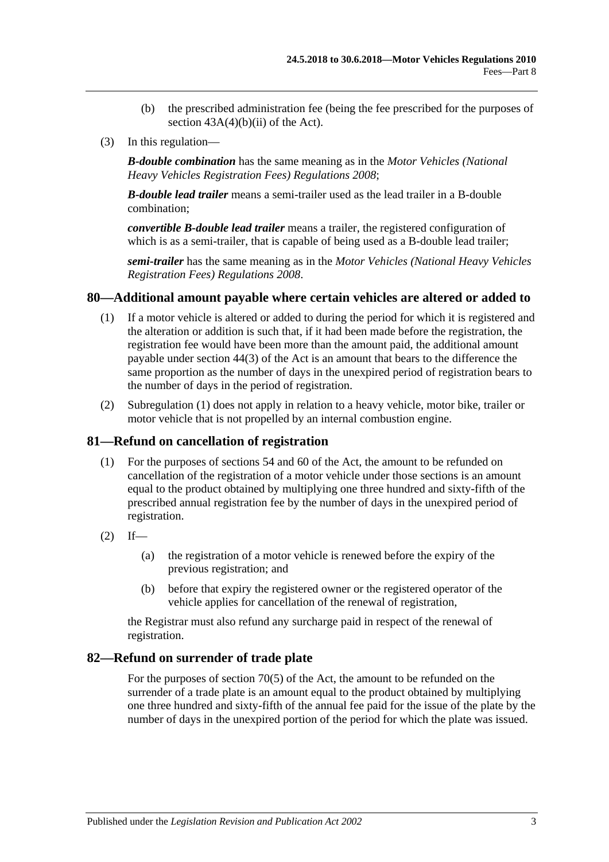- (b) the prescribed administration fee (being the fee prescribed for the purposes of section  $43A(4)(b)(ii)$  of the Act).
- (3) In this regulation—

*B-double combination* has the same meaning as in the *[Motor Vehicles \(National](http://www.legislation.sa.gov.au/index.aspx?action=legref&type=subordleg&legtitle=Motor%20Vehicles%20(National%20Heavy%20Vehicles%20Registration%20Fees)%20Regulations%202008)  [Heavy Vehicles Registration Fees\) Regulations](http://www.legislation.sa.gov.au/index.aspx?action=legref&type=subordleg&legtitle=Motor%20Vehicles%20(National%20Heavy%20Vehicles%20Registration%20Fees)%20Regulations%202008) 2008*;

*B-double lead trailer* means a semi-trailer used as the lead trailer in a B-double combination;

*convertible B-double lead trailer* means a trailer, the registered configuration of which is as a semi-trailer, that is capable of being used as a B-double lead trailer;

*semi-trailer* has the same meaning as in the *[Motor Vehicles \(National Heavy Vehicles](http://www.legislation.sa.gov.au/index.aspx?action=legref&type=subordleg&legtitle=Motor%20Vehicles%20(National%20Heavy%20Vehicles%20Registration%20Fees)%20Regulations%202008)  [Registration Fees\) Regulations](http://www.legislation.sa.gov.au/index.aspx?action=legref&type=subordleg&legtitle=Motor%20Vehicles%20(National%20Heavy%20Vehicles%20Registration%20Fees)%20Regulations%202008) 2008*.

#### <span id="page-56-0"></span>**80—Additional amount payable where certain vehicles are altered or added to**

- (1) If a motor vehicle is altered or added to during the period for which it is registered and the alteration or addition is such that, if it had been made before the registration, the registration fee would have been more than the amount paid, the additional amount payable under section 44(3) of the Act is an amount that bears to the difference the same proportion as the number of days in the unexpired period of registration bears to the number of days in the period of registration.
- (2) [Subregulation \(1\)](#page-56-0) does not apply in relation to a heavy vehicle, motor bike, trailer or motor vehicle that is not propelled by an internal combustion engine.

#### **81—Refund on cancellation of registration**

- (1) For the purposes of sections 54 and 60 of the Act, the amount to be refunded on cancellation of the registration of a motor vehicle under those sections is an amount equal to the product obtained by multiplying one three hundred and sixty-fifth of the prescribed annual registration fee by the number of days in the unexpired period of registration.
- $(2)$  If—
	- (a) the registration of a motor vehicle is renewed before the expiry of the previous registration; and
	- (b) before that expiry the registered owner or the registered operator of the vehicle applies for cancellation of the renewal of registration,

the Registrar must also refund any surcharge paid in respect of the renewal of registration.

#### **82—Refund on surrender of trade plate**

For the purposes of section 70(5) of the Act, the amount to be refunded on the surrender of a trade plate is an amount equal to the product obtained by multiplying one three hundred and sixty-fifth of the annual fee paid for the issue of the plate by the number of days in the unexpired portion of the period for which the plate was issued.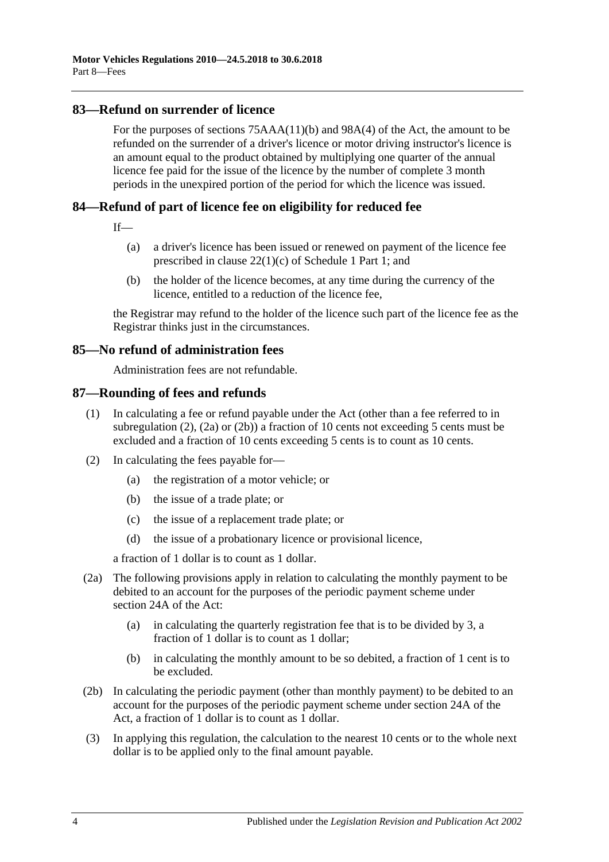## **83—Refund on surrender of licence**

For the purposes of sections 75AAA(11)(b) and 98A(4) of the Act, the amount to be refunded on the surrender of a driver's licence or motor driving instructor's licence is an amount equal to the product obtained by multiplying one quarter of the annual licence fee paid for the issue of the licence by the number of complete 3 month periods in the unexpired portion of the period for which the licence was issued.

# **84—Refund of part of licence fee on eligibility for reduced fee**

If—

- (a) a driver's licence has been issued or renewed on payment of the licence fee prescribed in clause 22(1)(c) of Schedule 1 Part 1; and
- (b) the holder of the licence becomes, at any time during the currency of the licence, entitled to a reduction of the licence fee,

the Registrar may refund to the holder of the licence such part of the licence fee as the Registrar thinks just in the circumstances.

#### **85—No refund of administration fees**

Administration fees are not refundable.

#### **87—Rounding of fees and refunds**

- (1) In calculating a fee or refund payable under the Act (other than a fee referred to in [subregulation](#page-57-0) (2), [\(2a\)](#page-57-1) or [\(2b\)\)](#page-57-2) a fraction of 10 cents not exceeding 5 cents must be excluded and a fraction of 10 cents exceeding 5 cents is to count as 10 cents.
- <span id="page-57-0"></span>(2) In calculating the fees payable for—
	- (a) the registration of a motor vehicle; or
	- (b) the issue of a trade plate; or
	- (c) the issue of a replacement trade plate; or
	- (d) the issue of a probationary licence or provisional licence,

a fraction of 1 dollar is to count as 1 dollar.

- <span id="page-57-1"></span>(2a) The following provisions apply in relation to calculating the monthly payment to be debited to an account for the purposes of the periodic payment scheme under section 24A of the Act:
	- (a) in calculating the quarterly registration fee that is to be divided by 3, a fraction of 1 dollar is to count as 1 dollar;
	- (b) in calculating the monthly amount to be so debited, a fraction of 1 cent is to be excluded.
- <span id="page-57-2"></span>(2b) In calculating the periodic payment (other than monthly payment) to be debited to an account for the purposes of the periodic payment scheme under section 24A of the Act, a fraction of 1 dollar is to count as 1 dollar.
- (3) In applying this regulation, the calculation to the nearest 10 cents or to the whole next dollar is to be applied only to the final amount payable.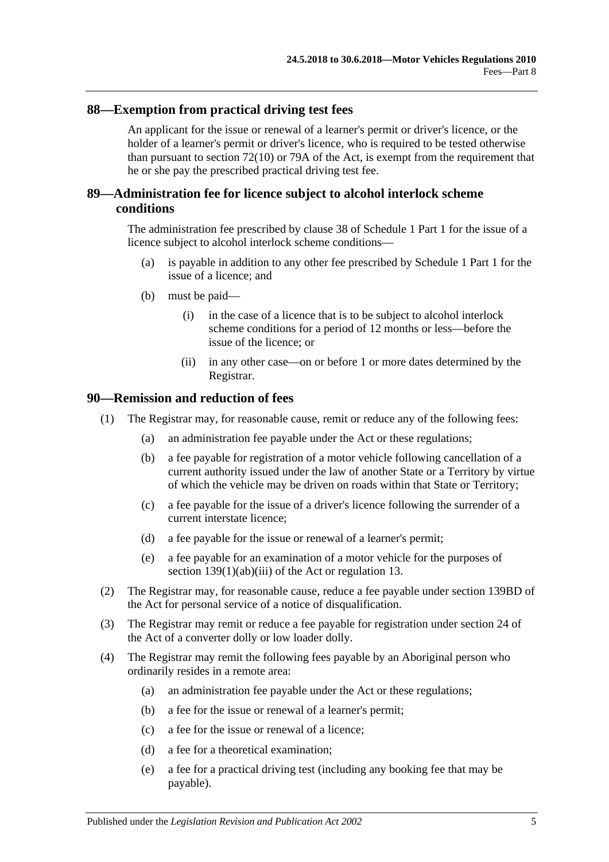# **88—Exemption from practical driving test fees**

An applicant for the issue or renewal of a learner's permit or driver's licence, or the holder of a learner's permit or driver's licence, who is required to be tested otherwise than pursuant to section 72(10) or 79A of the Act, is exempt from the requirement that he or she pay the prescribed practical driving test fee.

## **89—Administration fee for licence subject to alcohol interlock scheme conditions**

The administration fee prescribed by clause 38 of Schedule 1 Part 1 for the issue of a licence subject to alcohol interlock scheme conditions—

- (a) is payable in addition to any other fee prescribed by Schedule 1 Part 1 for the issue of a licence; and
- (b) must be paid—
	- (i) in the case of a licence that is to be subject to alcohol interlock scheme conditions for a period of 12 months or less—before the issue of the licence; or
	- (ii) in any other case—on or before 1 or more dates determined by the Registrar.

#### **90—Remission and reduction of fees**

- (1) The Registrar may, for reasonable cause, remit or reduce any of the following fees:
	- (a) an administration fee payable under the Act or these regulations;
	- (b) a fee payable for registration of a motor vehicle following cancellation of a current authority issued under the law of another State or a Territory by virtue of which the vehicle may be driven on roads within that State or Territory;
	- (c) a fee payable for the issue of a driver's licence following the surrender of a current interstate licence;
	- (d) a fee payable for the issue or renewal of a learner's permit;
	- (e) a fee payable for an examination of a motor vehicle for the purposes of section 139(1)(ab)(iii) of the Act or regulation 13.
- (2) The Registrar may, for reasonable cause, reduce a fee payable under section 139BD of the Act for personal service of a notice of disqualification.
- (3) The Registrar may remit or reduce a fee payable for registration under section 24 of the Act of a converter dolly or low loader dolly.
- (4) The Registrar may remit the following fees payable by an Aboriginal person who ordinarily resides in a remote area:
	- (a) an administration fee payable under the Act or these regulations;
	- (b) a fee for the issue or renewal of a learner's permit;
	- (c) a fee for the issue or renewal of a licence;
	- (d) a fee for a theoretical examination;
	- (e) a fee for a practical driving test (including any booking fee that may be payable).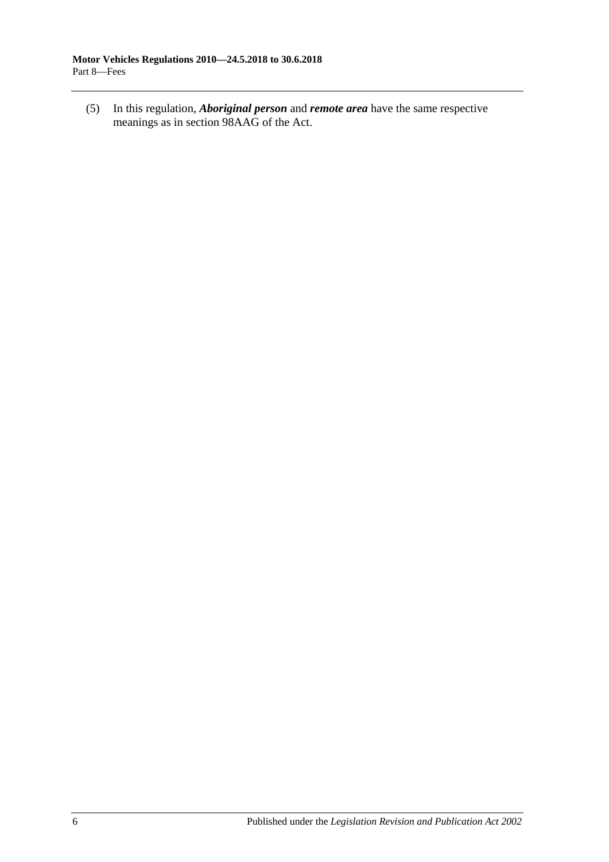(5) In this regulation, *Aboriginal person* and *remote area* have the same respective meanings as in section 98AAG of the Act.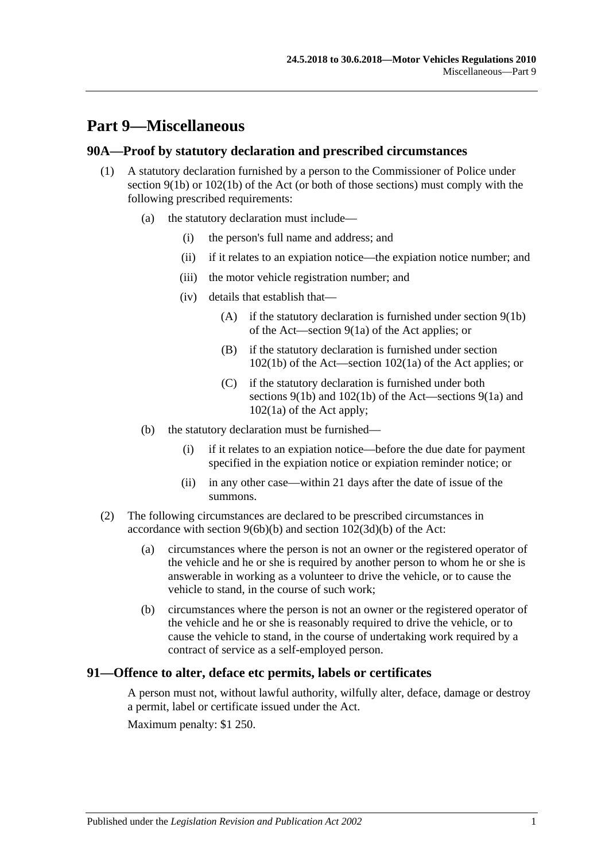# **Part 9—Miscellaneous**

#### **90A—Proof by statutory declaration and prescribed circumstances**

- (1) A statutory declaration furnished by a person to the Commissioner of Police under section  $9(1b)$  or  $102(1b)$  of the Act (or both of those sections) must comply with the following prescribed requirements:
	- (a) the statutory declaration must include—
		- (i) the person's full name and address; and
		- (ii) if it relates to an expiation notice—the expiation notice number; and
		- (iii) the motor vehicle registration number; and
		- (iv) details that establish that—
			- (A) if the statutory declaration is furnished under section 9(1b) of the Act—section 9(1a) of the Act applies; or
			- (B) if the statutory declaration is furnished under section 102(1b) of the Act—section 102(1a) of the Act applies; or
			- (C) if the statutory declaration is furnished under both sections 9(1b) and 102(1b) of the Act—sections 9(1a) and 102(1a) of the Act apply;
	- (b) the statutory declaration must be furnished—
		- (i) if it relates to an expiation notice—before the due date for payment specified in the expiation notice or expiation reminder notice; or
		- (ii) in any other case—within 21 days after the date of issue of the summons.
- (2) The following circumstances are declared to be prescribed circumstances in accordance with section 9(6b)(b) and section 102(3d)(b) of the Act:
	- (a) circumstances where the person is not an owner or the registered operator of the vehicle and he or she is required by another person to whom he or she is answerable in working as a volunteer to drive the vehicle, or to cause the vehicle to stand, in the course of such work;
	- (b) circumstances where the person is not an owner or the registered operator of the vehicle and he or she is reasonably required to drive the vehicle, or to cause the vehicle to stand, in the course of undertaking work required by a contract of service as a self-employed person.

## **91—Offence to alter, deface etc permits, labels or certificates**

A person must not, without lawful authority, wilfully alter, deface, damage or destroy a permit, label or certificate issued under the Act.

Maximum penalty: \$1 250.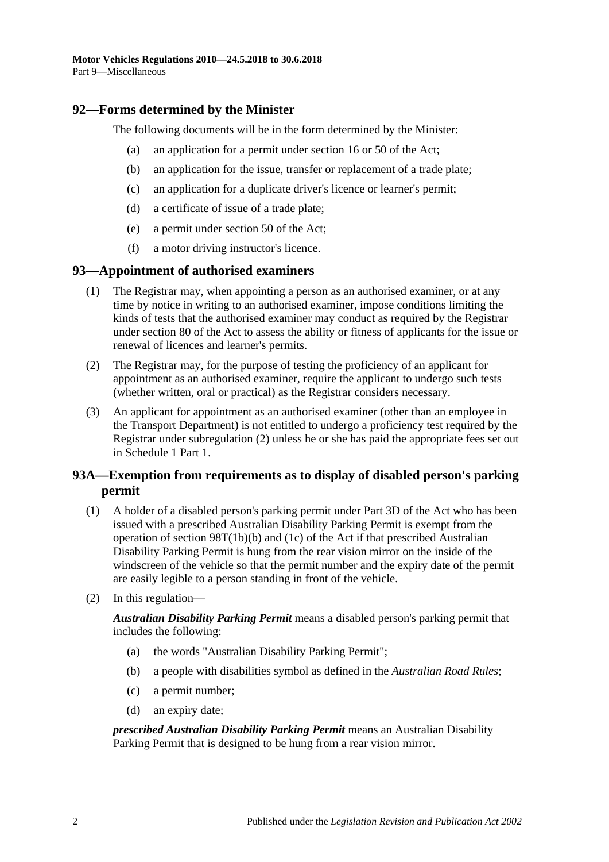#### **92—Forms determined by the Minister**

The following documents will be in the form determined by the Minister:

- (a) an application for a permit under section 16 or 50 of the Act;
- (b) an application for the issue, transfer or replacement of a trade plate;
- (c) an application for a duplicate driver's licence or learner's permit;
- (d) a certificate of issue of a trade plate;
- (e) a permit under section 50 of the Act;
- (f) a motor driving instructor's licence.

#### **93—Appointment of authorised examiners**

- (1) The Registrar may, when appointing a person as an authorised examiner, or at any time by notice in writing to an authorised examiner, impose conditions limiting the kinds of tests that the authorised examiner may conduct as required by the Registrar under section 80 of the Act to assess the ability or fitness of applicants for the issue or renewal of licences and learner's permits.
- <span id="page-61-0"></span>(2) The Registrar may, for the purpose of testing the proficiency of an applicant for appointment as an authorised examiner, require the applicant to undergo such tests (whether written, oral or practical) as the Registrar considers necessary.
- (3) An applicant for appointment as an authorised examiner (other than an employee in the Transport Department) is not entitled to undergo a proficiency test required by the Registrar under [subregulation](#page-61-0) (2) unless he or she has paid the appropriate fees set out in Schedule 1 Part 1.

# **93A—Exemption from requirements as to display of disabled person's parking permit**

- (1) A holder of a disabled person's parking permit under Part 3D of the Act who has been issued with a prescribed Australian Disability Parking Permit is exempt from the operation of section 98T(1b)(b) and (1c) of the Act if that prescribed Australian Disability Parking Permit is hung from the rear vision mirror on the inside of the windscreen of the vehicle so that the permit number and the expiry date of the permit are easily legible to a person standing in front of the vehicle.
- (2) In this regulation—

*Australian Disability Parking Permit* means a disabled person's parking permit that includes the following:

- (a) the words "Australian Disability Parking Permit";
- (b) a people with disabilities symbol as defined in the *[Australian Road Rules](http://www.legislation.sa.gov.au/index.aspx?action=legref&type=subordleg&legtitle=Australian%20Road%20Rules)*;
- (c) a permit number;
- (d) an expiry date;

*prescribed Australian Disability Parking Permit* means an Australian Disability Parking Permit that is designed to be hung from a rear vision mirror.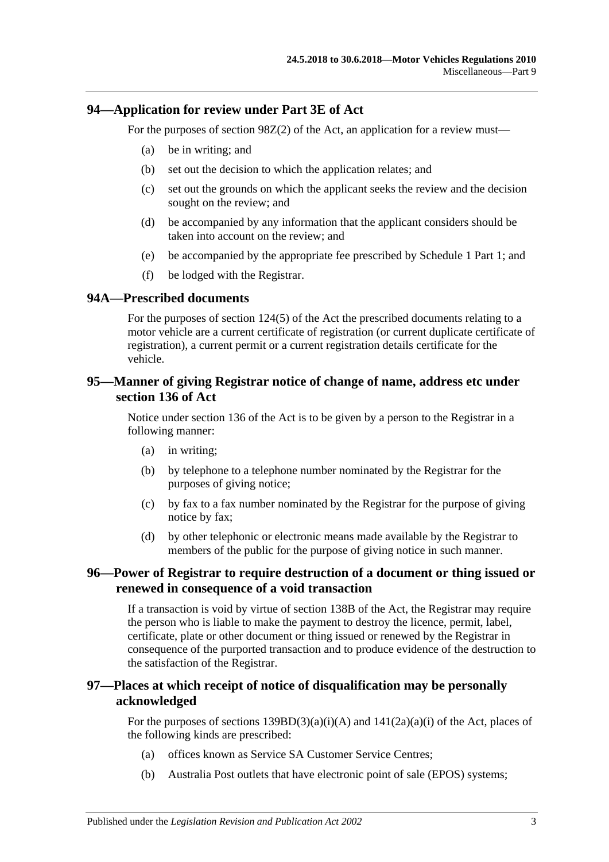#### **94—Application for review under Part 3E of Act**

For the purposes of section 98Z(2) of the Act, an application for a review must—

- (a) be in writing; and
- (b) set out the decision to which the application relates; and
- (c) set out the grounds on which the applicant seeks the review and the decision sought on the review; and
- (d) be accompanied by any information that the applicant considers should be taken into account on the review; and
- (e) be accompanied by the appropriate fee prescribed by Schedule 1 Part 1; and
- (f) be lodged with the Registrar.

#### **94A—Prescribed documents**

For the purposes of section 124(5) of the Act the prescribed documents relating to a motor vehicle are a current certificate of registration (or current duplicate certificate of registration), a current permit or a current registration details certificate for the vehicle.

#### **95—Manner of giving Registrar notice of change of name, address etc under section 136 of Act**

Notice under section 136 of the Act is to be given by a person to the Registrar in a following manner:

- (a) in writing;
- (b) by telephone to a telephone number nominated by the Registrar for the purposes of giving notice;
- (c) by fax to a fax number nominated by the Registrar for the purpose of giving notice by fax;
- (d) by other telephonic or electronic means made available by the Registrar to members of the public for the purpose of giving notice in such manner.

#### **96—Power of Registrar to require destruction of a document or thing issued or renewed in consequence of a void transaction**

If a transaction is void by virtue of section 138B of the Act, the Registrar may require the person who is liable to make the payment to destroy the licence, permit, label, certificate, plate or other document or thing issued or renewed by the Registrar in consequence of the purported transaction and to produce evidence of the destruction to the satisfaction of the Registrar.

# **97—Places at which receipt of notice of disqualification may be personally acknowledged**

For the purposes of sections  $139BD(3)(a)(i)(A)$  and  $141(2a)(a)(i)$  of the Act, places of the following kinds are prescribed:

- (a) offices known as Service SA Customer Service Centres;
- (b) Australia Post outlets that have electronic point of sale (EPOS) systems;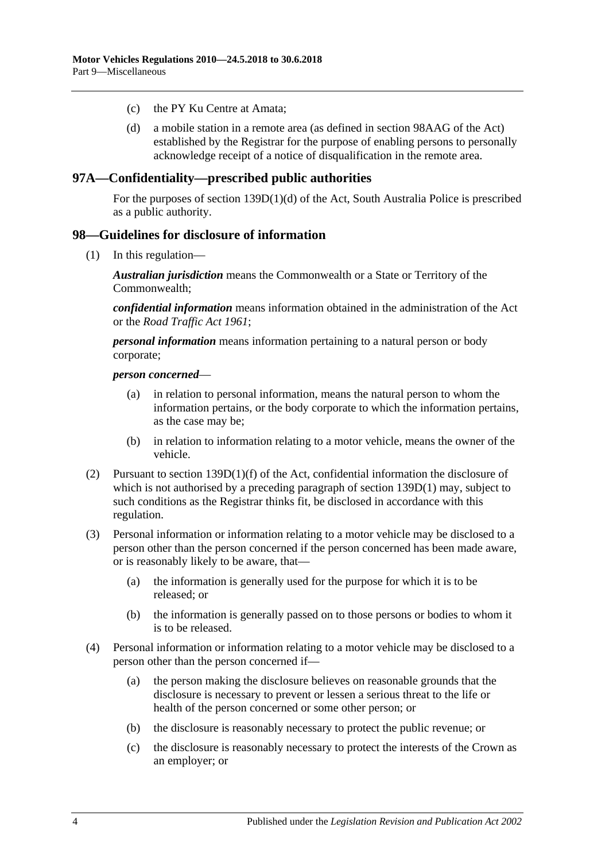- (c) the PY Ku Centre at Amata;
- (d) a mobile station in a remote area (as defined in section 98AAG of the Act) established by the Registrar for the purpose of enabling persons to personally acknowledge receipt of a notice of disqualification in the remote area.

#### **97A—Confidentiality—prescribed public authorities**

For the purposes of section 139D(1)(d) of the Act, South Australia Police is prescribed as a public authority.

#### **98—Guidelines for disclosure of information**

(1) In this regulation—

*Australian jurisdiction* means the Commonwealth or a State or Territory of the Commonwealth;

*confidential information* means information obtained in the administration of the Act or the *[Road Traffic Act](http://www.legislation.sa.gov.au/index.aspx?action=legref&type=act&legtitle=Road%20Traffic%20Act%201961) 1961*;

*personal information* means information pertaining to a natural person or body corporate;

#### *person concerned*—

- (a) in relation to personal information, means the natural person to whom the information pertains, or the body corporate to which the information pertains, as the case may be;
- (b) in relation to information relating to a motor vehicle, means the owner of the vehicle.
- (2) Pursuant to section 139D(1)(f) of the Act, confidential information the disclosure of which is not authorised by a preceding paragraph of section 139D(1) may, subject to such conditions as the Registrar thinks fit, be disclosed in accordance with this regulation.
- (3) Personal information or information relating to a motor vehicle may be disclosed to a person other than the person concerned if the person concerned has been made aware, or is reasonably likely to be aware, that—
	- (a) the information is generally used for the purpose for which it is to be released; or
	- (b) the information is generally passed on to those persons or bodies to whom it is to be released.
- (4) Personal information or information relating to a motor vehicle may be disclosed to a person other than the person concerned if—
	- (a) the person making the disclosure believes on reasonable grounds that the disclosure is necessary to prevent or lessen a serious threat to the life or health of the person concerned or some other person; or
	- (b) the disclosure is reasonably necessary to protect the public revenue; or
	- (c) the disclosure is reasonably necessary to protect the interests of the Crown as an employer; or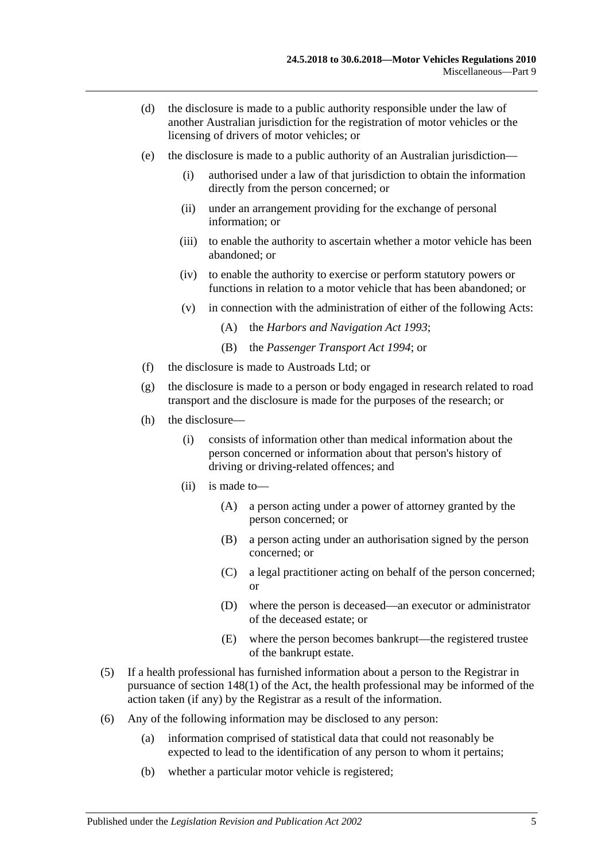- (d) the disclosure is made to a public authority responsible under the law of another Australian jurisdiction for the registration of motor vehicles or the licensing of drivers of motor vehicles; or
- (e) the disclosure is made to a public authority of an Australian jurisdiction—
	- (i) authorised under a law of that jurisdiction to obtain the information directly from the person concerned; or
	- (ii) under an arrangement providing for the exchange of personal information; or
	- (iii) to enable the authority to ascertain whether a motor vehicle has been abandoned; or
	- (iv) to enable the authority to exercise or perform statutory powers or functions in relation to a motor vehicle that has been abandoned; or
	- (v) in connection with the administration of either of the following Acts:
		- (A) the *[Harbors and Navigation Act](http://www.legislation.sa.gov.au/index.aspx?action=legref&type=act&legtitle=Harbors%20and%20Navigation%20Act%201993) 1993*;
		- (B) the *[Passenger Transport Act](http://www.legislation.sa.gov.au/index.aspx?action=legref&type=act&legtitle=Passenger%20Transport%20Act%201994) 1994*; or
- (f) the disclosure is made to Austroads Ltd; or
- (g) the disclosure is made to a person or body engaged in research related to road transport and the disclosure is made for the purposes of the research; or
- (h) the disclosure—
	- (i) consists of information other than medical information about the person concerned or information about that person's history of driving or driving-related offences; and
	- (ii) is made to—
		- (A) a person acting under a power of attorney granted by the person concerned; or
		- (B) a person acting under an authorisation signed by the person concerned; or
		- (C) a legal practitioner acting on behalf of the person concerned; or
		- (D) where the person is deceased—an executor or administrator of the deceased estate; or
		- (E) where the person becomes bankrupt—the registered trustee of the bankrupt estate.
- (5) If a health professional has furnished information about a person to the Registrar in pursuance of section 148(1) of the Act, the health professional may be informed of the action taken (if any) by the Registrar as a result of the information.
- (6) Any of the following information may be disclosed to any person:
	- (a) information comprised of statistical data that could not reasonably be expected to lead to the identification of any person to whom it pertains;
	- (b) whether a particular motor vehicle is registered;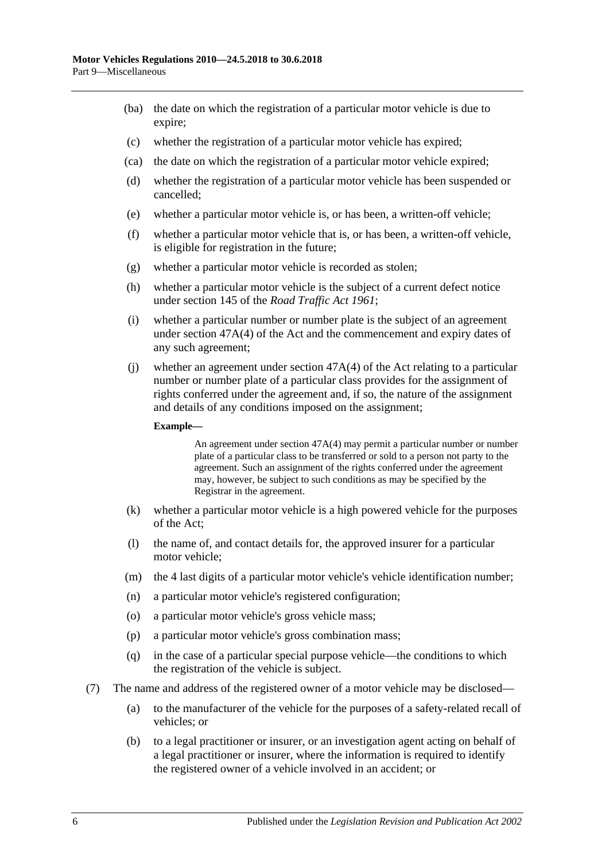- (ba) the date on which the registration of a particular motor vehicle is due to expire;
- (c) whether the registration of a particular motor vehicle has expired;
- (ca) the date on which the registration of a particular motor vehicle expired;
- (d) whether the registration of a particular motor vehicle has been suspended or cancelled;
- (e) whether a particular motor vehicle is, or has been, a written-off vehicle;
- (f) whether a particular motor vehicle that is, or has been, a written-off vehicle, is eligible for registration in the future;
- (g) whether a particular motor vehicle is recorded as stolen;
- (h) whether a particular motor vehicle is the subject of a current defect notice under section 145 of the *[Road Traffic Act](http://www.legislation.sa.gov.au/index.aspx?action=legref&type=act&legtitle=Road%20Traffic%20Act%201961) 1961*;
- (i) whether a particular number or number plate is the subject of an agreement under section 47A(4) of the Act and the commencement and expiry dates of any such agreement;
- (j) whether an agreement under section 47A(4) of the Act relating to a particular number or number plate of a particular class provides for the assignment of rights conferred under the agreement and, if so, the nature of the assignment and details of any conditions imposed on the assignment;

#### **Example—**

An agreement under section 47A(4) may permit a particular number or number plate of a particular class to be transferred or sold to a person not party to the agreement. Such an assignment of the rights conferred under the agreement may, however, be subject to such conditions as may be specified by the Registrar in the agreement.

- (k) whether a particular motor vehicle is a high powered vehicle for the purposes of the Act;
- (l) the name of, and contact details for, the approved insurer for a particular motor vehicle;
- (m) the 4 last digits of a particular motor vehicle's vehicle identification number;
- (n) a particular motor vehicle's registered configuration;
- (o) a particular motor vehicle's gross vehicle mass;
- (p) a particular motor vehicle's gross combination mass;
- (q) in the case of a particular special purpose vehicle—the conditions to which the registration of the vehicle is subject.
- (7) The name and address of the registered owner of a motor vehicle may be disclosed—
	- (a) to the manufacturer of the vehicle for the purposes of a safety-related recall of vehicles; or
	- (b) to a legal practitioner or insurer, or an investigation agent acting on behalf of a legal practitioner or insurer, where the information is required to identify the registered owner of a vehicle involved in an accident; or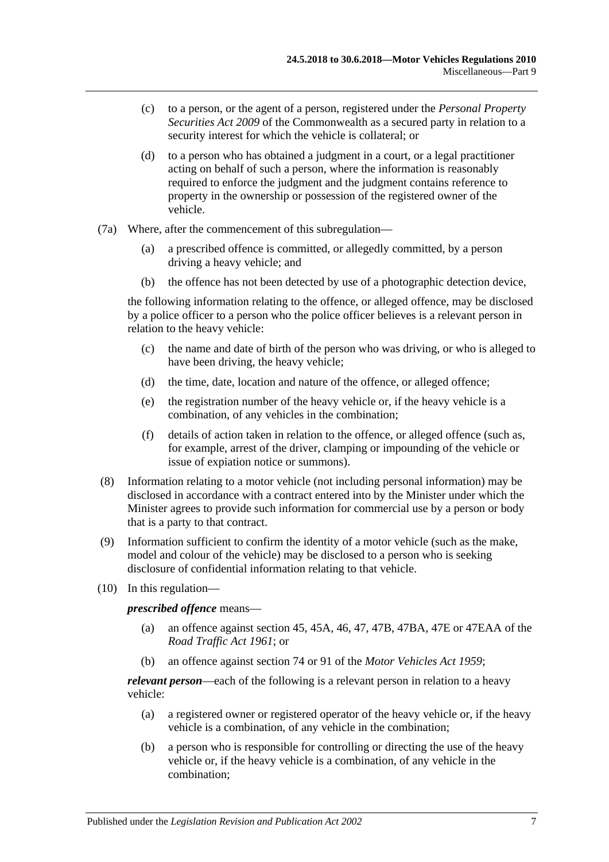- (c) to a person, or the agent of a person, registered under the *Personal Property Securities Act 2009* of the Commonwealth as a secured party in relation to a security interest for which the vehicle is collateral; or
- (d) to a person who has obtained a judgment in a court, or a legal practitioner acting on behalf of such a person, where the information is reasonably required to enforce the judgment and the judgment contains reference to property in the ownership or possession of the registered owner of the vehicle.
- (7a) Where, after the commencement of this subregulation—
	- (a) a prescribed offence is committed, or allegedly committed, by a person driving a heavy vehicle; and
	- (b) the offence has not been detected by use of a photographic detection device,

the following information relating to the offence, or alleged offence, may be disclosed by a police officer to a person who the police officer believes is a relevant person in relation to the heavy vehicle:

- (c) the name and date of birth of the person who was driving, or who is alleged to have been driving, the heavy vehicle;
- (d) the time, date, location and nature of the offence, or alleged offence;
- (e) the registration number of the heavy vehicle or, if the heavy vehicle is a combination, of any vehicles in the combination;
- (f) details of action taken in relation to the offence, or alleged offence (such as, for example, arrest of the driver, clamping or impounding of the vehicle or issue of expiation notice or summons).
- <span id="page-66-0"></span>(8) Information relating to a motor vehicle (not including personal information) may be disclosed in accordance with a contract entered into by the Minister under which the Minister agrees to provide such information for commercial use by a person or body that is a party to that contract.
- (9) Information sufficient to confirm the identity of a motor vehicle (such as the make, model and colour of the vehicle) may be disclosed to a person who is seeking disclosure of confidential information relating to that vehicle.
- (10) In this regulation—

*prescribed offence* means—

- (a) an offence against section 45, 45A, 46, 47, 47B, 47BA, 47E or 47EAA of the *[Road Traffic Act](http://www.legislation.sa.gov.au/index.aspx?action=legref&type=act&legtitle=Road%20Traffic%20Act%201961) 1961*; or
- (b) an offence against section 74 or 91 of the *[Motor Vehicles Act](http://www.legislation.sa.gov.au/index.aspx?action=legref&type=act&legtitle=Motor%20Vehicles%20Act%201959) 1959*;

<span id="page-66-1"></span>*relevant person*—each of the following is a relevant person in relation to a heavy vehicle:

- (a) a registered owner or registered operator of the heavy vehicle or, if the heavy vehicle is a combination, of any vehicle in the combination;
- <span id="page-66-2"></span>(b) a person who is responsible for controlling or directing the use of the heavy vehicle or, if the heavy vehicle is a combination, of any vehicle in the combination;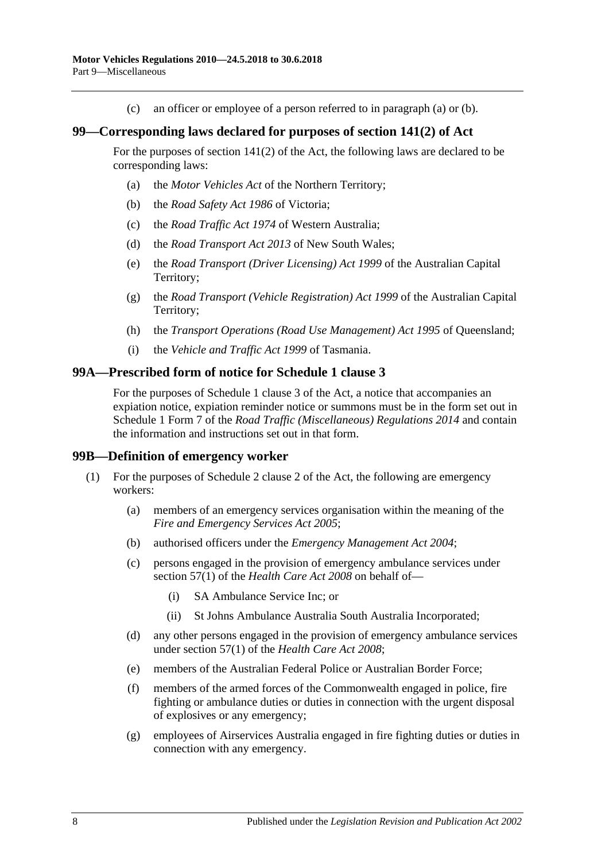(c) an officer or employee of a person referred to in [paragraph](#page-66-1) (a) or [\(b\).](#page-66-2)

#### **99—Corresponding laws declared for purposes of section 141(2) of Act**

For the purposes of section 141(2) of the Act, the following laws are declared to be corresponding laws:

- (a) the *Motor Vehicles Act* of the Northern Territory;
- (b) the *Road Safety Act 1986* of Victoria;
- (c) the *Road Traffic Act 1974* of Western Australia;
- (d) the *Road Transport Act 2013* of New South Wales;
- (e) the *Road Transport (Driver Licensing) Act 1999* of the Australian Capital Territory;
- (g) the *Road Transport (Vehicle Registration) Act 1999* of the Australian Capital Territory;
- (h) the *Transport Operations (Road Use Management) Act 1995* of Queensland;
- (i) the *Vehicle and Traffic Act 1999* of Tasmania.

#### **99A—Prescribed form of notice for Schedule 1 clause 3**

For the purposes of Schedule 1 clause 3 of the Act, a notice that accompanies an expiation notice, expiation reminder notice or summons must be in the form set out in Schedule 1 Form 7 of the *[Road Traffic \(Miscellaneous\) Regulations](http://www.legislation.sa.gov.au/index.aspx?action=legref&type=subordleg&legtitle=Road%20Traffic%20(Miscellaneous)%20Regulations%202014) 2014* and contain the information and instructions set out in that form.

#### **99B—Definition of emergency worker**

- <span id="page-67-0"></span>(1) For the purposes of Schedule 2 clause 2 of the Act, the following are emergency workers:
	- (a) members of an emergency services organisation within the meaning of the *[Fire and Emergency Services Act](http://www.legislation.sa.gov.au/index.aspx?action=legref&type=act&legtitle=Fire%20and%20Emergency%20Services%20Act%202005) 2005*;
	- (b) authorised officers under the *[Emergency Management Act](http://www.legislation.sa.gov.au/index.aspx?action=legref&type=act&legtitle=Emergency%20Management%20Act%202004) 2004*;
	- (c) persons engaged in the provision of emergency ambulance services under section 57(1) of the *[Health Care Act](http://www.legislation.sa.gov.au/index.aspx?action=legref&type=act&legtitle=Health%20Care%20Act%202008) 2008* on behalf of—
		- (i) SA Ambulance Service Inc; or
		- (ii) St Johns Ambulance Australia South Australia Incorporated;
	- (d) any other persons engaged in the provision of emergency ambulance services under section 57(1) of the *[Health Care Act](http://www.legislation.sa.gov.au/index.aspx?action=legref&type=act&legtitle=Health%20Care%20Act%202008) 2008*;
	- (e) members of the Australian Federal Police or Australian Border Force;
	- (f) members of the armed forces of the Commonwealth engaged in police, fire fighting or ambulance duties or duties in connection with the urgent disposal of explosives or any emergency;
	- (g) employees of Airservices Australia engaged in fire fighting duties or duties in connection with any emergency.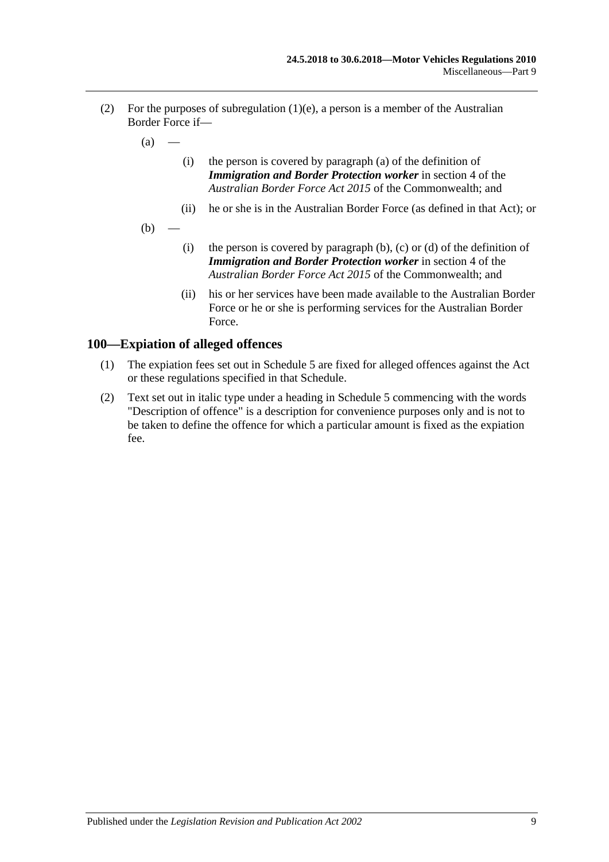- (2) For the purposes of [subregulation](#page-67-0) (1)(e), a person is a member of the Australian Border Force if—
	- $(a)$
- (i) the person is covered by paragraph (a) of the definition of *Immigration and Border Protection worker* in section 4 of the *Australian Border Force Act 2015* of the Commonwealth; and
- (ii) he or she is in the Australian Border Force (as defined in that Act); or
- $(b)$ 
	- (i) the person is covered by paragraph  $(b)$ ,  $(c)$  or  $(d)$  of the definition of *Immigration and Border Protection worker* in section 4 of the *Australian Border Force Act 2015* of the Commonwealth; and
	- (ii) his or her services have been made available to the Australian Border Force or he or she is performing services for the Australian Border Force.

#### **100—Expiation of alleged offences**

- (1) The expiation fees set out in Schedule 5 are fixed for alleged offences against the Act or these regulations specified in that Schedule.
- (2) Text set out in italic type under a heading in Schedule 5 commencing with the words "Description of offence" is a description for convenience purposes only and is not to be taken to define the offence for which a particular amount is fixed as the expiation fee.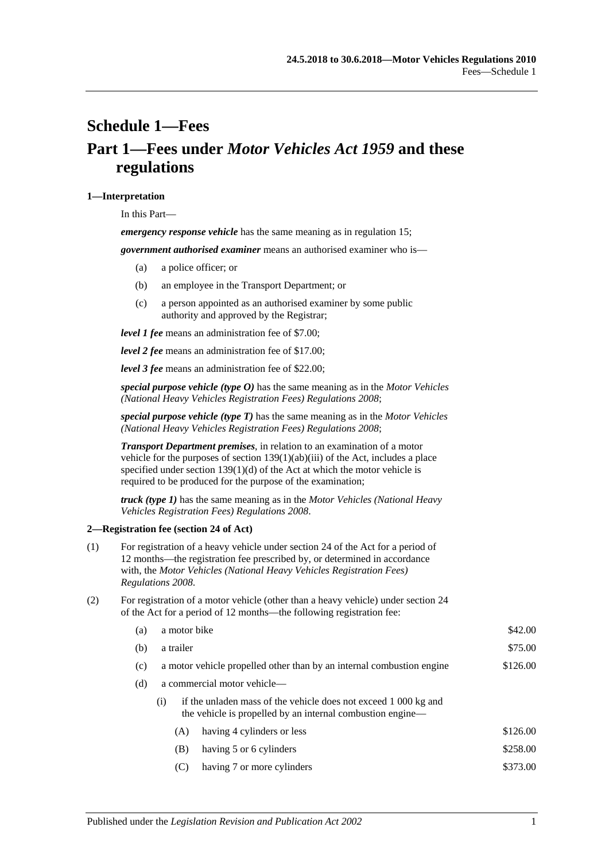# <span id="page-70-0"></span>**Schedule 1—Fees Part 1—Fees under** *Motor Vehicles Act 1959* **and these regulations**

#### **1—Interpretation**

In this Part—

*emergency response vehicle* has the same meaning as in [regulation](#page-16-0) 15;

*government authorised examiner* means an authorised examiner who is—

- (a) a police officer; or
- (b) an employee in the Transport Department; or
- (c) a person appointed as an authorised examiner by some public authority and approved by the Registrar;

*level 1 fee* means an administration fee of \$7.00;

*level 2 fee* means an administration fee of \$17.00;

*level 3 fee* means an administration fee of \$22.00;

*special purpose vehicle (type O)* has the same meaning as in the *[Motor Vehicles](http://www.legislation.sa.gov.au/index.aspx?action=legref&type=subordleg&legtitle=Motor%20Vehicles%20(National%20Heavy%20Vehicles%20Registration%20Fees)%20Regulations%202008)  [\(National Heavy Vehicles Registration Fees\) Regulations](http://www.legislation.sa.gov.au/index.aspx?action=legref&type=subordleg&legtitle=Motor%20Vehicles%20(National%20Heavy%20Vehicles%20Registration%20Fees)%20Regulations%202008) 2008*;

*special purpose vehicle (type T)* has the same meaning as in the *[Motor Vehicles](http://www.legislation.sa.gov.au/index.aspx?action=legref&type=subordleg&legtitle=Motor%20Vehicles%20(National%20Heavy%20Vehicles%20Registration%20Fees)%20Regulations%202008)  [\(National Heavy Vehicles Registration Fees\) Regulations](http://www.legislation.sa.gov.au/index.aspx?action=legref&type=subordleg&legtitle=Motor%20Vehicles%20(National%20Heavy%20Vehicles%20Registration%20Fees)%20Regulations%202008) 2008*;

*Transport Department premises*, in relation to an examination of a motor vehicle for the purposes of section 139(1)(ab)(iii) of the Act, includes a place specified under section  $139(1)(d)$  of the Act at which the motor vehicle is required to be produced for the purpose of the examination;

*truck (type 1)* has the same meaning as in the *[Motor Vehicles \(National Heavy](http://www.legislation.sa.gov.au/index.aspx?action=legref&type=subordleg&legtitle=Motor%20Vehicles%20(National%20Heavy%20Vehicles%20Registration%20Fees)%20Regulations%202008)  [Vehicles Registration Fees\) Regulations](http://www.legislation.sa.gov.au/index.aspx?action=legref&type=subordleg&legtitle=Motor%20Vehicles%20(National%20Heavy%20Vehicles%20Registration%20Fees)%20Regulations%202008) 2008*.

#### **2—Registration fee (section 24 of Act)**

- (1) For registration of a heavy vehicle under section 24 of the Act for a period of 12 months—the registration fee prescribed by, or determined in accordance with, the *[Motor Vehicles \(National Heavy Vehicles Registration Fees\)](http://www.legislation.sa.gov.au/index.aspx?action=legref&type=subordleg&legtitle=Motor%20Vehicles%20(National%20Heavy%20Vehicles%20Registration%20Fees)%20Regulations%202008)  [Regulations](http://www.legislation.sa.gov.au/index.aspx?action=legref&type=subordleg&legtitle=Motor%20Vehicles%20(National%20Heavy%20Vehicles%20Registration%20Fees)%20Regulations%202008) 2008*.
- (2) For registration of a motor vehicle (other than a heavy vehicle) under section 24 of the Act for a period of 12 months—the following registration fee:

| (a) | a motor bike                                                          | \$42.00                                                                                                                       |          |  |
|-----|-----------------------------------------------------------------------|-------------------------------------------------------------------------------------------------------------------------------|----------|--|
| (b) | a trailer                                                             | \$75.00                                                                                                                       |          |  |
| (c) | a motor vehicle propelled other than by an internal combustion engine | \$126.00                                                                                                                      |          |  |
| (d) | a commercial motor vehicle-                                           |                                                                                                                               |          |  |
|     | (i)                                                                   | if the unladen mass of the vehicle does not exceed 1 000 kg and<br>the vehicle is propelled by an internal combustion engine— |          |  |
|     | (A)                                                                   | having 4 cylinders or less                                                                                                    | \$126.00 |  |
|     | (B)                                                                   | having 5 or 6 cylinders                                                                                                       | \$258.00 |  |
|     | (C)                                                                   | having 7 or more cylinders                                                                                                    | \$373.00 |  |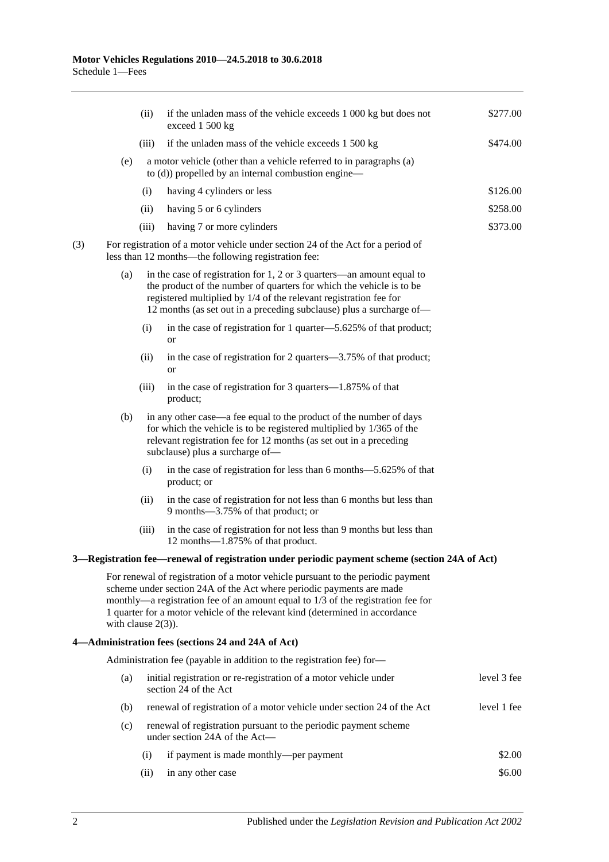|     |                                                                                                         | (ii)                                                                                                                                                                                                                                                  | if the unladen mass of the vehicle exceeds 1 000 kg but does not<br>exceed 1 500 kg                                                                                                                                                                                                                                         | \$277.00 |  |  |  |
|-----|---------------------------------------------------------------------------------------------------------|-------------------------------------------------------------------------------------------------------------------------------------------------------------------------------------------------------------------------------------------------------|-----------------------------------------------------------------------------------------------------------------------------------------------------------------------------------------------------------------------------------------------------------------------------------------------------------------------------|----------|--|--|--|
|     |                                                                                                         | (iii)                                                                                                                                                                                                                                                 | if the unladen mass of the vehicle exceeds 1 500 kg                                                                                                                                                                                                                                                                         | \$474.00 |  |  |  |
|     | (e)                                                                                                     | a motor vehicle (other than a vehicle referred to in paragraphs (a)<br>to (d)) propelled by an internal combustion engine—                                                                                                                            |                                                                                                                                                                                                                                                                                                                             |          |  |  |  |
|     |                                                                                                         | (i)                                                                                                                                                                                                                                                   | having 4 cylinders or less                                                                                                                                                                                                                                                                                                  | \$126.00 |  |  |  |
|     |                                                                                                         | (ii)                                                                                                                                                                                                                                                  | having 5 or 6 cylinders                                                                                                                                                                                                                                                                                                     | \$258.00 |  |  |  |
|     |                                                                                                         | (iii)                                                                                                                                                                                                                                                 | having 7 or more cylinders                                                                                                                                                                                                                                                                                                  | \$373.00 |  |  |  |
| (3) |                                                                                                         | For registration of a motor vehicle under section 24 of the Act for a period of<br>less than 12 months—the following registration fee:                                                                                                                |                                                                                                                                                                                                                                                                                                                             |          |  |  |  |
|     | (a)                                                                                                     |                                                                                                                                                                                                                                                       | in the case of registration for 1, 2 or 3 quarters-an amount equal to<br>the product of the number of quarters for which the vehicle is to be<br>registered multiplied by 1/4 of the relevant registration fee for<br>12 months (as set out in a preceding subclause) plus a surcharge of—                                  |          |  |  |  |
|     |                                                                                                         | (i)                                                                                                                                                                                                                                                   | in the case of registration for 1 quarter—5.625% of that product;<br><b>or</b>                                                                                                                                                                                                                                              |          |  |  |  |
|     |                                                                                                         | (ii)                                                                                                                                                                                                                                                  | in the case of registration for 2 quarters—3.75% of that product;<br><b>or</b>                                                                                                                                                                                                                                              |          |  |  |  |
|     |                                                                                                         | (iii)                                                                                                                                                                                                                                                 | in the case of registration for 3 quarters—1.875% of that<br>product;                                                                                                                                                                                                                                                       |          |  |  |  |
|     | (b)                                                                                                     | in any other case—a fee equal to the product of the number of days<br>for which the vehicle is to be registered multiplied by $1/365$ of the<br>relevant registration fee for 12 months (as set out in a preceding<br>subclause) plus a surcharge of- |                                                                                                                                                                                                                                                                                                                             |          |  |  |  |
|     |                                                                                                         | (i)                                                                                                                                                                                                                                                   | in the case of registration for less than 6 months -5.625% of that<br>product; or                                                                                                                                                                                                                                           |          |  |  |  |
|     |                                                                                                         | (ii)                                                                                                                                                                                                                                                  | in the case of registration for not less than 6 months but less than<br>9 months-3.75% of that product; or                                                                                                                                                                                                                  |          |  |  |  |
|     |                                                                                                         | (iii)                                                                                                                                                                                                                                                 | in the case of registration for not less than 9 months but less than<br>12 months-1.875% of that product.                                                                                                                                                                                                                   |          |  |  |  |
|     |                                                                                                         |                                                                                                                                                                                                                                                       | 3—Registration fee—renewal of registration under periodic payment scheme (section 24A of Act)                                                                                                                                                                                                                               |          |  |  |  |
|     | with clause $2(3)$ ).                                                                                   |                                                                                                                                                                                                                                                       | For renewal of registration of a motor vehicle pursuant to the periodic payment<br>scheme under section 24A of the Act where periodic payments are made<br>monthly-a registration fee of an amount equal to 1/3 of the registration fee for<br>1 quarter for a motor vehicle of the relevant kind (determined in accordance |          |  |  |  |
|     |                                                                                                         |                                                                                                                                                                                                                                                       | 4-Administration fees (sections 24 and 24A of Act)                                                                                                                                                                                                                                                                          |          |  |  |  |
|     | Administration fee (payable in addition to the registration fee) for-                                   |                                                                                                                                                                                                                                                       |                                                                                                                                                                                                                                                                                                                             |          |  |  |  |
|     | (a)                                                                                                     | initial registration or re-registration of a motor vehicle under<br>section 24 of the Act<br>renewal of registration of a motor vehicle under section 24 of the Act<br>(b)                                                                            |                                                                                                                                                                                                                                                                                                                             |          |  |  |  |
|     |                                                                                                         |                                                                                                                                                                                                                                                       |                                                                                                                                                                                                                                                                                                                             |          |  |  |  |
|     | renewal of registration pursuant to the periodic payment scheme<br>(c)<br>under section 24A of the Act- |                                                                                                                                                                                                                                                       |                                                                                                                                                                                                                                                                                                                             |          |  |  |  |
|     |                                                                                                         | (i)                                                                                                                                                                                                                                                   | if payment is made monthly—per payment                                                                                                                                                                                                                                                                                      | \$2.00   |  |  |  |
|     |                                                                                                         | (ii)                                                                                                                                                                                                                                                  | in any other case                                                                                                                                                                                                                                                                                                           | \$6.00   |  |  |  |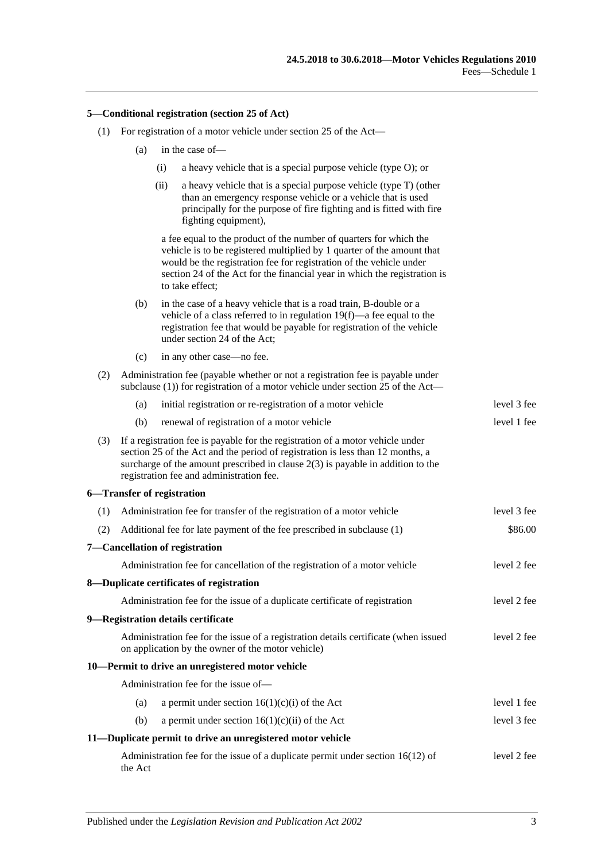#### **5—Conditional registration (section 25 of Act)**

- (1) For registration of a motor vehicle under section 25 of the Act—
	- (a) in the case of—
		- (i) a heavy vehicle that is a special purpose vehicle (type O); or
		- (ii) a heavy vehicle that is a special purpose vehicle (type T) (other than an emergency response vehicle or a vehicle that is used principally for the purpose of fire fighting and is fitted with fire fighting equipment),

a fee equal to the product of the number of quarters for which the vehicle is to be registered multiplied by 1 quarter of the amount that would be the registration fee for registration of the vehicle under section 24 of the Act for the financial year in which the registration is to take effect;

- (b) in the case of a heavy vehicle that is a road train, B-double or a vehicle of a class referred to i[n regulation](#page-19-0) 19(f)—a fee equal to the registration fee that would be payable for registration of the vehicle under section 24 of the Act;
- $\begin{array}{c} \n\text{(c)} \quad \text{in any other case} \quad \text{no for } \n\end{array}$

|     |         | $(C)$ in any other case—no ree.                                                                                                                                                                                                                                                                   |             |
|-----|---------|---------------------------------------------------------------------------------------------------------------------------------------------------------------------------------------------------------------------------------------------------------------------------------------------------|-------------|
| (2) |         | Administration fee (payable whether or not a registration fee is payable under<br>subclause $(1)$ ) for registration of a motor vehicle under section 25 of the Act—                                                                                                                              |             |
|     | (a)     | initial registration or re-registration of a motor vehicle                                                                                                                                                                                                                                        | level 3 fee |
|     | (b)     | renewal of registration of a motor vehicle                                                                                                                                                                                                                                                        | level 1 fee |
| (3) |         | If a registration fee is payable for the registration of a motor vehicle under<br>section 25 of the Act and the period of registration is less than 12 months, a<br>surcharge of the amount prescribed in clause $2(3)$ is payable in addition to the<br>registration fee and administration fee. |             |
|     |         | 6-Transfer of registration                                                                                                                                                                                                                                                                        |             |
| (1) |         | Administration fee for transfer of the registration of a motor vehicle                                                                                                                                                                                                                            | level 3 fee |
| (2) |         | Additional fee for late payment of the fee prescribed in subclause (1)                                                                                                                                                                                                                            | \$86.00     |
|     |         | 7-Cancellation of registration                                                                                                                                                                                                                                                                    |             |
|     |         | Administration fee for cancellation of the registration of a motor vehicle                                                                                                                                                                                                                        | level 2 fee |
|     |         | 8-Duplicate certificates of registration                                                                                                                                                                                                                                                          |             |
|     |         | Administration fee for the issue of a duplicate certificate of registration                                                                                                                                                                                                                       | level 2 fee |
|     |         | 9-Registration details certificate                                                                                                                                                                                                                                                                |             |
|     |         | Administration fee for the issue of a registration details certificate (when issued<br>on application by the owner of the motor vehicle)                                                                                                                                                          | level 2 fee |
|     |         | 10-Permit to drive an unregistered motor vehicle                                                                                                                                                                                                                                                  |             |
|     |         | Administration fee for the issue of-                                                                                                                                                                                                                                                              |             |
|     | (a)     | a permit under section $16(1)(c)(i)$ of the Act                                                                                                                                                                                                                                                   | level 1 fee |
|     | (b)     | a permit under section $16(1)(c)(ii)$ of the Act                                                                                                                                                                                                                                                  | level 3 fee |
|     |         | 11—Duplicate permit to drive an unregistered motor vehicle                                                                                                                                                                                                                                        |             |
|     | the Act | Administration fee for the issue of a duplicate permit under section $16(12)$ of                                                                                                                                                                                                                  | level 2 fee |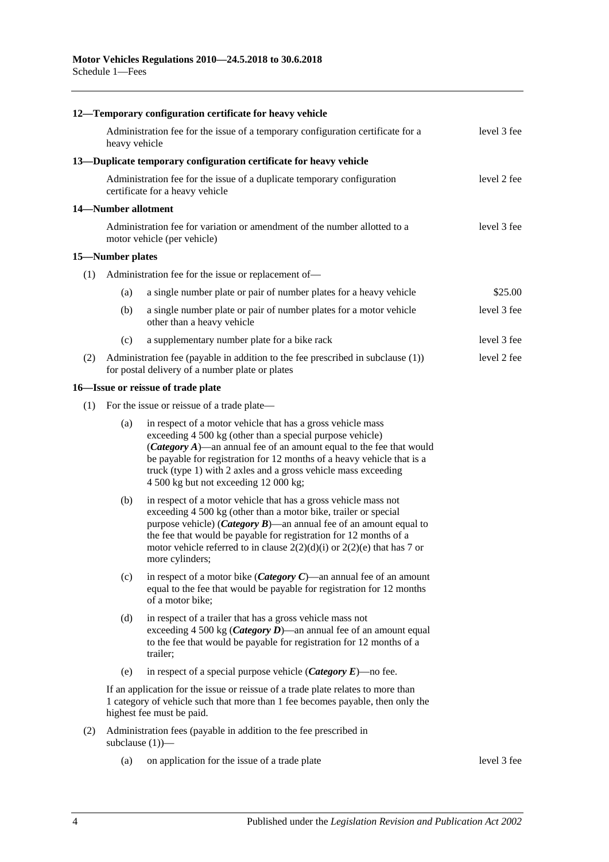|     |                     | 12-Temporary configuration certificate for heavy vehicle                                                                                                                                                                                                                                                                                                                                      |             |
|-----|---------------------|-----------------------------------------------------------------------------------------------------------------------------------------------------------------------------------------------------------------------------------------------------------------------------------------------------------------------------------------------------------------------------------------------|-------------|
|     | heavy vehicle       | Administration fee for the issue of a temporary configuration certificate for a                                                                                                                                                                                                                                                                                                               | level 3 fee |
|     |                     | 13—Duplicate temporary configuration certificate for heavy vehicle                                                                                                                                                                                                                                                                                                                            |             |
|     |                     | Administration fee for the issue of a duplicate temporary configuration<br>certificate for a heavy vehicle                                                                                                                                                                                                                                                                                    | level 2 fee |
|     | 14-Number allotment |                                                                                                                                                                                                                                                                                                                                                                                               |             |
|     |                     | Administration fee for variation or amendment of the number allotted to a<br>motor vehicle (per vehicle)                                                                                                                                                                                                                                                                                      | level 3 fee |
|     | 15-Number plates    |                                                                                                                                                                                                                                                                                                                                                                                               |             |
| (1) |                     | Administration fee for the issue or replacement of-                                                                                                                                                                                                                                                                                                                                           |             |
|     | (a)                 | a single number plate or pair of number plates for a heavy vehicle                                                                                                                                                                                                                                                                                                                            | \$25.00     |
|     | (b)                 | a single number plate or pair of number plates for a motor vehicle<br>other than a heavy vehicle                                                                                                                                                                                                                                                                                              | level 3 fee |
|     | (c)                 | a supplementary number plate for a bike rack                                                                                                                                                                                                                                                                                                                                                  | level 3 fee |
| (2) |                     | Administration fee (payable in addition to the fee prescribed in subclause (1))<br>for postal delivery of a number plate or plates                                                                                                                                                                                                                                                            | level 2 fee |
|     |                     | 16-Issue or reissue of trade plate                                                                                                                                                                                                                                                                                                                                                            |             |
| (1) |                     | For the issue or reissue of a trade plate—                                                                                                                                                                                                                                                                                                                                                    |             |
|     | (a)                 | in respect of a motor vehicle that has a gross vehicle mass<br>exceeding 4 500 kg (other than a special purpose vehicle)<br>( <i>Category A</i> )—an annual fee of an amount equal to the fee that would<br>be payable for registration for 12 months of a heavy vehicle that is a<br>truck (type 1) with 2 axles and a gross vehicle mass exceeding<br>4 500 kg but not exceeding 12 000 kg; |             |
|     | (b)                 | in respect of a motor vehicle that has a gross vehicle mass not<br>exceeding 4 500 kg (other than a motor bike, trailer or special<br>purpose vehicle) ( <i>Category B</i> )—an annual fee of an amount equal to<br>the fee that would be payable for registration for 12 months of a<br>motor vehicle referred to in clause $2(2)(d)(i)$ or $2(2)(e)$ that has 7 or<br>more cylinders:       |             |
|     | (c)                 | in respect of a motor bike ( <i>Category C</i> )—an annual fee of an amount<br>equal to the fee that would be payable for registration for 12 months<br>of a motor bike;                                                                                                                                                                                                                      |             |
|     | (d)                 | in respect of a trailer that has a gross vehicle mass not<br>exceeding 4 500 kg ( <i>Category D</i> )—an annual fee of an amount equal<br>to the fee that would be payable for registration for 12 months of a<br>trailer;                                                                                                                                                                    |             |
|     | (e)                 | in respect of a special purpose vehicle ( <i>Category E</i> )—no fee.                                                                                                                                                                                                                                                                                                                         |             |
|     |                     | If an application for the issue or reissue of a trade plate relates to more than<br>1 category of vehicle such that more than 1 fee becomes payable, then only the<br>highest fee must be paid.                                                                                                                                                                                               |             |
| (2) |                     | Administration fees (payable in addition to the fee prescribed in<br>subclause $(1)$ )—                                                                                                                                                                                                                                                                                                       |             |
|     | (a)                 | on application for the issue of a trade plate                                                                                                                                                                                                                                                                                                                                                 | level 3 fee |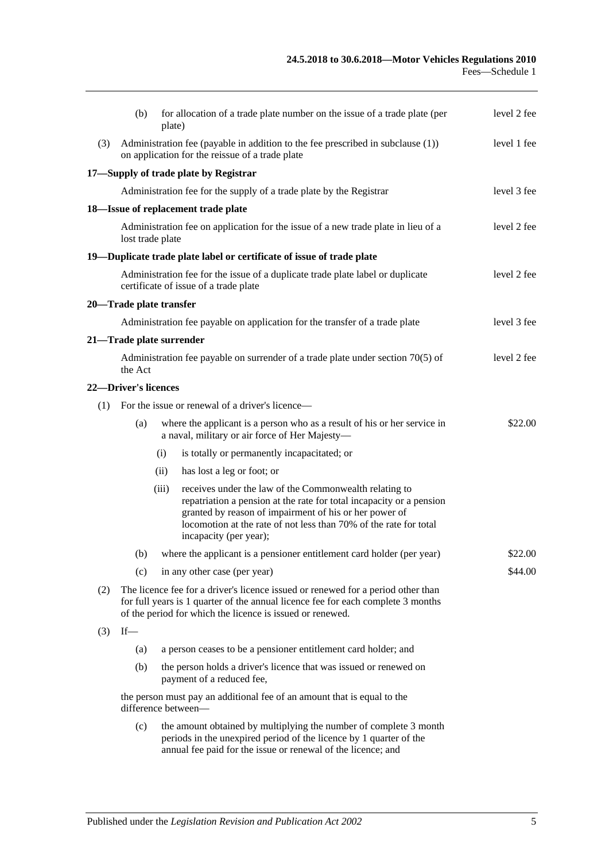|     | (b)                         | plate) | for allocation of a trade plate number on the issue of a trade plate (per                                                                                                                                                                                                               | level 2 fee |
|-----|-----------------------------|--------|-----------------------------------------------------------------------------------------------------------------------------------------------------------------------------------------------------------------------------------------------------------------------------------------|-------------|
| (3) |                             |        | Administration fee (payable in addition to the fee prescribed in subclause (1))<br>on application for the reissue of a trade plate                                                                                                                                                      | level 1 fee |
|     |                             |        | 17-Supply of trade plate by Registrar                                                                                                                                                                                                                                                   |             |
|     |                             |        | Administration fee for the supply of a trade plate by the Registrar                                                                                                                                                                                                                     | level 3 fee |
|     |                             |        | 18-Issue of replacement trade plate                                                                                                                                                                                                                                                     |             |
|     | lost trade plate            |        | Administration fee on application for the issue of a new trade plate in lieu of a                                                                                                                                                                                                       | level 2 fee |
|     |                             |        | 19—Duplicate trade plate label or certificate of issue of trade plate                                                                                                                                                                                                                   |             |
|     |                             |        | Administration fee for the issue of a duplicate trade plate label or duplicate<br>certificate of issue of a trade plate                                                                                                                                                                 | level 2 fee |
|     | 20-Trade plate transfer     |        |                                                                                                                                                                                                                                                                                         |             |
|     |                             |        | Administration fee payable on application for the transfer of a trade plate                                                                                                                                                                                                             | level 3 fee |
|     | 21—Trade plate surrender    |        |                                                                                                                                                                                                                                                                                         |             |
|     | the Act                     |        | Administration fee payable on surrender of a trade plate under section 70(5) of                                                                                                                                                                                                         | level 2 fee |
|     | <b>22-Driver's licences</b> |        |                                                                                                                                                                                                                                                                                         |             |
| (1) |                             |        | For the issue or renewal of a driver's licence—                                                                                                                                                                                                                                         |             |
|     | (a)                         |        | where the applicant is a person who as a result of his or her service in<br>a naval, military or air force of Her Majesty-                                                                                                                                                              | \$22.00     |
|     |                             | (i)    | is totally or permanently incapacitated; or                                                                                                                                                                                                                                             |             |
|     |                             | (ii)   | has lost a leg or foot; or                                                                                                                                                                                                                                                              |             |
|     |                             | (iii)  | receives under the law of the Commonwealth relating to<br>repatriation a pension at the rate for total incapacity or a pension<br>granted by reason of impairment of his or her power of<br>locomotion at the rate of not less than 70% of the rate for total<br>incapacity (per year); |             |
|     |                             |        | (b) where the applicant is a pensioner entitlement card holder (per year)                                                                                                                                                                                                               | \$22.00     |
|     | (c)                         |        | in any other case (per year)                                                                                                                                                                                                                                                            | \$44.00     |
| (2) |                             |        | The licence fee for a driver's licence issued or renewed for a period other than<br>for full years is 1 quarter of the annual licence fee for each complete 3 months<br>of the period for which the licence is issued or renewed.                                                       |             |
| (3) | $If$ —                      |        |                                                                                                                                                                                                                                                                                         |             |
|     | (a)                         |        | a person ceases to be a pensioner entitlement card holder; and                                                                                                                                                                                                                          |             |
|     | (b)                         |        | the person holds a driver's licence that was issued or renewed on<br>payment of a reduced fee,                                                                                                                                                                                          |             |
|     |                             |        | the person must pay an additional fee of an amount that is equal to the<br>difference between-                                                                                                                                                                                          |             |
|     | (c)                         |        | the amount obtained by multiplying the number of complete 3 month<br>periods in the unexpired period of the licence by 1 quarter of the                                                                                                                                                 |             |

annual fee paid for the issue or renewal of the licence; and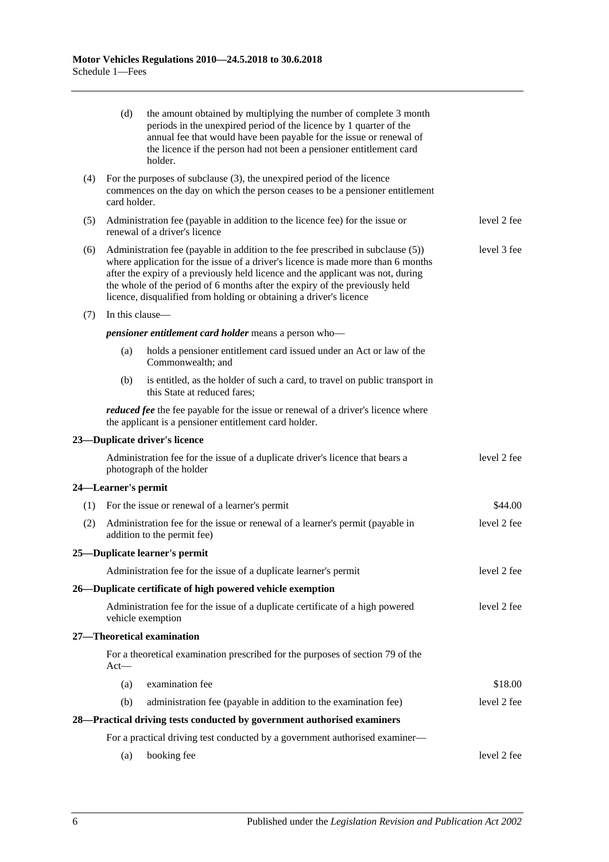|     | (d)                                                                                                                                                                                                                                                                                                                                                                                                                        | the amount obtained by multiplying the number of complete 3 month<br>periods in the unexpired period of the licence by 1 quarter of the<br>annual fee that would have been payable for the issue or renewal of<br>the licence if the person had not been a pensioner entitlement card<br>holder. |             |  |  |
|-----|----------------------------------------------------------------------------------------------------------------------------------------------------------------------------------------------------------------------------------------------------------------------------------------------------------------------------------------------------------------------------------------------------------------------------|--------------------------------------------------------------------------------------------------------------------------------------------------------------------------------------------------------------------------------------------------------------------------------------------------|-------------|--|--|
| (4) | card holder.                                                                                                                                                                                                                                                                                                                                                                                                               | For the purposes of subclause (3), the unexpired period of the licence<br>commences on the day on which the person ceases to be a pensioner entitlement                                                                                                                                          |             |  |  |
| (5) |                                                                                                                                                                                                                                                                                                                                                                                                                            | Administration fee (payable in addition to the licence fee) for the issue or<br>renewal of a driver's licence                                                                                                                                                                                    | level 2 fee |  |  |
| (6) | Administration fee (payable in addition to the fee prescribed in subclause (5))<br>level 3 fee<br>where application for the issue of a driver's licence is made more than 6 months<br>after the expiry of a previously held licence and the applicant was not, during<br>the whole of the period of 6 months after the expiry of the previously held<br>licence, disqualified from holding or obtaining a driver's licence |                                                                                                                                                                                                                                                                                                  |             |  |  |
| (7) | In this clause—                                                                                                                                                                                                                                                                                                                                                                                                            |                                                                                                                                                                                                                                                                                                  |             |  |  |
|     |                                                                                                                                                                                                                                                                                                                                                                                                                            | pensioner entitlement card holder means a person who-                                                                                                                                                                                                                                            |             |  |  |
|     | (a)                                                                                                                                                                                                                                                                                                                                                                                                                        | holds a pensioner entitlement card issued under an Act or law of the<br>Commonwealth; and                                                                                                                                                                                                        |             |  |  |
|     | (b)                                                                                                                                                                                                                                                                                                                                                                                                                        | is entitled, as the holder of such a card, to travel on public transport in<br>this State at reduced fares;                                                                                                                                                                                      |             |  |  |
|     |                                                                                                                                                                                                                                                                                                                                                                                                                            | <i>reduced fee</i> the fee payable for the issue or renewal of a driver's licence where<br>the applicant is a pensioner entitlement card holder.                                                                                                                                                 |             |  |  |
|     |                                                                                                                                                                                                                                                                                                                                                                                                                            | 23-Duplicate driver's licence                                                                                                                                                                                                                                                                    |             |  |  |
|     |                                                                                                                                                                                                                                                                                                                                                                                                                            | Administration fee for the issue of a duplicate driver's licence that bears a<br>photograph of the holder                                                                                                                                                                                        | level 2 fee |  |  |
|     | 24—Learner's permit                                                                                                                                                                                                                                                                                                                                                                                                        |                                                                                                                                                                                                                                                                                                  |             |  |  |
|     |                                                                                                                                                                                                                                                                                                                                                                                                                            | (1) For the issue or renewal of a learner's permit                                                                                                                                                                                                                                               | \$44.00     |  |  |
| (2) |                                                                                                                                                                                                                                                                                                                                                                                                                            | Administration fee for the issue or renewal of a learner's permit (payable in<br>addition to the permit fee)                                                                                                                                                                                     | level 2 fee |  |  |
|     |                                                                                                                                                                                                                                                                                                                                                                                                                            | 25—Duplicate learner's permit                                                                                                                                                                                                                                                                    |             |  |  |
|     |                                                                                                                                                                                                                                                                                                                                                                                                                            | Administration fee for the issue of a duplicate learner's permit                                                                                                                                                                                                                                 | level 2 fee |  |  |
|     |                                                                                                                                                                                                                                                                                                                                                                                                                            | 26—Duplicate certificate of high powered vehicle exemption                                                                                                                                                                                                                                       |             |  |  |
|     |                                                                                                                                                                                                                                                                                                                                                                                                                            | Administration fee for the issue of a duplicate certificate of a high powered<br>vehicle exemption                                                                                                                                                                                               | level 2 fee |  |  |
|     |                                                                                                                                                                                                                                                                                                                                                                                                                            | 27-Theoretical examination                                                                                                                                                                                                                                                                       |             |  |  |
|     | $Act-$                                                                                                                                                                                                                                                                                                                                                                                                                     | For a theoretical examination prescribed for the purposes of section 79 of the                                                                                                                                                                                                                   |             |  |  |
|     | (a)                                                                                                                                                                                                                                                                                                                                                                                                                        | examination fee                                                                                                                                                                                                                                                                                  | \$18.00     |  |  |
|     | (b)                                                                                                                                                                                                                                                                                                                                                                                                                        | administration fee (payable in addition to the examination fee)                                                                                                                                                                                                                                  | level 2 fee |  |  |
|     |                                                                                                                                                                                                                                                                                                                                                                                                                            | 28—Practical driving tests conducted by government authorised examiners                                                                                                                                                                                                                          |             |  |  |
|     |                                                                                                                                                                                                                                                                                                                                                                                                                            | For a practical driving test conducted by a government authorised examiner—                                                                                                                                                                                                                      |             |  |  |
|     | (a)                                                                                                                                                                                                                                                                                                                                                                                                                        | booking fee                                                                                                                                                                                                                                                                                      | level 2 fee |  |  |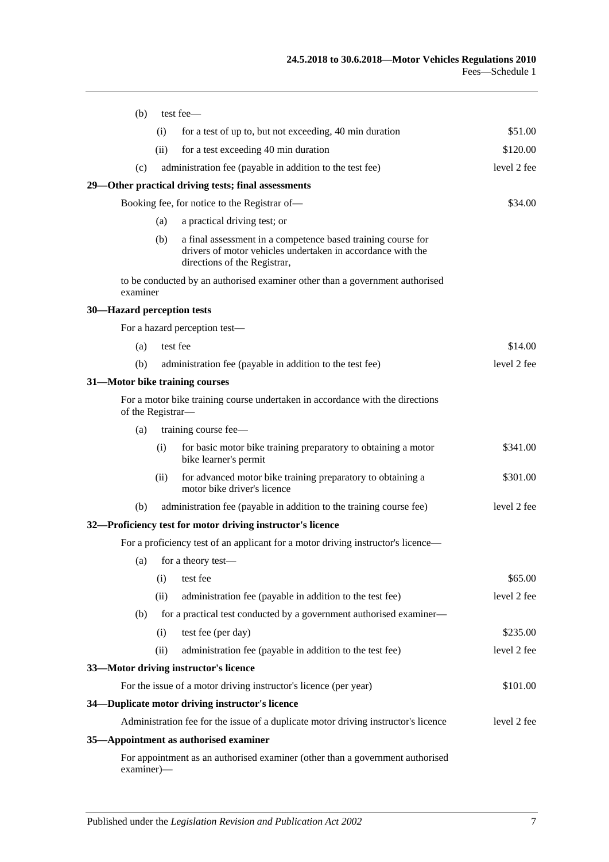| (b)                            |                                                                | test fee-                                                                                                                                                   |             |  |
|--------------------------------|----------------------------------------------------------------|-------------------------------------------------------------------------------------------------------------------------------------------------------------|-------------|--|
|                                | for a test of up to, but not exceeding, 40 min duration<br>(i) |                                                                                                                                                             |             |  |
|                                | (ii)<br>for a test exceeding 40 min duration                   |                                                                                                                                                             |             |  |
| (c)                            |                                                                | administration fee (payable in addition to the test fee)                                                                                                    | level 2 fee |  |
|                                |                                                                | 29—Other practical driving tests; final assessments                                                                                                         |             |  |
|                                |                                                                | Booking fee, for notice to the Registrar of-                                                                                                                | \$34.00     |  |
|                                | (a)                                                            | a practical driving test; or                                                                                                                                |             |  |
|                                | (b)                                                            | a final assessment in a competence based training course for<br>drivers of motor vehicles undertaken in accordance with the<br>directions of the Registrar, |             |  |
| examiner                       |                                                                | to be conducted by an authorised examiner other than a government authorised                                                                                |             |  |
| 30-Hazard perception tests     |                                                                |                                                                                                                                                             |             |  |
|                                |                                                                | For a hazard perception test-                                                                                                                               |             |  |
| (a)                            |                                                                | test fee                                                                                                                                                    | \$14.00     |  |
| (b)                            |                                                                | administration fee (payable in addition to the test fee)                                                                                                    | level 2 fee |  |
| 31-Motor bike training courses |                                                                |                                                                                                                                                             |             |  |
| of the Registrar-              |                                                                | For a motor bike training course undertaken in accordance with the directions                                                                               |             |  |
| (a)                            |                                                                | training course fee-                                                                                                                                        |             |  |
|                                | (i)                                                            | for basic motor bike training preparatory to obtaining a motor<br>bike learner's permit                                                                     | \$341.00    |  |
|                                | (ii)                                                           | for advanced motor bike training preparatory to obtaining a<br>motor bike driver's licence                                                                  | \$301.00    |  |
| (b)                            |                                                                | administration fee (payable in addition to the training course fee)                                                                                         | level 2 fee |  |
|                                |                                                                | 32-Proficiency test for motor driving instructor's licence                                                                                                  |             |  |
|                                |                                                                | For a proficiency test of an applicant for a motor driving instructor's licence—                                                                            |             |  |
|                                |                                                                | (a) for a theory test—                                                                                                                                      |             |  |
|                                | (i)                                                            | test fee                                                                                                                                                    | \$65.00     |  |
|                                | (ii)                                                           | administration fee (payable in addition to the test fee)                                                                                                    | level 2 fee |  |
| (b)                            |                                                                | for a practical test conducted by a government authorised examiner—                                                                                         |             |  |
|                                | (i)                                                            | test fee (per day)                                                                                                                                          | \$235.00    |  |
|                                | (ii)                                                           | administration fee (payable in addition to the test fee)                                                                                                    | level 2 fee |  |
|                                |                                                                | 33-Motor driving instructor's licence                                                                                                                       |             |  |
|                                |                                                                | For the issue of a motor driving instructor's licence (per year)                                                                                            | \$101.00    |  |
|                                |                                                                | 34—Duplicate motor driving instructor's licence                                                                                                             |             |  |
|                                |                                                                | Administration fee for the issue of a duplicate motor driving instructor's licence                                                                          | level 2 fee |  |
|                                |                                                                | 35-Appointment as authorised examiner                                                                                                                       |             |  |
| examiner)-                     |                                                                | For appointment as an authorised examiner (other than a government authorised                                                                               |             |  |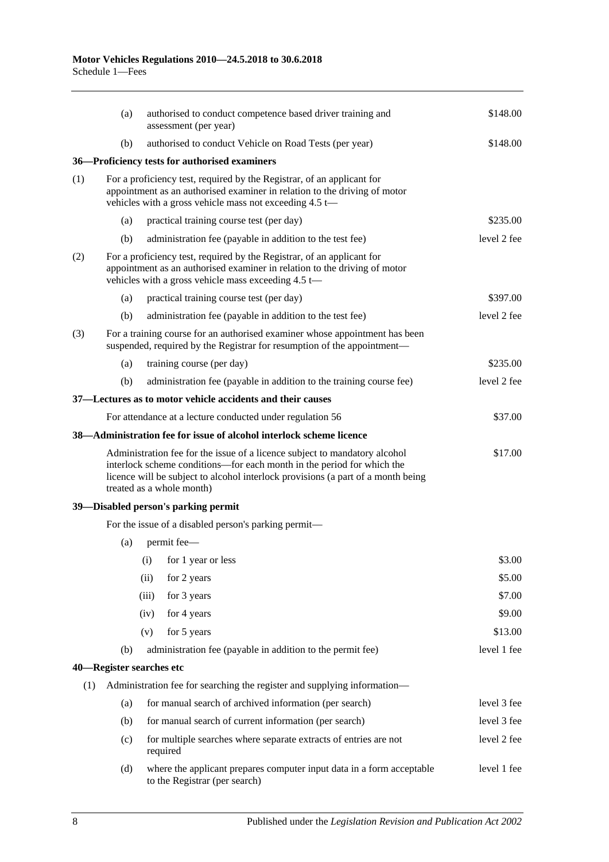|     | (a) | authorised to conduct competence based driver training and<br>assessment (per year)                                                                                                                                                                                   | \$148.00    |
|-----|-----|-----------------------------------------------------------------------------------------------------------------------------------------------------------------------------------------------------------------------------------------------------------------------|-------------|
|     | (b) | authorised to conduct Vehicle on Road Tests (per year)                                                                                                                                                                                                                | \$148.00    |
|     |     | 36-Proficiency tests for authorised examiners                                                                                                                                                                                                                         |             |
| (1) |     | For a proficiency test, required by the Registrar, of an applicant for<br>appointment as an authorised examiner in relation to the driving of motor<br>vehicles with a gross vehicle mass not exceeding 4.5 t-                                                        |             |
|     | (a) | practical training course test (per day)                                                                                                                                                                                                                              | \$235.00    |
|     | (b) | administration fee (payable in addition to the test fee)                                                                                                                                                                                                              | level 2 fee |
| (2) |     | For a proficiency test, required by the Registrar, of an applicant for<br>appointment as an authorised examiner in relation to the driving of motor<br>vehicles with a gross vehicle mass exceeding 4.5 t-                                                            |             |
|     | (a) | practical training course test (per day)                                                                                                                                                                                                                              | \$397.00    |
|     | (b) | administration fee (payable in addition to the test fee)                                                                                                                                                                                                              | level 2 fee |
| (3) |     | For a training course for an authorised examiner whose appointment has been<br>suspended, required by the Registrar for resumption of the appointment—                                                                                                                |             |
|     | (a) | training course (per day)                                                                                                                                                                                                                                             | \$235.00    |
|     | (b) | administration fee (payable in addition to the training course fee)                                                                                                                                                                                                   | level 2 fee |
|     |     | 37—Lectures as to motor vehicle accidents and their causes                                                                                                                                                                                                            |             |
|     |     | For attendance at a lecture conducted under regulation 56                                                                                                                                                                                                             | \$37.00     |
|     |     | 38-Administration fee for issue of alcohol interlock scheme licence                                                                                                                                                                                                   |             |
|     |     | Administration fee for the issue of a licence subject to mandatory alcohol<br>interlock scheme conditions—for each month in the period for which the<br>licence will be subject to alcohol interlock provisions (a part of a month being<br>treated as a whole month) | \$17.00     |
|     |     | 39-Disabled person's parking permit                                                                                                                                                                                                                                   |             |
|     |     | For the issue of a disabled person's parking permit—                                                                                                                                                                                                                  |             |
|     | (a) | permit fee-                                                                                                                                                                                                                                                           |             |
|     |     | (i) for 1 year or less                                                                                                                                                                                                                                                | \$3.00      |
|     |     | (ii)<br>for 2 years                                                                                                                                                                                                                                                   | \$5.00      |
|     |     | (iii)<br>for 3 years                                                                                                                                                                                                                                                  | \$7.00      |
|     |     | (iv)<br>for 4 years                                                                                                                                                                                                                                                   | \$9.00      |
|     |     | for 5 years<br>(v)                                                                                                                                                                                                                                                    | \$13.00     |
|     | (b) | administration fee (payable in addition to the permit fee)                                                                                                                                                                                                            | level 1 fee |
|     |     | 40—Register searches etc                                                                                                                                                                                                                                              |             |
| (1) |     | Administration fee for searching the register and supplying information—                                                                                                                                                                                              |             |
|     | (a) | for manual search of archived information (per search)                                                                                                                                                                                                                | level 3 fee |
|     | (b) | for manual search of current information (per search)                                                                                                                                                                                                                 | level 3 fee |
|     | (c) | for multiple searches where separate extracts of entries are not<br>required                                                                                                                                                                                          | level 2 fee |
|     | (d) | where the applicant prepares computer input data in a form acceptable<br>to the Registrar (per search)                                                                                                                                                                | level 1 fee |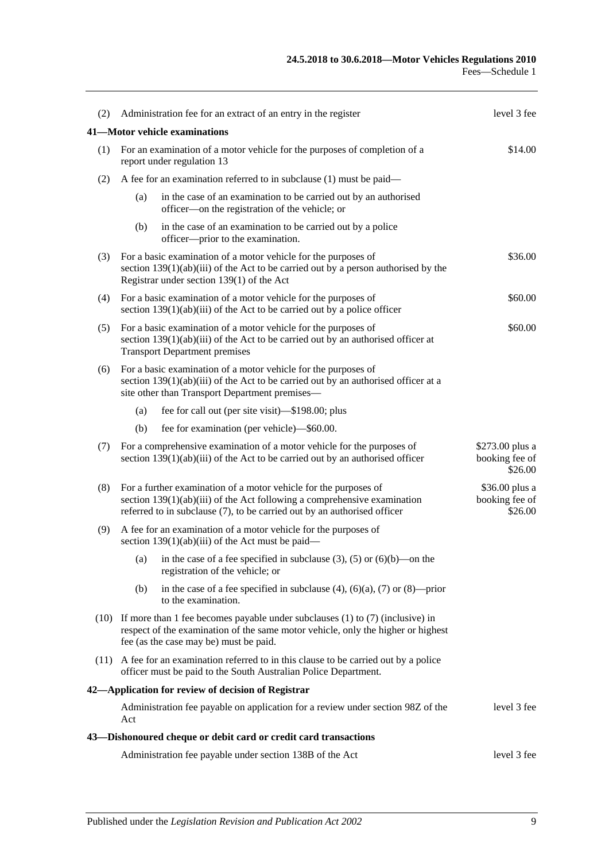| (2) | Administration fee for an extract of an entry in the register       | level 3 fee                                                                                                                                                                                                                |                                              |
|-----|---------------------------------------------------------------------|----------------------------------------------------------------------------------------------------------------------------------------------------------------------------------------------------------------------------|----------------------------------------------|
|     |                                                                     | 41—Motor vehicle examinations                                                                                                                                                                                              |                                              |
|     |                                                                     | (1) For an examination of a motor vehicle for the purposes of completion of a<br>report under regulation 13                                                                                                                | \$14.00                                      |
| (2) | A fee for an examination referred to in subclause (1) must be paid— |                                                                                                                                                                                                                            |                                              |
|     | (a)                                                                 | in the case of an examination to be carried out by an authorised<br>officer—on the registration of the vehicle; or                                                                                                         |                                              |
|     | (b)                                                                 | in the case of an examination to be carried out by a police<br>officer—prior to the examination.                                                                                                                           |                                              |
| (3) |                                                                     | For a basic examination of a motor vehicle for the purposes of<br>section $139(1)(ab)(iii)$ of the Act to be carried out by a person authorised by the<br>Registrar under section 139(1) of the Act                        | \$36.00                                      |
| (4) |                                                                     | For a basic examination of a motor vehicle for the purposes of<br>section $139(1)(ab)(iii)$ of the Act to be carried out by a police officer                                                                               | \$60.00                                      |
| (5) |                                                                     | For a basic examination of a motor vehicle for the purposes of<br>section $139(1)(ab)(iii)$ of the Act to be carried out by an authorised officer at<br><b>Transport Department premises</b>                               | \$60.00                                      |
| (6) |                                                                     | For a basic examination of a motor vehicle for the purposes of<br>section $139(1)(ab)(iii)$ of the Act to be carried out by an authorised officer at a<br>site other than Transport Department premises—                   |                                              |
|     | (a)                                                                 | fee for call out (per site visit)—\$198.00; plus                                                                                                                                                                           |                                              |
|     | (b)                                                                 | fee for examination (per vehicle)—\$60.00.                                                                                                                                                                                 |                                              |
| (7) |                                                                     | For a comprehensive examination of a motor vehicle for the purposes of<br>section $139(1)(ab)(iii)$ of the Act to be carried out by an authorised officer                                                                  | \$273.00 plus a<br>booking fee of<br>\$26.00 |
| (8) |                                                                     | For a further examination of a motor vehicle for the purposes of<br>section $139(1)(ab)(iii)$ of the Act following a comprehensive examination<br>referred to in subclause (7), to be carried out by an authorised officer | \$36.00 plus a<br>booking fee of<br>\$26.00  |
| (9) |                                                                     | A fee for an examination of a motor vehicle for the purposes of<br>section $139(1)(ab)(iii)$ of the Act must be paid—                                                                                                      |                                              |
|     |                                                                     | (a) in the case of a fee specified in subclause (3), (5) or $(6)(b)$ —on the<br>registration of the vehicle; or                                                                                                            |                                              |
|     | (b)                                                                 | in the case of a fee specified in subclause $(4)$ , $(6)(a)$ , $(7)$ or $(8)$ —prior<br>to the examination.                                                                                                                |                                              |
|     |                                                                     | $(10)$ If more than 1 fee becomes payable under subclauses $(1)$ to $(7)$ (inclusive) in<br>respect of the examination of the same motor vehicle, only the higher or highest<br>fee (as the case may be) must be paid.     |                                              |
|     |                                                                     | (11) A fee for an examination referred to in this clause to be carried out by a police<br>officer must be paid to the South Australian Police Department.                                                                  |                                              |
|     |                                                                     | 42—Application for review of decision of Registrar                                                                                                                                                                         |                                              |
|     | Act                                                                 | Administration fee payable on application for a review under section 98Z of the                                                                                                                                            | level 3 fee                                  |
|     |                                                                     | 43-Dishonoured cheque or debit card or credit card transactions                                                                                                                                                            |                                              |
|     |                                                                     | Administration fee payable under section 138B of the Act                                                                                                                                                                   | level 3 fee                                  |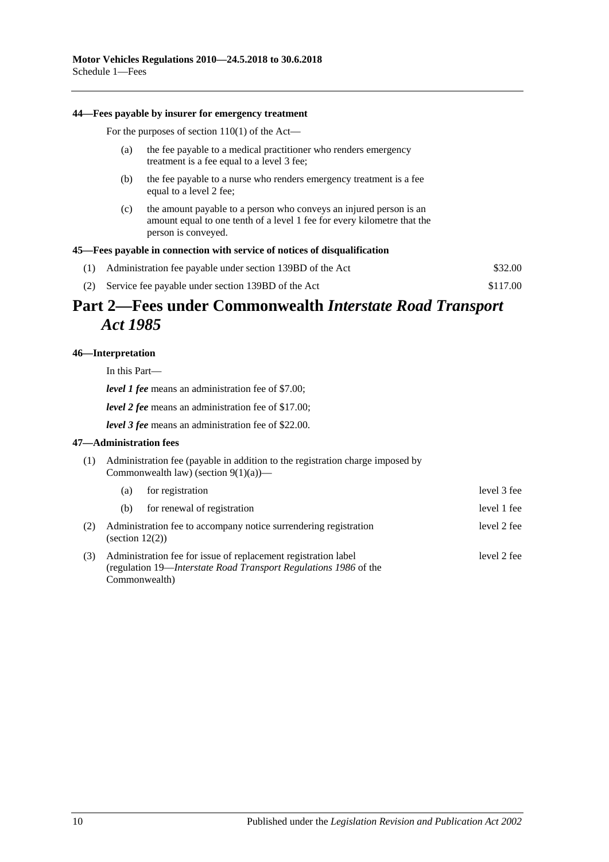#### **44—Fees payable by insurer for emergency treatment**

For the purposes of section 110(1) of the Act—

- (a) the fee payable to a medical practitioner who renders emergency treatment is a fee equal to a level 3 fee;
- (b) the fee payable to a nurse who renders emergency treatment is a fee equal to a level 2 fee;
- (c) the amount payable to a person who conveys an injured person is an amount equal to one tenth of a level 1 fee for every kilometre that the person is conveyed.

#### **45—Fees payable in connection with service of notices of disqualification**

| (1) Administration fee payable under section 139BD of the Act | \$32.00  |
|---------------------------------------------------------------|----------|
| (2) Service fee payable under section 139BD of the Act        | \$117.00 |

## **Part 2—Fees under Commonwealth** *Interstate Road Transport Act 1985*

### **46—Interpretation**

In this Part—

*level 1 fee* means an administration fee of \$7.00;

*level 2 fee* means an administration fee of \$17.00;

*level 3 fee* means an administration fee of \$22.00.

#### **47—Administration fees**

(1) Administration fee (payable in addition to the registration charge imposed by Commonwealth law) (section  $9(1)(a)$ )—

|     | (a)                | for registration                                                                                                                                    | level 3 fee |
|-----|--------------------|-----------------------------------------------------------------------------------------------------------------------------------------------------|-------------|
|     | (b)                | for renewal of registration                                                                                                                         | level 1 fee |
| (2) | (section $12(2)$ ) | Administration fee to accompany notice surrendering registration                                                                                    | level 2 fee |
| (3) |                    | Administration fee for issue of replacement registration label<br>(regulation 19—Interstate Road Transport Regulations 1986 of the<br>Commonwealth) | level 2 fee |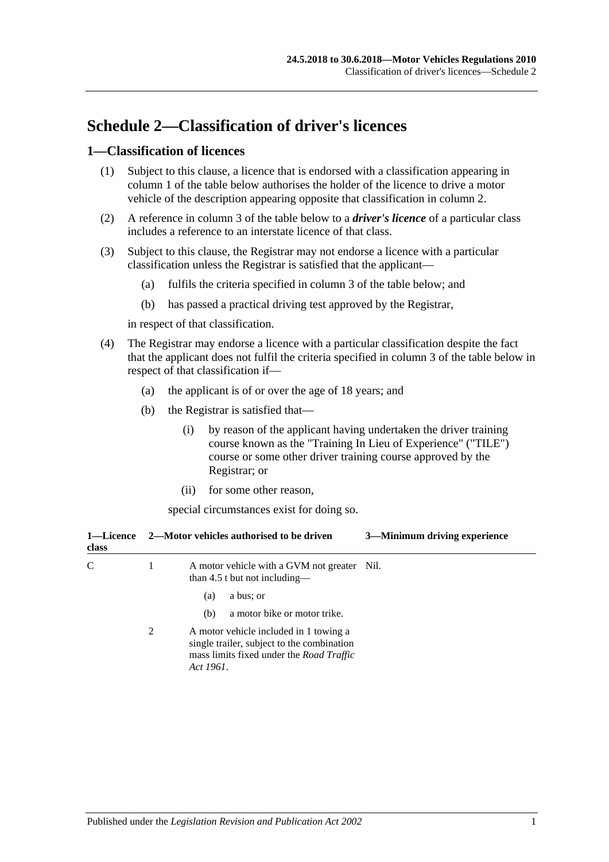# **Schedule 2—Classification of driver's licences**

### **1—Classification of licences**

- (1) Subject to this clause, a licence that is endorsed with a classification appearing in column 1 of the table below authorises the holder of the licence to drive a motor vehicle of the description appearing opposite that classification in column 2.
- (2) A reference in column 3 of the table below to a *driver's licence* of a particular class includes a reference to an interstate licence of that class.
- (3) Subject to this clause, the Registrar may not endorse a licence with a particular classification unless the Registrar is satisfied that the applicant—
	- (a) fulfils the criteria specified in column 3 of the table below; and
	- (b) has passed a practical driving test approved by the Registrar,

in respect of that classification.

- (4) The Registrar may endorse a licence with a particular classification despite the fact that the applicant does not fulfil the criteria specified in column 3 of the table below in respect of that classification if—
	- (a) the applicant is of or over the age of 18 years; and
	- (b) the Registrar is satisfied that—
		- (i) by reason of the applicant having undertaken the driver training course known as the "Training In Lieu of Experience" ("TILE") course or some other driver training course approved by the Registrar; or
		- (ii) for some other reason,

special circumstances exist for doing so.

| class |   | 3—Minimum driving experience<br>1—Licence 2—Motor vehicles authorised to be driven                                                                   |  |
|-------|---|------------------------------------------------------------------------------------------------------------------------------------------------------|--|
| C     | 1 | A motor vehicle with a GVM not greater Nil.<br>than 4.5 t but not including—                                                                         |  |
|       |   | a bus; or<br>(a)                                                                                                                                     |  |
|       |   | a motor bike or motor trike.<br>(b)                                                                                                                  |  |
|       | 2 | A motor vehicle included in 1 towing a<br>single trailer, subject to the combination<br>mass limits fixed under the <i>Road Traffic</i><br>Act 1961. |  |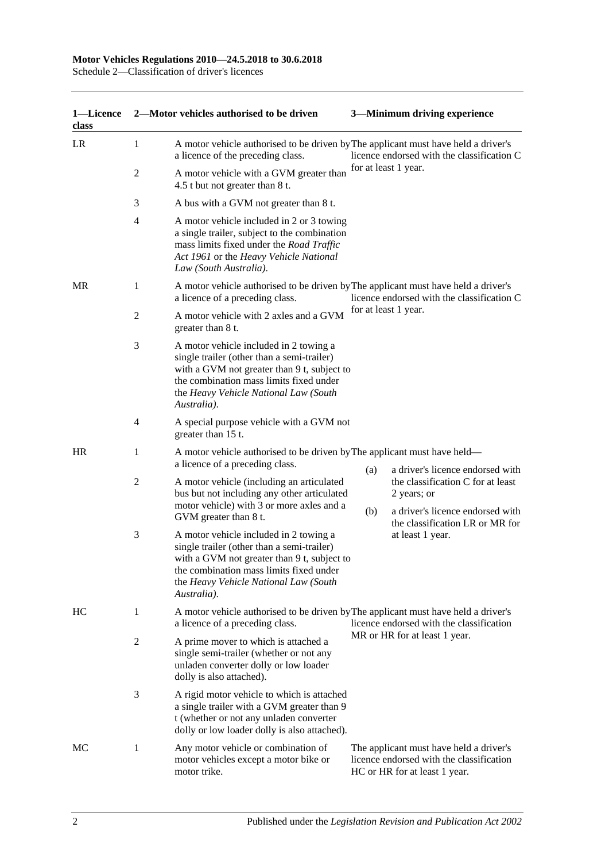Schedule 2—Classification of driver's licences

| 1-Licence<br>class |                | 2-Motor vehicles authorised to be driven                                                                                                                                                                                                                        |                                            | 3-Minimum driving experience                                                                                         |
|--------------------|----------------|-----------------------------------------------------------------------------------------------------------------------------------------------------------------------------------------------------------------------------------------------------------------|--------------------------------------------|----------------------------------------------------------------------------------------------------------------------|
| LR                 | 1              | A motor vehicle authorised to be driven by The applicant must have held a driver's<br>a licence of the preceding class.                                                                                                                                         |                                            | licence endorsed with the classification C                                                                           |
|                    | 2              | A motor vehicle with a GVM greater than<br>4.5 t but not greater than 8 t.                                                                                                                                                                                      | for at least 1 year.                       |                                                                                                                      |
|                    | 3              | A bus with a GVM not greater than 8 t.                                                                                                                                                                                                                          |                                            |                                                                                                                      |
|                    | $\overline{4}$ | A motor vehicle included in 2 or 3 towing<br>a single trailer, subject to the combination<br>mass limits fixed under the Road Traffic<br>Act 1961 or the Heavy Vehicle National<br>Law (South Australia).                                                       |                                            |                                                                                                                      |
| MR                 | 1              | A motor vehicle authorised to be driven by The applicant must have held a driver's<br>a licence of a preceding class.                                                                                                                                           | licence endorsed with the classification C |                                                                                                                      |
|                    | 2              | A motor vehicle with 2 axles and a GVM<br>greater than 8 t.                                                                                                                                                                                                     |                                            | for at least 1 year.                                                                                                 |
|                    | 3              | A motor vehicle included in 2 towing a<br>single trailer (other than a semi-trailer)<br>with a GVM not greater than 9 t, subject to<br>the combination mass limits fixed under<br>the Heavy Vehicle National Law (South<br>Australia).                          |                                            |                                                                                                                      |
|                    | 4              | A special purpose vehicle with a GVM not<br>greater than 15 t.                                                                                                                                                                                                  |                                            |                                                                                                                      |
| <b>HR</b>          | 1              | A motor vehicle authorised to be driven by The applicant must have held—<br>a licence of a preceding class.                                                                                                                                                     |                                            | a driver's licence endorsed with                                                                                     |
|                    | 2              | A motor vehicle (including an articulated<br>bus but not including any other articulated<br>motor vehicle) with 3 or more axles and a                                                                                                                           | (a)<br>(b)                                 | the classification C for at least<br>2 years; or<br>a driver's licence endorsed with                                 |
|                    | 3              | GVM greater than 8 t.<br>A motor vehicle included in 2 towing a<br>single trailer (other than a semi-trailer)<br>with a GVM not greater than 9 t, subject to<br>the combination mass limits fixed under<br>the Heavy Vehicle National Law (South<br>Australia). |                                            | the classification LR or MR for<br>at least 1 year.                                                                  |
| HС                 | 1              | A motor vehicle authorised to be driven by The applicant must have held a driver's<br>a licence of a preceding class.                                                                                                                                           | licence endorsed with the classification   |                                                                                                                      |
|                    | 2              | A prime mover to which is attached a<br>single semi-trailer (whether or not any<br>unladen converter dolly or low loader<br>dolly is also attached).                                                                                                            |                                            | MR or HR for at least 1 year.                                                                                        |
|                    | 3              | A rigid motor vehicle to which is attached<br>a single trailer with a GVM greater than 9<br>t (whether or not any unladen converter<br>dolly or low loader dolly is also attached).                                                                             |                                            |                                                                                                                      |
| МC                 | 1              | Any motor vehicle or combination of<br>motor vehicles except a motor bike or<br>motor trike.                                                                                                                                                                    |                                            | The applicant must have held a driver's<br>licence endorsed with the classification<br>HC or HR for at least 1 year. |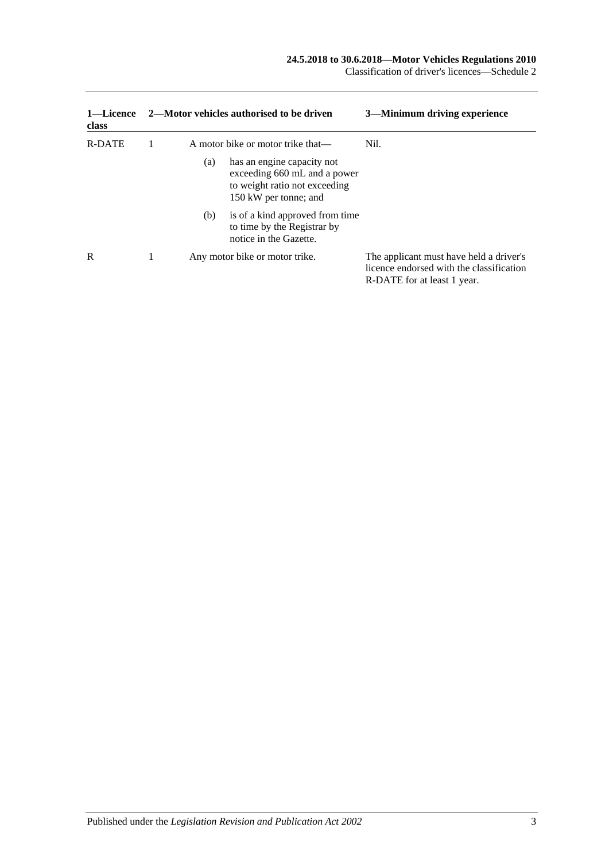| 1—Licence<br>class | 2—Motor vehicles authorised to be driven |     |                                                                                                                      | 3—Minimum driving experience                                                                                       |  |
|--------------------|------------------------------------------|-----|----------------------------------------------------------------------------------------------------------------------|--------------------------------------------------------------------------------------------------------------------|--|
| R-DATE             |                                          |     | A motor bike or motor trike that—                                                                                    | Nil.                                                                                                               |  |
|                    |                                          | (a) | has an engine capacity not<br>exceeding 660 mL and a power<br>to weight ratio not exceeding<br>150 kW per tonne; and |                                                                                                                    |  |
|                    |                                          | (b) | is of a kind approved from time<br>to time by the Registrar by<br>notice in the Gazette.                             |                                                                                                                    |  |
| R                  |                                          |     | Any motor bike or motor trike.                                                                                       | The applicant must have held a driver's<br>licence endorsed with the classification<br>R-DATE for at least 1 year. |  |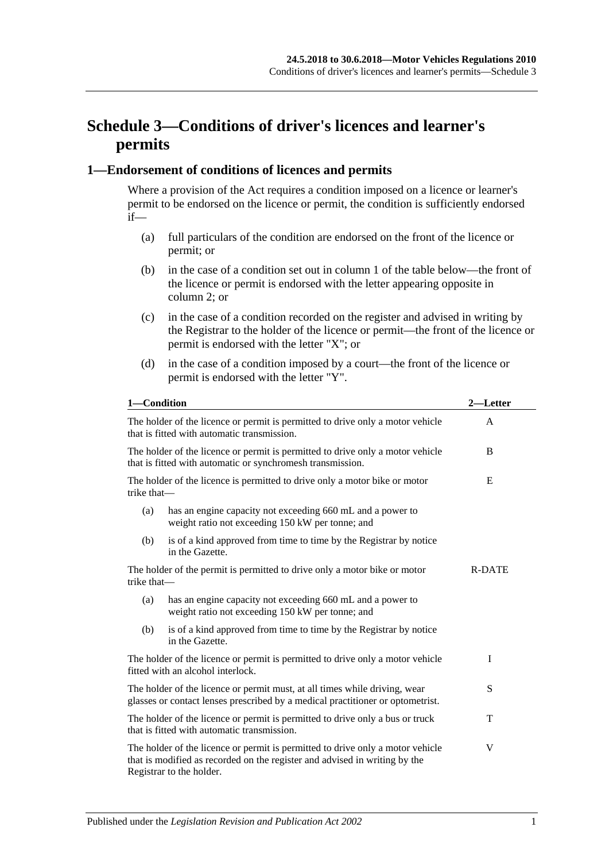# **Schedule 3—Conditions of driver's licences and learner's permits**

### **1—Endorsement of conditions of licences and permits**

Where a provision of the Act requires a condition imposed on a licence or learner's permit to be endorsed on the licence or permit, the condition is sufficiently endorsed if—

- (a) full particulars of the condition are endorsed on the front of the licence or permit; or
- (b) in the case of a condition set out in column 1 of the table below—the front of the licence or permit is endorsed with the letter appearing opposite in column 2; or
- (c) in the case of a condition recorded on the register and advised in writing by the Registrar to the holder of the licence or permit—the front of the licence or permit is endorsed with the letter "X"; or
- (d) in the case of a condition imposed by a court—the front of the licence or permit is endorsed with the letter "Y".

| 1-Condition                                                                                                                                                                              |                                                                                                                                              | $2-$<br>—Letter |
|------------------------------------------------------------------------------------------------------------------------------------------------------------------------------------------|----------------------------------------------------------------------------------------------------------------------------------------------|-----------------|
| The holder of the licence or permit is permitted to drive only a motor vehicle<br>that is fitted with automatic transmission.                                                            |                                                                                                                                              | A               |
|                                                                                                                                                                                          | The holder of the licence or permit is permitted to drive only a motor vehicle<br>that is fitted with automatic or synchromesh transmission. | B               |
| trike that-                                                                                                                                                                              | The holder of the licence is permitted to drive only a motor bike or motor                                                                   | E               |
| (a)                                                                                                                                                                                      | has an engine capacity not exceeding 660 mL and a power to<br>weight ratio not exceeding 150 kW per tonne; and                               |                 |
| (b)                                                                                                                                                                                      | is of a kind approved from time to time by the Registrar by notice<br>in the Gazette.                                                        |                 |
| The holder of the permit is permitted to drive only a motor bike or motor<br>trike that-                                                                                                 |                                                                                                                                              | R-DATE          |
| (a)                                                                                                                                                                                      | has an engine capacity not exceeding 660 mL and a power to<br>weight ratio not exceeding 150 kW per tonne; and                               |                 |
| (b)                                                                                                                                                                                      | is of a kind approved from time to time by the Registrar by notice<br>in the Gazette.                                                        |                 |
| The holder of the licence or permit is permitted to drive only a motor vehicle<br>fitted with an alcohol interlock.                                                                      |                                                                                                                                              | $\mathbf I$     |
| The holder of the licence or permit must, at all times while driving, wear<br>glasses or contact lenses prescribed by a medical practitioner or optometrist.                             |                                                                                                                                              | S               |
| The holder of the licence or permit is permitted to drive only a bus or truck<br>that is fitted with automatic transmission.                                                             |                                                                                                                                              | T               |
| The holder of the licence or permit is permitted to drive only a motor vehicle<br>that is modified as recorded on the register and advised in writing by the<br>Registrar to the holder. |                                                                                                                                              | V               |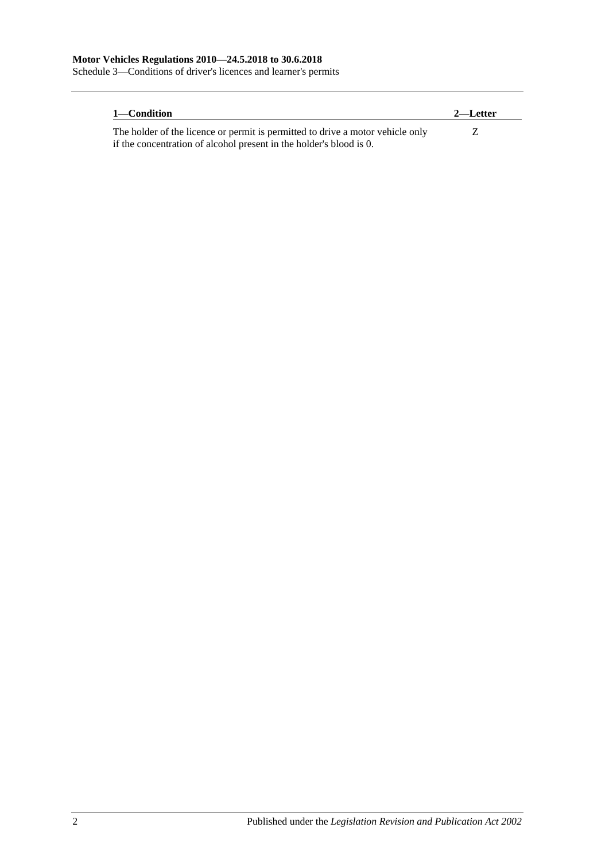Schedule 3—Conditions of driver's licences and learner's permits

| 1—Condition                                                                    | 2—Letter |
|--------------------------------------------------------------------------------|----------|
| The holder of the licence or permit is permitted to drive a motor vehicle only |          |
| if the concentration of alcohol present in the holder's blood is 0.            |          |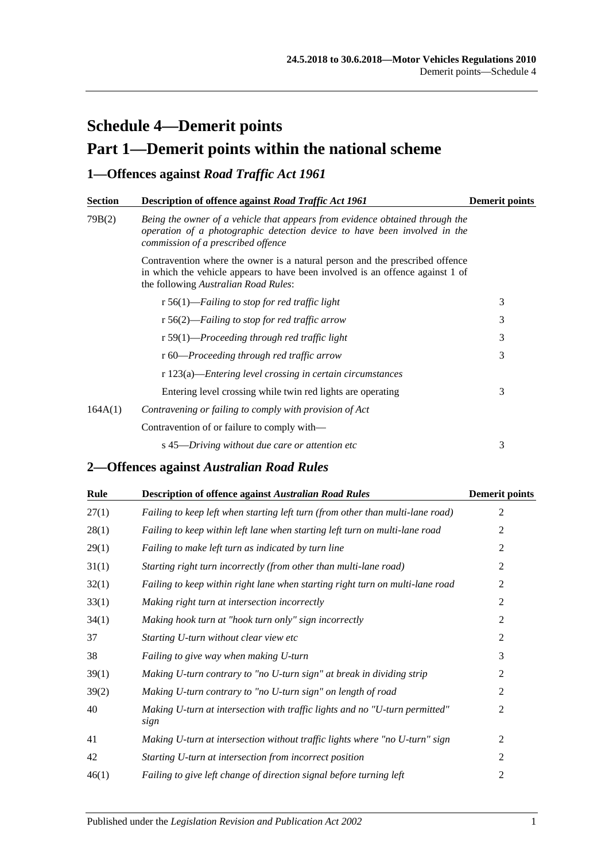# **Schedule 4—Demerit points Part 1—Demerit points within the national scheme**

## **1—Offences against** *Road Traffic Act 1961*

| <b>Section</b> | Description of offence against Road Traffic Act 1961                                                                                                                                                  | <b>Demerit points</b> |
|----------------|-------------------------------------------------------------------------------------------------------------------------------------------------------------------------------------------------------|-----------------------|
| 79B(2)         | Being the owner of a vehicle that appears from evidence obtained through the<br>operation of a photographic detection device to have been involved in the<br>commission of a prescribed offence       |                       |
|                | Contravention where the owner is a natural person and the prescribed offence<br>in which the vehicle appears to have been involved is an offence against 1 of<br>the following Australian Road Rules: |                       |
|                | r 56(1)—Failing to stop for red traffic light                                                                                                                                                         | 3                     |
|                | r 56(2)—Failing to stop for red traffic arrow                                                                                                                                                         | 3                     |
|                | $r 59(1)$ —Proceeding through red traffic light                                                                                                                                                       | 3                     |
|                | r 60—Proceeding through red traffic arrow                                                                                                                                                             | 3                     |
|                | r 123(a)—Entering level crossing in certain circumstances                                                                                                                                             |                       |
|                | Entering level crossing while twin red lights are operating                                                                                                                                           | 3                     |
| 164A(1)        | Contravening or failing to comply with provision of Act                                                                                                                                               |                       |
|                | Contravention of or failure to comply with—                                                                                                                                                           |                       |
|                | s 45—Driving without due care or attention etc                                                                                                                                                        | 3                     |

## **2—Offences against** *Australian Road Rules*

| Rule  | <b>Description of offence against Australian Road Rules</b>                         | <b>Demerit points</b> |
|-------|-------------------------------------------------------------------------------------|-----------------------|
| 27(1) | Failing to keep left when starting left turn (from other than multi-lane road)      | 2                     |
| 28(1) | Failing to keep within left lane when starting left turn on multi-lane road         | 2                     |
| 29(1) | Failing to make left turn as indicated by turn line                                 | $\overline{2}$        |
| 31(1) | Starting right turn incorrectly (from other than multi-lane road)                   | 2                     |
| 32(1) | Failing to keep within right lane when starting right turn on multi-lane road       | $\overline{2}$        |
| 33(1) | Making right turn at intersection incorrectly                                       | 2                     |
| 34(1) | Making hook turn at "hook turn only" sign incorrectly                               | $\overline{2}$        |
| 37    | Starting U-turn without clear view etc                                              | 2                     |
| 38    | Failing to give way when making U-turn                                              | 3                     |
| 39(1) | Making U-turn contrary to "no U-turn sign" at break in dividing strip               | 2                     |
| 39(2) | Making U-turn contrary to "no U-turn sign" on length of road                        | 2                     |
| 40    | Making U-turn at intersection with traffic lights and no "U-turn permitted"<br>sign | 2                     |
| 41    | Making U-turn at intersection without traffic lights where "no U-turn" sign         | 2                     |
| 42    | Starting U-turn at intersection from incorrect position                             | $\overline{2}$        |
| 46(1) | Failing to give left change of direction signal before turning left                 | $\overline{2}$        |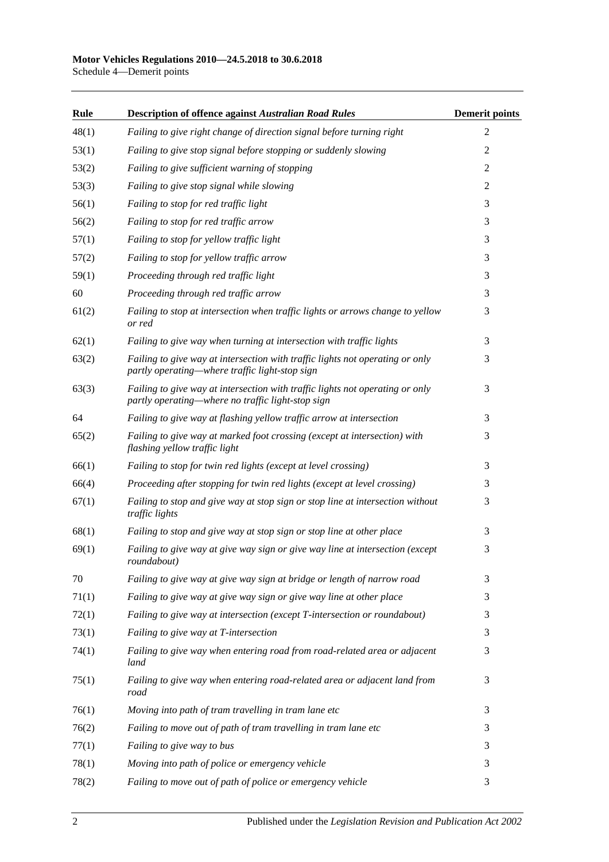### **Motor Vehicles Regulations 2010—24.5.2018 to 30.6.2018**

Schedule 4—Demerit points

| Rule  | <b>Description of offence against Australian Road Rules</b>                                                                        | <b>Demerit points</b> |
|-------|------------------------------------------------------------------------------------------------------------------------------------|-----------------------|
| 48(1) | Failing to give right change of direction signal before turning right                                                              | $\overline{2}$        |
| 53(1) | Failing to give stop signal before stopping or suddenly slowing                                                                    | $\overline{c}$        |
| 53(2) | Failing to give sufficient warning of stopping                                                                                     | $\overline{c}$        |
| 53(3) | Failing to give stop signal while slowing                                                                                          | 2                     |
| 56(1) | Failing to stop for red traffic light                                                                                              | 3                     |
| 56(2) | Failing to stop for red traffic arrow                                                                                              | 3                     |
| 57(1) | Failing to stop for yellow traffic light                                                                                           | 3                     |
| 57(2) | Failing to stop for yellow traffic arrow                                                                                           | 3                     |
| 59(1) | Proceeding through red traffic light                                                                                               | 3                     |
| 60    | Proceeding through red traffic arrow                                                                                               | 3                     |
| 61(2) | Failing to stop at intersection when traffic lights or arrows change to yellow<br>or red                                           | 3                     |
| 62(1) | Failing to give way when turning at intersection with traffic lights                                                               | 3                     |
| 63(2) | Failing to give way at intersection with traffic lights not operating or only<br>partly operating—where traffic light-stop sign    | 3                     |
| 63(3) | Failing to give way at intersection with traffic lights not operating or only<br>partly operating—where no traffic light-stop sign | 3                     |
| 64    | Failing to give way at flashing yellow traffic arrow at intersection                                                               | 3                     |
| 65(2) | Failing to give way at marked foot crossing (except at intersection) with<br>flashing yellow traffic light                         | 3                     |
| 66(1) | Failing to stop for twin red lights (except at level crossing)                                                                     | 3                     |
| 66(4) | Proceeding after stopping for twin red lights (except at level crossing)                                                           | 3                     |
| 67(1) | Failing to stop and give way at stop sign or stop line at intersection without<br>traffic lights                                   | 3                     |
| 68(1) | Failing to stop and give way at stop sign or stop line at other place                                                              | 3                     |
| 69(1) | Failing to give way at give way sign or give way line at intersection (except<br>roundabout)                                       | 3                     |
| 70    | Failing to give way at give way sign at bridge or length of narrow road                                                            | 3                     |
| 71(1) | Failing to give way at give way sign or give way line at other place                                                               | 3                     |
| 72(1) | Failing to give way at intersection (except T-intersection or roundabout)                                                          | 3                     |
| 73(1) | Failing to give way at T-intersection                                                                                              | 3                     |
| 74(1) | Failing to give way when entering road from road-related area or adjacent<br>land                                                  | 3                     |
| 75(1) | Failing to give way when entering road-related area or adjacent land from<br>road                                                  | 3                     |
| 76(1) | Moving into path of tram travelling in tram lane etc                                                                               | 3                     |
| 76(2) | Failing to move out of path of tram travelling in tram lane etc                                                                    | 3                     |
| 77(1) | Failing to give way to bus                                                                                                         | 3                     |
| 78(1) | Moving into path of police or emergency vehicle                                                                                    | 3                     |
| 78(2) | Failing to move out of path of police or emergency vehicle                                                                         | 3                     |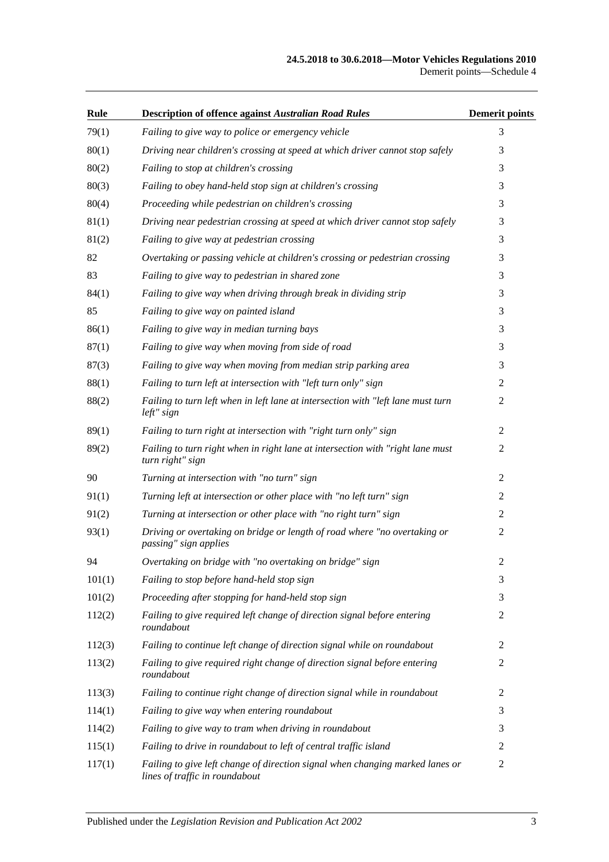### **24.5.2018 to 30.6.2018—Motor Vehicles Regulations 2010** Demerit points—Schedule 4

| Rule   | <b>Description of offence against Australian Road Rules</b>                                                     | <b>Demerit points</b> |
|--------|-----------------------------------------------------------------------------------------------------------------|-----------------------|
| 79(1)  | Failing to give way to police or emergency vehicle                                                              | 3                     |
| 80(1)  | Driving near children's crossing at speed at which driver cannot stop safely                                    | 3                     |
| 80(2)  | Failing to stop at children's crossing                                                                          | 3                     |
| 80(3)  | Failing to obey hand-held stop sign at children's crossing                                                      | 3                     |
| 80(4)  | Proceeding while pedestrian on children's crossing                                                              | 3                     |
| 81(1)  | Driving near pedestrian crossing at speed at which driver cannot stop safely                                    | 3                     |
| 81(2)  | Failing to give way at pedestrian crossing                                                                      | 3                     |
| 82     | Overtaking or passing vehicle at children's crossing or pedestrian crossing                                     | 3                     |
| 83     | Failing to give way to pedestrian in shared zone                                                                | 3                     |
| 84(1)  | Failing to give way when driving through break in dividing strip                                                | 3                     |
| 85     | Failing to give way on painted island                                                                           | 3                     |
| 86(1)  | Failing to give way in median turning bays                                                                      | 3                     |
| 87(1)  | Failing to give way when moving from side of road                                                               | 3                     |
| 87(3)  | Failing to give way when moving from median strip parking area                                                  | 3                     |
| 88(1)  | Failing to turn left at intersection with "left turn only" sign                                                 | $\overline{2}$        |
| 88(2)  | Failing to turn left when in left lane at intersection with "left lane must turn<br>left" sign                  | $\overline{c}$        |
| 89(1)  | Failing to turn right at intersection with "right turn only" sign                                               | 2                     |
| 89(2)  | Failing to turn right when in right lane at intersection with "right lane must<br>turn right" sign              | 2                     |
| 90     | Turning at intersection with "no turn" sign                                                                     | 2                     |
| 91(1)  | Turning left at intersection or other place with "no left turn" sign                                            | $\overline{2}$        |
| 91(2)  | Turning at intersection or other place with "no right turn" sign                                                | 2                     |
| 93(1)  | Driving or overtaking on bridge or length of road where "no overtaking or<br>passing" sign applies              | 2                     |
| 94     | Overtaking on bridge with "no overtaking on bridge" sign                                                        | 2                     |
| 101(1) | Failing to stop before hand-held stop sign                                                                      | 3                     |
| 101(2) | Proceeding after stopping for hand-held stop sign                                                               | 3                     |
| 112(2) | Failing to give required left change of direction signal before entering<br>roundabout                          | 2                     |
| 112(3) | Failing to continue left change of direction signal while on roundabout                                         | 2                     |
| 113(2) | Failing to give required right change of direction signal before entering<br>roundabout                         | 2                     |
| 113(3) | Failing to continue right change of direction signal while in roundabout                                        | $\overline{2}$        |
| 114(1) | Failing to give way when entering roundabout                                                                    | 3                     |
| 114(2) | Failing to give way to tram when driving in roundabout                                                          | 3                     |
| 115(1) | Failing to drive in roundabout to left of central traffic island                                                | 2                     |
| 117(1) | Failing to give left change of direction signal when changing marked lanes or<br>lines of traffic in roundabout | 2                     |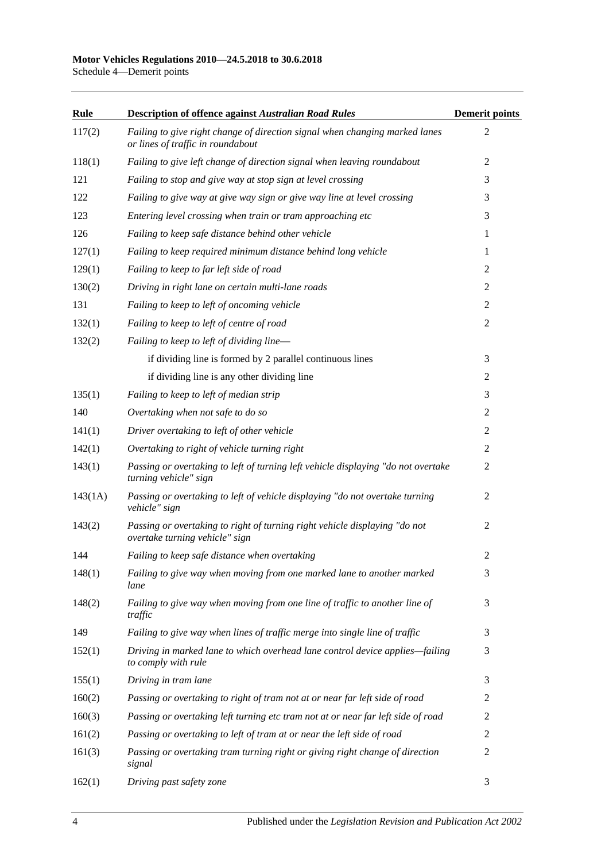Schedule 4—Demerit points

| Rule    | <b>Description of offence against Australian Road Rules</b>                                                      | <b>Demerit points</b> |
|---------|------------------------------------------------------------------------------------------------------------------|-----------------------|
| 117(2)  | Failing to give right change of direction signal when changing marked lanes<br>or lines of traffic in roundabout | 2                     |
| 118(1)  | Failing to give left change of direction signal when leaving roundabout                                          | 2                     |
| 121     | Failing to stop and give way at stop sign at level crossing                                                      | 3                     |
| 122     | Failing to give way at give way sign or give way line at level crossing                                          | 3                     |
| 123     | Entering level crossing when train or tram approaching etc                                                       | 3                     |
| 126     | Failing to keep safe distance behind other vehicle                                                               | 1                     |
| 127(1)  | Failing to keep required minimum distance behind long vehicle                                                    | 1                     |
| 129(1)  | Failing to keep to far left side of road                                                                         | 2                     |
| 130(2)  | Driving in right lane on certain multi-lane roads                                                                | $\overline{2}$        |
| 131     | Failing to keep to left of oncoming vehicle                                                                      | $\mathbf{2}$          |
| 132(1)  | Failing to keep to left of centre of road                                                                        | $\overline{2}$        |
| 132(2)  | Failing to keep to left of dividing line-                                                                        |                       |
|         | if dividing line is formed by 2 parallel continuous lines                                                        | 3                     |
|         | if dividing line is any other dividing line                                                                      | 2                     |
| 135(1)  | Failing to keep to left of median strip                                                                          | 3                     |
| 140     | Overtaking when not safe to do so                                                                                | 2                     |
| 141(1)  | Driver overtaking to left of other vehicle                                                                       | 2                     |
| 142(1)  | Overtaking to right of vehicle turning right                                                                     | 2                     |
| 143(1)  | Passing or overtaking to left of turning left vehicle displaying "do not overtake<br>turning vehicle" sign       | 2                     |
| 143(1A) | Passing or overtaking to left of vehicle displaying "do not overtake turning<br>vehicle" sign                    | 2                     |
| 143(2)  | Passing or overtaking to right of turning right vehicle displaying "do not<br>overtake turning vehicle" sign     | 2                     |
| 144     | Failing to keep safe distance when overtaking                                                                    | $\overline{c}$        |
| 148(1)  | Failing to give way when moving from one marked lane to another marked<br>lane                                   | 3                     |
| 148(2)  | Failing to give way when moving from one line of traffic to another line of<br>traffic                           | 3                     |
| 149     | Failing to give way when lines of traffic merge into single line of traffic                                      | 3                     |
| 152(1)  | Driving in marked lane to which overhead lane control device applies-failing<br>to comply with rule              | 3                     |
| 155(1)  | Driving in tram lane                                                                                             | 3                     |
| 160(2)  | Passing or overtaking to right of tram not at or near far left side of road                                      | 2                     |
| 160(3)  | Passing or overtaking left turning etc tram not at or near far left side of road                                 | 2                     |
| 161(2)  | Passing or overtaking to left of tram at or near the left side of road                                           | 2                     |
| 161(3)  | Passing or overtaking tram turning right or giving right change of direction<br>signal                           | 2                     |
| 162(1)  | Driving past safety zone                                                                                         | 3                     |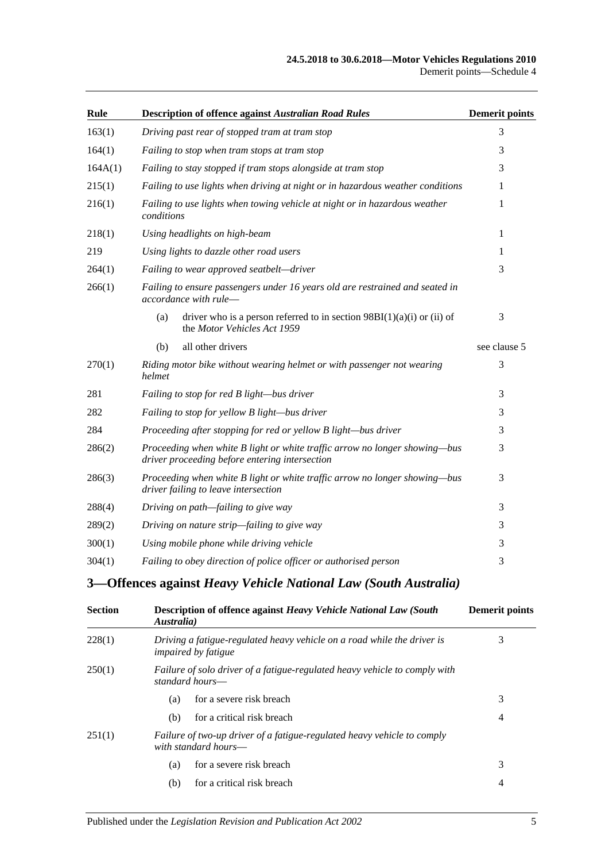### **24.5.2018 to 30.6.2018—Motor Vehicles Regulations 2010** Demerit points—Schedule 4

| Rule    | Description of offence against Australian Road Rules                                                                         | <b>Demerit points</b> |
|---------|------------------------------------------------------------------------------------------------------------------------------|-----------------------|
| 163(1)  | Driving past rear of stopped tram at tram stop                                                                               | 3                     |
| 164(1)  | Failing to stop when tram stops at tram stop                                                                                 | 3                     |
| 164A(1) | Failing to stay stopped if tram stops alongside at tram stop                                                                 | 3                     |
| 215(1)  | Failing to use lights when driving at night or in hazardous weather conditions                                               | 1                     |
| 216(1)  | Failing to use lights when towing vehicle at night or in hazardous weather<br>conditions                                     | 1                     |
| 218(1)  | Using headlights on high-beam                                                                                                | 1                     |
| 219     | Using lights to dazzle other road users                                                                                      | 1                     |
| 264(1)  | Failing to wear approved seatbelt-driver                                                                                     | 3                     |
| 266(1)  | Failing to ensure passengers under 16 years old are restrained and seated in<br>accordance with rule-                        |                       |
|         | (a)<br>driver who is a person referred to in section $98BI(1)(a)(i)$ or (ii) of<br>the Motor Vehicles Act 1959               | 3                     |
|         | all other drivers<br>(b)                                                                                                     | see clause 5          |
| 270(1)  | Riding motor bike without wearing helmet or with passenger not wearing<br>helmet                                             | 3                     |
| 281     | Failing to stop for red B light-bus driver                                                                                   | 3                     |
| 282     | Failing to stop for yellow B light-bus driver                                                                                | 3                     |
| 284     | Proceeding after stopping for red or yellow B light-bus driver                                                               | 3                     |
| 286(2)  | Proceeding when white B light or white traffic arrow no longer showing—bus<br>driver proceeding before entering intersection | 3                     |
| 286(3)  | Proceeding when white B light or white traffic arrow no longer showing—bus<br>driver failing to leave intersection           | 3                     |
| 288(4)  | Driving on path—failing to give way                                                                                          | 3                     |
| 289(2)  | Driving on nature strip-failing to give way                                                                                  | 3                     |
| 300(1)  | Using mobile phone while driving vehicle                                                                                     | 3                     |
| 304(1)  | Failing to obey direction of police officer or authorised person                                                             | 3                     |

## **3—Offences against** *Heavy Vehicle National Law (South Australia)*

| <b>Section</b> | Description of offence against Heavy Vehicle National Law (South<br>Australia)                        | <b>Demerit points</b> |
|----------------|-------------------------------------------------------------------------------------------------------|-----------------------|
| 228(1)         | Driving a fatigue-regulated heavy vehicle on a road while the driver is<br><i>impaired by fatigue</i> | 3                     |
| 250(1)         | Failure of solo driver of a fatigue-regulated heavy vehicle to comply with<br>standard hours—         |                       |
|                | for a severe risk breach<br>(a)                                                                       | 3                     |
|                | for a critical risk breach<br>(b)                                                                     | 4                     |
| 251(1)         | Failure of two-up driver of a fatigue-regulated heavy vehicle to comply<br>with standard hours—       |                       |
|                | for a severe risk breach<br>(a)                                                                       | 3                     |
|                | for a critical risk breach<br>(b)                                                                     | 4                     |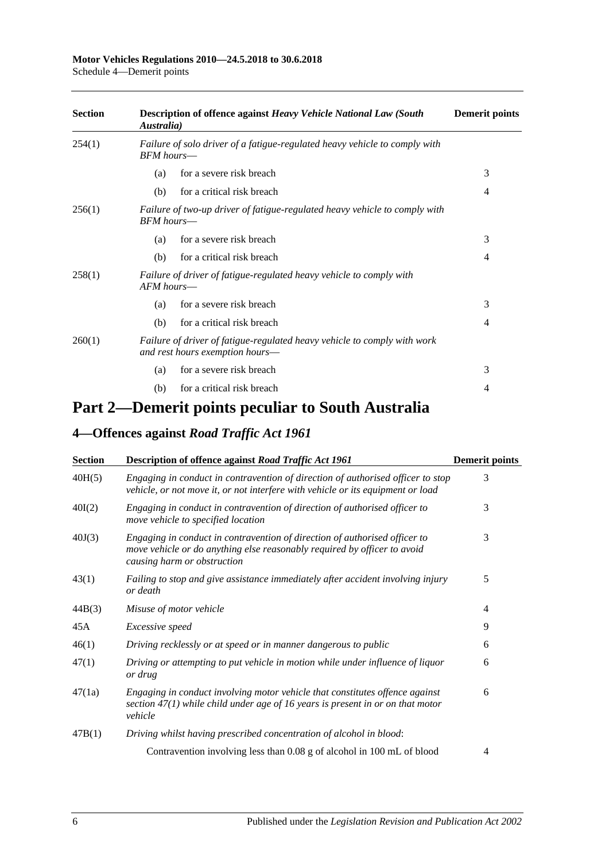### **Motor Vehicles Regulations 2010—24.5.2018 to 30.6.2018**

Schedule 4—Demerit points

| <b>Section</b> | Description of offence against Heavy Vehicle National Law (South<br>Australia)                              | <b>Demerit points</b> |
|----------------|-------------------------------------------------------------------------------------------------------------|-----------------------|
| 254(1)         | Failure of solo driver of a fatigue-regulated heavy vehicle to comply with<br>BFM hours—                    |                       |
|                | for a severe risk breach<br>(a)                                                                             | 3                     |
|                | for a critical risk breach<br>(b)                                                                           | 4                     |
| 256(1)         | Failure of two-up driver of fatigue-regulated heavy vehicle to comply with<br><b>BFM</b> hours—             |                       |
|                | for a severe risk breach<br>(a)                                                                             | 3                     |
|                | for a critical risk breach<br>(b)                                                                           | 4                     |
| 258(1)         | Failure of driver of fatigue-regulated heavy vehicle to comply with<br>$AFM$ hours—                         |                       |
|                | for a severe risk breach<br>(a)                                                                             | 3                     |
|                | for a critical risk breach<br>(b)                                                                           | 4                     |
| 260(1)         | Failure of driver of fatigue-regulated heavy vehicle to comply with work<br>and rest hours exemption hours- |                       |
|                | for a severe risk breach<br>(a)                                                                             | 3                     |
|                | for a critical risk breach<br>(b)                                                                           | 4                     |

# **Part 2—Demerit points peculiar to South Australia**

## **4—Offences against** *Road Traffic Act 1961*

| <b>Section</b> | Description of offence against Road Traffic Act 1961                                                                                                                                  | <b>Demerit points</b> |
|----------------|---------------------------------------------------------------------------------------------------------------------------------------------------------------------------------------|-----------------------|
| 40H(5)         | Engaging in conduct in contravention of direction of authorised officer to stop<br>vehicle, or not move it, or not interfere with vehicle or its equipment or load                    | 3                     |
| 40I(2)         | Engaging in conduct in contravention of direction of authorised officer to<br>move vehicle to specified location                                                                      | 3                     |
| 40J(3)         | Engaging in conduct in contravention of direction of authorised officer to<br>move vehicle or do anything else reasonably required by officer to avoid<br>causing harm or obstruction | 3                     |
| 43(1)          | Failing to stop and give assistance immediately after accident involving injury<br>or death                                                                                           | 5                     |
| 44B(3)         | Misuse of motor vehicle                                                                                                                                                               | 4                     |
| 45A            | Excessive speed                                                                                                                                                                       | 9                     |
| 46(1)          | Driving recklessly or at speed or in manner dangerous to public                                                                                                                       | 6                     |
| 47(1)          | Driving or attempting to put vehicle in motion while under influence of liquor<br>or drug                                                                                             | 6                     |
| 47(1a)         | Engaging in conduct involving motor vehicle that constitutes offence against<br>section $47(1)$ while child under age of 16 years is present in or on that motor<br>vehicle           | 6                     |
| 47B(1)         | Driving whilst having prescribed concentration of alcohol in blood:                                                                                                                   |                       |
|                | Contravention involving less than 0.08 g of alcohol in 100 mL of blood                                                                                                                | 4                     |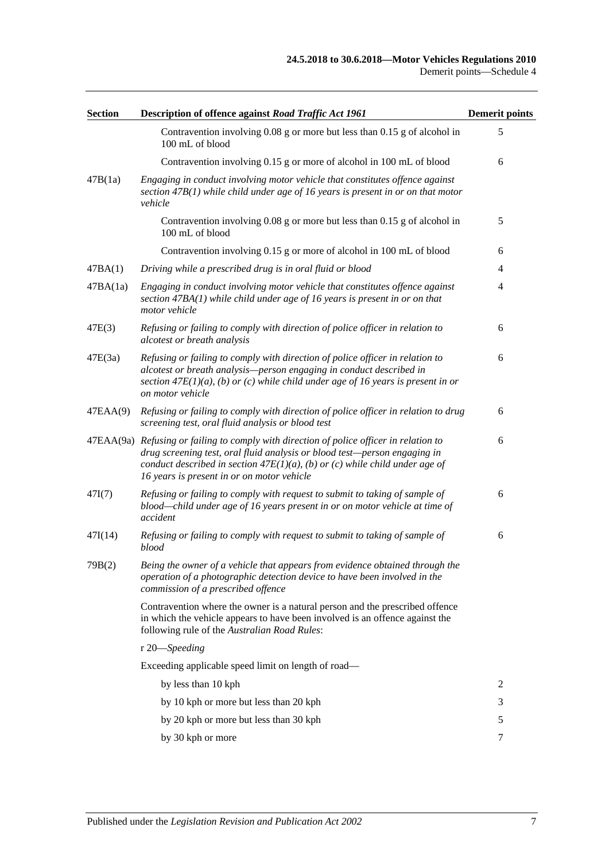| <b>Section</b> | Description of offence against Road Traffic Act 1961                                                                                                                                                                                                                                                 | <b>Demerit points</b> |
|----------------|------------------------------------------------------------------------------------------------------------------------------------------------------------------------------------------------------------------------------------------------------------------------------------------------------|-----------------------|
|                | Contravention involving 0.08 g or more but less than 0.15 g of alcohol in<br>100 mL of blood                                                                                                                                                                                                         | 5                     |
|                | Contravention involving 0.15 g or more of alcohol in 100 mL of blood                                                                                                                                                                                                                                 | 6                     |
| 47B(1a)        | Engaging in conduct involving motor vehicle that constitutes offence against<br>section $47B(1)$ while child under age of 16 years is present in or on that motor<br>vehicle                                                                                                                         |                       |
|                | Contravention involving 0.08 g or more but less than 0.15 g of alcohol in<br>100 mL of blood                                                                                                                                                                                                         | 5                     |
|                | Contravention involving 0.15 g or more of alcohol in 100 mL of blood                                                                                                                                                                                                                                 | 6                     |
| 47BA(1)        | Driving while a prescribed drug is in oral fluid or blood                                                                                                                                                                                                                                            | 4                     |
| 47BA(1a)       | Engaging in conduct involving motor vehicle that constitutes offence against<br>section $47BA(1)$ while child under age of 16 years is present in or on that<br>motor vehicle                                                                                                                        | 4                     |
| 47E(3)         | Refusing or failing to comply with direction of police officer in relation to<br>alcotest or breath analysis                                                                                                                                                                                         | 6                     |
| 47E(3a)        | Refusing or failing to comply with direction of police officer in relation to<br>alcotest or breath analysis-person engaging in conduct described in<br>section $47E(1)(a)$ , (b) or (c) while child under age of 16 years is present in or<br>on motor vehicle                                      | 6                     |
| 47EAA(9)       | Refusing or failing to comply with direction of police officer in relation to drug<br>screening test, oral fluid analysis or blood test                                                                                                                                                              | 6                     |
|                | 47EAA(9a) Refusing or failing to comply with direction of police officer in relation to<br>drug screening test, oral fluid analysis or blood test-person engaging in<br>conduct described in section $47E(1)(a)$ , (b) or (c) while child under age of<br>16 years is present in or on motor vehicle | 6                     |
| 47I(7)         | Refusing or failing to comply with request to submit to taking of sample of<br>blood—child under age of 16 years present in or on motor vehicle at time of<br>accident                                                                                                                               | 6                     |
| 47I(14)        | Refusing or failing to comply with request to submit to taking of sample of<br>blood                                                                                                                                                                                                                 | 6                     |
| 79B(2)         | Being the owner of a vehicle that appears from evidence obtained through the<br>operation of a photographic detection device to have been involved in the<br>commission of a prescribed offence                                                                                                      |                       |
|                | Contravention where the owner is a natural person and the prescribed offence<br>in which the vehicle appears to have been involved is an offence against the<br>following rule of the Australian Road Rules:                                                                                         |                       |
|                | r 20-Speeding                                                                                                                                                                                                                                                                                        |                       |
|                | Exceeding applicable speed limit on length of road-                                                                                                                                                                                                                                                  |                       |
|                | by less than 10 kph                                                                                                                                                                                                                                                                                  | 2                     |
|                | by 10 kph or more but less than 20 kph                                                                                                                                                                                                                                                               | 3                     |
|                | by 20 kph or more but less than 30 kph                                                                                                                                                                                                                                                               | 5                     |
|                | by 30 kph or more                                                                                                                                                                                                                                                                                    | 7                     |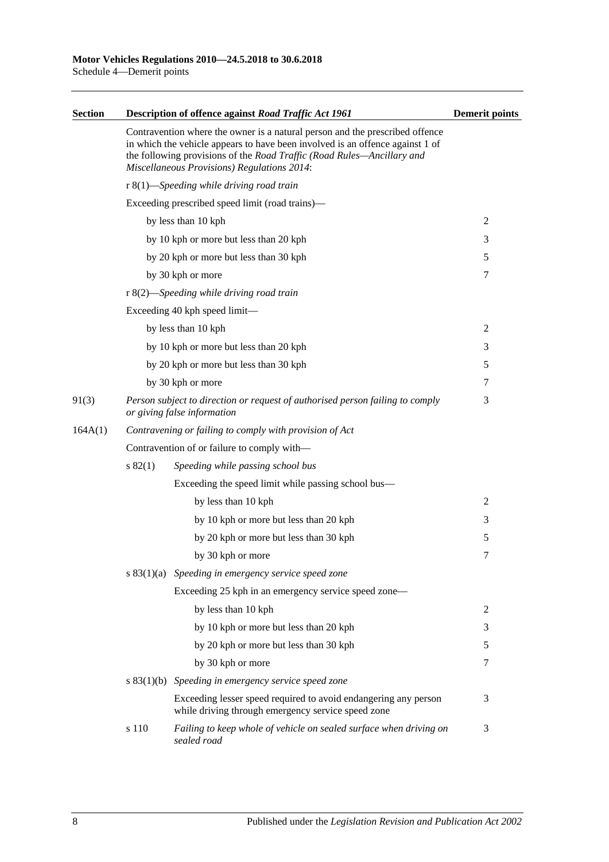| <b>Section</b> |                                                         | Description of offence against Road Traffic Act 1961                                                                                                                                                                                                                                          | <b>Demerit points</b> |
|----------------|---------------------------------------------------------|-----------------------------------------------------------------------------------------------------------------------------------------------------------------------------------------------------------------------------------------------------------------------------------------------|-----------------------|
|                |                                                         | Contravention where the owner is a natural person and the prescribed offence<br>in which the vehicle appears to have been involved is an offence against 1 of<br>the following provisions of the Road Traffic (Road Rules-Ancillary and<br><b>Miscellaneous Provisions) Regulations 2014:</b> |                       |
|                |                                                         | $r 8(1)$ —Speeding while driving road train                                                                                                                                                                                                                                                   |                       |
|                |                                                         | Exceeding prescribed speed limit (road trains)-                                                                                                                                                                                                                                               |                       |
|                |                                                         | by less than 10 kph                                                                                                                                                                                                                                                                           | 2                     |
|                |                                                         | by 10 kph or more but less than 20 kph                                                                                                                                                                                                                                                        | 3                     |
|                |                                                         | by 20 kph or more but less than 30 kph                                                                                                                                                                                                                                                        | 5                     |
|                |                                                         | by 30 kph or more                                                                                                                                                                                                                                                                             | 7                     |
|                |                                                         | r 8(2)—Speeding while driving road train                                                                                                                                                                                                                                                      |                       |
|                |                                                         | Exceeding 40 kph speed limit—                                                                                                                                                                                                                                                                 |                       |
|                |                                                         | by less than 10 kph                                                                                                                                                                                                                                                                           | 2                     |
|                |                                                         | by 10 kph or more but less than 20 kph                                                                                                                                                                                                                                                        | 3                     |
|                |                                                         | by 20 kph or more but less than 30 kph                                                                                                                                                                                                                                                        | 5                     |
|                |                                                         | by 30 kph or more                                                                                                                                                                                                                                                                             | 7                     |
| 91(3)          |                                                         | Person subject to direction or request of authorised person failing to comply<br>or giving false information                                                                                                                                                                                  | 3                     |
| 164A(1)        | Contravening or failing to comply with provision of Act |                                                                                                                                                                                                                                                                                               |                       |
|                | Contravention of or failure to comply with-             |                                                                                                                                                                                                                                                                                               |                       |
|                | $s\,82(1)$                                              | Speeding while passing school bus                                                                                                                                                                                                                                                             |                       |
|                |                                                         | Exceeding the speed limit while passing school bus—                                                                                                                                                                                                                                           |                       |
|                |                                                         | by less than 10 kph                                                                                                                                                                                                                                                                           | $\overline{c}$        |
|                |                                                         | by 10 kph or more but less than 20 kph                                                                                                                                                                                                                                                        | 3                     |
|                |                                                         | by 20 kph or more but less than 30 kph                                                                                                                                                                                                                                                        | 5                     |
|                |                                                         | by 30 kph or more                                                                                                                                                                                                                                                                             | 7                     |
|                |                                                         | $s$ 83(1)(a) Speeding in emergency service speed zone                                                                                                                                                                                                                                         |                       |
|                |                                                         | Exceeding 25 kph in an emergency service speed zone—                                                                                                                                                                                                                                          |                       |
|                |                                                         | by less than 10 kph                                                                                                                                                                                                                                                                           | 2                     |
|                |                                                         | by 10 kph or more but less than 20 kph                                                                                                                                                                                                                                                        | 3                     |
|                |                                                         | by 20 kph or more but less than 30 kph                                                                                                                                                                                                                                                        | 5                     |
|                |                                                         | by 30 kph or more                                                                                                                                                                                                                                                                             | 7                     |
|                |                                                         | $s$ 83(1)(b) Speeding in emergency service speed zone                                                                                                                                                                                                                                         |                       |
|                |                                                         | Exceeding lesser speed required to avoid endangering any person<br>while driving through emergency service speed zone                                                                                                                                                                         | 3                     |
|                | s 110                                                   | Failing to keep whole of vehicle on sealed surface when driving on<br>sealed road                                                                                                                                                                                                             | 3                     |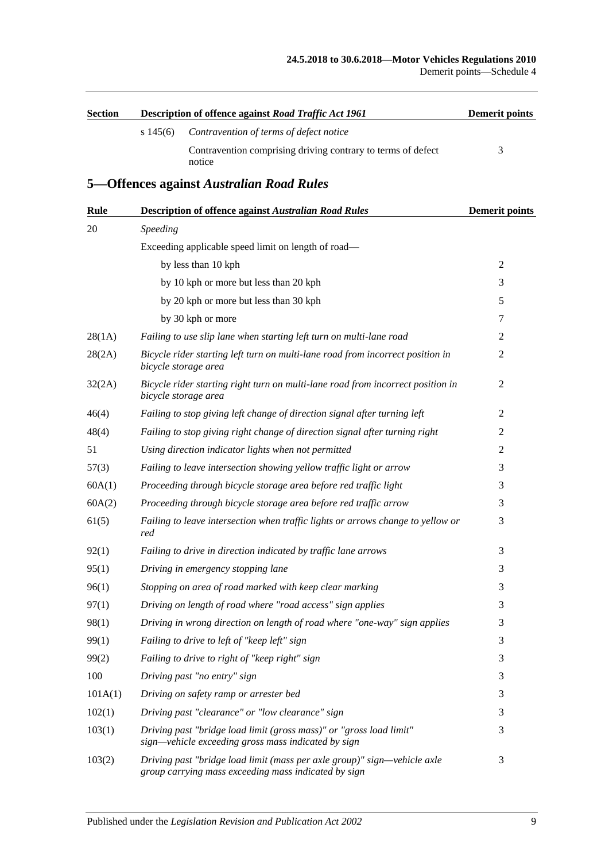| <b>Section</b> |             | Description of offence against Road Traffic Act 1961                                                                             | <b>Demerit points</b> |
|----------------|-------------|----------------------------------------------------------------------------------------------------------------------------------|-----------------------|
|                | $s\,145(6)$ | Contravention of terms of defect notice                                                                                          |                       |
|                |             | Contravention comprising driving contrary to terms of defect<br>notice                                                           | 3                     |
|                |             | 5-Offences against Australian Road Rules                                                                                         |                       |
| <b>Rule</b>    |             | <b>Description of offence against Australian Road Rules</b>                                                                      | <b>Demerit points</b> |
| 20             | Speeding    |                                                                                                                                  |                       |
|                |             | Exceeding applicable speed limit on length of road—                                                                              |                       |
|                |             | by less than 10 kph                                                                                                              | 2                     |
|                |             | by 10 kph or more but less than 20 kph                                                                                           | 3                     |
|                |             | by 20 kph or more but less than 30 kph                                                                                           | 5                     |
|                |             | by 30 kph or more                                                                                                                | 7                     |
| 28(1A)         |             | Failing to use slip lane when starting left turn on multi-lane road                                                              | 2                     |
| 28(2A)         |             | Bicycle rider starting left turn on multi-lane road from incorrect position in<br>bicycle storage area                           | 2                     |
| 32(2A)         |             | Bicycle rider starting right turn on multi-lane road from incorrect position in<br>bicycle storage area                          | $\overline{2}$        |
| 46(4)          |             | Failing to stop giving left change of direction signal after turning left                                                        | 2                     |
| 48(4)          |             | Failing to stop giving right change of direction signal after turning right                                                      | 2                     |
| 51             |             | Using direction indicator lights when not permitted                                                                              | 2                     |
| 57(3)          |             | Failing to leave intersection showing yellow traffic light or arrow                                                              | 3                     |
| 60A(1)         |             | Proceeding through bicycle storage area before red traffic light                                                                 | 3                     |
| 60A(2)         |             | Proceeding through bicycle storage area before red traffic arrow                                                                 | 3                     |
| 61(5)          | red         | Failing to leave intersection when traffic lights or arrows change to yellow or                                                  | 3                     |
| 92(1)          |             | Failing to drive in direction indicated by traffic lane arrows                                                                   | 3                     |
| 95(1)          |             | Driving in emergency stopping lane                                                                                               | 3                     |
| 96(1)          |             | Stopping on area of road marked with keep clear marking                                                                          | 3                     |
| 97(1)          |             | Driving on length of road where "road access" sign applies                                                                       | 3                     |
| 98(1)          |             | Driving in wrong direction on length of road where "one-way" sign applies                                                        | 3                     |
| 99(1)          |             | Failing to drive to left of "keep left" sign                                                                                     | 3                     |
| 99(2)          |             | Failing to drive to right of "keep right" sign                                                                                   | 3                     |
| 100            |             | Driving past "no entry" sign                                                                                                     | 3                     |
| 101A(1)        |             | Driving on safety ramp or arrester bed                                                                                           | 3                     |
| 102(1)         |             | Driving past "clearance" or "low clearance" sign                                                                                 | 3                     |
| 103(1)         |             | Driving past "bridge load limit (gross mass)" or "gross load limit"<br>sign—vehicle exceeding gross mass indicated by sign       | 3                     |
| 103(2)         |             | Driving past "bridge load limit (mass per axle group)" sign-vehicle axle<br>group carrying mass exceeding mass indicated by sign | 3                     |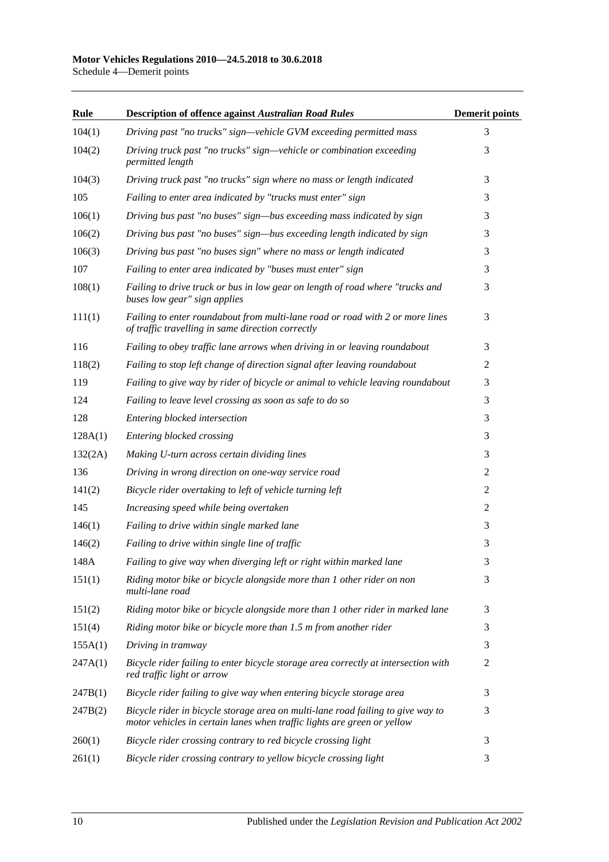### **Motor Vehicles Regulations 2010—24.5.2018 to 30.6.2018**

Schedule 4—Demerit points

| Rule    | <b>Description of offence against Australian Road Rules</b>                                                                                                | <b>Demerit points</b> |
|---------|------------------------------------------------------------------------------------------------------------------------------------------------------------|-----------------------|
| 104(1)  | Driving past "no trucks" sign-vehicle GVM exceeding permitted mass                                                                                         | 3                     |
| 104(2)  | Driving truck past "no trucks" sign—vehicle or combination exceeding<br>permitted length                                                                   | 3                     |
| 104(3)  | Driving truck past "no trucks" sign where no mass or length indicated                                                                                      | 3                     |
| 105     | Failing to enter area indicated by "trucks must enter" sign                                                                                                | 3                     |
| 106(1)  | Driving bus past "no buses" sign—bus exceeding mass indicated by sign                                                                                      | 3                     |
| 106(2)  | Driving bus past "no buses" sign—bus exceeding length indicated by sign                                                                                    | 3                     |
| 106(3)  | Driving bus past "no buses sign" where no mass or length indicated                                                                                         | 3                     |
| 107     | Failing to enter area indicated by "buses must enter" sign                                                                                                 | 3                     |
| 108(1)  | Failing to drive truck or bus in low gear on length of road where "trucks and<br>buses low gear" sign applies                                              | 3                     |
| 111(1)  | Failing to enter roundabout from multi-lane road or road with 2 or more lines<br>of traffic travelling in same direction correctly                         | 3                     |
| 116     | Failing to obey traffic lane arrows when driving in or leaving roundabout                                                                                  | 3                     |
| 118(2)  | Failing to stop left change of direction signal after leaving roundabout                                                                                   | $\overline{2}$        |
| 119     | Failing to give way by rider of bicycle or animal to vehicle leaving roundabout                                                                            | 3                     |
| 124     | Failing to leave level crossing as soon as safe to do so                                                                                                   | 3                     |
| 128     | Entering blocked intersection                                                                                                                              | 3                     |
| 128A(1) | Entering blocked crossing                                                                                                                                  | 3                     |
| 132(2A) | Making U-turn across certain dividing lines                                                                                                                | 3                     |
| 136     | Driving in wrong direction on one-way service road                                                                                                         | $\overline{2}$        |
| 141(2)  | Bicycle rider overtaking to left of vehicle turning left                                                                                                   | 2                     |
| 145     | Increasing speed while being overtaken                                                                                                                     | $\overline{2}$        |
| 146(1)  | Failing to drive within single marked lane                                                                                                                 | 3                     |
| 146(2)  | Failing to drive within single line of traffic                                                                                                             | 3                     |
| 148A    | Failing to give way when diverging left or right within marked lane                                                                                        | 3                     |
| 151(1)  | Riding motor bike or bicycle alongside more than 1 other rider on non<br>multi-lane road                                                                   | 3                     |
| 151(2)  | Riding motor bike or bicycle alongside more than 1 other rider in marked lane                                                                              | 3                     |
| 151(4)  | Riding motor bike or bicycle more than 1.5 m from another rider                                                                                            | 3                     |
| 155A(1) | Driving in tramway                                                                                                                                         | 3                     |
| 247A(1) | Bicycle rider failing to enter bicycle storage area correctly at intersection with<br>red traffic light or arrow                                           | 2                     |
| 247B(1) | Bicycle rider failing to give way when entering bicycle storage area                                                                                       | 3                     |
| 247B(2) | Bicycle rider in bicycle storage area on multi-lane road failing to give way to<br>motor vehicles in certain lanes when traffic lights are green or yellow | 3                     |
| 260(1)  | Bicycle rider crossing contrary to red bicycle crossing light                                                                                              | 3                     |
| 261(1)  | Bicycle rider crossing contrary to yellow bicycle crossing light                                                                                           | 3                     |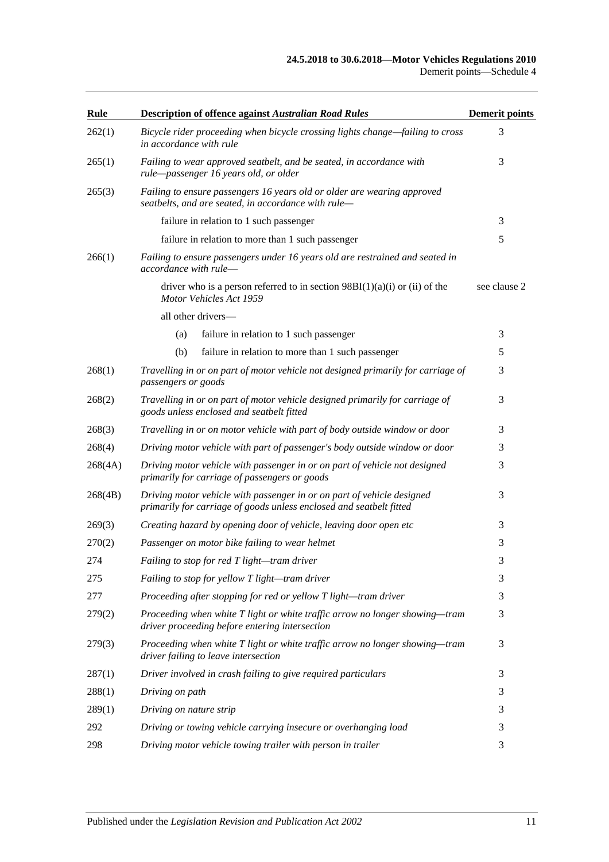### **24.5.2018 to 30.6.2018—Motor Vehicles Regulations 2010**

| Rule    | <b>Description of offence against Australian Road Rules</b>                                                                                   | <b>Demerit points</b> |
|---------|-----------------------------------------------------------------------------------------------------------------------------------------------|-----------------------|
| 262(1)  | Bicycle rider proceeding when bicycle crossing lights change-failing to cross<br>in accordance with rule                                      | 3                     |
| 265(1)  | Failing to wear approved seatbelt, and be seated, in accordance with<br>rule-passenger 16 years old, or older                                 | 3                     |
| 265(3)  | Failing to ensure passengers 16 years old or older are wearing approved<br>seatbelts, and are seated, in accordance with rule-                |                       |
|         | failure in relation to 1 such passenger                                                                                                       | 3                     |
|         | failure in relation to more than 1 such passenger                                                                                             | 5                     |
| 266(1)  | Failing to ensure passengers under 16 years old are restrained and seated in<br>accordance with rule-                                         |                       |
|         | driver who is a person referred to in section $98B(1)(a)(i)$ or (ii) of the<br>Motor Vehicles Act 1959                                        | see clause 2          |
|         | all other drivers-                                                                                                                            |                       |
|         | failure in relation to 1 such passenger<br>(a)                                                                                                | 3                     |
|         | (b)<br>failure in relation to more than 1 such passenger                                                                                      | 5                     |
| 268(1)  | Travelling in or on part of motor vehicle not designed primarily for carriage of<br>passengers or goods                                       | 3                     |
| 268(2)  | Travelling in or on part of motor vehicle designed primarily for carriage of<br>goods unless enclosed and seatbelt fitted                     | 3                     |
| 268(3)  | Travelling in or on motor vehicle with part of body outside window or door                                                                    | 3                     |
| 268(4)  | Driving motor vehicle with part of passenger's body outside window or door                                                                    | 3                     |
| 268(4A) | Driving motor vehicle with passenger in or on part of vehicle not designed<br>primarily for carriage of passengers or goods                   | 3                     |
| 268(4B) | Driving motor vehicle with passenger in or on part of vehicle designed<br>primarily for carriage of goods unless enclosed and seatbelt fitted | 3                     |
| 269(3)  | Creating hazard by opening door of vehicle, leaving door open etc                                                                             | 3                     |
| 270(2)  | Passenger on motor bike failing to wear helmet                                                                                                | 3                     |
| 274     | Failing to stop for red T light—tram driver                                                                                                   | 3                     |
| 275     | Failing to stop for yellow T light-tram driver                                                                                                | 3                     |
| 277     | Proceeding after stopping for red or yellow T light-tram driver                                                                               | 3                     |
| 279(2)  | Proceeding when white T light or white traffic arrow no longer showing—tram<br>driver proceeding before entering intersection                 | 3                     |
| 279(3)  | Proceeding when white T light or white traffic arrow no longer showing—tram<br>driver failing to leave intersection                           | 3                     |
| 287(1)  | Driver involved in crash failing to give required particulars                                                                                 | 3                     |
| 288(1)  | Driving on path                                                                                                                               | 3                     |
| 289(1)  | Driving on nature strip                                                                                                                       | 3                     |
| 292     | Driving or towing vehicle carrying insecure or overhanging load                                                                               | 3                     |
| 298     | Driving motor vehicle towing trailer with person in trailer                                                                                   | 3                     |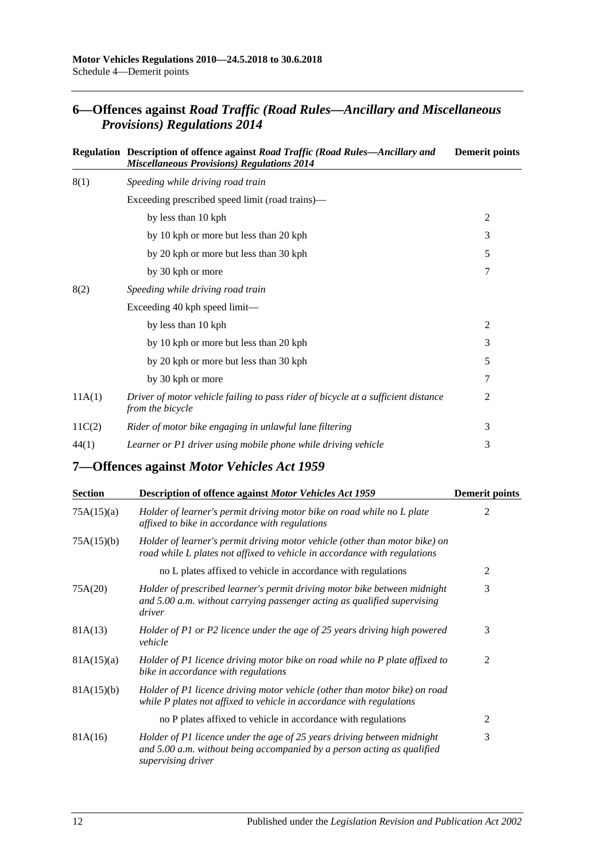## **6—Offences against** *Road Traffic (Road Rules—Ancillary and Miscellaneous Provisions) Regulations 2014*

|        | Regulation Description of offence against Road Traffic (Road Rules—Ancillary and<br><b>Miscellaneous Provisions) Regulations 2014</b> | <b>Demerit points</b> |
|--------|---------------------------------------------------------------------------------------------------------------------------------------|-----------------------|
| 8(1)   | Speeding while driving road train                                                                                                     |                       |
|        | Exceeding prescribed speed limit (road trains)—                                                                                       |                       |
|        | by less than 10 kph                                                                                                                   | $\overline{2}$        |
|        | by 10 kph or more but less than 20 kph                                                                                                | 3                     |
|        | by 20 kph or more but less than 30 kph                                                                                                | 5                     |
|        | by 30 kph or more                                                                                                                     | 7                     |
| 8(2)   | Speeding while driving road train                                                                                                     |                       |
|        | Exceeding 40 kph speed limit—                                                                                                         |                       |
|        | by less than 10 kph                                                                                                                   | $\overline{2}$        |
|        | by 10 kph or more but less than 20 kph                                                                                                | 3                     |
|        | by 20 kph or more but less than 30 kph                                                                                                | 5                     |
|        | by 30 kph or more                                                                                                                     | 7                     |
| 11A(1) | Driver of motor vehicle failing to pass rider of bicycle at a sufficient distance<br>from the bicycle                                 | 2                     |
| 11C(2) | Rider of motor bike engaging in unlawful lane filtering                                                                               | 3                     |
| 44(1)  | Learner or P1 driver using mobile phone while driving vehicle                                                                         | 3                     |

**7—Offences against** *Motor Vehicles Act 1959*

| <b>Section</b> | Description of offence against Motor Vehicles Act 1959                                                                                                                   | <b>Demerit points</b> |
|----------------|--------------------------------------------------------------------------------------------------------------------------------------------------------------------------|-----------------------|
| 75A(15)(a)     | Holder of learner's permit driving motor bike on road while no L plate<br>affixed to bike in accordance with regulations                                                 | 2                     |
| 75A(15)(b)     | Holder of learner's permit driving motor vehicle (other than motor bike) on<br>road while L plates not affixed to vehicle in accordance with regulations                 |                       |
|                | no L plates affixed to vehicle in accordance with regulations                                                                                                            | 2                     |
| 75A(20)        | Holder of prescribed learner's permit driving motor bike between midnight<br>and 5.00 a.m. without carrying passenger acting as qualified supervising<br>driver          | 3                     |
| 81A(13)        | Holder of P1 or P2 licence under the age of 25 years driving high powered<br>vehicle                                                                                     | 3                     |
| 81A(15)(a)     | Holder of P1 licence driving motor bike on road while no P plate affixed to<br>bike in accordance with regulations                                                       | $\overline{2}$        |
| 81A(15)(b)     | Holder of P1 licence driving motor vehicle (other than motor bike) on road<br>while P plates not affixed to vehicle in accordance with regulations                       |                       |
|                | no P plates affixed to vehicle in accordance with regulations                                                                                                            | 2                     |
| 81A(16)        | Holder of P1 licence under the age of 25 years driving between midnight<br>and 5.00 a.m. without being accompanied by a person acting as qualified<br>supervising driver | 3                     |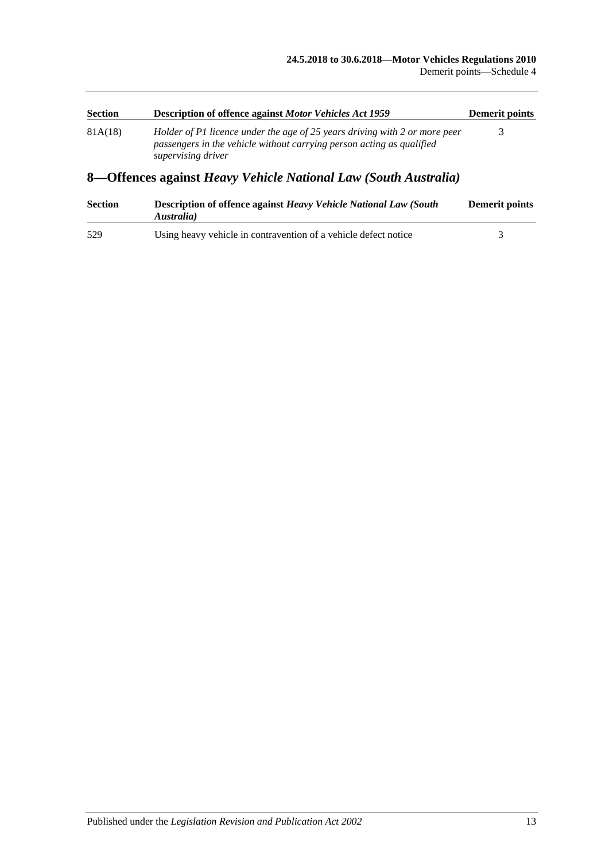| <b>Section</b>                                                  | <b>Description of offence against Motor Vehicles Act 1959</b>                                                                                                             | Demerit points |
|-----------------------------------------------------------------|---------------------------------------------------------------------------------------------------------------------------------------------------------------------------|----------------|
| 81A(18)                                                         | Holder of P1 licence under the age of 25 years driving with 2 or more peer<br>passengers in the vehicle without carrying person acting as qualified<br>supervising driver |                |
| 8—Offences against Heavy Vehicle National Law (South Australia) |                                                                                                                                                                           |                |

| <b>Section</b> | <b>Description of offence against Heavy Vehicle National Law (South</b><br>Australia) | <b>Demerit points</b> |
|----------------|---------------------------------------------------------------------------------------|-----------------------|
| 529            | Using heavy vehicle in contravention of a vehicle defect notice                       |                       |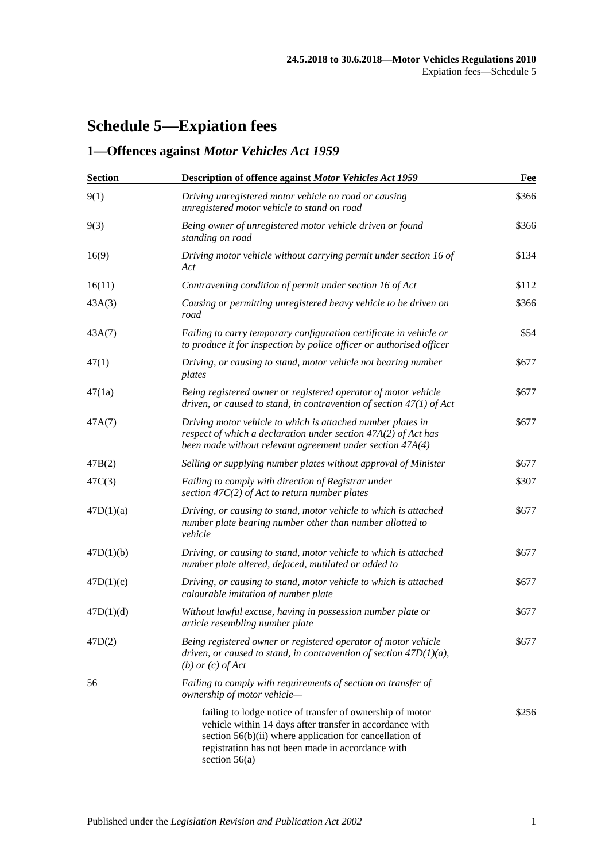# **Schedule 5—Expiation fees**

# **1—Offences against** *Motor Vehicles Act 1959*

| <b>Section</b> | <b>Description of offence against Motor Vehicles Act 1959</b>                                                                                                                                                                                            | Fee   |
|----------------|----------------------------------------------------------------------------------------------------------------------------------------------------------------------------------------------------------------------------------------------------------|-------|
| 9(1)           | Driving unregistered motor vehicle on road or causing<br>unregistered motor vehicle to stand on road                                                                                                                                                     | \$366 |
| 9(3)           | Being owner of unregistered motor vehicle driven or found<br>standing on road                                                                                                                                                                            | \$366 |
| 16(9)          | Driving motor vehicle without carrying permit under section 16 of<br>Act                                                                                                                                                                                 | \$134 |
| 16(11)         | Contravening condition of permit under section 16 of Act                                                                                                                                                                                                 | \$112 |
| 43A(3)         | Causing or permitting unregistered heavy vehicle to be driven on<br>road                                                                                                                                                                                 | \$366 |
| 43A(7)         | Failing to carry temporary configuration certificate in vehicle or<br>to produce it for inspection by police officer or authorised officer                                                                                                               | \$54  |
| 47(1)          | Driving, or causing to stand, motor vehicle not bearing number<br>plates                                                                                                                                                                                 | \$677 |
| 47(1a)         | Being registered owner or registered operator of motor vehicle<br>driven, or caused to stand, in contravention of section $47(1)$ of Act                                                                                                                 | \$677 |
| 47A(7)         | Driving motor vehicle to which is attached number plates in<br>respect of which a declaration under section 47A(2) of Act has<br>been made without relevant agreement under section 47A(4)                                                               | \$677 |
| 47B(2)         | Selling or supplying number plates without approval of Minister                                                                                                                                                                                          | \$677 |
| 47C(3)         | Failing to comply with direction of Registrar under<br>section $47C(2)$ of Act to return number plates                                                                                                                                                   | \$307 |
| 47D(1)(a)      | Driving, or causing to stand, motor vehicle to which is attached<br>number plate bearing number other than number allotted to<br>vehicle                                                                                                                 | \$677 |
| 47D(1)(b)      | Driving, or causing to stand, motor vehicle to which is attached<br>number plate altered, defaced, mutilated or added to                                                                                                                                 | \$677 |
| 47D(1)(c)      | Driving, or causing to stand, motor vehicle to which is attached<br>colourable imitation of number plate                                                                                                                                                 | \$677 |
| 47D(1)(d)      | Without lawful excuse, having in possession number plate or<br>article resembling number plate                                                                                                                                                           | \$677 |
| 47D(2)         | Being registered owner or registered operator of motor vehicle<br>driven, or caused to stand, in contravention of section $47D(1)(a)$ ,<br>(b) or $(c)$ of Act                                                                                           | \$677 |
| 56             | Failing to comply with requirements of section on transfer of<br>ownership of motor vehicle-                                                                                                                                                             |       |
|                | failing to lodge notice of transfer of ownership of motor<br>vehicle within 14 days after transfer in accordance with<br>section 56(b)(ii) where application for cancellation of<br>registration has not been made in accordance with<br>section $56(a)$ | \$256 |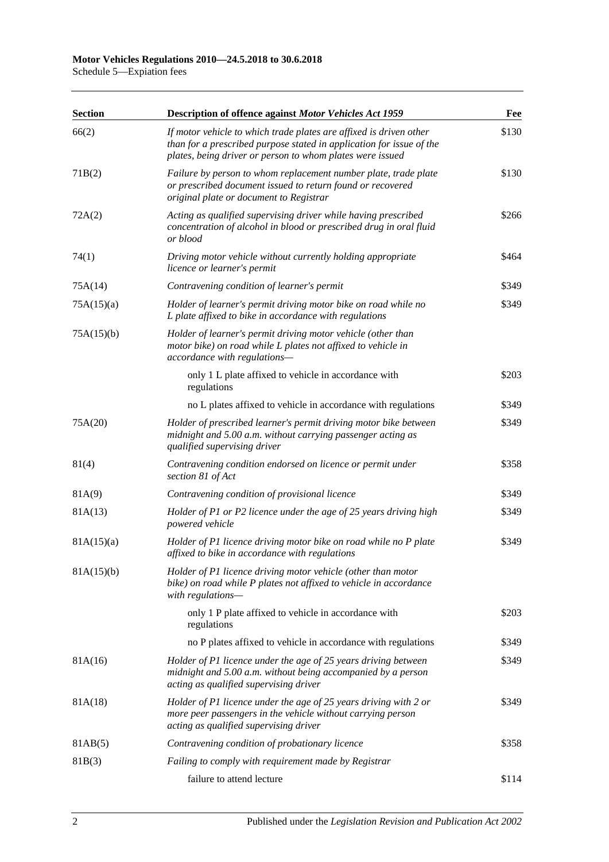Schedule 5—Expiation fees

| <b>Section</b> | <b>Description of offence against Motor Vehicles Act 1959</b>                                                                                                                                           | Fee   |
|----------------|---------------------------------------------------------------------------------------------------------------------------------------------------------------------------------------------------------|-------|
| 66(2)          | If motor vehicle to which trade plates are affixed is driven other<br>than for a prescribed purpose stated in application for issue of the<br>plates, being driver or person to whom plates were issued | \$130 |
| 71B(2)         | Failure by person to whom replacement number plate, trade plate<br>or prescribed document issued to return found or recovered<br>original plate or document to Registrar                                | \$130 |
| 72A(2)         | Acting as qualified supervising driver while having prescribed<br>concentration of alcohol in blood or prescribed drug in oral fluid<br>or blood                                                        | \$266 |
| 74(1)          | Driving motor vehicle without currently holding appropriate<br>licence or learner's permit                                                                                                              | \$464 |
| 75A(14)        | Contravening condition of learner's permit                                                                                                                                                              | \$349 |
| 75A(15)(a)     | Holder of learner's permit driving motor bike on road while no<br>L plate affixed to bike in accordance with regulations                                                                                | \$349 |
| 75A(15)(b)     | Holder of learner's permit driving motor vehicle (other than<br>motor bike) on road while L plates not affixed to vehicle in<br>accordance with regulations-                                            |       |
|                | only 1 L plate affixed to vehicle in accordance with<br>regulations                                                                                                                                     | \$203 |
|                | no L plates affixed to vehicle in accordance with regulations                                                                                                                                           | \$349 |
| 75A(20)        | Holder of prescribed learner's permit driving motor bike between<br>midnight and 5.00 a.m. without carrying passenger acting as<br>qualified supervising driver                                         | \$349 |
| 81(4)          | Contravening condition endorsed on licence or permit under<br>section 81 of Act                                                                                                                         | \$358 |
| 81A(9)         | Contravening condition of provisional licence                                                                                                                                                           | \$349 |
| 81A(13)        | Holder of P1 or P2 licence under the age of 25 years driving high<br>powered vehicle                                                                                                                    | \$349 |
| 81A(15)(a)     | Holder of P1 licence driving motor bike on road while no P plate<br>affixed to bike in accordance with regulations                                                                                      | \$349 |
| 81A(15)(b)     | Holder of P1 licence driving motor vehicle (other than motor<br>bike) on road while P plates not affixed to vehicle in accordance<br>with regulations-                                                  |       |
|                | only 1 P plate affixed to vehicle in accordance with<br>regulations                                                                                                                                     | \$203 |
|                | no P plates affixed to vehicle in accordance with regulations                                                                                                                                           | \$349 |
| 81A(16)        | Holder of P1 licence under the age of 25 years driving between<br>midnight and 5.00 a.m. without being accompanied by a person<br>acting as qualified supervising driver                                | \$349 |
| 81A(18)        | Holder of P1 licence under the age of 25 years driving with 2 or<br>more peer passengers in the vehicle without carrying person<br>acting as qualified supervising driver                               | \$349 |
| 81AB(5)        | Contravening condition of probationary licence                                                                                                                                                          | \$358 |
| 81B(3)         | Failing to comply with requirement made by Registrar                                                                                                                                                    |       |
|                | failure to attend lecture                                                                                                                                                                               | \$114 |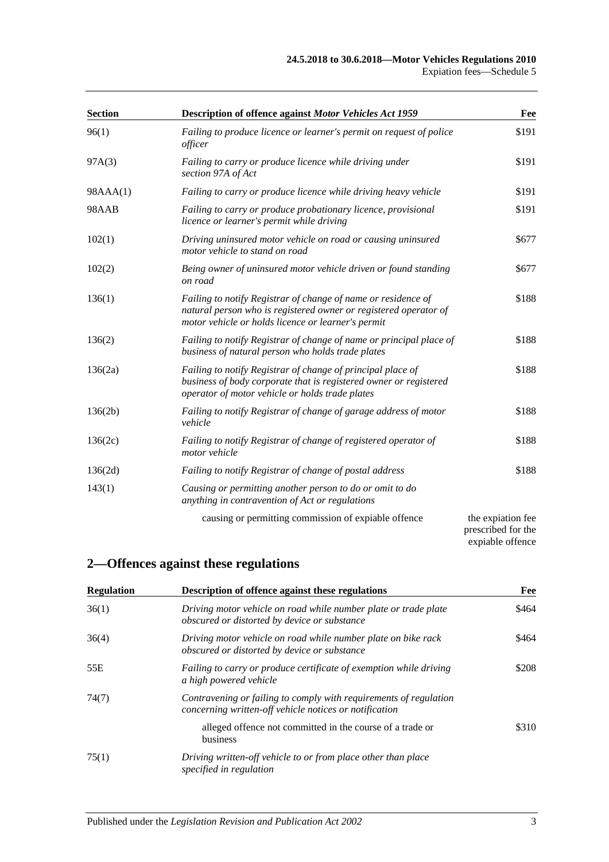| <b>Section</b> | Description of offence against Motor Vehicles Act 1959                                                                                                                                  | Fee                                                         |
|----------------|-----------------------------------------------------------------------------------------------------------------------------------------------------------------------------------------|-------------------------------------------------------------|
| 96(1)          | Failing to produce licence or learner's permit on request of police<br>officer                                                                                                          | \$191                                                       |
| 97A(3)         | Failing to carry or produce licence while driving under<br>section 97A of Act                                                                                                           | \$191                                                       |
| 98AAA(1)       | Failing to carry or produce licence while driving heavy vehicle                                                                                                                         | \$191                                                       |
| 98AAB          | Failing to carry or produce probationary licence, provisional<br>licence or learner's permit while driving                                                                              | \$191                                                       |
| 102(1)         | Driving uninsured motor vehicle on road or causing uninsured<br>motor vehicle to stand on road                                                                                          | \$677                                                       |
| 102(2)         | Being owner of uninsured motor vehicle driven or found standing<br>on road                                                                                                              | \$677                                                       |
| 136(1)         | Failing to notify Registrar of change of name or residence of<br>natural person who is registered owner or registered operator of<br>motor vehicle or holds licence or learner's permit | \$188                                                       |
| 136(2)         | Failing to notify Registrar of change of name or principal place of<br>business of natural person who holds trade plates                                                                | \$188                                                       |
| 136(2a)        | Failing to notify Registrar of change of principal place of<br>business of body corporate that is registered owner or registered<br>operator of motor vehicle or holds trade plates     | \$188                                                       |
| 136(2b)        | Failing to notify Registrar of change of garage address of motor<br>vehicle                                                                                                             | \$188                                                       |
| 136(2c)        | Failing to notify Registrar of change of registered operator of<br>motor vehicle                                                                                                        | \$188                                                       |
| 136(2d)        | Failing to notify Registrar of change of postal address                                                                                                                                 | \$188                                                       |
| 143(1)         | Causing or permitting another person to do or omit to do<br>anything in contravention of Act or regulations                                                                             |                                                             |
|                | causing or permitting commission of expiable offence                                                                                                                                    | the expiation fee<br>prescribed for the<br>expiable offence |

## **2—Offences against these regulations**

| <b>Regulation</b> | <b>Description of offence against these regulations</b>                                                                     | Fee   |
|-------------------|-----------------------------------------------------------------------------------------------------------------------------|-------|
| 36(1)             | Driving motor vehicle on road while number plate or trade plate<br>obscured or distorted by device or substance             | \$464 |
| 36(4)             | Driving motor vehicle on road while number plate on bike rack<br>obscured or distorted by device or substance               | \$464 |
| 55E               | Failing to carry or produce certificate of exemption while driving<br>a high powered vehicle                                | \$208 |
| 74(7)             | Contravening or failing to comply with requirements of regulation<br>concerning written-off vehicle notices or notification |       |
|                   | alleged offence not committed in the course of a trade or<br>business                                                       | \$310 |
| 75(1)             | Driving written-off vehicle to or from place other than place<br>specified in regulation                                    |       |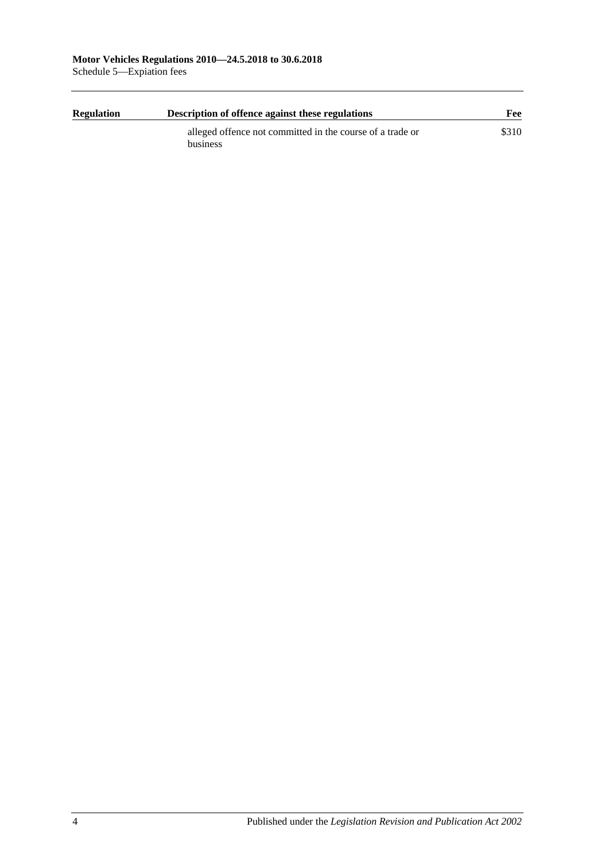| <b>Regulation</b> | Description of offence against these regulations          |       |
|-------------------|-----------------------------------------------------------|-------|
|                   | alleged offence not committed in the course of a trade or | \$310 |
|                   | business                                                  |       |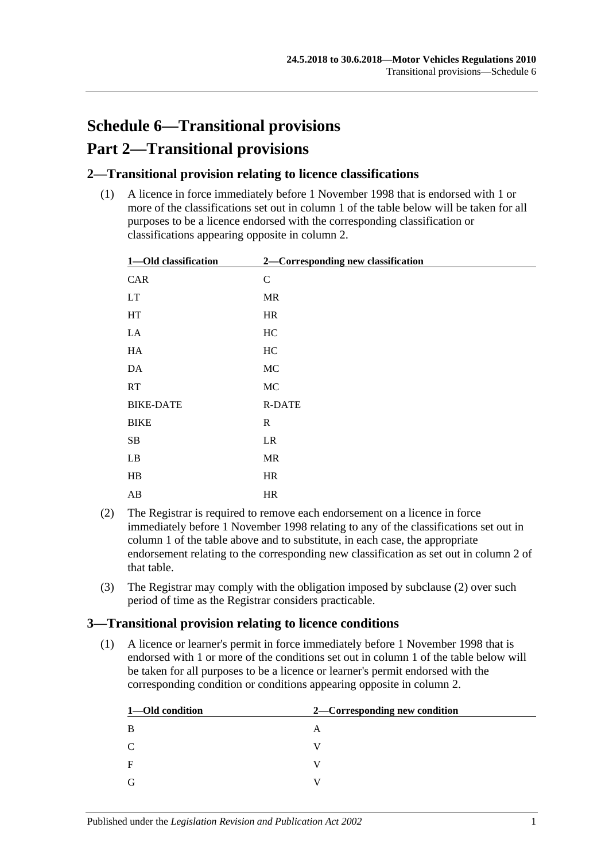# **Schedule 6—Transitional provisions Part 2—Transitional provisions**

## **2—Transitional provision relating to licence classifications**

(1) A licence in force immediately before 1 November 1998 that is endorsed with 1 or more of the classifications set out in column 1 of the table below will be taken for all purposes to be a licence endorsed with the corresponding classification or classifications appearing opposite in column 2.

| 1-Old classification | 2-Corresponding new classification |  |
|----------------------|------------------------------------|--|
| CAR                  | $\mathbf C$                        |  |
| <b>LT</b>            | MR                                 |  |
| HT                   | HR                                 |  |
| LA                   | HC                                 |  |
| HA                   | HC                                 |  |
| DA                   | $\rm MC$                           |  |
| RT                   | MC                                 |  |
| <b>BIKE-DATE</b>     | <b>R-DATE</b>                      |  |
| <b>BIKE</b>          | $\mathbf R$                        |  |
| SB                   | LR                                 |  |
| LB                   | MR                                 |  |
| $\rm HB$             | HR                                 |  |
| AB                   | HR                                 |  |

- <span id="page-104-0"></span>(2) The Registrar is required to remove each endorsement on a licence in force immediately before 1 November 1998 relating to any of the classifications set out in column 1 of the table above and to substitute, in each case, the appropriate endorsement relating to the corresponding new classification as set out in column 2 of that table.
- (3) The Registrar may comply with the obligation imposed by [subclause](#page-104-0) (2) over such period of time as the Registrar considers practicable.

### **3—Transitional provision relating to licence conditions**

(1) A licence or learner's permit in force immediately before 1 November 1998 that is endorsed with 1 or more of the conditions set out in column 1 of the table below will be taken for all purposes to be a licence or learner's permit endorsed with the corresponding condition or conditions appearing opposite in column 2.

| 1-Old condition | 2—Corresponding new condition |
|-----------------|-------------------------------|
| B               | A                             |
| C               |                               |
| $\mathbf F$     |                               |
| G               |                               |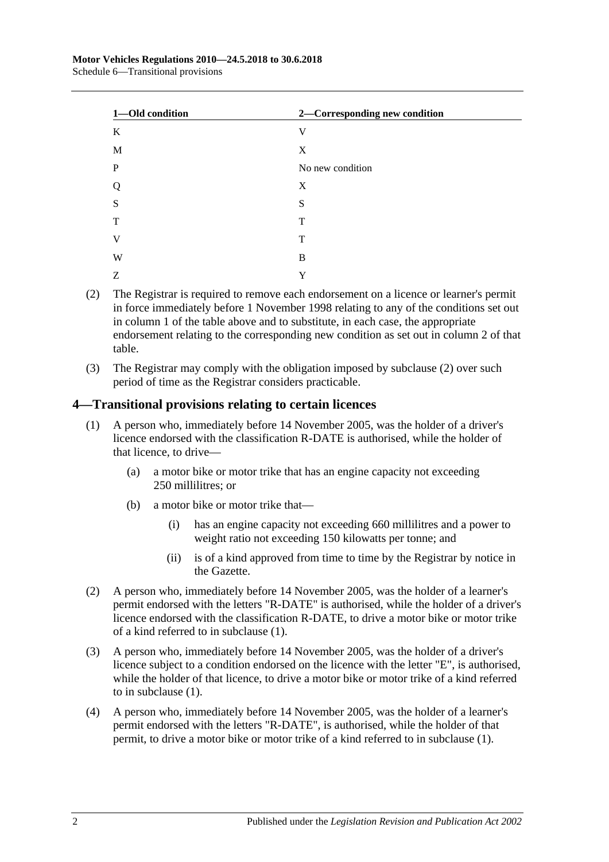| 1-Old condition | 2-Corresponding new condition |  |
|-----------------|-------------------------------|--|
| K               | V                             |  |
| M               | X                             |  |
| $\mathbf P$     | No new condition              |  |
| Q               | X                             |  |
| S               | S                             |  |
| T               | T                             |  |
| V               | T                             |  |
| W               | B                             |  |
| Z               | Y                             |  |

- <span id="page-105-0"></span>(2) The Registrar is required to remove each endorsement on a licence or learner's permit in force immediately before 1 November 1998 relating to any of the conditions set out in column 1 of the table above and to substitute, in each case, the appropriate endorsement relating to the corresponding new condition as set out in column 2 of that table.
- (3) The Registrar may comply with the obligation imposed by [subclause](#page-105-0) (2) over such period of time as the Registrar considers practicable.

### <span id="page-105-1"></span>**4—Transitional provisions relating to certain licences**

- (1) A person who, immediately before 14 November 2005, was the holder of a driver's licence endorsed with the classification R-DATE is authorised, while the holder of that licence, to drive—
	- (a) a motor bike or motor trike that has an engine capacity not exceeding 250 millilitres; or
	- (b) a motor bike or motor trike that—
		- (i) has an engine capacity not exceeding 660 millilitres and a power to weight ratio not exceeding 150 kilowatts per tonne; and
		- (ii) is of a kind approved from time to time by the Registrar by notice in the Gazette.
- (2) A person who, immediately before 14 November 2005, was the holder of a learner's permit endorsed with the letters "R-DATE" is authorised, while the holder of a driver's licence endorsed with the classification R-DATE, to drive a motor bike or motor trike of a kind referred to in [subclause](#page-105-1) (1).
- (3) A person who, immediately before 14 November 2005, was the holder of a driver's licence subject to a condition endorsed on the licence with the letter "E", is authorised, while the holder of that licence, to drive a motor bike or motor trike of a kind referred to in [subclause](#page-105-1) (1).
- (4) A person who, immediately before 14 November 2005, was the holder of a learner's permit endorsed with the letters "R-DATE", is authorised, while the holder of that permit, to drive a motor bike or motor trike of a kind referred to in [subclause](#page-105-1) (1).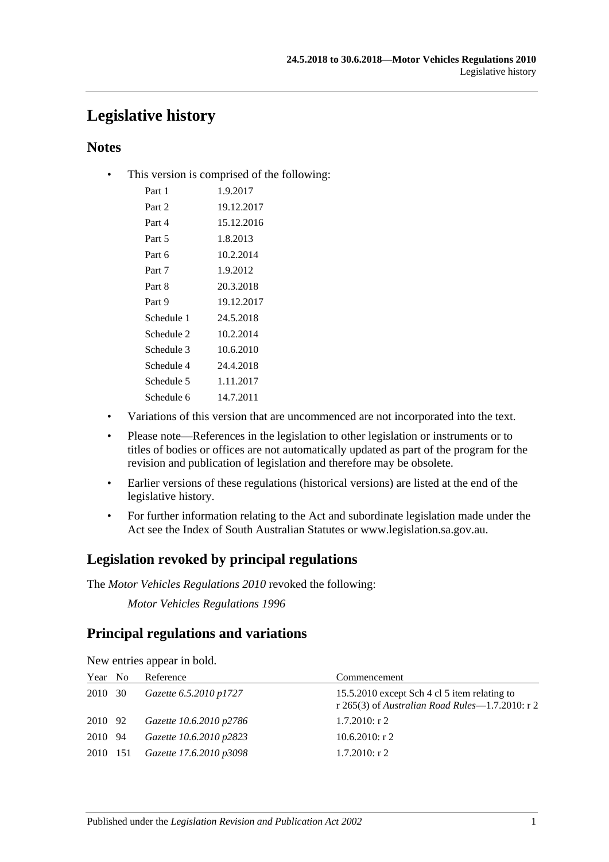## **Legislative history**

## **Notes**

• This version is comprised of the following:

| Part 1     | 1.9.2017   |
|------------|------------|
| Part 2     | 19.12.2017 |
| Part 4     | 15.12.2016 |
| Part 5     | 1.8.2013   |
| Part 6     | 10.2.2014  |
| Part 7     | 1.9.2012   |
| Part 8     | 20.3.2018  |
| Part 9     | 19.12.2017 |
| Schedule 1 | 24.5.2018  |
| Schedule 2 | 10.2.2014  |
| Schedule 3 | 10.6.2010  |
| Schedule 4 | 24.4.2018  |
| Schedule 5 | 1.11.2017  |
| Schedule 6 | 14.7.2011  |

- Variations of this version that are uncommenced are not incorporated into the text.
- Please note—References in the legislation to other legislation or instruments or to titles of bodies or offices are not automatically updated as part of the program for the revision and publication of legislation and therefore may be obsolete.
- Earlier versions of these regulations (historical versions) are listed at the end of the legislative history.
- For further information relating to the Act and subordinate legislation made under the Act see the Index of South Australian Statutes or www.legislation.sa.gov.au.

## **Legislation revoked by principal regulations**

The *Motor Vehicles Regulations 2010* revoked the following:

*Motor Vehicles Regulations 1996*

## **Principal regulations and variations**

|          | $\ldots$ which is the power and control |                         |                                                                                                 |  |  |
|----------|-----------------------------------------|-------------------------|-------------------------------------------------------------------------------------------------|--|--|
| Year No  |                                         | Reference               | Commencement                                                                                    |  |  |
| 2010 30  |                                         | Gazette 6.5.2010 p1727  | 15.5.2010 except Sch 4 cl 5 item relating to<br>r 265(3) of Australian Road Rules—1.7.2010: r 2 |  |  |
| 2010 92  |                                         | Gazette 10.6.2010 p2786 | $1.7.2010$ : r 2                                                                                |  |  |
| 2010 94  |                                         | Gazette 10.6.2010 p2823 | $10.6.2010$ : r 2                                                                               |  |  |
| 2010 151 |                                         | Gazette 17.6.2010 p3098 | $1.7.2010$ : r 2                                                                                |  |  |
|          |                                         |                         |                                                                                                 |  |  |

New entries appear in bold.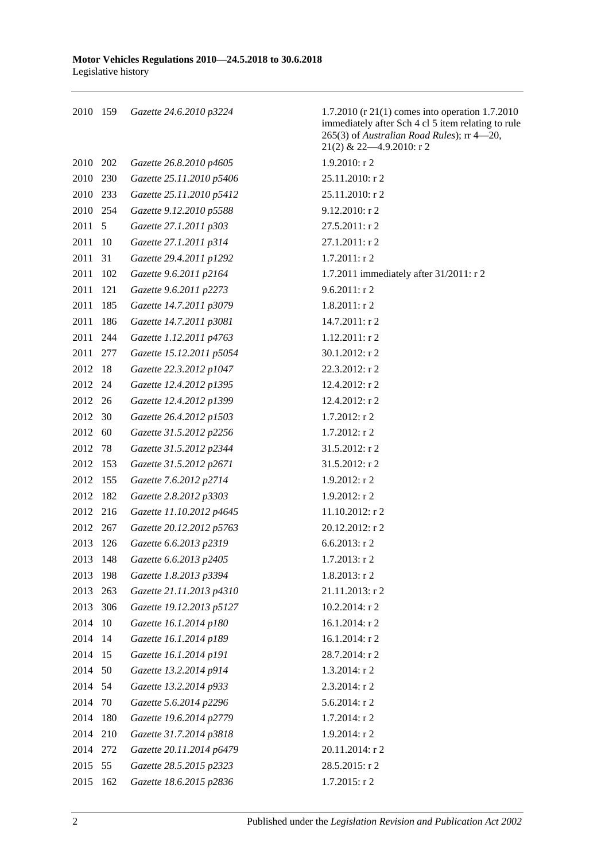159 *Gazette 24.6.2010 p3224* 1.7.2010 (r 21(1) comes into operation 1.7.2010 immediately after Sch 4 cl 5 item relating to rule 265(3) of *Australian Road Rules*); rr 4—20, 21(2) & 22—4.9.2010: r 2 202 *Gazette 26.8.2010 p4605* 1.9.2010: r 2 230 *Gazette 25.11.2010 p5406* 25.11.2010: r 2 233 *Gazette 25.11.2010 p5412* 25.11.2010: r 2 254 *Gazette 9.12.2010 p5588* 9.12.2010: r 2 5 *Gazette 27.1.2011 p303* 27.5.2011: r 2 10 *Gazette 27.1.2011 p314* 27.1.2011: r 2 31 *Gazette 29.4.2011 p1292* 1.7.2011: r 2 102 *Gazette 9.6.2011 p2164* 1.7.2011 immediately after 31/2011: r 2 121 *Gazette 9.6.2011 p2273* 9.6.2011: r 2 185 *Gazette 14.7.2011 p3079* 1.8.2011: r 2 186 *Gazette 14.7.2011 p3081* 14.7.2011: r 2 244 *Gazette 1.12.2011 p4763* 1.12.2011: r 2 277 *Gazette 15.12.2011 p5054* 30.1.2012: r 2 18 *Gazette 22.3.2012 p1047* 22.3.2012: r 2 24 *Gazette 12.4.2012 p1395* 12.4.2012: r 2 26 *Gazette 12.4.2012 p1399* 12.4.2012: r 2 30 *Gazette 26.4.2012 p1503* 1.7.2012: r 2 60 *Gazette 31.5.2012 p2256* 1.7.2012: r 2 78 *Gazette 31.5.2012 p2344* 31.5.2012: r 2 153 *Gazette 31.5.2012 p2671* 31.5.2012: r 2 155 *Gazette 7.6.2012 p2714* 1.9.2012: r 2 182 *Gazette 2.8.2012 p3303* 1.9.2012: r 2 216 *Gazette 11.10.2012 p4645* 11.10.2012: r 2 267 *Gazette 20.12.2012 p5763* 20.12.2012: r 2 126 *Gazette 6.6.2013 p2319* 6.6.2013: r 2 148 *Gazette 6.6.2013 p2405* 1.7.2013: r 2 198 *Gazette 1.8.2013 p3394* 1.8.2013: r 2 263 *Gazette 21.11.2013 p4310* 21.11.2013: r 2 306 *Gazette 19.12.2013 p5127* 10.2.2014: r 2 10 *Gazette 16.1.2014 p180* 16.1.2014: r 2 14 *Gazette 16.1.2014 p189* 16.1.2014: r 2 15 *Gazette 16.1.2014 p191* 28.7.2014: r 2 50 *Gazette 13.2.2014 p914* 1.3.2014: r 2 54 *Gazette 13.2.2014 p933* 2.3.2014: r 2 70 *Gazette 5.6.2014 p2296* 5.6.2014: r 2 180 *Gazette 19.6.2014 p2779* 1.7.2014: r 2 210 *Gazette 31.7.2014 p3818* 1.9.2014: r 2 272 *Gazette 20.11.2014 p6479* 20.11.2014: r 2 55 *Gazette 28.5.2015 p2323* 28.5.2015: r 2

162 *Gazette 18.6.2015 p2836* 1.7.2015: r 2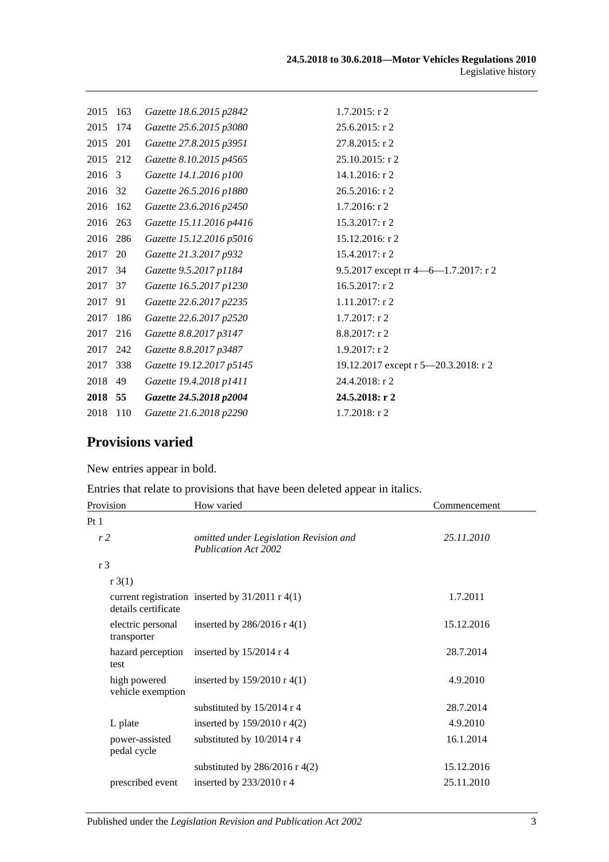| 2015 | 163 | Gazette 18.6.2015 p2842  | $1.7.2015$ : r 2                         |
|------|-----|--------------------------|------------------------------------------|
| 2015 | 174 | Gazette 25.6.2015 p3080  | $25.6.2015$ : r 2                        |
| 2015 | 201 | Gazette 27.8.2015 p3951  | 27.8.2015: r 2                           |
| 2015 | 212 | Gazette 8.10.2015 p4565  | 25.10.2015: r 2                          |
| 2016 | 3   | Gazette 14.1.2016 p100   | 14.1.2016: r 2                           |
| 2016 | 32  | Gazette 26.5.2016 p1880  | 26.5.2016: r 2                           |
| 2016 | 162 | Gazette 23.6.2016 p2450  | 1.7.2016: r 2                            |
| 2016 | 263 | Gazette 15.11.2016 p4416 | 15.3.2017: r 2                           |
| 2016 | 286 | Gazette 15.12.2016 p5016 | 15.12.2016: r 2                          |
| 2017 | 20  | Gazette 21.3.2017 p932   | 15.4.2017: r 2                           |
| 2017 | 34  | Gazette 9.5.2017 p1184   | 9.5.2017 except $rr$ 4 -6 -1.7.2017: r 2 |
| 2017 | 37  | Gazette 16.5.2017 p1230  | 16.5.2017: r 2                           |
| 2017 | 91  | Gazette 22.6.2017 p2235  | 1.11.2017: r 2                           |
| 2017 | 186 | Gazette 22.6.2017 p2520  | 1.7.2017: r 2                            |
| 2017 | 216 | Gazette 8.8.2017 p3147   | 8.8.2017: r 2                            |
| 2017 | 242 | Gazette 8.8.2017 p3487   | 1.9.2017: r2                             |
| 2017 | 338 | Gazette 19.12.2017 p5145 | 19.12.2017 except r 5-20.3.2018: r 2     |
| 2018 | 49  | Gazette 19.4.2018 p1411  | 24.4.2018: r 2                           |
| 2018 | 55  | Gazette 24.5.2018 p2004  | 24.5.2018: r 2                           |
| 2018 | 110 | Gazette 21.6.2018 p2290  | 1.7.2018: r 2                            |
|      |     |                          |                                          |

# **Provisions varied**

New entries appear in bold.

Entries that relate to provisions that have been deleted appear in italics.

| Provision                         | How varied                                                            | Commencement |
|-----------------------------------|-----------------------------------------------------------------------|--------------|
| Pt <sub>1</sub>                   |                                                                       |              |
| r <sub>2</sub>                    | omitted under Legislation Revision and<br><b>Publication Act 2002</b> | 25.11.2010   |
| r <sub>3</sub>                    |                                                                       |              |
| r3(1)                             |                                                                       |              |
| details certificate               | current registration inserted by $31/2011$ r 4(1)                     | 1.7.2011     |
| electric personal<br>transporter  | inserted by $286/2016$ r 4(1)                                         | 15.12.2016   |
| hazard perception<br>test         | inserted by 15/2014 r 4                                               | 28.7.2014    |
| high powered<br>vehicle exemption | inserted by $159/2010$ r 4(1)                                         | 4.9.2010     |
|                                   | substituted by $15/2014$ r 4                                          | 28.7.2014    |
| L plate                           | inserted by $159/2010 \text{ r } 4(2)$                                | 4.9.2010     |
| power-assisted<br>pedal cycle     | substituted by $10/2014$ r 4                                          | 16.1.2014    |
|                                   | substituted by $286/2016$ r 4(2)                                      | 15.12.2016   |
| prescribed event                  | inserted by $233/2010$ r 4                                            | 25.11.2010   |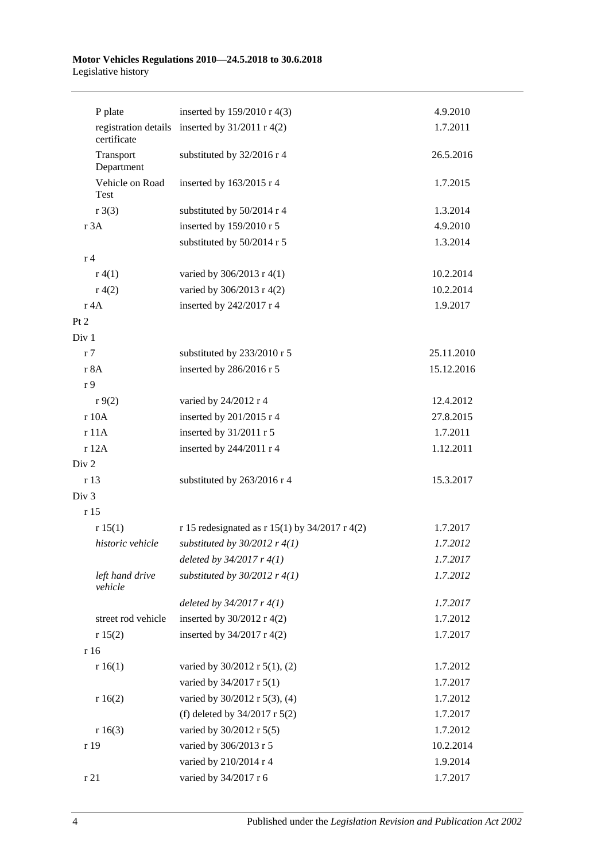#### **Motor Vehicles Regulations 2010—24.5.2018 to 30.6.2018** Legislative history

| P plate                 | inserted by 159/2010 r 4(3)                       | 4.9.2010   |
|-------------------------|---------------------------------------------------|------------|
| certificate             | registration details inserted by $31/2011$ r 4(2) | 1.7.2011   |
| Transport<br>Department | substituted by 32/2016 r 4                        | 26.5.2016  |
| Vehicle on Road<br>Test | inserted by 163/2015 r 4                          | 1.7.2015   |
| $r \cdot 3(3)$          | substituted by 50/2014 r 4                        | 1.3.2014   |
| r 3A                    | inserted by 159/2010 r 5                          | 4.9.2010   |
|                         | substituted by 50/2014 r 5                        | 1.3.2014   |
| r <sub>4</sub>          |                                                   |            |
| r(4(1))                 | varied by 306/2013 r 4(1)                         | 10.2.2014  |
| r(4(2)                  | varied by 306/2013 r 4(2)                         | 10.2.2014  |
| r 4A                    | inserted by 242/2017 r 4                          | 1.9.2017   |
| Pt 2                    |                                                   |            |
| Div 1                   |                                                   |            |
| r <sub>7</sub>          | substituted by 233/2010 r 5                       | 25.11.2010 |
| r 8A                    | inserted by 286/2016 r 5                          | 15.12.2016 |
| r 9                     |                                                   |            |
| r9(2)                   | varied by 24/2012 r 4                             | 12.4.2012  |
| r 10A                   | inserted by 201/2015 r 4                          | 27.8.2015  |
| r 11A                   | inserted by 31/2011 r 5                           | 1.7.2011   |
| r 12A                   | inserted by 244/2011 r 4                          | 1.12.2011  |
| Div 2                   |                                                   |            |
| r 13                    | substituted by 263/2016 r 4                       | 15.3.2017  |
| Div <sub>3</sub>        |                                                   |            |
| r 15                    |                                                   |            |
| r 15(1)                 | r 15 redesignated as r 15(1) by $34/2017$ r 4(2)  | 1.7.2017   |
| historic vehicle        | substituted by $30/2012$ r $4(1)$                 | 1.7.2012   |
|                         | deleted by $34/2017$ r $4(1)$                     | 1.7.2017   |
| left hand drive         | substituted by $30/2012$ r $4(1)$                 | 1.7.2012   |
| vehicle                 |                                                   |            |
|                         | deleted by $34/2017$ r $4(1)$                     | 1.7.2017   |
| street rod vehicle      | inserted by $30/2012$ r 4(2)                      | 1.7.2012   |
| r 15(2)                 | inserted by $34/2017$ r 4(2)                      | 1.7.2017   |
| r 16                    |                                                   |            |
| r 16(1)                 | varied by $30/2012$ r $5(1)$ , (2)                | 1.7.2012   |
|                         | varied by 34/2017 r 5(1)                          | 1.7.2017   |
| r 16(2)                 | varied by 30/2012 r 5(3), (4)                     | 1.7.2012   |
|                         | (f) deleted by $34/2017$ r $5(2)$                 | 1.7.2017   |
| r 16(3)                 | varied by 30/2012 r 5(5)                          | 1.7.2012   |
| r 19                    | varied by 306/2013 r 5                            | 10.2.2014  |
|                         | varied by 210/2014 r 4                            | 1.9.2014   |
| r 21                    | varied by 34/2017 r 6                             | 1.7.2017   |
|                         |                                                   |            |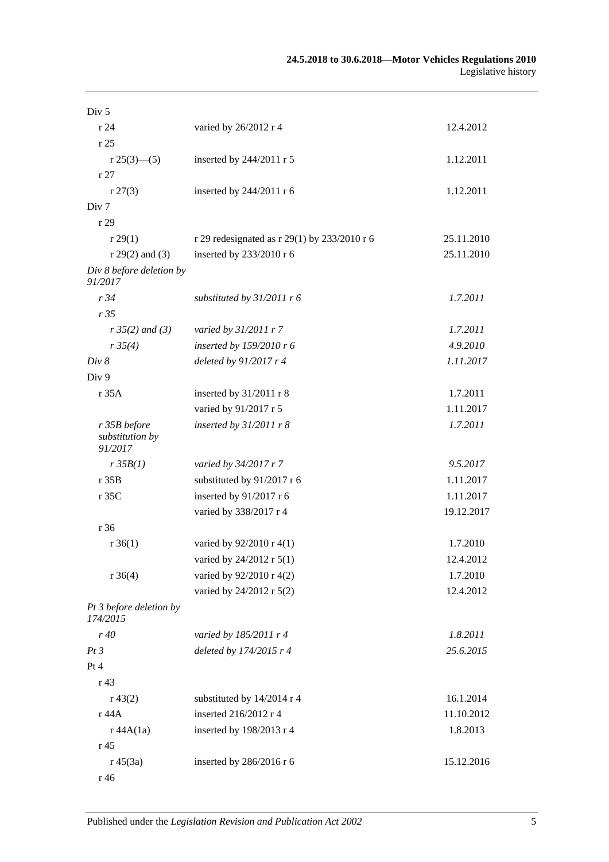| Div <sub>5</sub>                           |                                              |            |
|--------------------------------------------|----------------------------------------------|------------|
| r 24                                       | varied by 26/2012 r 4                        | 12.4.2012  |
| r25                                        |                                              |            |
| r 25(3)—(5)                                | inserted by 244/2011 r 5                     | 1.12.2011  |
| r27                                        |                                              |            |
| r 27(3)                                    | inserted by 244/2011 r 6                     | 1.12.2011  |
| Div <sub>7</sub>                           |                                              |            |
| r 29                                       |                                              |            |
| r 29(1)                                    | r 29 redesignated as r 29(1) by 233/2010 r 6 | 25.11.2010 |
| $r 29(2)$ and (3)                          | inserted by 233/2010 r 6                     | 25.11.2010 |
| Div 8 before deletion by<br>91/2017        |                                              |            |
| r34                                        | substituted by $31/2011$ r 6                 | 1.7.2011   |
| r35                                        |                                              |            |
| $r35(2)$ and (3)                           | varied by 31/2011 r 7                        | 1.7.2011   |
| r35(4)                                     | inserted by 159/2010 r 6                     | 4.9.2010   |
| Div 8                                      | deleted by $91/2017r4$                       | 1.11.2017  |
| Div 9                                      |                                              |            |
| r 35A                                      | inserted by 31/2011 r 8                      | 1.7.2011   |
|                                            | varied by 91/2017 r 5                        | 1.11.2017  |
| r 35B before<br>substitution by<br>91/2017 | inserted by $31/2011$ r 8                    | 1.7.2011   |
| r35B(1)                                    | varied by 34/2017 r 7                        | 9.5.2017   |
| r35B                                       | substituted by 91/2017 r 6                   | 1.11.2017  |
| r 35C                                      | inserted by 91/2017 r 6                      | 1.11.2017  |
|                                            | varied by 338/2017 r 4                       | 19.12.2017 |
| r 36                                       |                                              |            |
| $r \, 36(1)$                               | varied by 92/2010 r 4(1)                     | 1.7.2010   |
|                                            | varied by 24/2012 r 5(1)                     | 12.4.2012  |
| $r \, 36(4)$                               | varied by 92/2010 r 4(2)                     | 1.7.2010   |
|                                            | varied by 24/2012 r 5(2)                     | 12.4.2012  |
| Pt 3 before deletion by<br>174/2015        |                                              |            |
| r40                                        | varied by 185/2011 r 4                       | 1.8.2011   |
| Pt3                                        | deleted by 174/2015 r 4                      | 25.6.2015  |
| Pt 4                                       |                                              |            |
| r 43                                       |                                              |            |
| r 43(2)                                    | substituted by 14/2014 r 4                   | 16.1.2014  |
| r 44 A                                     | inserted 216/2012 r 4                        | 11.10.2012 |
| r 44A(1a)                                  | inserted by 198/2013 r 4                     | 1.8.2013   |
| r <sub>45</sub>                            |                                              |            |
| $r\,45(3a)$                                | inserted by 286/2016 r 6                     | 15.12.2016 |
| r 46                                       |                                              |            |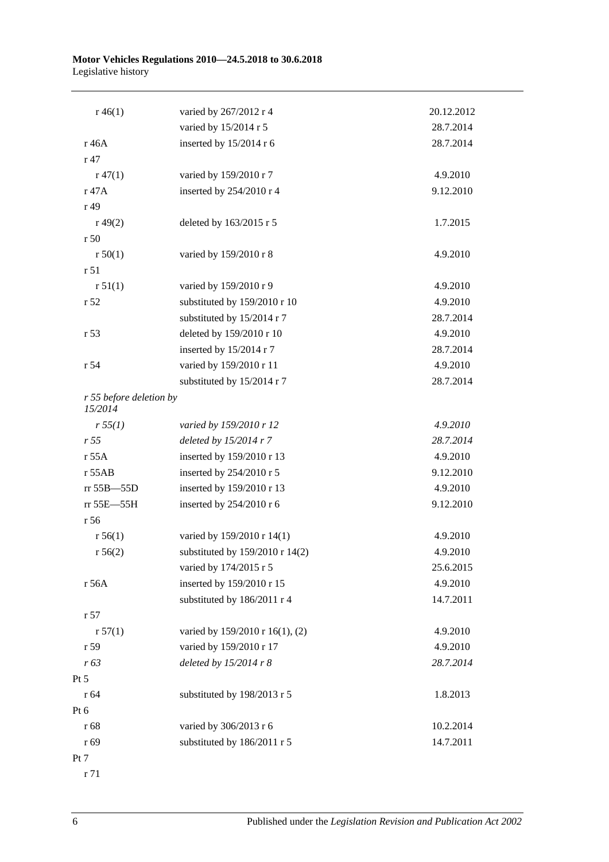#### **Motor Vehicles Regulations 2010—24.5.2018 to 30.6.2018** Legislative history

| $r\,46(1)$                         | varied by 267/2012 r 4          | 20.12.2012 |
|------------------------------------|---------------------------------|------------|
|                                    | varied by 15/2014 r 5           | 28.7.2014  |
| r 46A                              | inserted by 15/2014 r 6         | 28.7.2014  |
| r 47                               |                                 |            |
| $r\,47(1)$                         | varied by 159/2010 r 7          | 4.9.2010   |
| r 47A                              | inserted by 254/2010 r 4        | 9.12.2010  |
| r 49                               |                                 |            |
| r(49(2))                           | deleted by 163/2015 r 5         | 1.7.2015   |
| r <sub>50</sub>                    |                                 |            |
| r 50(1)                            | varied by 159/2010 r 8          | 4.9.2010   |
| r 51                               |                                 |            |
| r 51(1)                            | varied by 159/2010 r 9          | 4.9.2010   |
| r 52                               | substituted by 159/2010 r 10    | 4.9.2010   |
|                                    | substituted by 15/2014 r 7      | 28.7.2014  |
| r <sub>53</sub>                    | deleted by 159/2010 r 10        | 4.9.2010   |
|                                    | inserted by 15/2014 r 7         | 28.7.2014  |
| r 54                               | varied by 159/2010 r 11         | 4.9.2010   |
|                                    | substituted by 15/2014 r 7      | 28.7.2014  |
| r 55 before deletion by<br>15/2014 |                                 |            |
| r 55(1)                            | varied by 159/2010 r 12         | 4.9.2010   |
| r 55                               | deleted by $15/2014$ r 7        | 28.7.2014  |
| $r$ 55A                            | inserted by 159/2010 r 13       | 4.9.2010   |
| $r$ 55AB                           | inserted by 254/2010 r 5        | 9.12.2010  |
| rr 55B-55D                         | inserted by 159/2010 r 13       | 4.9.2010   |
| rr 55E-55H                         | inserted by 254/2010 r 6        | 9.12.2010  |
| r 56                               |                                 |            |
| r 56(1)                            | varied by 159/2010 r 14(1)      | 4.9.2010   |
| r 56(2)                            | substituted by 159/2010 r 14(2) | 4.9.2010   |
|                                    | varied by 174/2015 r 5          | 25.6.2015  |
| r 56A                              | inserted by 159/2010 r 15       | 4.9.2010   |
|                                    | substituted by 186/2011 r 4     | 14.7.2011  |
| r 57                               |                                 |            |
| r 57(1)                            | varied by 159/2010 r 16(1), (2) | 4.9.2010   |
| r 59                               | varied by 159/2010 r 17         | 4.9.2010   |
| r 63                               | deleted by 15/2014 r 8          | 28.7.2014  |
| $Pt\,5$                            |                                 |            |
| r 64                               | substituted by 198/2013 r 5     | 1.8.2013   |
| Pt 6                               |                                 |            |
| r 68                               | varied by 306/2013 r 6          | 10.2.2014  |
| r 69                               | substituted by 186/2011 r 5     | 14.7.2011  |
| Pt 7                               |                                 |            |

r 71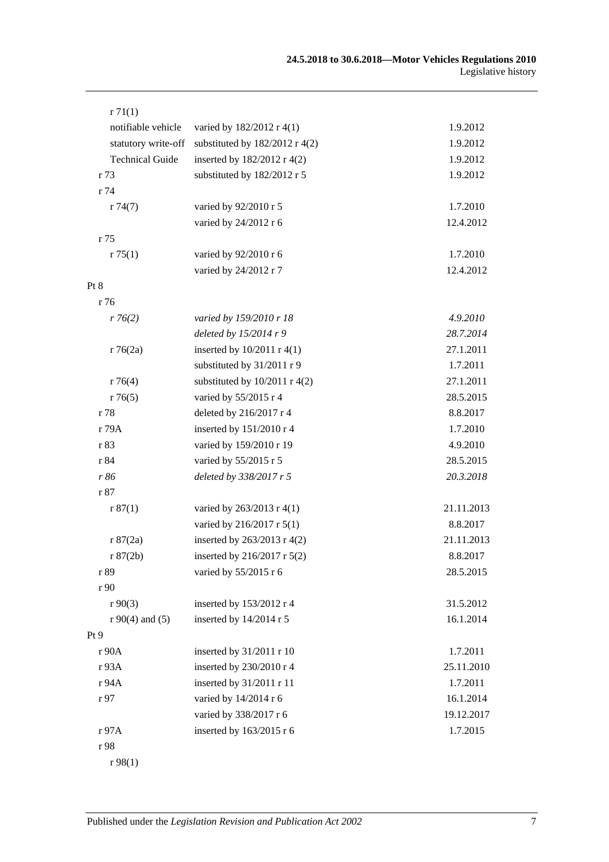| r71(1)                 |                                  |            |
|------------------------|----------------------------------|------------|
| notifiable vehicle     | varied by 182/2012 r 4(1)        | 1.9.2012   |
| statutory write-off    | substituted by $182/2012$ r 4(2) | 1.9.2012   |
| <b>Technical Guide</b> | inserted by 182/2012 r 4(2)      | 1.9.2012   |
| r 73                   | substituted by 182/2012 r 5      | 1.9.2012   |
| r 74                   |                                  |            |
| r74(7)                 | varied by 92/2010 r 5            | 1.7.2010   |
|                        | varied by 24/2012 r 6            | 12.4.2012  |
| r 75                   |                                  |            |
| r 75(1)                | varied by 92/2010 r 6            | 1.7.2010   |
|                        | varied by 24/2012 r 7            | 12.4.2012  |
| Pt 8                   |                                  |            |
| r 76                   |                                  |            |
| r76(2)                 | varied by 159/2010 r 18          | 4.9.2010   |
|                        | deleted by $15/2014r9$           | 28.7.2014  |
| r76(2a)                | inserted by $10/2011$ r 4(1)     | 27.1.2011  |
|                        | substituted by 31/2011 r 9       | 1.7.2011   |
| r76(4)                 | substituted by $10/2011$ r 4(2)  | 27.1.2011  |
| r76(5)                 | varied by 55/2015 r 4            | 28.5.2015  |
| r 78                   | deleted by 216/2017 r 4          | 8.8.2017   |
| r 79A                  | inserted by 151/2010 r 4         | 1.7.2010   |
| r 83                   | varied by 159/2010 r 19          | 4.9.2010   |
| r 84                   | varied by 55/2015 r 5            | 28.5.2015  |
| r 86                   | deleted by 338/2017 r 5          | 20.3.2018  |
| r 87                   |                                  |            |
| r 87(1)                | varied by 263/2013 r 4(1)        | 21.11.2013 |
|                        | varied by 216/2017 r 5(1)        | 8.8.2017   |
| r 87(2a)               | inserted by 263/2013 r 4(2)      | 21.11.2013 |
| r 87(2b)               | inserted by 216/2017 r 5(2)      | 8.8.2017   |
| r 89                   | varied by 55/2015 r 6            | 28.5.2015  |
| r 90                   |                                  |            |
| r90(3)                 | inserted by 153/2012 r 4         | 31.5.2012  |
| $r90(4)$ and (5)       | inserted by 14/2014 r 5          | 16.1.2014  |
| Pt 9                   |                                  |            |
| r 90A                  | inserted by 31/2011 r 10         | 1.7.2011   |
| r 93A                  | inserted by 230/2010 r 4         | 25.11.2010 |
| r 94A                  | inserted by 31/2011 r 11         | 1.7.2011   |
| r 97                   | varied by 14/2014 r 6            | 16.1.2014  |
|                        | varied by 338/2017 r 6           | 19.12.2017 |
| r 97A                  | inserted by 163/2015 r 6         | 1.7.2015   |
| r 98                   |                                  |            |
| r98(1)                 |                                  |            |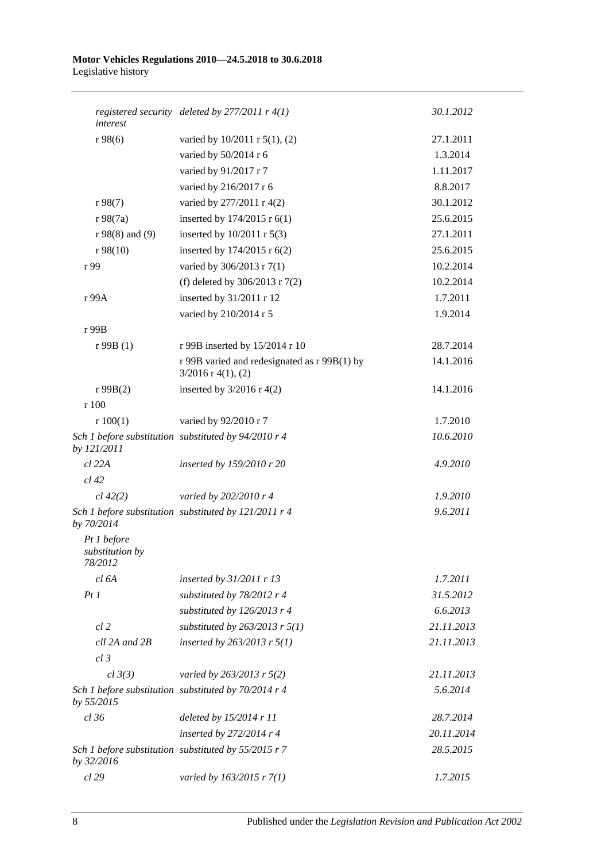#### **Motor Vehicles Regulations 2010—24.5.2018 to 30.6.2018** Legislative history

| interest                                  | registered security deleted by $277/2011$ r $4(1)$                   | 30.1.2012  |
|-------------------------------------------|----------------------------------------------------------------------|------------|
| r98(6)                                    | varied by 10/2011 r 5(1), (2)                                        | 27.1.2011  |
|                                           | varied by 50/2014 r 6                                                | 1.3.2014   |
|                                           | varied by 91/2017 r 7                                                | 1.11.2017  |
|                                           | varied by 216/2017 r 6                                               | 8.8.2017   |
| r 98(7)                                   | varied by 277/2011 r 4(2)                                            | 30.1.2012  |
| $r \, 98(7a)$                             | inserted by 174/2015 r 6(1)                                          | 25.6.2015  |
| $r 98(8)$ and (9)                         | inserted by $10/2011$ r $5(3)$                                       | 27.1.2011  |
| r98(10)                                   | inserted by 174/2015 r 6(2)                                          | 25.6.2015  |
| r 99                                      | varied by 306/2013 r 7(1)                                            | 10.2.2014  |
|                                           | (f) deleted by $306/2013$ r $7(2)$                                   | 10.2.2014  |
| r 99A                                     | inserted by 31/2011 r 12                                             | 1.7.2011   |
|                                           | varied by 210/2014 r 5                                               | 1.9.2014   |
| r 99B                                     |                                                                      |            |
| r99B(1)                                   | r 99B inserted by 15/2014 r 10                                       | 28.7.2014  |
|                                           | r 99B varied and redesignated as r 99B(1) by<br>$3/2016$ r 4(1), (2) | 14.1.2016  |
| r 99B(2)                                  | inserted by $3/2016$ r 4(2)                                          | 14.1.2016  |
| r 100                                     |                                                                      |            |
| r 100(1)                                  | varied by 92/2010 r 7                                                | 1.7.2010   |
| by 121/2011                               | Sch 1 before substitution substituted by 94/2010 r 4                 | 10.6.2010  |
| $cl$ 22 $A$                               | inserted by 159/2010 r 20                                            | 4.9.2010   |
| $cl$ 42                                   |                                                                      |            |
| cl 42(2)                                  | varied by 202/2010 r 4                                               | 1.9.2010   |
| by 70/2014                                | Sch 1 before substitution substituted by 121/2011 r 4                | 9.6.2011   |
| Pt 1 before<br>substitution by<br>78/2012 |                                                                      |            |
| cl 6A                                     | inserted by $31/2011$ r 13                                           | 1.7.2011   |
| PtI                                       | substituted by $78/2012$ r 4                                         | 31.5.2012  |
|                                           | substituted by 126/2013 r 4                                          | 6.6.2013   |
| $cl$ 2                                    | substituted by $263/2013$ r $5(1)$                                   | 21.11.2013 |
| cll 2A and 2B                             | inserted by $263/2013$ r $5(1)$                                      | 21.11.2013 |
| $cl$ 3                                    |                                                                      |            |
| cl 3(3)                                   | varied by 263/2013 r 5(2)                                            | 21.11.2013 |
| by 55/2015                                | Sch 1 before substitution substituted by 70/2014 r 4                 | 5.6.2014   |
| $cl$ 36                                   | deleted by 15/2014 r 11                                              | 28.7.2014  |
|                                           | inserted by $272/2014$ r 4                                           | 20.11.2014 |
| by 32/2016                                | Sch 1 before substitution substituted by 55/2015 r 7                 | 28.5.2015  |
| cl 29                                     | varied by $163/2015$ r $7(1)$                                        | 1.7.2015   |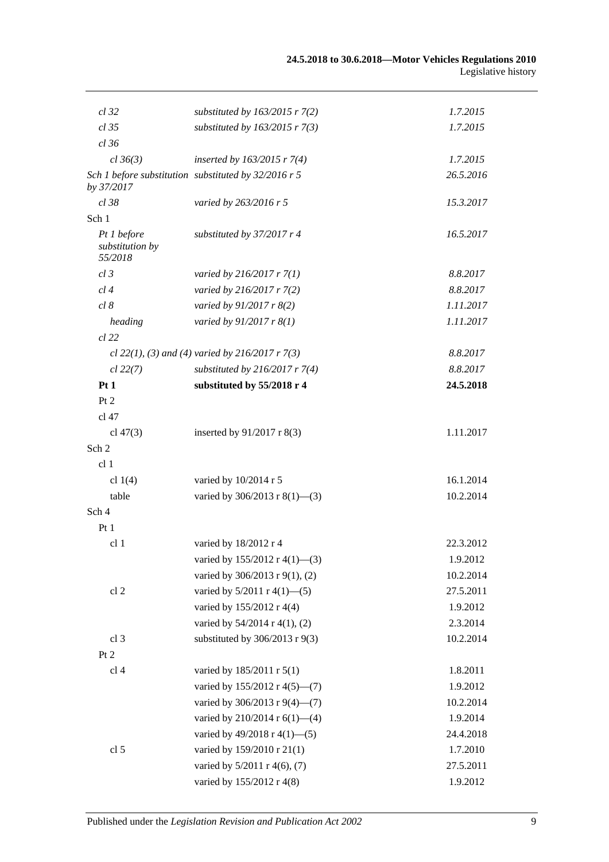| cl 32                                     | substituted by $163/2015$ r 7(2)                     | 1.7.2015  |
|-------------------------------------------|------------------------------------------------------|-----------|
| $cl$ 35                                   | substituted by $163/2015$ r 7(3)                     | 1.7.2015  |
| cl 36                                     |                                                      |           |
| cl 36(3)                                  | inserted by $163/2015$ r 7(4)                        | 1.7.2015  |
| by 37/2017                                | Sch 1 before substitution substituted by 32/2016 r 5 | 26.5.2016 |
| $cl$ 38                                   | varied by 263/2016 r 5                               | 15.3.2017 |
| Sch 1                                     |                                                      |           |
| Pt 1 before<br>substitution by<br>55/2018 | substituted by 37/2017 r 4                           | 16.5.2017 |
| $cl$ 3                                    | varied by $216/2017$ r $7(1)$                        | 8.8.2017  |
| cl4                                       | varied by 216/2017 r 7(2)                            | 8.8.2017  |
| cl 8                                      | varied by $91/2017$ r $8(2)$                         | 1.11.2017 |
| heading                                   | varied by $91/2017$ r $8(1)$                         | 1.11.2017 |
| cl 22                                     |                                                      |           |
|                                           | cl 22(1), (3) and (4) varied by 216/2017 $r$ 7(3)    | 8.8.2017  |
| $cl$ 22(7)                                | substituted by $216/2017$ r 7(4)                     | 8.8.2017  |
| Pt1                                       | substituted by 55/2018 r 4                           | 24.5.2018 |
| Pt 2                                      |                                                      |           |
| cl 47                                     |                                                      |           |
| cl $47(3)$                                | inserted by 91/2017 r 8(3)                           | 1.11.2017 |
| Sch 2                                     |                                                      |           |
| cl <sub>1</sub>                           |                                                      |           |
| cl $1(4)$                                 | varied by 10/2014 r 5                                | 16.1.2014 |
| table                                     | varied by $306/2013$ r $8(1)$ —(3)                   | 10.2.2014 |
| Sch 4                                     |                                                      |           |
| Pt1                                       |                                                      |           |
| cl <sub>1</sub>                           | varied by 18/2012 r 4                                | 22.3.2012 |
|                                           | varied by 155/2012 r 4(1)–(3)                        | 1.9.2012  |
|                                           | varied by 306/2013 r 9(1), (2)                       | 10.2.2014 |
| cl <sub>2</sub>                           | varied by 5/2011 r 4(1)-(5)                          | 27.5.2011 |
|                                           | varied by 155/2012 r 4(4)                            | 1.9.2012  |
|                                           | varied by 54/2014 r 4(1), (2)                        | 2.3.2014  |
| cl <sub>3</sub>                           | substituted by $306/2013$ r $9(3)$                   | 10.2.2014 |
| Pt 2                                      |                                                      |           |
| cl <sub>4</sub>                           | varied by 185/2011 r 5(1)                            | 1.8.2011  |
|                                           | varied by 155/2012 r 4(5)–(7)                        | 1.9.2012  |
|                                           | varied by 306/2013 r 9(4)-(7)                        | 10.2.2014 |
|                                           | varied by 210/2014 r 6(1)-(4)                        | 1.9.2014  |
|                                           | varied by $49/2018$ r $4(1)$ —(5)                    | 24.4.2018 |
| cl <sub>5</sub>                           | varied by 159/2010 r 21(1)                           | 1.7.2010  |
|                                           | varied by 5/2011 r 4(6), (7)                         | 27.5.2011 |
|                                           | varied by 155/2012 r 4(8)                            | 1.9.2012  |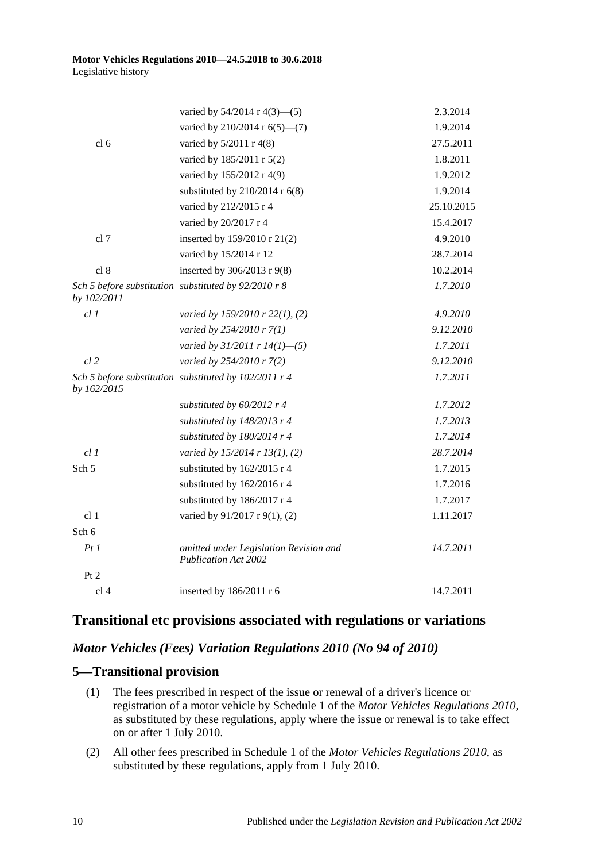|                  | varied by $54/2014$ r $4(3)$ — $(5)$                                  | 2.3.2014   |
|------------------|-----------------------------------------------------------------------|------------|
|                  | varied by 210/2014 r 6(5)–(7)                                         | 1.9.2014   |
| cl <sub>6</sub>  | varied by 5/2011 r 4(8)                                               | 27.5.2011  |
|                  | varied by 185/2011 r 5(2)                                             | 1.8.2011   |
|                  | varied by 155/2012 r 4(9)                                             | 1.9.2012   |
|                  | substituted by $210/2014$ r $6(8)$                                    | 1.9.2014   |
|                  | varied by 212/2015 r 4                                                | 25.10.2015 |
|                  | varied by 20/2017 r 4                                                 | 15.4.2017  |
| cl 7             | inserted by 159/2010 r 21(2)                                          | 4.9.2010   |
|                  | varied by 15/2014 r 12                                                | 28.7.2014  |
| cl 8             | inserted by 306/2013 r 9(8)                                           | 10.2.2014  |
| by 102/2011      | Sch 5 before substitution substituted by 92/2010 r 8                  | 1.7.2010   |
| cl1              | varied by 159/2010 r 22(1), (2)                                       | 4.9.2010   |
|                  | varied by 254/2010 r 7(1)                                             | 9.12.2010  |
|                  | varied by $31/2011$ r $14(1)$ -(5)                                    | 1.7.2011   |
| $cl$ 2           | varied by 254/2010 r 7(2)                                             | 9.12.2010  |
| by 162/2015      | Sch 5 before substitution substituted by 102/2011 r 4                 | 1.7.2011   |
|                  | substituted by 60/2012 r 4                                            | 1.7.2012   |
|                  | substituted by $148/2013$ r 4                                         | 1.7.2013   |
|                  | substituted by 180/2014 r 4                                           | 1.7.2014   |
| cl 1             | varied by 15/2014 r 13(1), (2)                                        | 28.7.2014  |
| Sch <sub>5</sub> | substituted by 162/2015 r 4                                           | 1.7.2015   |
|                  | substituted by 162/2016 r 4                                           | 1.7.2016   |
|                  | substituted by 186/2017 r 4                                           | 1.7.2017   |
| cl <sub>1</sub>  | varied by 91/2017 r 9(1), (2)                                         | 1.11.2017  |
| Sch 6            |                                                                       |            |
| PtI              | omitted under Legislation Revision and<br><b>Publication Act 2002</b> | 14.7.2011  |
| Pt 2             |                                                                       |            |
| cl <sub>4</sub>  | inserted by 186/2011 r 6                                              | 14.7.2011  |
|                  |                                                                       |            |

# **Transitional etc provisions associated with regulations or variations**

## *Motor Vehicles (Fees) Variation Regulations 2010 (No 94 of 2010)*

# **5—Transitional provision**

- (1) The fees prescribed in respect of the issue or renewal of a driver's licence or registration of a motor vehicle by Schedule 1 of the *[Motor Vehicles Regulations](http://www.legislation.sa.gov.au/index.aspx?action=legref&type=subordleg&legtitle=Motor%20Vehicles%20Regulations%202010) 2010*, as substituted by these regulations, apply where the issue or renewal is to take effect on or after 1 July 2010.
- (2) All other fees prescribed in Schedule 1 of the *[Motor Vehicles Regulations](http://www.legislation.sa.gov.au/index.aspx?action=legref&type=subordleg&legtitle=Motor%20Vehicles%20Regulations%202010) 2010*, as substituted by these regulations, apply from 1 July 2010.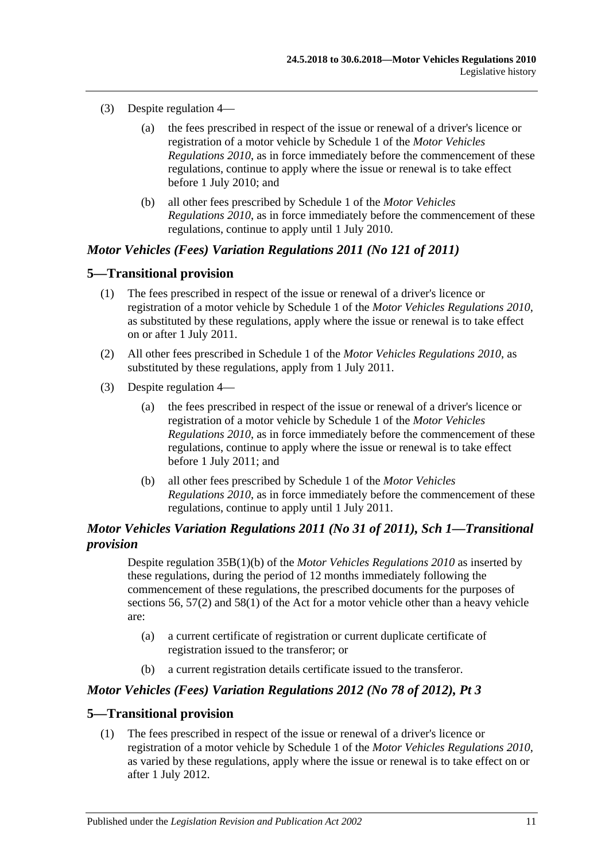- (3) Despite regulation 4—
	- (a) the fees prescribed in respect of the issue or renewal of a driver's licence or registration of a motor vehicle by Schedule 1 of the *[Motor Vehicles](http://www.legislation.sa.gov.au/index.aspx?action=legref&type=subordleg&legtitle=Motor%20Vehicles%20Regulations%202010)  [Regulations](http://www.legislation.sa.gov.au/index.aspx?action=legref&type=subordleg&legtitle=Motor%20Vehicles%20Regulations%202010) 2010*, as in force immediately before the commencement of these regulations, continue to apply where the issue or renewal is to take effect before 1 July 2010; and
	- (b) all other fees prescribed by Schedule 1 of the *[Motor Vehicles](http://www.legislation.sa.gov.au/index.aspx?action=legref&type=subordleg&legtitle=Motor%20Vehicles%20Regulations%202010)  [Regulations](http://www.legislation.sa.gov.au/index.aspx?action=legref&type=subordleg&legtitle=Motor%20Vehicles%20Regulations%202010) 2010*, as in force immediately before the commencement of these regulations, continue to apply until 1 July 2010.

## *Motor Vehicles (Fees) Variation Regulations 2011 (No 121 of 2011)*

#### **5—Transitional provision**

- (1) The fees prescribed in respect of the issue or renewal of a driver's licence or registration of a motor vehicle by Schedule 1 of the *[Motor Vehicles Regulations](http://www.legislation.sa.gov.au/index.aspx?action=legref&type=subordleg&legtitle=Motor%20Vehicles%20Regulations%202010) 2010*, as substituted by these regulations, apply where the issue or renewal is to take effect on or after 1 July 2011.
- (2) All other fees prescribed in Schedule 1 of the *[Motor Vehicles Regulations](http://www.legislation.sa.gov.au/index.aspx?action=legref&type=subordleg&legtitle=Motor%20Vehicles%20Regulations%202010) 2010*, as substituted by these regulations, apply from 1 July 2011.
- (3) Despite regulation 4—
	- (a) the fees prescribed in respect of the issue or renewal of a driver's licence or registration of a motor vehicle by Schedule 1 of the *[Motor Vehicles](http://www.legislation.sa.gov.au/index.aspx?action=legref&type=subordleg&legtitle=Motor%20Vehicles%20Regulations%202010)  [Regulations](http://www.legislation.sa.gov.au/index.aspx?action=legref&type=subordleg&legtitle=Motor%20Vehicles%20Regulations%202010) 2010*, as in force immediately before the commencement of these regulations, continue to apply where the issue or renewal is to take effect before 1 July 2011; and
	- (b) all other fees prescribed by Schedule 1 of the *[Motor Vehicles](http://www.legislation.sa.gov.au/index.aspx?action=legref&type=subordleg&legtitle=Motor%20Vehicles%20Regulations%202010)  [Regulations](http://www.legislation.sa.gov.au/index.aspx?action=legref&type=subordleg&legtitle=Motor%20Vehicles%20Regulations%202010) 2010*, as in force immediately before the commencement of these regulations, continue to apply until 1 July 2011.

# *Motor Vehicles Variation Regulations 2011 (No 31 of 2011), Sch 1—Transitional provision*

Despite regulation 35B(1)(b) of the *[Motor Vehicles Regulations](http://www.legislation.sa.gov.au/index.aspx?action=legref&type=subordleg&legtitle=Motor%20Vehicles%20Regulations%202010) 2010* as inserted by these regulations, during the period of 12 months immediately following the commencement of these regulations, the prescribed documents for the purposes of sections 56, 57(2) and 58(1) of the Act for a motor vehicle other than a heavy vehicle are:

- (a) a current certificate of registration or current duplicate certificate of registration issued to the transferor; or
- (b) a current registration details certificate issued to the transferor.

#### *Motor Vehicles (Fees) Variation Regulations 2012 (No 78 of 2012), Pt 3*

#### **5—Transitional provision**

(1) The fees prescribed in respect of the issue or renewal of a driver's licence or registration of a motor vehicle by Schedule 1 of the *[Motor Vehicles Regulations](http://www.legislation.sa.gov.au/index.aspx?action=legref&type=subordleg&legtitle=Motor%20Vehicles%20Regulations%202010) 2010*, as varied by these regulations, apply where the issue or renewal is to take effect on or after 1 July 2012.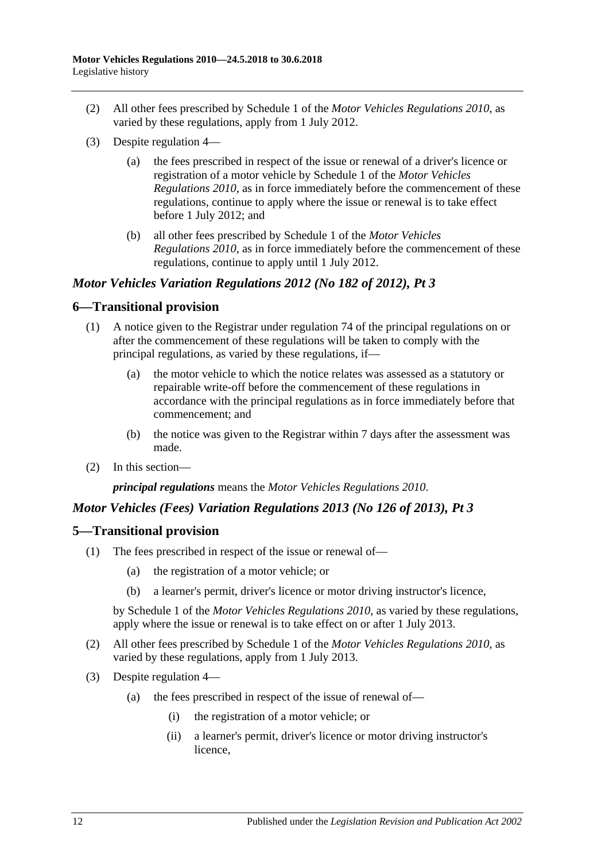- (2) All other fees prescribed by Schedule 1 of the *[Motor Vehicles Regulations](http://www.legislation.sa.gov.au/index.aspx?action=legref&type=subordleg&legtitle=Motor%20Vehicles%20Regulations%202010) 2010*, as varied by these regulations, apply from 1 July 2012.
- (3) Despite regulation 4—
	- (a) the fees prescribed in respect of the issue or renewal of a driver's licence or registration of a motor vehicle by Schedule 1 of the *[Motor Vehicles](http://www.legislation.sa.gov.au/index.aspx?action=legref&type=subordleg&legtitle=Motor%20Vehicles%20Regulations%202010)  [Regulations](http://www.legislation.sa.gov.au/index.aspx?action=legref&type=subordleg&legtitle=Motor%20Vehicles%20Regulations%202010) 2010*, as in force immediately before the commencement of these regulations, continue to apply where the issue or renewal is to take effect before 1 July 2012; and
	- (b) all other fees prescribed by Schedule 1 of the *[Motor Vehicles](http://www.legislation.sa.gov.au/index.aspx?action=legref&type=subordleg&legtitle=Motor%20Vehicles%20Regulations%202010)  [Regulations](http://www.legislation.sa.gov.au/index.aspx?action=legref&type=subordleg&legtitle=Motor%20Vehicles%20Regulations%202010) 2010*, as in force immediately before the commencement of these regulations, continue to apply until 1 July 2012.

# *Motor Vehicles Variation Regulations 2012 (No 182 of 2012), Pt 3*

## **6—Transitional provision**

- (1) A notice given to the Registrar under regulation 74 of the principal regulations on or after the commencement of these regulations will be taken to comply with the principal regulations, as varied by these regulations, if—
	- (a) the motor vehicle to which the notice relates was assessed as a statutory or repairable write-off before the commencement of these regulations in accordance with the principal regulations as in force immediately before that commencement; and
	- (b) the notice was given to the Registrar within 7 days after the assessment was made.
- (2) In this section—

*principal regulations* means the *[Motor Vehicles Regulations](http://www.legislation.sa.gov.au/index.aspx?action=legref&type=act&legtitle=Motor%20Vehicles%20Regulations%202010) 2010*.

## *Motor Vehicles (Fees) Variation Regulations 2013 (No 126 of 2013), Pt 3*

## **5—Transitional provision**

- (1) The fees prescribed in respect of the issue or renewal of—
	- (a) the registration of a motor vehicle; or
	- (b) a learner's permit, driver's licence or motor driving instructor's licence,

by Schedule 1 of the *[Motor Vehicles Regulations](http://www.legislation.sa.gov.au/index.aspx?action=legref&type=subordleg&legtitle=Motor%20Vehicles%20Regulations%202010) 2010*, as varied by these regulations, apply where the issue or renewal is to take effect on or after 1 July 2013.

- (2) All other fees prescribed by Schedule 1 of the *[Motor Vehicles Regulations](http://www.legislation.sa.gov.au/index.aspx?action=legref&type=subordleg&legtitle=Motor%20Vehicles%20Regulations%202010) 2010*, as varied by these regulations, apply from 1 July 2013.
- (3) Despite regulation 4—
	- (a) the fees prescribed in respect of the issue of renewal of—
		- (i) the registration of a motor vehicle; or
		- (ii) a learner's permit, driver's licence or motor driving instructor's licence,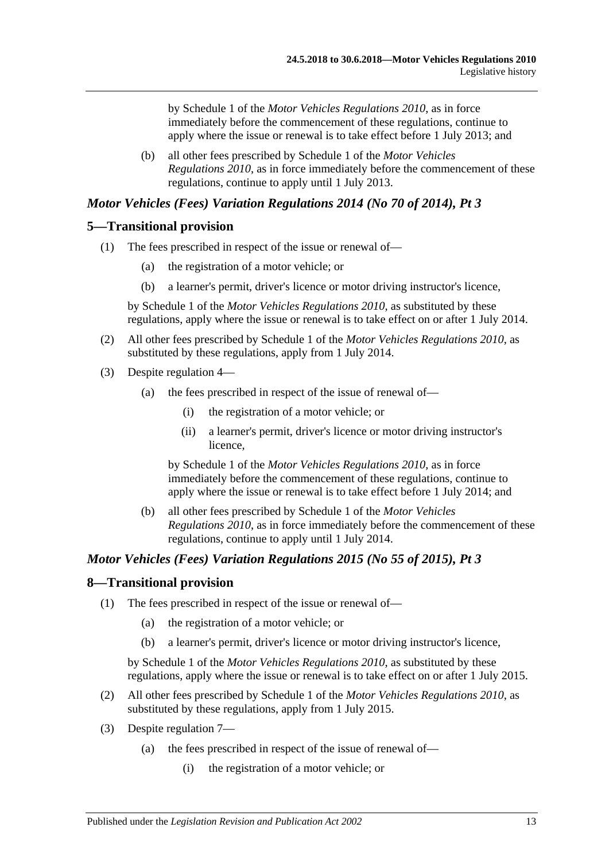by Schedule 1 of the *[Motor Vehicles Regulations](http://www.legislation.sa.gov.au/index.aspx?action=legref&type=subordleg&legtitle=Motor%20Vehicles%20Regulations%202010) 2010*, as in force immediately before the commencement of these regulations, continue to apply where the issue or renewal is to take effect before 1 July 2013; and

(b) all other fees prescribed by Schedule 1 of the *[Motor Vehicles](http://www.legislation.sa.gov.au/index.aspx?action=legref&type=subordleg&legtitle=Motor%20Vehicles%20Regulations%202010)  [Regulations](http://www.legislation.sa.gov.au/index.aspx?action=legref&type=subordleg&legtitle=Motor%20Vehicles%20Regulations%202010) 2010*, as in force immediately before the commencement of these regulations, continue to apply until 1 July 2013.

## *Motor Vehicles (Fees) Variation Regulations 2014 (No 70 of 2014), Pt 3*

#### **5—Transitional provision**

- (1) The fees prescribed in respect of the issue or renewal of—
	- (a) the registration of a motor vehicle; or
	- (b) a learner's permit, driver's licence or motor driving instructor's licence,

by Schedule 1 of the *[Motor Vehicles Regulations](http://www.legislation.sa.gov.au/index.aspx?action=legref&type=subordleg&legtitle=Motor%20Vehicles%20Regulations%202010) 2010*, as substituted by these regulations, apply where the issue or renewal is to take effect on or after 1 July 2014.

- (2) All other fees prescribed by Schedule 1 of the *[Motor Vehicles Regulations](http://www.legislation.sa.gov.au/index.aspx?action=legref&type=subordleg&legtitle=Motor%20Vehicles%20Regulations%202010) 2010*, as substituted by these regulations, apply from 1 July 2014.
- (3) Despite regulation 4—
	- (a) the fees prescribed in respect of the issue of renewal of—
		- (i) the registration of a motor vehicle; or
		- (ii) a learner's permit, driver's licence or motor driving instructor's licence,

by Schedule 1 of the *[Motor Vehicles Regulations](http://www.legislation.sa.gov.au/index.aspx?action=legref&type=subordleg&legtitle=Motor%20Vehicles%20Regulations%202010) 2010*, as in force immediately before the commencement of these regulations, continue to apply where the issue or renewal is to take effect before 1 July 2014; and

(b) all other fees prescribed by Schedule 1 of the *[Motor Vehicles](http://www.legislation.sa.gov.au/index.aspx?action=legref&type=subordleg&legtitle=Motor%20Vehicles%20Regulations%202010)  [Regulations](http://www.legislation.sa.gov.au/index.aspx?action=legref&type=subordleg&legtitle=Motor%20Vehicles%20Regulations%202010) 2010*, as in force immediately before the commencement of these regulations, continue to apply until 1 July 2014.

## *Motor Vehicles (Fees) Variation Regulations 2015 (No 55 of 2015), Pt 3*

#### **8—Transitional provision**

- (1) The fees prescribed in respect of the issue or renewal of—
	- (a) the registration of a motor vehicle; or
	- (b) a learner's permit, driver's licence or motor driving instructor's licence,

by Schedule 1 of the *[Motor Vehicles Regulations](http://www.legislation.sa.gov.au/index.aspx?action=legref&type=subordleg&legtitle=Motor%20Vehicles%20Regulations%202010) 2010*, as substituted by these regulations, apply where the issue or renewal is to take effect on or after 1 July 2015.

- (2) All other fees prescribed by Schedule 1 of the *[Motor Vehicles Regulations](http://www.legislation.sa.gov.au/index.aspx?action=legref&type=subordleg&legtitle=Motor%20Vehicles%20Regulations%202010) 2010*, as substituted by these regulations, apply from 1 July 2015.
- (3) Despite regulation 7—
	- (a) the fees prescribed in respect of the issue of renewal of—
		- (i) the registration of a motor vehicle; or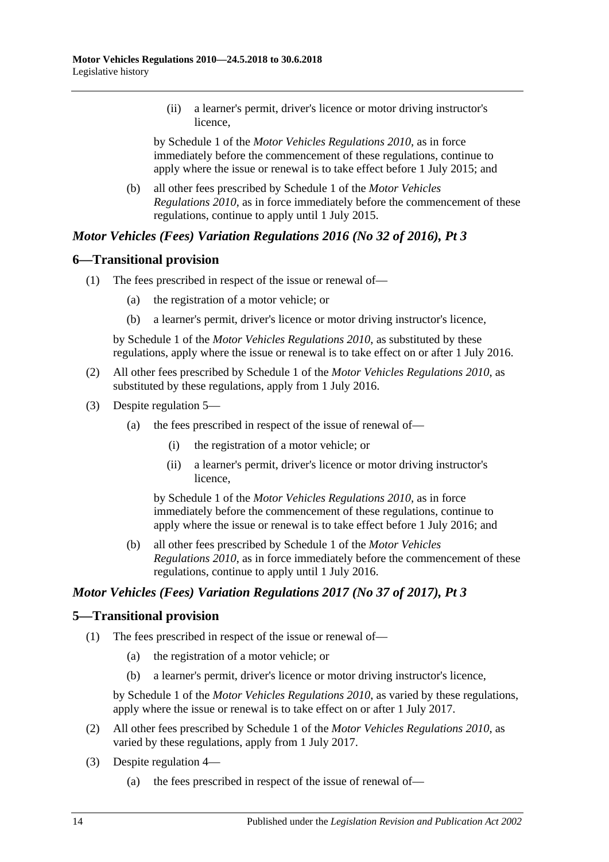(ii) a learner's permit, driver's licence or motor driving instructor's licence,

by Schedule 1 of the *[Motor Vehicles Regulations](http://www.legislation.sa.gov.au/index.aspx?action=legref&type=subordleg&legtitle=Motor%20Vehicles%20Regulations%202010) 2010*, as in force immediately before the commencement of these regulations, continue to apply where the issue or renewal is to take effect before 1 July 2015; and

(b) all other fees prescribed by Schedule 1 of the *[Motor Vehicles](http://www.legislation.sa.gov.au/index.aspx?action=legref&type=subordleg&legtitle=Motor%20Vehicles%20Regulations%202010)  [Regulations](http://www.legislation.sa.gov.au/index.aspx?action=legref&type=subordleg&legtitle=Motor%20Vehicles%20Regulations%202010) 2010*, as in force immediately before the commencement of these regulations, continue to apply until 1 July 2015.

# *Motor Vehicles (Fees) Variation Regulations 2016 (No 32 of 2016), Pt 3*

## **6—Transitional provision**

- (1) The fees prescribed in respect of the issue or renewal of—
	- (a) the registration of a motor vehicle; or
	- (b) a learner's permit, driver's licence or motor driving instructor's licence,

by Schedule 1 of the *[Motor Vehicles Regulations](http://www.legislation.sa.gov.au/index.aspx?action=legref&type=subordleg&legtitle=Motor%20Vehicles%20Regulations%202010) 2010*, as substituted by these regulations, apply where the issue or renewal is to take effect on or after 1 July 2016.

- (2) All other fees prescribed by Schedule 1 of the *[Motor Vehicles Regulations](http://www.legislation.sa.gov.au/index.aspx?action=legref&type=subordleg&legtitle=Motor%20Vehicles%20Regulations%202010) 2010*, as substituted by these regulations, apply from 1 July 2016.
- (3) Despite regulation 5—
	- (a) the fees prescribed in respect of the issue of renewal of—
		- (i) the registration of a motor vehicle; or
		- (ii) a learner's permit, driver's licence or motor driving instructor's licence,

by Schedule 1 of the *[Motor Vehicles Regulations](http://www.legislation.sa.gov.au/index.aspx?action=legref&type=subordleg&legtitle=Motor%20Vehicles%20Regulations%202010) 2010*, as in force immediately before the commencement of these regulations, continue to apply where the issue or renewal is to take effect before 1 July 2016; and

(b) all other fees prescribed by Schedule 1 of the *[Motor Vehicles](http://www.legislation.sa.gov.au/index.aspx?action=legref&type=subordleg&legtitle=Motor%20Vehicles%20Regulations%202010)  [Regulations](http://www.legislation.sa.gov.au/index.aspx?action=legref&type=subordleg&legtitle=Motor%20Vehicles%20Regulations%202010) 2010*, as in force immediately before the commencement of these regulations, continue to apply until 1 July 2016.

## *Motor Vehicles (Fees) Variation Regulations 2017 (No 37 of 2017), Pt 3*

#### **5—Transitional provision**

- (1) The fees prescribed in respect of the issue or renewal of—
	- (a) the registration of a motor vehicle; or
	- (b) a learner's permit, driver's licence or motor driving instructor's licence,

by Schedule 1 of the *[Motor Vehicles Regulations](http://www.legislation.sa.gov.au/index.aspx?action=legref&type=subordleg&legtitle=Motor%20Vehicles%20Regulations%202010) 2010*, as varied by these regulations, apply where the issue or renewal is to take effect on or after 1 July 2017.

- (2) All other fees prescribed by Schedule 1 of the *[Motor Vehicles Regulations](http://www.legislation.sa.gov.au/index.aspx?action=legref&type=subordleg&legtitle=Motor%20Vehicles%20Regulations%202010) 2010*, as varied by these regulations, apply from 1 July 2017.
- (3) Despite regulation 4—
	- (a) the fees prescribed in respect of the issue of renewal of—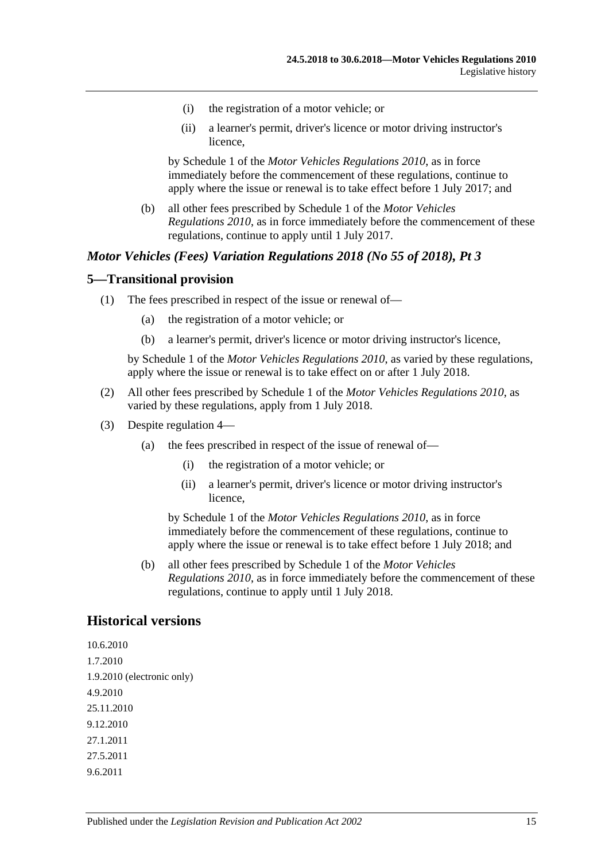- (i) the registration of a motor vehicle; or
- (ii) a learner's permit, driver's licence or motor driving instructor's licence,

by Schedule 1 of the *[Motor Vehicles Regulations](http://www.legislation.sa.gov.au/index.aspx?action=legref&type=subordleg&legtitle=Motor%20Vehicles%20Regulations%202010) 2010*, as in force immediately before the commencement of these regulations, continue to apply where the issue or renewal is to take effect before 1 July 2017; and

(b) all other fees prescribed by Schedule 1 of the *[Motor Vehicles](http://www.legislation.sa.gov.au/index.aspx?action=legref&type=subordleg&legtitle=Motor%20Vehicles%20Regulations%202010)  [Regulations](http://www.legislation.sa.gov.au/index.aspx?action=legref&type=subordleg&legtitle=Motor%20Vehicles%20Regulations%202010) 2010*, as in force immediately before the commencement of these regulations, continue to apply until 1 July 2017.

#### *Motor Vehicles (Fees) Variation Regulations 2018 (No 55 of 2018), Pt 3*

#### **5—Transitional provision**

- (1) The fees prescribed in respect of the issue or renewal of—
	- (a) the registration of a motor vehicle; or
	- (b) a learner's permit, driver's licence or motor driving instructor's licence,

by Schedule 1 of the *[Motor Vehicles Regulations](http://www.legislation.sa.gov.au/index.aspx?action=legref&type=subordleg&legtitle=Motor%20Vehicles%20Regulations%202010) 2010*, as varied by these regulations, apply where the issue or renewal is to take effect on or after 1 July 2018.

- (2) All other fees prescribed by Schedule 1 of the *[Motor Vehicles Regulations](http://www.legislation.sa.gov.au/index.aspx?action=legref&type=subordleg&legtitle=Motor%20Vehicles%20Regulations%202010) 2010*, as varied by these regulations, apply from 1 July 2018.
- (3) Despite regulation 4—
	- (a) the fees prescribed in respect of the issue of renewal of—
		- (i) the registration of a motor vehicle; or
		- (ii) a learner's permit, driver's licence or motor driving instructor's licence,

by Schedule 1 of the *[Motor Vehicles Regulations](http://www.legislation.sa.gov.au/index.aspx?action=legref&type=subordleg&legtitle=Motor%20Vehicles%20Regulations%202010) 2010*, as in force immediately before the commencement of these regulations, continue to apply where the issue or renewal is to take effect before 1 July 2018; and

(b) all other fees prescribed by Schedule 1 of the *[Motor Vehicles](http://www.legislation.sa.gov.au/index.aspx?action=legref&type=subordleg&legtitle=Motor%20Vehicles%20Regulations%202010)  [Regulations](http://www.legislation.sa.gov.au/index.aspx?action=legref&type=subordleg&legtitle=Motor%20Vehicles%20Regulations%202010) 2010*, as in force immediately before the commencement of these regulations, continue to apply until 1 July 2018.

#### **Historical versions**

10.6.2010 1.7.2010 1.9.2010 (electronic only) 4.9.2010 25.11.2010 9.12.2010 27.1.2011 27.5.2011 9.6.2011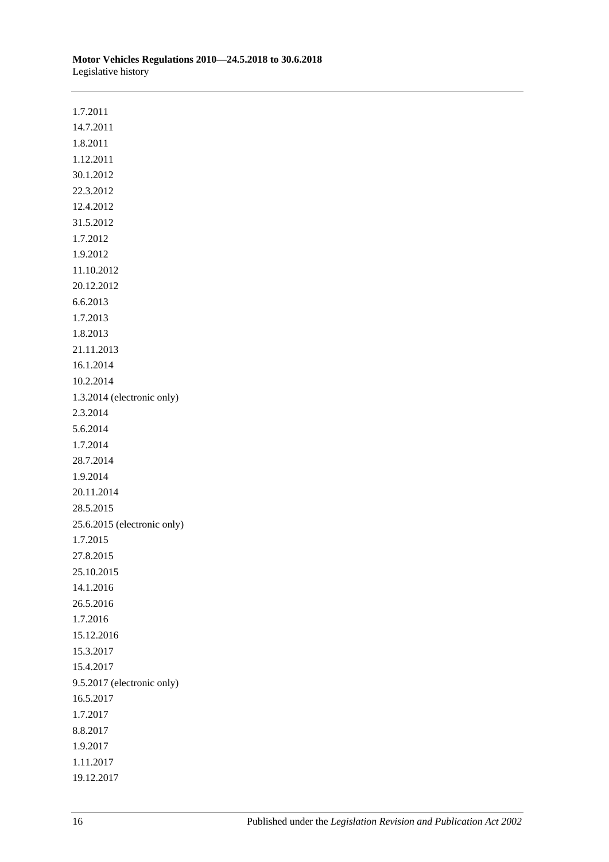| Motor Vehicles Regulations 2010—24.5.2018 to 30.6.2018 |  |
|--------------------------------------------------------|--|
| Legislative history                                    |  |

| 1.7.2011                    |
|-----------------------------|
| 14.7.2011                   |
| 1.8.2011                    |
| 1.12.2011                   |
| 30.1.2012                   |
| 22.3.2012                   |
| 12.4.2012                   |
| 31.5.2012                   |
| 1.7.2012                    |
| 1.9.2012                    |
| 11.10.2012                  |
| 20.12.2012                  |
| 6.6.2013                    |
| 1.7.2013                    |
| 1.8.2013                    |
| 21.11.2013                  |
| 16.1.2014                   |
| 10.2.2014                   |
| 1.3.2014 (electronic only)  |
| 2.3.2014                    |
| 5.6.2014                    |
| 1.7.2014                    |
| 28.7.2014                   |
| 1.9.2014                    |
| 20.11.2014                  |
| 28.5.2015                   |
| 25.6.2015 (electronic only) |
| 1.7.2015                    |
| 27.8.2015                   |
| 25.10.2015                  |
| 14.1.2016                   |
| 26.5.2016                   |
| 1.7.2016                    |
| 15.12.2016                  |
| 15.3.2017                   |
| 15.4.2017                   |
| 9.5.2017 (electronic only)  |
| 16.5.2017                   |
| 1.7.2017                    |
| 8.8.2017                    |
| 1.9.2017                    |
| 1.11.2017                   |
| 19.12.2017                  |